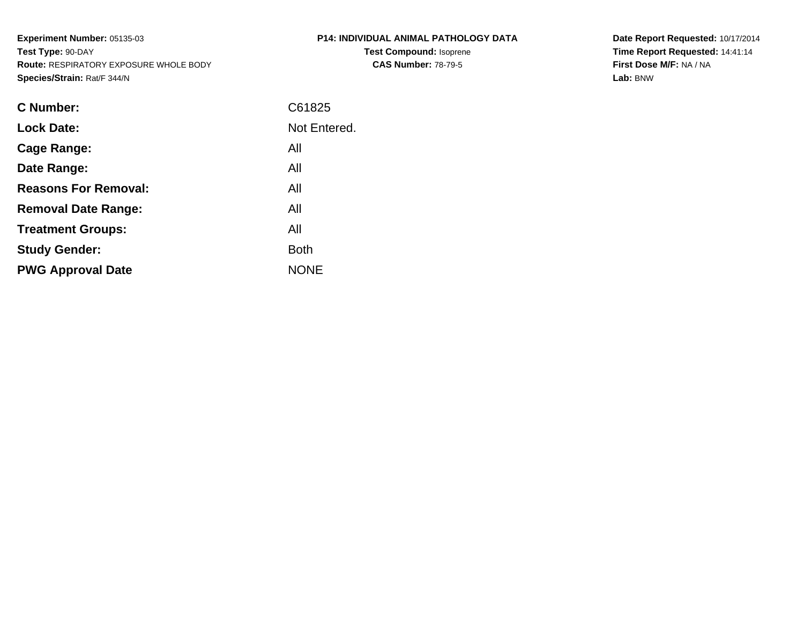**Experiment Number:** 05135-03**Test Type:** 90-DAY **Route:** RESPIRATORY EXPOSURE WHOLE BODY**Species/Strain:** Rat/F 344/N

| P14: INDIVIDUAL ANIMAL PATHOLOGY DATA |
|---------------------------------------|
| <b>Test Compound: Isoprene</b>        |
| <b>CAS Number: 78-79-5</b>            |

**Date Report Requested:** 10/17/2014 **Time Report Requested:** 14:41:14**First Dose M/F:** NA / NA**Lab:** BNW

| C Number:                   | C61825       |
|-----------------------------|--------------|
| <b>Lock Date:</b>           | Not Entered. |
| Cage Range:                 | All          |
| Date Range:                 | All          |
| <b>Reasons For Removal:</b> | All          |
| <b>Removal Date Range:</b>  | All          |
| <b>Treatment Groups:</b>    | All          |
| <b>Study Gender:</b>        | <b>Both</b>  |
| <b>PWG Approval Date</b>    | <b>NONE</b>  |
|                             |              |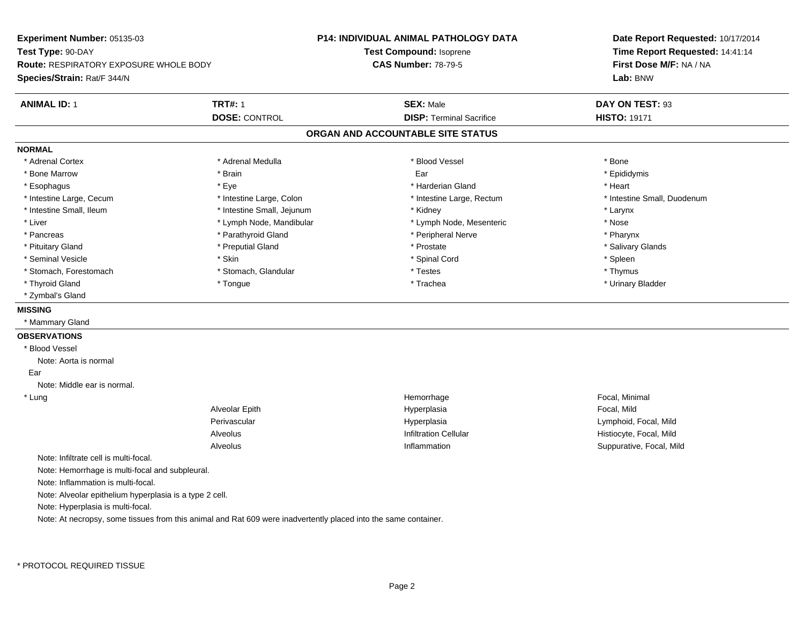**Experiment Number:** 05135-03**Test Type:** 90-DAY **Route:** RESPIRATORY EXPOSURE WHOLE BODY**Species/Strain:** Rat/F 344/N**P14: INDIVIDUAL ANIMAL PATHOLOGY DATATest Compound:** Isoprene**CAS Number:** 78-79-5**Date Report Requested:** 10/17/2014**Time Report Requested:** 14:41:14**First Dose M/F:** NA / NA**Lab:** BNW**ANIMAL ID:** 1**TRT#:** 1 **SEX:** Male **DAY ON TEST:** 93 **DOSE:** CONTROL**DISP:** Terminal Sacrifice **HISTO:** 19171 **ORGAN AND ACCOUNTABLE SITE STATUSNORMAL**\* Adrenal Cortex \* Adrenal Cortex \* \* Adrenal Medulla \* \* Adrenal Medulla \* \* Blood Vessel \* \* Brood Vessel \* \* Bone \* Epididymis \* Bone Marrow \* \* Androidymis \* Brain \* \* Brain \* \* Epididymis \* Ear \* \* Epididymis \* Epididymis \* Epididymis \* \* Esophagus \* \* \* exercises \* \* Eye \* \* \* \* \* \* \* \* \* \* \* \* \* \* \* Harderian Gland \* \* \* \* \* \* \* \* \* Heart \* \* Heart \* Intestine Large, Cecum \* Intestine Large, Colon \* Intestine Large, Rectum \* Intestine Small, Duodenum \* Intestine Small, Ileum \* Intestine Small, Jejunum \* Kidney \* Larynx\* Nose \* Liver \* Lymph Node, Mandibular \* Note and \* Lymph Node, Mesenteric \* November \* Nose and \* Nose and \* Nose and \* Nose and \* Nose and \* Nose and \* Nose and \* Nose and \* Nose and \* Nose and \* Nose and \* Nose and \* Nose and \* Pharynx \* Pancreas \* Parathyroid Gland \* Parathyroid Gland \* Peripheral Nerve \* Salivary Glands \* Pituitary Gland \* \* Then the state \* Preputial Gland \* Prosection \* Prostate \* \* Salivary Glands \* Salivary Glands \* Salivary Glands \* Salivary Glands \* Salivary Glands \* Salivary Glands \* Salivary Glands \* Salivary Glan \* Seminal Vesicle \* Skin \* Spinal Cord \* Spleen \* Thymus \* Stomach, Forestomach \* Testes \* Stomach, Glandular \* Testes \* Testes \* Testes \* Testes \* Testes \* Testes \* T \* Urinary Bladder \* Thyroid Gland \* \* The control of the total property and the top of the top of the top of the top of the top of the top of the top of the top of the top of the top of the top of the top of the top of the top of the top of \* Zymbal's Gland**MISSING** \* Mammary Gland**OBSERVATIONS** \* Blood VesselNote: Aorta is normal Ear Note: Middle ear is normal. \* Lungg is a state of the state of the state of the state of the Hemorrhage is a state of the Social, Minimal state of the Social, Minimal state of the Social American state of the Social American state of the Social American st Alveolar Epith Hyperplasia Focal, Mild Perivascular Hyperplasia Lymphoid, Focal, Mild AlveolusHistiocyte, Focal, Mild n Suppurative, Focal, Mild Alveolus InflammationNote: Infiltrate cell is multi-focal.Note: Hemorrhage is multi-focal and subpleural.Note: Inflammation is multi-focal.Note: Alveolar epithelium hyperplasia is a type 2 cell.Note: Hyperplasia is multi-focal.Note: At necropsy, some tissues from this animal and Rat 609 were inadvertently placed into the same container.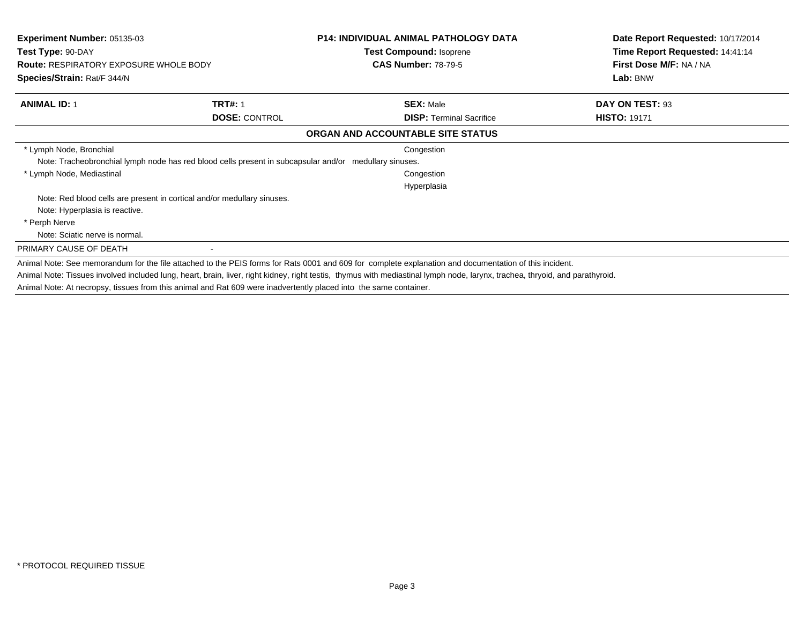| Experiment Number: 05135-03                   |                                                                                                        | <b>P14: INDIVIDUAL ANIMAL PATHOLOGY DATA</b>                                                                                                                                 | Date Report Requested: 10/17/2014 |
|-----------------------------------------------|--------------------------------------------------------------------------------------------------------|------------------------------------------------------------------------------------------------------------------------------------------------------------------------------|-----------------------------------|
| Test Type: 90-DAY                             |                                                                                                        | <b>Test Compound: Isoprene</b>                                                                                                                                               | Time Report Requested: 14:41:14   |
| <b>Route: RESPIRATORY EXPOSURE WHOLE BODY</b> |                                                                                                        | <b>CAS Number: 78-79-5</b>                                                                                                                                                   | First Dose M/F: NA / NA           |
| Species/Strain: Rat/F 344/N                   |                                                                                                        |                                                                                                                                                                              | Lab: BNW                          |
| <b>ANIMAL ID: 1</b>                           | <b>TRT#: 1</b>                                                                                         | <b>SEX: Male</b>                                                                                                                                                             | DAY ON TEST: 93                   |
|                                               | <b>DOSE: CONTROL</b>                                                                                   | <b>DISP: Terminal Sacrifice</b>                                                                                                                                              | <b>HISTO: 19171</b>               |
|                                               |                                                                                                        | ORGAN AND ACCOUNTABLE SITE STATUS                                                                                                                                            |                                   |
| * Lymph Node, Bronchial                       |                                                                                                        | Congestion                                                                                                                                                                   |                                   |
|                                               | Note: Tracheobronchial lymph node has red blood cells present in subcapsular and/or medullary sinuses. |                                                                                                                                                                              |                                   |
| * Lymph Node, Mediastinal                     |                                                                                                        | Congestion                                                                                                                                                                   |                                   |
|                                               |                                                                                                        | Hyperplasia                                                                                                                                                                  |                                   |
|                                               | Note: Red blood cells are present in cortical and/or medullary sinuses.                                |                                                                                                                                                                              |                                   |
| Note: Hyperplasia is reactive.                |                                                                                                        |                                                                                                                                                                              |                                   |
| * Perph Nerve                                 |                                                                                                        |                                                                                                                                                                              |                                   |
| Note: Sciatic nerve is normal.                |                                                                                                        |                                                                                                                                                                              |                                   |
| PRIMARY CAUSE OF DEATH                        |                                                                                                        |                                                                                                                                                                              |                                   |
|                                               |                                                                                                        | Animal Note: See memorandum for the file attached to the PEIS forms for Rats 0001 and 609 for complete explanation and documentation of this incident.                       |                                   |
|                                               |                                                                                                        | Animal Note: Tissues involved included lung, heart, brain, liver, right kidney, right testis, thymus with mediastinal lymph node, larynx, trachea, thryoid, and parathyroid. |                                   |

Animal Note: At necropsy, tissues from this animal and Rat 609 were inadvertently placed into the same container.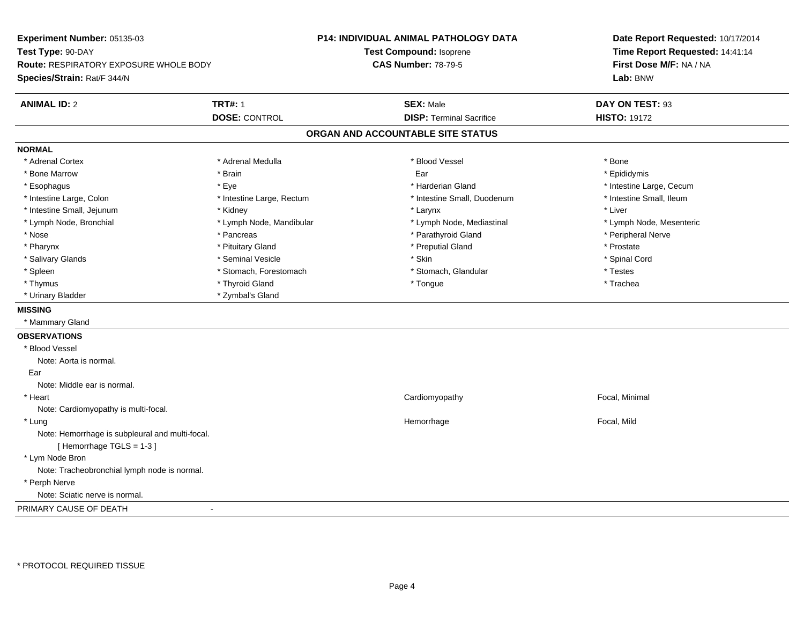**Experiment Number:** 05135-03**Test Type:** 90-DAY **Route:** RESPIRATORY EXPOSURE WHOLE BODY**Species/Strain:** Rat/F 344/N**P14: INDIVIDUAL ANIMAL PATHOLOGY DATATest Compound:** Isoprene**CAS Number:** 78-79-5**Date Report Requested:** 10/17/2014**Time Report Requested:** 14:41:14**First Dose M/F:** NA / NA**Lab:** BNW**ANIMAL ID:** 2**TRT#:** 1 **SEX:** Male **DAY ON TEST:** 93 **DOSE:** CONTROL**DISP:** Terminal Sacrifice **HISTO:** 19172 **ORGAN AND ACCOUNTABLE SITE STATUSNORMAL**\* Adrenal Cortex \* Adrenal Cortex \* \* Adrenal Medulla \* \* Adrenal Medulla \* \* Blood Vessel \* \* Brood Vessel \* \* Bone \* Epididymis \* Bone Marrow \* \* Androidymis \* Brain \* \* Brain \* \* Epididymis \* Ear \* \* Epididymis \* Epididymis \* Epididymis \* \* Esophagus \* https://www.fragus.com/web/2012/state/secument/secument/secument/secument/secument/secument/secument/secument/secument/secument/secument/secument/secument/secument/secument/secument/secument/secument/secument \* Intestine Small, Ileum \* Intestine Large, Colon \* Intestine Large, Rectum \* Intestine Small, Duodenum \* Intestine Small, Duodenum \* Intestine Small, Jejunum \* \* Widney \* Kidney \* Larynx \* Larynx \* Larynx \* Larynx \* Liver \* Lymph Node, Bronchial \* Lymph Node, Mandibular \* Lymph Node, Mediastinal \* Lymph Node, Mesenteric\* Nose \* \* Pancreas \* \* Pancreas \* \* Pancreas \* \* Parathyroid Gland \* \* Peripheral Nerve \* Peripheral Nerve \* \* Pharynx \* Pituitary Gland \* Preputial Gland \* Prostate \* Spinal Cord \* Salivary Glands \* \* Seminal Vesicle \* \* Seminal Vesicle \* \* Skin \* \* Skin \* \* Stember \* Spinal Cord \* Spinal Cord \* Spinal Cord \* Spinal Cord \* Spinal Cord \* Spinal Cord \* Spinal Cord \* Spinal Cord \* Spinal Cord \* Spinal \* Spleen \* Stomach, Forestomach \* Stomach \* Stomach, Slandular \* Testes \* Testes \* Trachea \* Thymus \* \* The mode of the total term of the total term of the total term of the total term of the total term of the total term of the total term of the total term of the total term of the total term of the total term of \* Urinary Bladder \* Zymbal's Gland**MISSING** \* Mammary Gland**OBSERVATIONS** \* Blood VesselNote: Aorta is normal. Ear Note: Middle ear is normal. \* Heart Cardiomyopathy Focal, Minimal Note: Cardiomyopathy is multi-focal. \* Lungg is a controller to the controller of the controller temperature of the Hemorrhage in the Focal, Mild state  $\Gamma$ Note: Hemorrhage is subpleural and multi-focal.[ Hemorrhage TGLS = 1-3 ] \* Lym Node Bron Note: Tracheobronchial lymph node is normal. \* Perph Nerve Note: Sciatic nerve is normal.PRIMARY CAUSE OF DEATH-

\* PROTOCOL REQUIRED TISSUE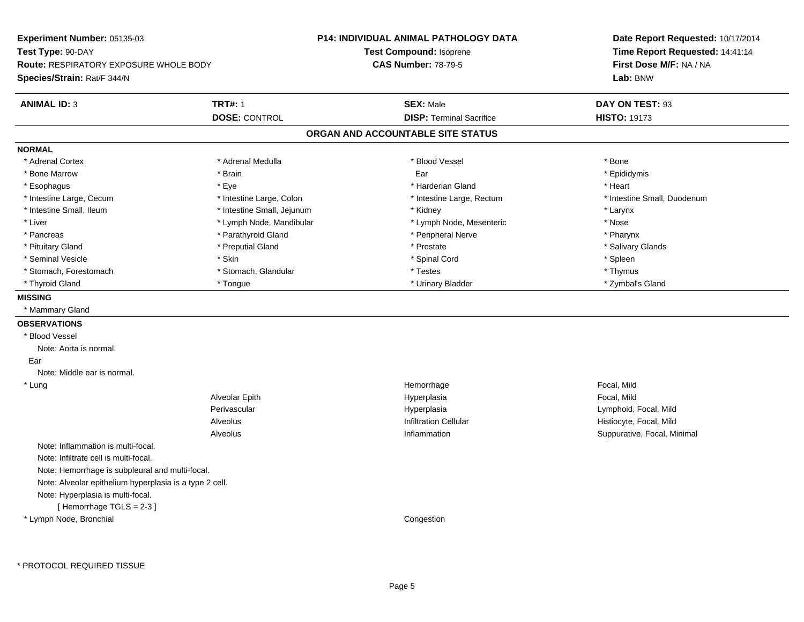**Experiment Number:** 05135-03**Test Type:** 90-DAY **Route:** RESPIRATORY EXPOSURE WHOLE BODY**Species/Strain:** Rat/F 344/N**P14: INDIVIDUAL ANIMAL PATHOLOGY DATATest Compound:** Isoprene**CAS Number:** 78-79-5**Date Report Requested:** 10/17/2014**Time Report Requested:** 14:41:14**First Dose M/F:** NA / NA**Lab:** BNW**ANIMAL ID:** 3**TRT#:** 1 **SEX:** Male **DAY ON TEST:** 93 **DOSE:** CONTROL**DISP:** Terminal Sacrifice **HISTO:** 19173 **ORGAN AND ACCOUNTABLE SITE STATUSNORMAL**\* Adrenal Cortex \* Adrenal Cortex \* \* Adrenal Medulla \* \* Adrenal Medulla \* \* Blood Vessel \* \* Brood Vessel \* \* Bone \* Epididymis \* Bone Marrow \* \* Androidymis \* Brain \* \* Brain \* \* Epididymis \* Ear \* \* Epididymis \* Epididymis \* Epididymis \* \* Esophagus \* \* \* exercises \* \* Eye \* \* \* \* \* \* \* \* \* \* \* \* \* \* \* Harderian Gland \* \* \* \* \* \* \* \* \* Heart \* \* Heart \* Intestine Large, Cecum \* Intestine Large, Colon \* Intestine Large, Thestine Large, Rectum \* Intestine Small, Duodenum \* Intestine Small, Ileum \* Intestine Small, Jejunum \* Kidney \* Larynx\* Nose \* Liver \* Lymph Node, Mandibular \* Note and \* Lymph Node, Mesenteric \* November \* Nose and \* Nose and \* Nose and \* Nose and \* Nose and \* Nose and \* Nose and \* Nose and \* Nose and \* Nose and \* Nose and \* Nose and \* Nose and \* Pharynx \* Pancreas \* Parathyroid Gland \* Parathyroid Gland \* Peripheral Nerve \* Salivary Glands \* Pituitary Gland \* \* Then the state \* Preputial Gland \* Prosection \* Prostate \* \* Salivary Glands \* Salivary Glands \* Salivary Glands \* Salivary Glands \* Salivary Glands \* Salivary Glands \* Salivary Glands \* Salivary Glan \* Seminal Vesicle \* Skin \* Spinal Cord \* Spleen \* Thymus \* Stomach, Forestomach \* Testes \* Stomach, Glandular \* Testes \* Testes \* Testes \* Testes \* Testes \* Testes \* T \* Zymbal's Gland \* Thyroid Gland \* \* The the state of the state of the state of the state of the state of the state of the state of the state of the state of the state of the state of the state of the state of the state of the state of the **MISSING** \* Mammary Gland**OBSERVATIONS** \* Blood VesselNote: Aorta is normal. EarNote: Middle ear is normal. \* Lungg is a controller to the controller of the controller temperature of the Hemorrhage in the Focal, Mild state  $\Gamma$ Alveolar Epith Hyperplasia Focal, Mild Perivascular Hyperplasia Lymphoid, Focal, Mild AlveolusHistiocyte, Focal, Mild n Suppurative, Focal, Minimal Alveolus InflammationNote: Inflammation is multi-focal.Note: Infiltrate cell is multi-focal.Note: Hemorrhage is subpleural and multi-focal.Note: Alveolar epithelium hyperplasia is a type 2 cell.Note: Hyperplasia is multi-focal.[ Hemorrhage TGLS = 2-3 ] \* Lymph Node, BronchialCongestion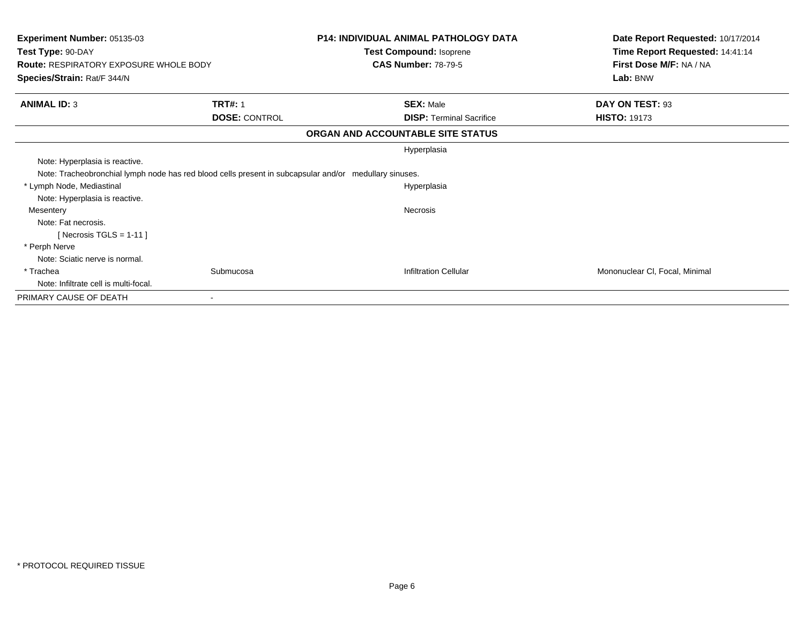| <b>Experiment Number: 05135-03</b>                                                                     |                      | <b>P14: INDIVIDUAL ANIMAL PATHOLOGY DATA</b>          | Date Report Requested: 10/17/2014   |
|--------------------------------------------------------------------------------------------------------|----------------------|-------------------------------------------------------|-------------------------------------|
| Test Type: 90-DAY<br><b>Route: RESPIRATORY EXPOSURE WHOLE BODY</b>                                     |                      | Test Compound: Isoprene<br><b>CAS Number: 78-79-5</b> | Time Report Requested: 14:41:14     |
| Species/Strain: Rat/F 344/N                                                                            |                      |                                                       | First Dose M/F: NA / NA<br>Lab: BNW |
| <b>ANIMAL ID: 3</b>                                                                                    | <b>TRT#: 1</b>       | <b>SEX: Male</b>                                      | DAY ON TEST: 93                     |
|                                                                                                        | <b>DOSE: CONTROL</b> | <b>DISP:</b> Terminal Sacrifice                       | <b>HISTO: 19173</b>                 |
|                                                                                                        |                      | ORGAN AND ACCOUNTABLE SITE STATUS                     |                                     |
|                                                                                                        |                      | Hyperplasia                                           |                                     |
| Note: Hyperplasia is reactive.                                                                         |                      |                                                       |                                     |
| Note: Tracheobronchial lymph node has red blood cells present in subcapsular and/or medullary sinuses. |                      |                                                       |                                     |
| * Lymph Node, Mediastinal                                                                              |                      | Hyperplasia                                           |                                     |
| Note: Hyperplasia is reactive.                                                                         |                      |                                                       |                                     |
| Mesentery                                                                                              |                      | <b>Necrosis</b>                                       |                                     |
| Note: Fat necrosis.                                                                                    |                      |                                                       |                                     |
| [Necrosis TGLS = $1-11$ ]                                                                              |                      |                                                       |                                     |
| * Perph Nerve                                                                                          |                      |                                                       |                                     |
| Note: Sciatic nerve is normal.                                                                         |                      |                                                       |                                     |
| * Trachea                                                                                              | Submucosa            | <b>Infiltration Cellular</b>                          | Mononuclear CI, Focal, Minimal      |
| Note: Infiltrate cell is multi-focal.                                                                  |                      |                                                       |                                     |
| PRIMARY CAUSE OF DEATH                                                                                 |                      |                                                       |                                     |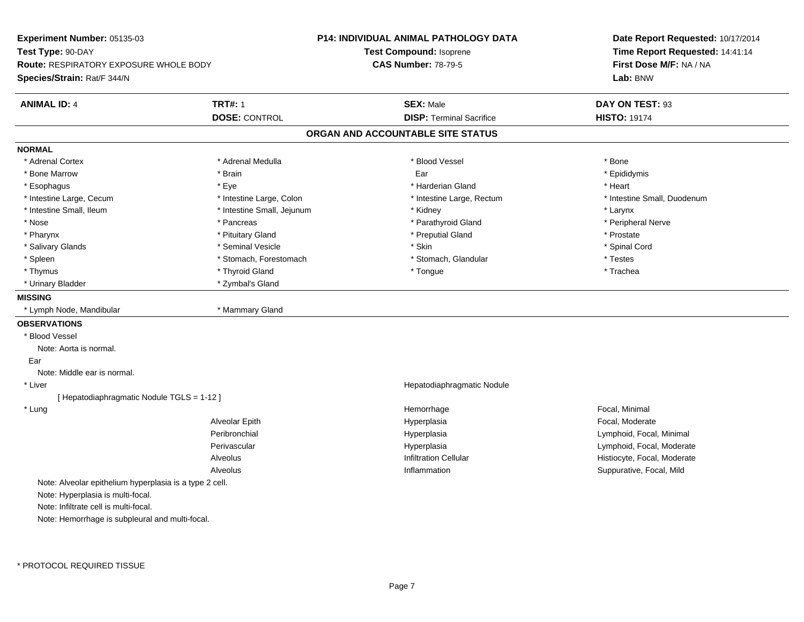**Experiment Number:** 05135-03**Test Type:** 90-DAY **Route:** RESPIRATORY EXPOSURE WHOLE BODY**Species/Strain:** Rat/F 344/N**P14: INDIVIDUAL ANIMAL PATHOLOGY DATATest Compound:** Isoprene**CAS Number:** 78-79-5**Date Report Requested:** 10/17/2014**Time Report Requested:** 14:41:14**First Dose M/F:** NA / NA**Lab:** BNW**ANIMAL ID:** 4**TRT#:** 1 **SEX:** Male **DAY ON TEST:** 93 **DOSE:** CONTROL**DISP:** Terminal Sacrifice **HISTO:** 19174 **ORGAN AND ACCOUNTABLE SITE STATUSNORMAL**\* Adrenal Cortex \* Adrenal Cortex \* \* Adrenal Medulla \* \* Adrenal Medulla \* \* Blood Vessel \* \* Brood Vessel \* \* Bone \* Epididymis \* Bone Marrow \* \* Androidymis \* Brain \* \* Brain \* \* Epididymis \* Ear \* \* Epididymis \* Epididymis \* Epididymis \* \* Esophagus \* \* \* exercises \* \* Eye \* \* \* \* \* \* \* \* \* \* \* \* \* \* \* Harderian Gland \* \* \* \* \* \* \* \* \* Heart \* \* Heart \* Intestine Large, Cecum \* Intestine Large, Colon \* Intestine Large, Rectum \* Intestine Small, Duodenum \* Intestine Small, Ileum \* Intestine Small, Jejunum \* Kidney \* Larynx\* Peripheral Nerve \* Nose \* \* Pancreas \* \* Pancreas \* \* Pancreas \* \* Parathyroid Gland \* \* Peripheral Nerve \* Peripheral Nerve \* \* Pharynx \* Pituitary Gland \* Preputial Gland \* Prostate \* Spinal Cord \* Salivary Glands \* \* Seminal Vesicle \* \* Seminal Vesicle \* \* Skin \* \* Skin \* \* Stember \* Spinal Cord \* Spinal Cord \* Spinal Cord \* Spinal Cord \* Spinal Cord \* Spinal Cord \* Spinal Cord \* Spinal Cord \* Spinal Cord \* Spinal \* Spleen \* Stomach, Forestomach \* Stomach \* Stomach, Slandular \* Testes \* Testes \* Trachea \* Thymus \* \* The mode of the total term of the total term of the total term of the total term of the total term of the total term of the total term of the total term of the total term of the total term of the total term of \* Urinary Bladder \* Zymbal's Gland**MISSING** \* Lymph Node, Mandibular \* Mammary Gland**OBSERVATIONS** \* Blood VesselNote: Aorta is normal. EarNote: Middle ear is normal. \* Liver Hepatodiaphragmatic Nodule[ Hepatodiaphragmatic Nodule TGLS = 1-12 ] \* Lungg is a state of the state of the state of the state of the Hemorrhage is a state of the Social, Minimal state of the Social, Minimal state of the Social American state of the Social American state of the Social American st Alveolar Epith Hyperplasia Focal, Moderate Peribronchial Hyperplasia Lymphoid, Focal, Minimal Perivascular HyperplasiaHyperplasia<br>
Infiltration Cellular<br>
Infiltration Cellular<br>
Infiltration Cellular<br>
Infiltration Cellular AlveolusHistiocyte, Focal, Moderate Alveolus Inflammation Suppurative, Focal, Mild Note: Alveolar epithelium hyperplasia is a type 2 cell.Note: Hyperplasia is multi-focal.Note: Infiltrate cell is multi-focal.Note: Hemorrhage is subpleural and multi-focal.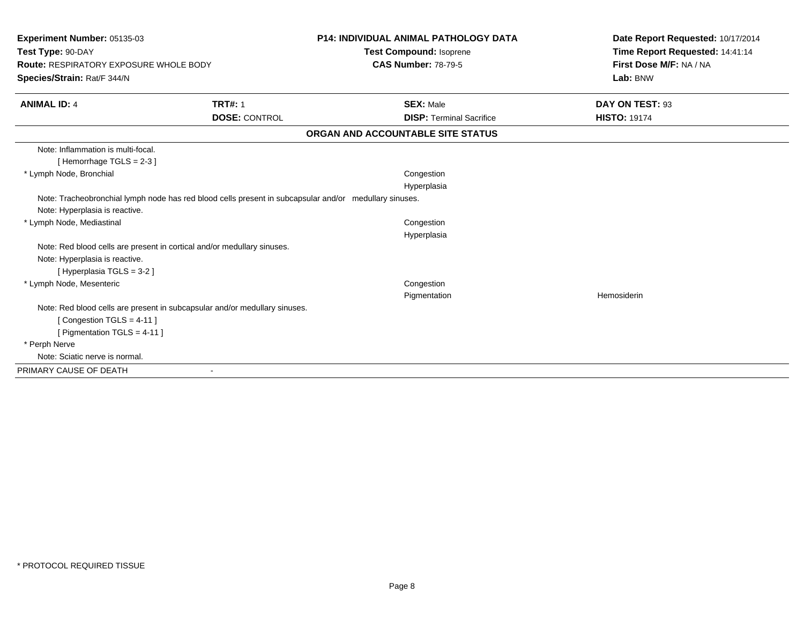| Experiment Number: 05135-03                                                                            |                      | <b>P14: INDIVIDUAL ANIMAL PATHOLOGY DATA</b> | Date Report Requested: 10/17/2014 |
|--------------------------------------------------------------------------------------------------------|----------------------|----------------------------------------------|-----------------------------------|
| Test Type: 90-DAY                                                                                      |                      | <b>Test Compound: Isoprene</b>               | Time Report Requested: 14:41:14   |
| Route: RESPIRATORY EXPOSURE WHOLE BODY                                                                 |                      | <b>CAS Number: 78-79-5</b>                   | First Dose M/F: NA / NA           |
| Species/Strain: Rat/F 344/N                                                                            |                      |                                              | Lab: BNW                          |
| <b>ANIMAL ID: 4</b>                                                                                    | <b>TRT#: 1</b>       | <b>SEX: Male</b>                             | DAY ON TEST: 93                   |
|                                                                                                        | <b>DOSE: CONTROL</b> | <b>DISP: Terminal Sacrifice</b>              | <b>HISTO: 19174</b>               |
|                                                                                                        |                      | ORGAN AND ACCOUNTABLE SITE STATUS            |                                   |
| Note: Inflammation is multi-focal.                                                                     |                      |                                              |                                   |
| [Hemorrhage TGLS = 2-3]                                                                                |                      |                                              |                                   |
| * Lymph Node, Bronchial                                                                                |                      | Congestion                                   |                                   |
|                                                                                                        |                      | Hyperplasia                                  |                                   |
| Note: Tracheobronchial lymph node has red blood cells present in subcapsular and/or medullary sinuses. |                      |                                              |                                   |
| Note: Hyperplasia is reactive.                                                                         |                      |                                              |                                   |
| * Lymph Node, Mediastinal                                                                              |                      | Congestion                                   |                                   |
|                                                                                                        |                      | Hyperplasia                                  |                                   |
| Note: Red blood cells are present in cortical and/or medullary sinuses.                                |                      |                                              |                                   |
| Note: Hyperplasia is reactive.                                                                         |                      |                                              |                                   |
| [Hyperplasia TGLS = 3-2]                                                                               |                      |                                              |                                   |
| * Lymph Node, Mesenteric                                                                               |                      | Congestion                                   |                                   |
|                                                                                                        |                      | Pigmentation                                 | Hemosiderin                       |
| Note: Red blood cells are present in subcapsular and/or medullary sinuses.                             |                      |                                              |                                   |
| [Congestion TGLS = 4-11]                                                                               |                      |                                              |                                   |
| [ Pigmentation TGLS = $4-11$ ]                                                                         |                      |                                              |                                   |
| * Perph Nerve                                                                                          |                      |                                              |                                   |
| Note: Sciatic nerve is normal.                                                                         |                      |                                              |                                   |
| PRIMARY CAUSE OF DEATH                                                                                 | $\blacksquare$       |                                              |                                   |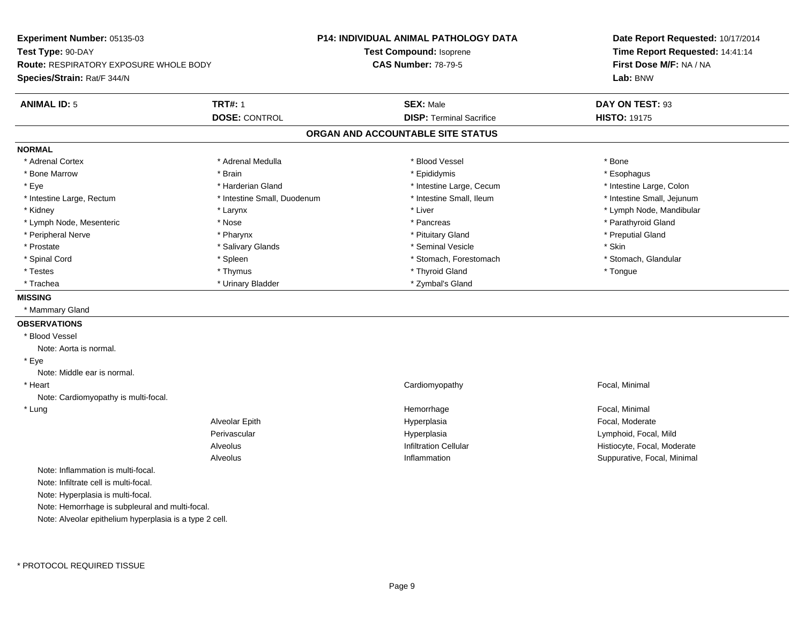| Experiment Number: 05135-03                             |                             | <b>P14: INDIVIDUAL ANIMAL PATHOLOGY DATA</b> | Date Report Requested: 10/17/2014 |
|---------------------------------------------------------|-----------------------------|----------------------------------------------|-----------------------------------|
| Test Type: 90-DAY                                       |                             | Test Compound: Isoprene                      | Time Report Requested: 14:41:14   |
| <b>Route: RESPIRATORY EXPOSURE WHOLE BODY</b>           |                             | <b>CAS Number: 78-79-5</b>                   | First Dose M/F: NA / NA           |
| <b>Species/Strain: Rat/F 344/N</b>                      |                             |                                              | Lab: BNW                          |
| <b>ANIMAL ID: 5</b>                                     | <b>TRT#: 1</b>              | <b>SEX: Male</b>                             | DAY ON TEST: 93                   |
|                                                         | <b>DOSE: CONTROL</b>        | <b>DISP: Terminal Sacrifice</b>              | <b>HISTO: 19175</b>               |
|                                                         |                             | ORGAN AND ACCOUNTABLE SITE STATUS            |                                   |
| <b>NORMAL</b>                                           |                             |                                              |                                   |
| * Adrenal Cortex                                        | * Adrenal Medulla           | * Blood Vessel                               | * Bone                            |
| * Bone Marrow                                           | * Brain                     | * Epididymis                                 | * Esophagus                       |
| * Eye                                                   | * Harderian Gland           | * Intestine Large, Cecum                     | * Intestine Large, Colon          |
| * Intestine Large, Rectum                               | * Intestine Small, Duodenum | * Intestine Small, Ileum                     | * Intestine Small, Jejunum        |
| * Kidney                                                | * Larynx                    | * Liver                                      | * Lymph Node, Mandibular          |
| * Lymph Node, Mesenteric                                | * Nose                      | * Pancreas                                   | * Parathyroid Gland               |
| * Peripheral Nerve                                      | * Pharynx                   | * Pituitary Gland                            | * Preputial Gland                 |
| * Prostate                                              | * Salivary Glands           | * Seminal Vesicle                            | * Skin                            |
| * Spinal Cord                                           | * Spleen                    | * Stomach, Forestomach                       | * Stomach, Glandular              |
| * Testes                                                | * Thymus                    | * Thyroid Gland                              | * Tongue                          |
| * Trachea                                               | * Urinary Bladder           | * Zymbal's Gland                             |                                   |
| <b>MISSING</b>                                          |                             |                                              |                                   |
| * Mammary Gland                                         |                             |                                              |                                   |
| <b>OBSERVATIONS</b>                                     |                             |                                              |                                   |
| * Blood Vessel                                          |                             |                                              |                                   |
| Note: Aorta is normal.                                  |                             |                                              |                                   |
| * Eye                                                   |                             |                                              |                                   |
| Note: Middle ear is normal.                             |                             |                                              |                                   |
| * Heart                                                 |                             | Cardiomyopathy                               | Focal, Minimal                    |
| Note: Cardiomyopathy is multi-focal.                    |                             |                                              |                                   |
| * Lung                                                  |                             | Hemorrhage                                   | Focal, Minimal                    |
|                                                         | <b>Alveolar Epith</b>       | Hyperplasia                                  | Focal, Moderate                   |
|                                                         | Perivascular                | Hyperplasia                                  | Lymphoid, Focal, Mild             |
|                                                         | Alveolus                    | <b>Infiltration Cellular</b>                 | Histiocyte, Focal, Moderate       |
|                                                         | Alveolus                    | Inflammation                                 | Suppurative, Focal, Minimal       |
| Note: Inflammation is multi-focal.                      |                             |                                              |                                   |
| Note: Infiltrate cell is multi-focal.                   |                             |                                              |                                   |
| Note: Hyperplasia is multi-focal.                       |                             |                                              |                                   |
| Note: Hemorrhage is subpleural and multi-focal.         |                             |                                              |                                   |
| Note: Alveolar epithelium hyperplasia is a type 2 cell. |                             |                                              |                                   |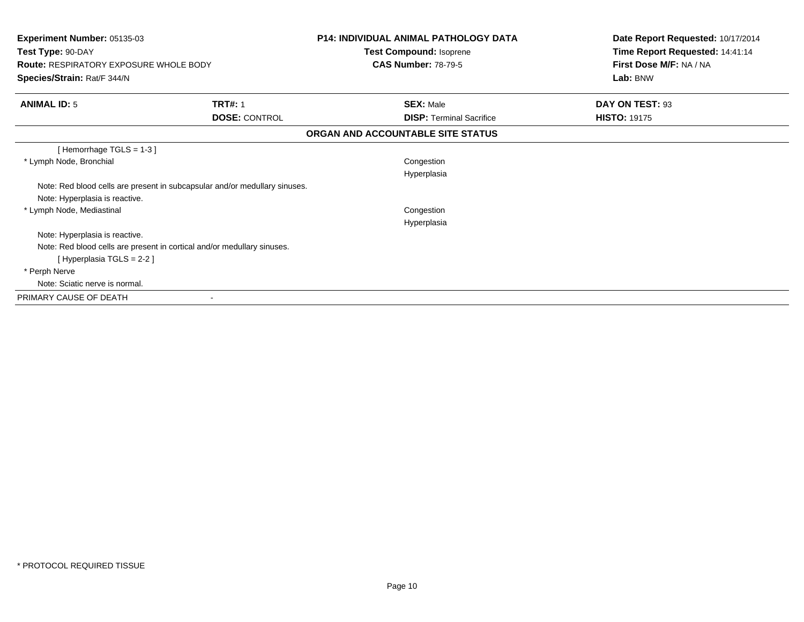| <b>Experiment Number: 05135-03</b><br>Test Type: 90-DAY |                                                                            | <b>P14: INDIVIDUAL ANIMAL PATHOLOGY DATA</b><br>Test Compound: Isoprene | Date Report Requested: 10/17/2014<br>Time Report Requested: 14:41:14 |
|---------------------------------------------------------|----------------------------------------------------------------------------|-------------------------------------------------------------------------|----------------------------------------------------------------------|
| <b>Route: RESPIRATORY EXPOSURE WHOLE BODY</b>           |                                                                            | <b>CAS Number: 78-79-5</b>                                              | First Dose M/F: NA / NA                                              |
| Species/Strain: Rat/F 344/N                             |                                                                            |                                                                         | Lab: BNW                                                             |
| <b>ANIMAL ID: 5</b>                                     | <b>TRT#: 1</b>                                                             | <b>SEX: Male</b>                                                        | DAY ON TEST: 93                                                      |
|                                                         | <b>DOSE: CONTROL</b>                                                       | <b>DISP: Terminal Sacrifice</b>                                         | <b>HISTO: 19175</b>                                                  |
|                                                         |                                                                            | ORGAN AND ACCOUNTABLE SITE STATUS                                       |                                                                      |
| [Hemorrhage TGLS = $1-3$ ]                              |                                                                            |                                                                         |                                                                      |
| * Lymph Node, Bronchial                                 |                                                                            | Congestion                                                              |                                                                      |
|                                                         |                                                                            | Hyperplasia                                                             |                                                                      |
|                                                         | Note: Red blood cells are present in subcapsular and/or medullary sinuses. |                                                                         |                                                                      |
| Note: Hyperplasia is reactive.                          |                                                                            |                                                                         |                                                                      |
| * Lymph Node, Mediastinal                               |                                                                            | Congestion                                                              |                                                                      |
|                                                         |                                                                            | Hyperplasia                                                             |                                                                      |
| Note: Hyperplasia is reactive.                          |                                                                            |                                                                         |                                                                      |
|                                                         | Note: Red blood cells are present in cortical and/or medullary sinuses.    |                                                                         |                                                                      |
| [Hyperplasia TGLS = 2-2]                                |                                                                            |                                                                         |                                                                      |
| * Perph Nerve                                           |                                                                            |                                                                         |                                                                      |
| Note: Sciatic nerve is normal.                          |                                                                            |                                                                         |                                                                      |
| PRIMARY CAUSE OF DEATH                                  |                                                                            |                                                                         |                                                                      |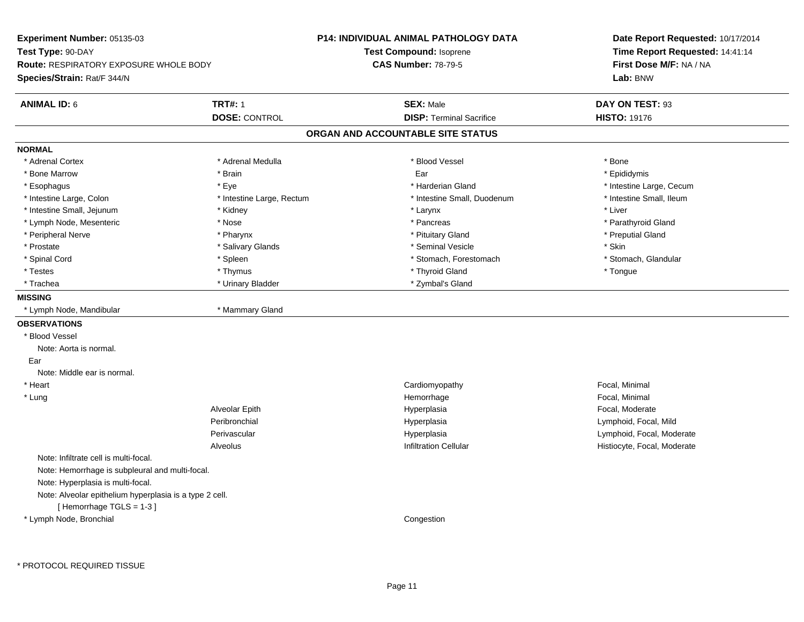| Experiment Number: 05135-03<br>Test Type: 90-DAY<br><b>Route: RESPIRATORY EXPOSURE WHOLE BODY</b><br>Species/Strain: Rat/F 344/N |                                        | P14: INDIVIDUAL ANIMAL PATHOLOGY DATA<br>Test Compound: Isoprene<br><b>CAS Number: 78-79-5</b> | Date Report Requested: 10/17/2014<br>Time Report Requested: 14:41:14<br>First Dose M/F: NA / NA<br>Lab: BNW |
|----------------------------------------------------------------------------------------------------------------------------------|----------------------------------------|------------------------------------------------------------------------------------------------|-------------------------------------------------------------------------------------------------------------|
| <b>ANIMAL ID: 6</b>                                                                                                              | <b>TRT#: 1</b><br><b>DOSE: CONTROL</b> | <b>SEX: Male</b><br><b>DISP: Terminal Sacrifice</b>                                            | DAY ON TEST: 93<br><b>HISTO: 19176</b>                                                                      |
|                                                                                                                                  |                                        | ORGAN AND ACCOUNTABLE SITE STATUS                                                              |                                                                                                             |
| <b>NORMAL</b>                                                                                                                    |                                        |                                                                                                |                                                                                                             |
| * Adrenal Cortex                                                                                                                 | * Adrenal Medulla                      | * Blood Vessel                                                                                 | * Bone                                                                                                      |
| * Bone Marrow                                                                                                                    | * Brain                                | Ear                                                                                            | * Epididymis                                                                                                |
| * Esophagus                                                                                                                      | * Eye                                  | * Harderian Gland                                                                              | * Intestine Large, Cecum                                                                                    |
| * Intestine Large, Colon                                                                                                         | * Intestine Large, Rectum              | * Intestine Small, Duodenum                                                                    | * Intestine Small, Ileum                                                                                    |
| * Intestine Small, Jejunum                                                                                                       | * Kidney                               | * Larynx                                                                                       | * Liver                                                                                                     |
| * Lymph Node, Mesenteric                                                                                                         | * Nose                                 | * Pancreas                                                                                     | * Parathyroid Gland                                                                                         |
| * Peripheral Nerve                                                                                                               | * Pharynx                              | * Pituitary Gland                                                                              | * Preputial Gland                                                                                           |
| * Prostate                                                                                                                       | * Salivary Glands                      | * Seminal Vesicle                                                                              | * Skin                                                                                                      |
| * Spinal Cord                                                                                                                    | * Spleen                               | * Stomach, Forestomach                                                                         | * Stomach, Glandular                                                                                        |
| * Testes                                                                                                                         | * Thymus                               | * Thyroid Gland                                                                                | * Tongue                                                                                                    |
| * Trachea                                                                                                                        | * Urinary Bladder                      | * Zymbal's Gland                                                                               |                                                                                                             |
| <b>MISSING</b>                                                                                                                   |                                        |                                                                                                |                                                                                                             |
| * Lymph Node, Mandibular                                                                                                         | * Mammary Gland                        |                                                                                                |                                                                                                             |
| <b>OBSERVATIONS</b>                                                                                                              |                                        |                                                                                                |                                                                                                             |
| * Blood Vessel                                                                                                                   |                                        |                                                                                                |                                                                                                             |
| Note: Aorta is normal.                                                                                                           |                                        |                                                                                                |                                                                                                             |
| Ear                                                                                                                              |                                        |                                                                                                |                                                                                                             |
| Note: Middle ear is normal.                                                                                                      |                                        |                                                                                                |                                                                                                             |
| * Heart                                                                                                                          |                                        | Cardiomyopathy                                                                                 | Focal, Minimal                                                                                              |
| * Lung                                                                                                                           |                                        | Hemorrhage                                                                                     | Focal, Minimal                                                                                              |
|                                                                                                                                  | Alveolar Epith                         | Hyperplasia                                                                                    | Focal, Moderate                                                                                             |
|                                                                                                                                  | Peribronchial                          | Hyperplasia                                                                                    | Lymphoid, Focal, Mild                                                                                       |
|                                                                                                                                  | Perivascular                           | Hyperplasia                                                                                    | Lymphoid, Focal, Moderate                                                                                   |
|                                                                                                                                  | Alveolus                               | <b>Infiltration Cellular</b>                                                                   | Histiocyte, Focal, Moderate                                                                                 |
| Note: Infiltrate cell is multi-focal.                                                                                            |                                        |                                                                                                |                                                                                                             |
| Note: Hemorrhage is subpleural and multi-focal.                                                                                  |                                        |                                                                                                |                                                                                                             |
| Note: Hyperplasia is multi-focal.                                                                                                |                                        |                                                                                                |                                                                                                             |
| Note: Alveolar epithelium hyperplasia is a type 2 cell.                                                                          |                                        |                                                                                                |                                                                                                             |
| [Hemorrhage TGLS = 1-3]                                                                                                          |                                        |                                                                                                |                                                                                                             |
| * Lymph Node, Bronchial                                                                                                          |                                        | Congestion                                                                                     |                                                                                                             |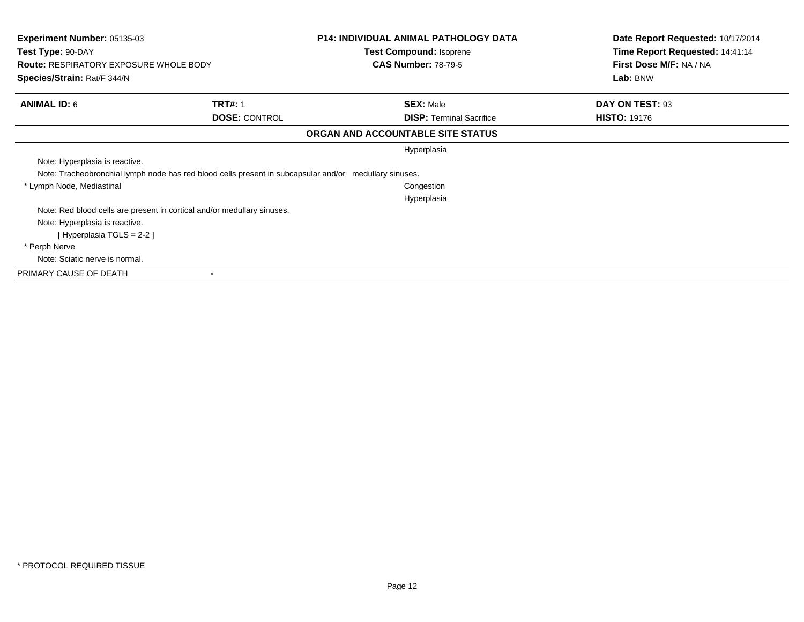| <b>Experiment Number: 05135-03</b><br>Test Type: 90-DAY<br><b>Route: RESPIRATORY EXPOSURE WHOLE BODY</b> |                      | <b>P14: INDIVIDUAL ANIMAL PATHOLOGY DATA</b><br>Test Compound: Isoprene<br><b>CAS Number: 78-79-5</b> | Date Report Requested: 10/17/2014<br>Time Report Requested: 14:41:14<br>First Dose M/F: NA / NA |
|----------------------------------------------------------------------------------------------------------|----------------------|-------------------------------------------------------------------------------------------------------|-------------------------------------------------------------------------------------------------|
| Species/Strain: Rat/F 344/N                                                                              |                      |                                                                                                       | Lab: BNW                                                                                        |
| <b>ANIMAL ID: 6</b>                                                                                      | <b>TRT#: 1</b>       | <b>SEX: Male</b>                                                                                      | DAY ON TEST: 93                                                                                 |
|                                                                                                          | <b>DOSE: CONTROL</b> | <b>DISP:</b> Terminal Sacrifice                                                                       | <b>HISTO: 19176</b>                                                                             |
|                                                                                                          |                      | ORGAN AND ACCOUNTABLE SITE STATUS                                                                     |                                                                                                 |
|                                                                                                          |                      | Hyperplasia                                                                                           |                                                                                                 |
| Note: Hyperplasia is reactive.                                                                           |                      |                                                                                                       |                                                                                                 |
| Note: Tracheobronchial lymph node has red blood cells present in subcapsular and/or medullary sinuses.   |                      |                                                                                                       |                                                                                                 |
| * Lymph Node, Mediastinal                                                                                |                      | Congestion                                                                                            |                                                                                                 |
|                                                                                                          |                      | Hyperplasia                                                                                           |                                                                                                 |
| Note: Red blood cells are present in cortical and/or medullary sinuses.                                  |                      |                                                                                                       |                                                                                                 |
| Note: Hyperplasia is reactive.                                                                           |                      |                                                                                                       |                                                                                                 |
| [Hyperplasia TGLS = $2-2$ ]                                                                              |                      |                                                                                                       |                                                                                                 |
| * Perph Nerve                                                                                            |                      |                                                                                                       |                                                                                                 |
| Note: Sciatic nerve is normal.                                                                           |                      |                                                                                                       |                                                                                                 |
| PRIMARY CAUSE OF DEATH                                                                                   |                      |                                                                                                       |                                                                                                 |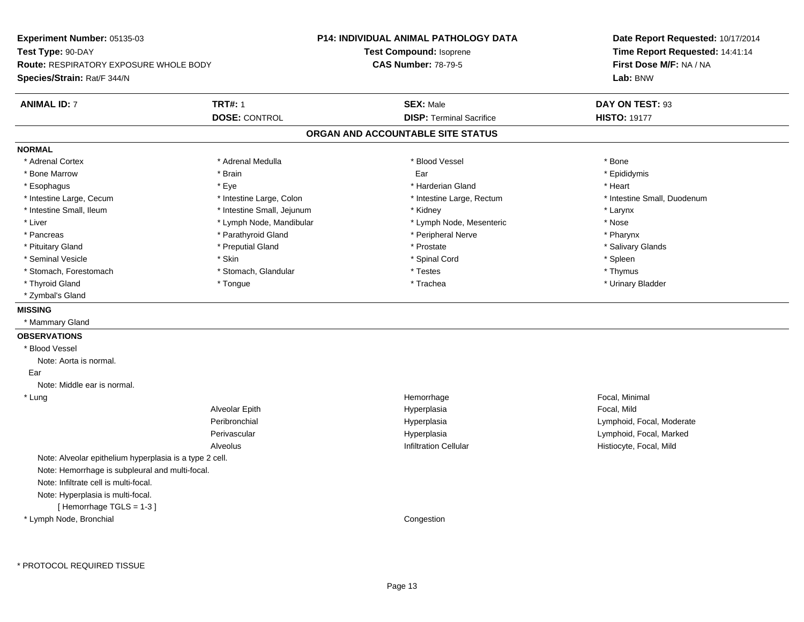**Experiment Number:** 05135-03**Test Type:** 90-DAY **Route:** RESPIRATORY EXPOSURE WHOLE BODY**Species/Strain:** Rat/F 344/N**P14: INDIVIDUAL ANIMAL PATHOLOGY DATATest Compound:** Isoprene**CAS Number:** 78-79-5**Date Report Requested:** 10/17/2014**Time Report Requested:** 14:41:14**First Dose M/F:** NA / NA**Lab:** BNW**ANIMAL ID:** 7**TRT#:** 1 **SEX:** Male **DAY ON TEST:** 93 **DOSE:** CONTROL**DISP:** Terminal Sacrifice **HISTO:** 19177 **ORGAN AND ACCOUNTABLE SITE STATUSNORMAL**\* Adrenal Cortex \* Adrenal Cortex \* \* Adrenal Medulla \* \* Adrenal Medulla \* \* Blood Vessel \* \* Brood Vessel \* \* Bone \* Epididymis \* Bone Marrow \* \* Androidymis \* Brain \* \* Brain \* \* Epididymis \* Ear \* \* Epididymis \* Epididymis \* Epididymis \* \* Esophagus \* \* \* exercises \* \* Eye \* \* \* \* \* \* \* \* \* \* \* \* \* \* \* Harderian Gland \* \* \* \* \* \* \* \* \* Heart \* \* Heart \* Intestine Large, Cecum \* Intestine Large, Colon \* Intestine Large, Thestine Large, Rectum \* Intestine Small, Duodenum \* Intestine Small, Ileum \* Intestine Small, Jejunum \* Kidney \* Larynx\* Nose \* Liver \* Lymph Node, Mandibular \* Note and \* Lymph Node, Mesenteric \* November \* Nose and \* Nose and \* Nose and \* Nose and \* Nose and \* Nose and \* Nose and \* Nose and \* Nose and \* Nose and \* Nose and \* Nose and \* Nose and \* Pharynx \* Pancreas \* Parathyroid Gland \* Parathyroid Gland \* Peripheral Nerve \* Salivary Glands \* Pituitary Gland \* \* Then the state \* Preputial Gland \* Prosection \* Prostate \* \* Salivary Glands \* Salivary Glands \* Salivary Glands \* Salivary Glands \* Salivary Glands \* Salivary Glands \* Salivary Glands \* Salivary Glan \* Seminal Vesicle \* Skin \* Spinal Cord \* Spleen \* Thymus \* Stomach, Forestomach \* Testes \* Stomach, Glandular \* Testes \* Testes \* Testes \* Testes \* Testes \* Testes \* T \* Urinary Bladder \* Thyroid Gland \* \* The control of the total property and the top of the top of the top of the top of the top of the top of the top of the top of the top of the top of the top of the top of the top of the top of the top of \* Zymbal's Gland**MISSING** \* Mammary Gland**OBSERVATIONS** \* Blood VesselNote: Aorta is normal. Ear Note: Middle ear is normal. \* Lungg is a state of the state of the state of the state of the Hemorrhage is a state of the Social, Minimal state of the Social, Minimal state of the Social American state of the Social American state of the Social American st Alveolar Epith Hyperplasia Focal, Mild Peribronchial Hyperplasia Lymphoid, Focal, Moderate Perivascular HyperplasiaHyperplasia<br>
Lymphoid, Focal, Marked<br>
Listincyte Focal, Mild AlveolusHistiocyte, Focal, Mild Note: Alveolar epithelium hyperplasia is a type 2 cell.Note: Hemorrhage is subpleural and multi-focal.Note: Infiltrate cell is multi-focal.Note: Hyperplasia is multi-focal.[ Hemorrhage TGLS = 1-3 ] \* Lymph Node, BronchialCongestion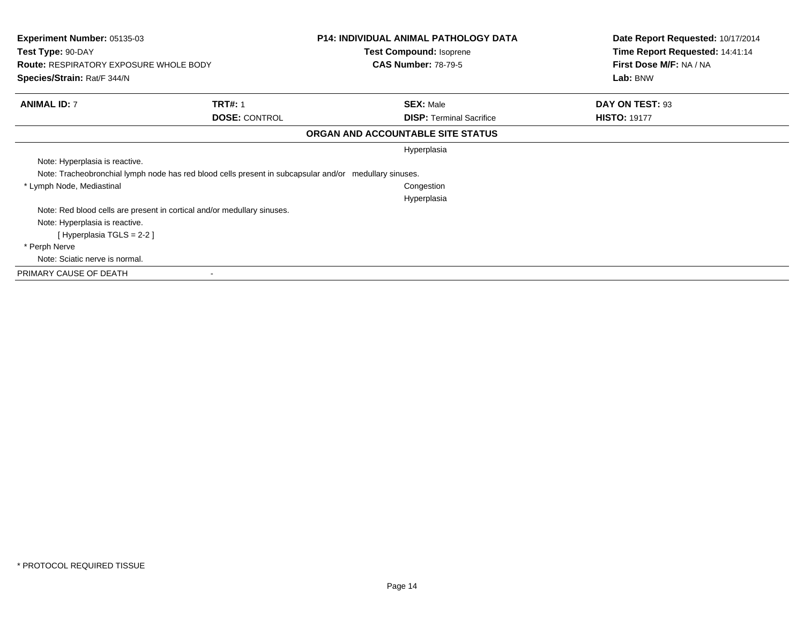| <b>Experiment Number: 05135-03</b><br>Test Type: 90-DAY<br><b>Route: RESPIRATORY EXPOSURE WHOLE BODY</b> |                                                                                                        | <b>P14: INDIVIDUAL ANIMAL PATHOLOGY DATA</b><br>Test Compound: Isoprene<br><b>CAS Number: 78-79-5</b> | Date Report Requested: 10/17/2014<br>Time Report Requested: 14:41:14<br>First Dose M/F: NA / NA |
|----------------------------------------------------------------------------------------------------------|--------------------------------------------------------------------------------------------------------|-------------------------------------------------------------------------------------------------------|-------------------------------------------------------------------------------------------------|
| Species/Strain: Rat/F 344/N                                                                              |                                                                                                        |                                                                                                       | Lab: BNW                                                                                        |
| <b>ANIMAL ID: 7</b>                                                                                      | <b>TRT#: 1</b>                                                                                         | <b>SEX: Male</b>                                                                                      | DAY ON TEST: 93                                                                                 |
|                                                                                                          | <b>DOSE: CONTROL</b>                                                                                   | <b>DISP:</b> Terminal Sacrifice                                                                       | <b>HISTO: 19177</b>                                                                             |
|                                                                                                          |                                                                                                        | ORGAN AND ACCOUNTABLE SITE STATUS                                                                     |                                                                                                 |
|                                                                                                          |                                                                                                        | Hyperplasia                                                                                           |                                                                                                 |
| Note: Hyperplasia is reactive.                                                                           |                                                                                                        |                                                                                                       |                                                                                                 |
|                                                                                                          | Note: Tracheobronchial lymph node has red blood cells present in subcapsular and/or medullary sinuses. |                                                                                                       |                                                                                                 |
| * Lymph Node, Mediastinal                                                                                |                                                                                                        | Congestion                                                                                            |                                                                                                 |
|                                                                                                          |                                                                                                        | Hyperplasia                                                                                           |                                                                                                 |
|                                                                                                          | Note: Red blood cells are present in cortical and/or medullary sinuses.                                |                                                                                                       |                                                                                                 |
| Note: Hyperplasia is reactive.                                                                           |                                                                                                        |                                                                                                       |                                                                                                 |
| [Hyperplasia TGLS = $2-2$ ]                                                                              |                                                                                                        |                                                                                                       |                                                                                                 |
| * Perph Nerve                                                                                            |                                                                                                        |                                                                                                       |                                                                                                 |
| Note: Sciatic nerve is normal.                                                                           |                                                                                                        |                                                                                                       |                                                                                                 |
| PRIMARY CAUSE OF DEATH                                                                                   |                                                                                                        |                                                                                                       |                                                                                                 |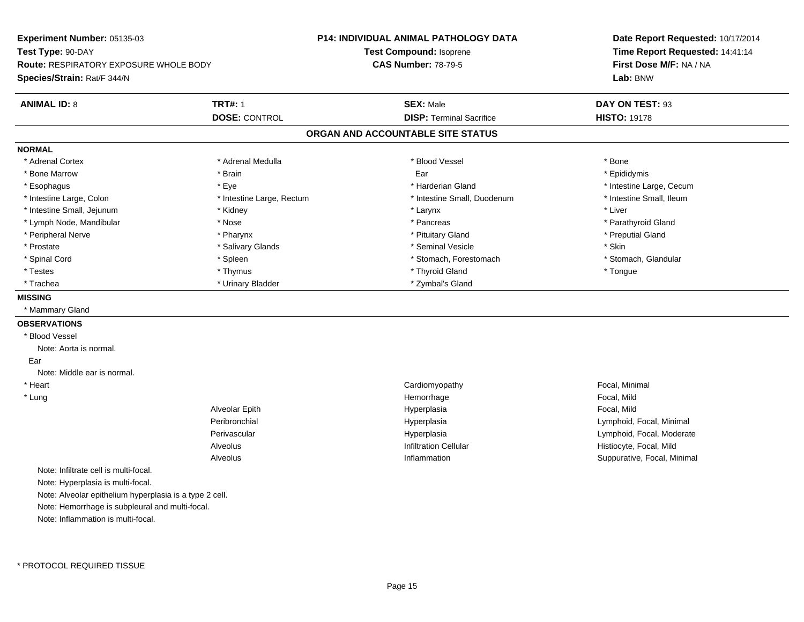**Experiment Number:** 05135-03**Test Type:** 90-DAY **Route:** RESPIRATORY EXPOSURE WHOLE BODY**Species/Strain:** Rat/F 344/N**P14: INDIVIDUAL ANIMAL PATHOLOGY DATATest Compound:** Isoprene**CAS Number:** 78-79-5**Date Report Requested:** 10/17/2014**Time Report Requested:** 14:41:14**First Dose M/F:** NA / NA**Lab:** BNW**ANIMAL ID:** 8**TRT#:** 1 **SEX:** Male **DAY ON TEST:** 93 **DOSE:** CONTROL**DISP:** Terminal Sacrifice **HISTO:** 19178 **ORGAN AND ACCOUNTABLE SITE STATUSNORMAL**\* Adrenal Cortex \* Adrenal Cortex \* \* Adrenal Medulla \* \* Adrenal Medulla \* \* Blood Vessel \* \* Brood Vessel \* \* Bone \* Epididymis \* Bone Marrow \* \* Androidymis \* Brain \* \* Brain \* \* Epididymis \* Ear \* \* Epididymis \* Epididymis \* Epididymis \* \* Esophagus \* https://www.fragus.com/web/2012/state/secument/secument/secument/secument/secument/secument/secument/secument/secument/secument/secument/secument/secument/secument/secument/secument/secument/secument/secument \* Intestine Small, Ileum \* Intestine Large, Colon \* Intestine Large, Rectum \* Intestine Small, Duodenum \* Intestine Small, Duodenum \* Intestine Small, Jejunum \* \* Widney \* Kidney \* Larynx \* Larynx \* Larynx \* Larynx \* Liver \* Lymph Node, Mandibular \* The state of the state of the state of the state of the state of the state of the state of the state of the state of the state of the state of the state of the state of the state of the state of \* Peripheral Nerve \* \* \* \* Pharynx \* \* Pharynx \* \* \* Preputial Gland \* \* Preputial Gland \* \* Preputial Gland \* Prostate \* \* Salivary Glands \* \* Salivary Glands \* \* Seminal Vesicle \* \* \* Seminal Yestrich \* \* Skin \* \* Skin \* Stomach, Glandular \* Spinal Cord \* Spinal Cord \* Spinal Cord \* Stomach, Forestomach \* Stomach, Forestomach \* Stomach, Forestomach \* Testes \* Thymus \* Thyroid Gland \* Tongue \* Trachea \* Noting the Community State of the Urinary Bladder \* Zymbal's Gland \* Zymbal's Gland **MISSING** \* Mammary Gland**OBSERVATIONS** \* Blood VesselNote: Aorta is normal. EarNote: Middle ear is normal. \* Heart Cardiomyopathy Focal, Minimal \* Lungg is a controller to the controller of the controller temperature of the Hemorrhage in the Focal, Mild state  $\Gamma$ Alveolar Epith Hyperplasia Focal, Mild Peribronchial Hyperplasia Lymphoid, Focal, Minimal Perivascular HyperplasiaHyperplasia<br>
Lymphoid, Focal, Moderate<br>
Listincyte Focal Mild<br>
Histincyte Focal Mild AlveolusHistiocyte, Focal, Mild n Suppurative, Focal, Minimal Alveolus InflammationNote: Infiltrate cell is multi-focal.Note: Hyperplasia is multi-focal.Note: Alveolar epithelium hyperplasia is a type 2 cell.Note: Hemorrhage is subpleural and multi-focal.Note: Inflammation is multi-focal.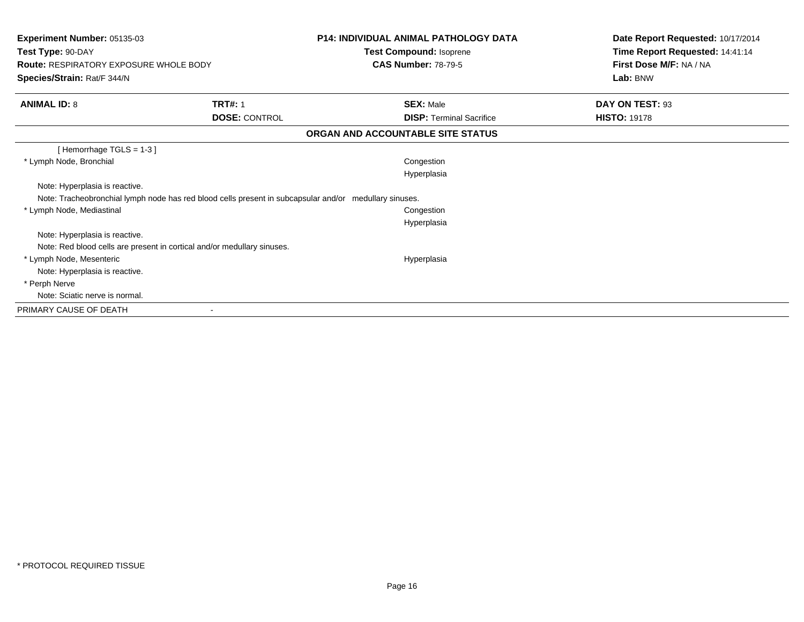| Experiment Number: 05135-03<br>Test Type: 90-DAY                                                       |                      | <b>P14: INDIVIDUAL ANIMAL PATHOLOGY DATA</b><br>Test Compound: Isoprene | Date Report Requested: 10/17/2014<br>Time Report Requested: 14:41:14 |
|--------------------------------------------------------------------------------------------------------|----------------------|-------------------------------------------------------------------------|----------------------------------------------------------------------|
| <b>Route: RESPIRATORY EXPOSURE WHOLE BODY</b><br>Species/Strain: Rat/F 344/N                           |                      | <b>CAS Number: 78-79-5</b>                                              | First Dose M/F: NA / NA<br>Lab: BNW                                  |
| <b>ANIMAL ID: 8</b>                                                                                    | <b>TRT#: 1</b>       | <b>SEX: Male</b>                                                        | DAY ON TEST: 93                                                      |
|                                                                                                        | <b>DOSE: CONTROL</b> | <b>DISP: Terminal Sacrifice</b>                                         | <b>HISTO: 19178</b>                                                  |
|                                                                                                        |                      | ORGAN AND ACCOUNTABLE SITE STATUS                                       |                                                                      |
| [Hemorrhage $TGLS = 1-3$ ]                                                                             |                      |                                                                         |                                                                      |
| * Lymph Node, Bronchial                                                                                |                      | Congestion<br>Hyperplasia                                               |                                                                      |
| Note: Hyperplasia is reactive.                                                                         |                      |                                                                         |                                                                      |
| Note: Tracheobronchial lymph node has red blood cells present in subcapsular and/or medullary sinuses. |                      |                                                                         |                                                                      |
| * Lymph Node, Mediastinal                                                                              |                      | Congestion<br>Hyperplasia                                               |                                                                      |
| Note: Hyperplasia is reactive.                                                                         |                      |                                                                         |                                                                      |
| Note: Red blood cells are present in cortical and/or medullary sinuses.                                |                      |                                                                         |                                                                      |
| * Lymph Node, Mesenteric                                                                               |                      | Hyperplasia                                                             |                                                                      |
| Note: Hyperplasia is reactive.                                                                         |                      |                                                                         |                                                                      |
| * Perph Nerve                                                                                          |                      |                                                                         |                                                                      |
| Note: Sciatic nerve is normal.                                                                         |                      |                                                                         |                                                                      |
| PRIMARY CAUSE OF DEATH                                                                                 |                      |                                                                         |                                                                      |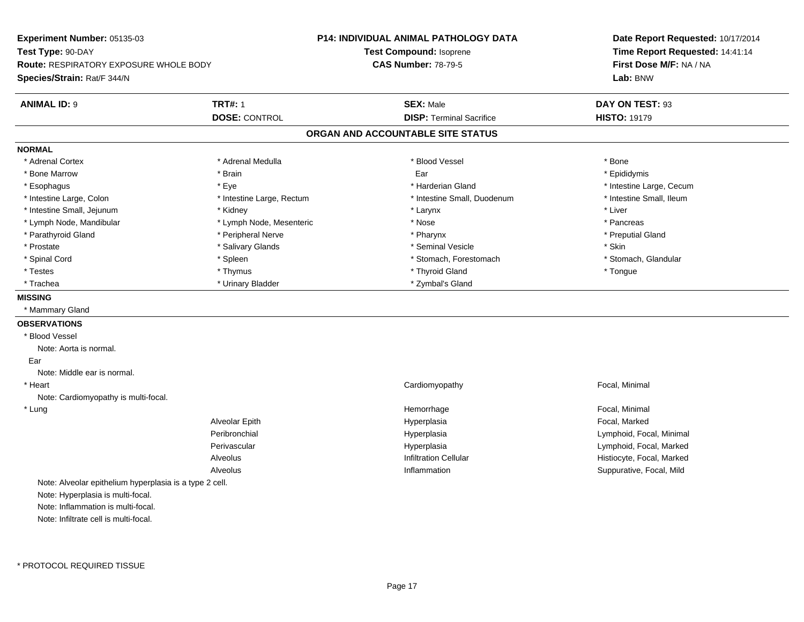**Experiment Number:** 05135-03**Test Type:** 90-DAY **Route:** RESPIRATORY EXPOSURE WHOLE BODY**Species/Strain:** Rat/F 344/N**P14: INDIVIDUAL ANIMAL PATHOLOGY DATATest Compound:** Isoprene**CAS Number:** 78-79-5**Date Report Requested:** 10/17/2014**Time Report Requested:** 14:41:14**First Dose M/F:** NA / NA**Lab:** BNW**ANIMAL ID:** 9**TRT#:** 1 **SEX:** Male **DAY ON TEST:** 93 **DOSE:** CONTROL**DISP:** Terminal Sacrifice **HISTO:** 19179 **ORGAN AND ACCOUNTABLE SITE STATUSNORMAL**\* Adrenal Cortex \* Adrenal Cortex \* \* Adrenal Medulla \* \* Adrenal Medulla \* \* Blood Vessel \* \* Brood Vessel \* \* Bone \* Epididymis \* Bone Marrow \* \* Androidymis \* Brain \* \* Brain \* \* Epididymis \* Ear \* \* Epididymis \* Epididymis \* Epididymis \* \* Esophagus \* https://www.fragus.com/web/2012/state/secument/secument/secument/secument/secument/secument/secument/secument/secument/secument/secument/secument/secument/secument/secument/secument/secument/secument/secument \* Intestine Small, Ileum \* Intestine Large, Colon \* Intestine Large, Rectum \* Intestine Small, Duodenum \* Intestine Small, Duodenum \* Intestine Small, Jejunum \* \* Widney \* Kidney \* Larynx \* Larynx \* Larynx \* Larynx \* Liver \* Lymph Node, Mandibular \* The state of the second text of the second text of the second text of the second text of the second text of the second text of the second text of the second text of the second text of text of tex \* Preputial Gland \* Parathyroid Gland \* **Archarging \* Peripheral Nerve** \* Pharynx \* Pharynx \* Pharynx \* Pharynx \* Pharynx \* Pharynx \* Prostate \* \* Salivary Glands \* \* Salivary Glands \* \* Seminal Vesicle \* \* \* Seminal Yestrich \* \* Skin \* \* Skin \* Stomach, Glandular \* Spinal Cord \* Spinal Cord \* Spinal Cord \* Stomach, Forestomach \* Stomach, Forestomach \* Stomach, Forestomach \* Testes \* Thymus \* Thyroid Gland \* Tongue \* Trachea \* Urinary Bladder \* 2ymbal's Gland \* Zymbal's Gland \* Zymbal's Gland \* Zymbal's Gland **MISSING** \* Mammary Gland**OBSERVATIONS** \* Blood VesselNote: Aorta is normal. EarNote: Middle ear is normal. \* Heart Cardiomyopathy Focal, Minimal Note: Cardiomyopathy is multi-focal. \* Lungg is a state of the state of the state of the state of the Hemorrhage is a state of the Social, Minimal state of the Social, Minimal state of the Social American state of the Social American state of the Social American st Alveolar Epith Hyperplasia Focal, Marked Peribronchial Hyperplasia Lymphoid, Focal, Minimal Perivascular Hyperplasia Lymphoid, Focal, Marked AlveolusHistiocyte, Focal, Marked n Suppurative, Focal, Mild Alveolus InflammationNote: Alveolar epithelium hyperplasia is a type 2 cell.Note: Hyperplasia is multi-focal.Note: Inflammation is multi-focal.Note: Infiltrate cell is multi-focal.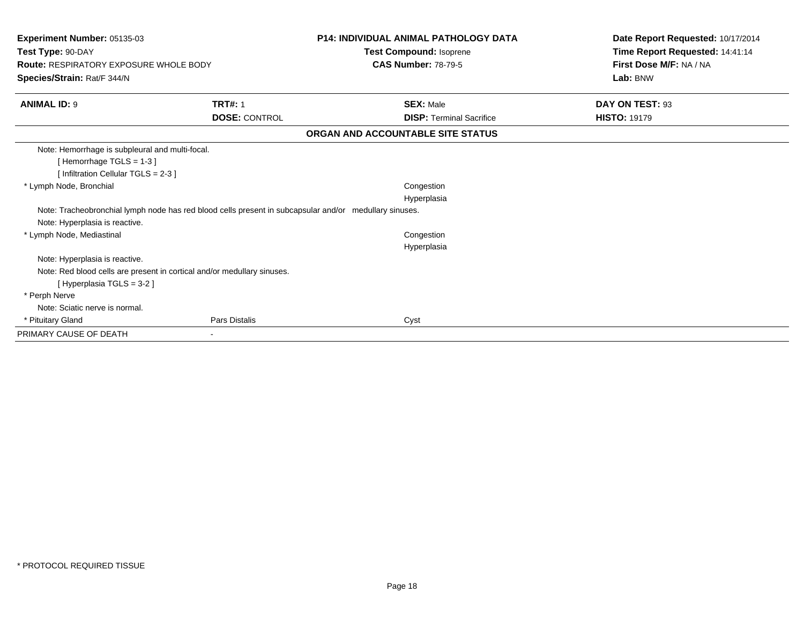| Test Type: 90-DAY<br><b>Route: RESPIRATORY EXPOSURE WHOLE BODY</b><br>Species/Strain: Rat/F 344/N      | <b>Test Compound: Isoprene</b><br><b>CAS Number: 78-79-5</b> | Time Report Requested: 14:41:14<br>First Dose M/F: NA / NA<br>Lab: BNW |
|--------------------------------------------------------------------------------------------------------|--------------------------------------------------------------|------------------------------------------------------------------------|
|                                                                                                        |                                                              |                                                                        |
|                                                                                                        |                                                              |                                                                        |
|                                                                                                        |                                                              |                                                                        |
| <b>TRT#: 1</b><br><b>ANIMAL ID: 9</b>                                                                  | <b>SEX: Male</b>                                             | DAY ON TEST: 93                                                        |
| <b>DOSE: CONTROL</b>                                                                                   | <b>DISP:</b> Terminal Sacrifice                              | <b>HISTO: 19179</b>                                                    |
|                                                                                                        | ORGAN AND ACCOUNTABLE SITE STATUS                            |                                                                        |
| Note: Hemorrhage is subpleural and multi-focal.                                                        |                                                              |                                                                        |
| [Hemorrhage TGLS = 1-3]                                                                                |                                                              |                                                                        |
| [Infiltration Cellular TGLS = 2-3]                                                                     |                                                              |                                                                        |
| * Lymph Node, Bronchial                                                                                | Congestion                                                   |                                                                        |
|                                                                                                        | Hyperplasia                                                  |                                                                        |
| Note: Tracheobronchial lymph node has red blood cells present in subcapsular and/or medullary sinuses. |                                                              |                                                                        |
| Note: Hyperplasia is reactive.                                                                         |                                                              |                                                                        |
| * Lymph Node, Mediastinal                                                                              | Congestion                                                   |                                                                        |
|                                                                                                        | Hyperplasia                                                  |                                                                        |
| Note: Hyperplasia is reactive.                                                                         |                                                              |                                                                        |
| Note: Red blood cells are present in cortical and/or medullary sinuses.                                |                                                              |                                                                        |
| [Hyperplasia TGLS = $3-2$ ]                                                                            |                                                              |                                                                        |
| * Perph Nerve                                                                                          |                                                              |                                                                        |
| Note: Sciatic nerve is normal.                                                                         |                                                              |                                                                        |
| * Pituitary Gland<br>Pars Distalis                                                                     | Cyst                                                         |                                                                        |
| PRIMARY CAUSE OF DEATH<br>$\sim$                                                                       |                                                              |                                                                        |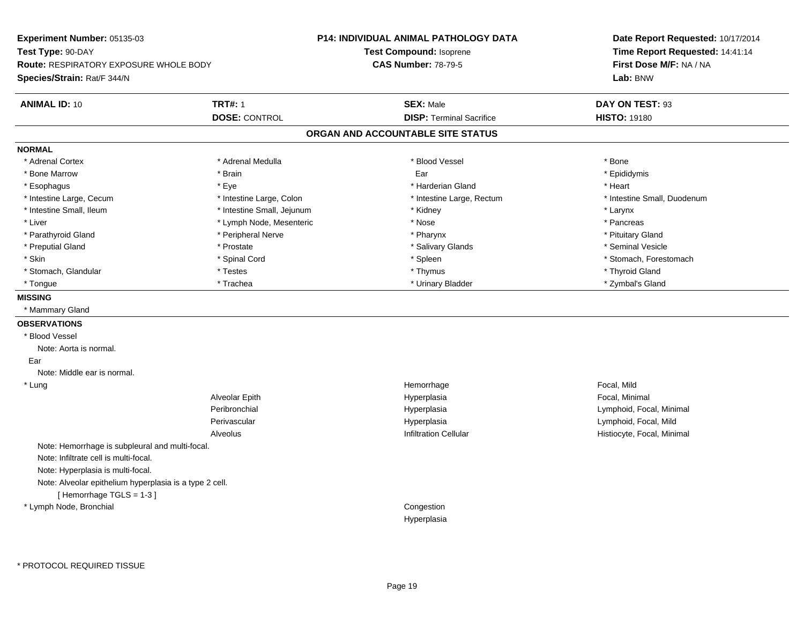**Experiment Number:** 05135-03**Test Type:** 90-DAY **Route:** RESPIRATORY EXPOSURE WHOLE BODY**Species/Strain:** Rat/F 344/N**P14: INDIVIDUAL ANIMAL PATHOLOGY DATATest Compound:** Isoprene**CAS Number:** 78-79-5**Date Report Requested:** 10/17/2014**Time Report Requested:** 14:41:14**First Dose M/F:** NA / NA**Lab:** BNW**ANIMAL ID:** 10**TRT#:** 1 **SEX:** Male **DAY ON TEST:** 93 **DOSE:** CONTROL**DISP:** Terminal Sacrifice **HISTO:** 19180 **ORGAN AND ACCOUNTABLE SITE STATUSNORMAL**\* Adrenal Cortex \* Adrenal Cortex \* \* Adrenal Medulla \* \* Adrenal Medulla \* \* Blood Vessel \* \* Brood Vessel \* \* Bone \* Epididymis \* Bone Marrow \* \* Androidymis \* Brain \* \* Brain \* \* Epididymis \* Ear \* \* Epididymis \* Epididymis \* Epididymis \* \* Esophagus \* \* \* exercises \* \* Eye \* \* \* \* \* \* \* \* \* \* \* \* \* \* \* Harderian Gland \* \* \* \* \* \* \* \* \* Heart \* \* Heart \* Intestine Large, Cecum \* Intestine Large, Colon \* Intestine Large, Thestine Large, Rectum \* Intestine Small, Duodenum \* Intestine Small, Ileum \* Intestine Small, Jejunum \* Kidney \* Larynx\* Pancreas \* Liver \* Lymph Node, Mesenteric \* Nose \* Nose \* Pituitary Gland \* Parathyroid Gland \* **Arror and \* Peripheral Nerve \* Pharynx \* Pharynx \* Pharynx** \* Pharynx \* Seminal Vesicle \* Preputial Gland \* \* Annual vesicle \* \* Prostate \* \* Salivary Glands \* \* Salivary Glands \* \* Seminal Vesicle \* \* Skin \* Spinal Cord \* Spinal Cord \* Spinal Cord \* Spinal \* Spinal \* Stomach, Forestomach \* Stomach, Forestomach \* Stomach, Glandular \* Thyroid Gland \* Testes \* Thyroid Gland \* Thyroid Gland \* Thyroid Gland \* Thyroid Gland \* Zymbal's Gland \* Tongue \* Trachea \* Urinary Bladder \* Zymbal's Gland **MISSING** \* Mammary Gland**OBSERVATIONS** \* Blood VesselNote: Aorta is normal. EarNote: Middle ear is normal. \* Lungg is a controller to the controller of the controller temperature of the Hemorrhage in the Focal, Mild state  $\Gamma$ Alveolar Epith Hyperplasia Focal, Minimal Peribronchial Hyperplasia Lymphoid, Focal, Minimal Perivascular Hyperplasia Lymphoid, Focal, Mild AlveolusHistiocyte, Focal, Minimal Note: Hemorrhage is subpleural and multi-focal.Note: Infiltrate cell is multi-focal.Note: Hyperplasia is multi-focal.Note: Alveolar epithelium hyperplasia is a type 2 cell.[ Hemorrhage TGLS = 1-3 ] \* Lymph Node, Bronchial CongestionHyperplasia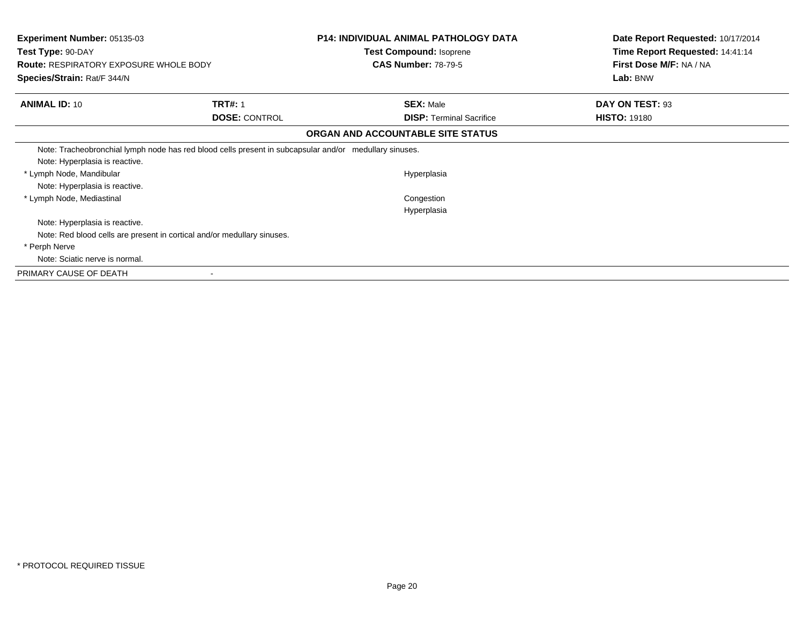| <b>Experiment Number: 05135-03</b><br>Test Type: 90-DAY<br><b>Route: RESPIRATORY EXPOSURE WHOLE BODY</b> |                      | <b>P14: INDIVIDUAL ANIMAL PATHOLOGY DATA</b><br>Test Compound: Isoprene<br><b>CAS Number: 78-79-5</b> | Date Report Requested: 10/17/2014<br>Time Report Requested: 14:41:14<br>First Dose M/F: NA / NA |
|----------------------------------------------------------------------------------------------------------|----------------------|-------------------------------------------------------------------------------------------------------|-------------------------------------------------------------------------------------------------|
| Species/Strain: Rat/F 344/N                                                                              |                      |                                                                                                       | Lab: BNW                                                                                        |
| <b>ANIMAL ID: 10</b>                                                                                     | <b>TRT#: 1</b>       | <b>SEX: Male</b>                                                                                      | DAY ON TEST: 93                                                                                 |
|                                                                                                          | <b>DOSE: CONTROL</b> | <b>DISP: Terminal Sacrifice</b>                                                                       | <b>HISTO: 19180</b>                                                                             |
|                                                                                                          |                      | ORGAN AND ACCOUNTABLE SITE STATUS                                                                     |                                                                                                 |
| Note: Tracheobronchial lymph node has red blood cells present in subcapsular and/or medullary sinuses.   |                      |                                                                                                       |                                                                                                 |
| Note: Hyperplasia is reactive.                                                                           |                      |                                                                                                       |                                                                                                 |
| * Lymph Node, Mandibular                                                                                 |                      | Hyperplasia                                                                                           |                                                                                                 |
| Note: Hyperplasia is reactive.                                                                           |                      |                                                                                                       |                                                                                                 |
| * Lymph Node, Mediastinal                                                                                |                      | Congestion                                                                                            |                                                                                                 |
|                                                                                                          |                      | Hyperplasia                                                                                           |                                                                                                 |
| Note: Hyperplasia is reactive.                                                                           |                      |                                                                                                       |                                                                                                 |
| Note: Red blood cells are present in cortical and/or medullary sinuses.                                  |                      |                                                                                                       |                                                                                                 |
| * Perph Nerve                                                                                            |                      |                                                                                                       |                                                                                                 |
| Note: Sciatic nerve is normal.                                                                           |                      |                                                                                                       |                                                                                                 |
| PRIMARY CAUSE OF DEATH                                                                                   |                      |                                                                                                       |                                                                                                 |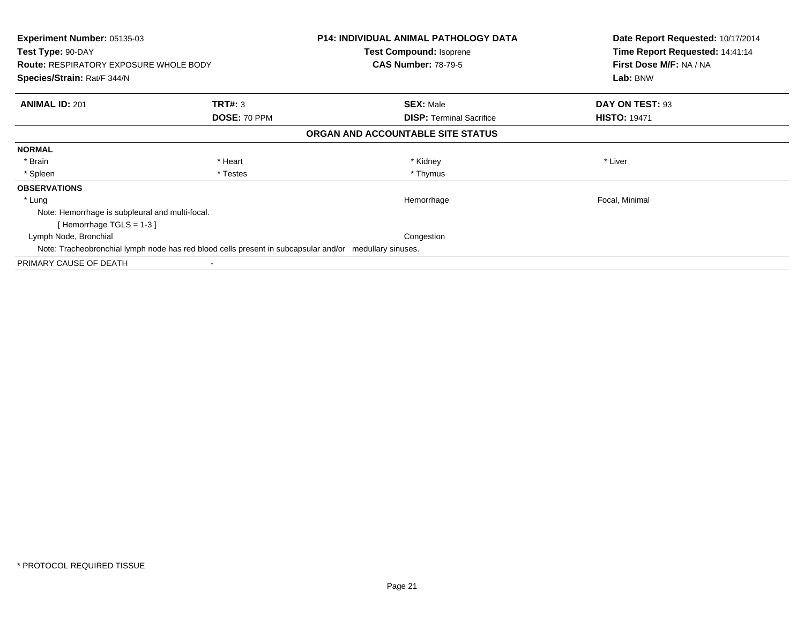| <b>Experiment Number: 05135-03</b><br>Test Type: 90-DAY<br><b>Route: RESPIRATORY EXPOSURE WHOLE BODY</b> |              | <b>P14: INDIVIDUAL ANIMAL PATHOLOGY DATA</b><br><b>Test Compound: Isoprene</b><br><b>CAS Number: 78-79-5</b> | Date Report Requested: 10/17/2014<br>Time Report Requested: 14:41:14<br>First Dose M/F: NA / NA |
|----------------------------------------------------------------------------------------------------------|--------------|--------------------------------------------------------------------------------------------------------------|-------------------------------------------------------------------------------------------------|
| <b>Species/Strain: Rat/F 344/N</b>                                                                       |              |                                                                                                              | Lab: BNW                                                                                        |
| <b>ANIMAL ID: 201</b>                                                                                    | TRT#: 3      | <b>SEX: Male</b>                                                                                             | DAY ON TEST: 93                                                                                 |
|                                                                                                          | DOSE: 70 PPM | <b>DISP:</b> Terminal Sacrifice                                                                              | <b>HISTO: 19471</b>                                                                             |
|                                                                                                          |              | ORGAN AND ACCOUNTABLE SITE STATUS                                                                            |                                                                                                 |
| <b>NORMAL</b>                                                                                            |              |                                                                                                              |                                                                                                 |
| * Brain                                                                                                  | * Heart      | * Kidney                                                                                                     | * Liver                                                                                         |
| * Spleen                                                                                                 | * Testes     | * Thymus                                                                                                     |                                                                                                 |
| <b>OBSERVATIONS</b>                                                                                      |              |                                                                                                              |                                                                                                 |
| * Lung                                                                                                   |              | Hemorrhage                                                                                                   | Focal, Minimal                                                                                  |
| Note: Hemorrhage is subpleural and multi-focal.                                                          |              |                                                                                                              |                                                                                                 |
| [Hemorrhage TGLS = $1-3$ ]                                                                               |              |                                                                                                              |                                                                                                 |
| Lymph Node, Bronchial                                                                                    |              | Congestion                                                                                                   |                                                                                                 |
| Note: Tracheobronchial lymph node has red blood cells present in subcapsular and/or medullary sinuses.   |              |                                                                                                              |                                                                                                 |
| PRIMARY CAUSE OF DEATH                                                                                   |              |                                                                                                              |                                                                                                 |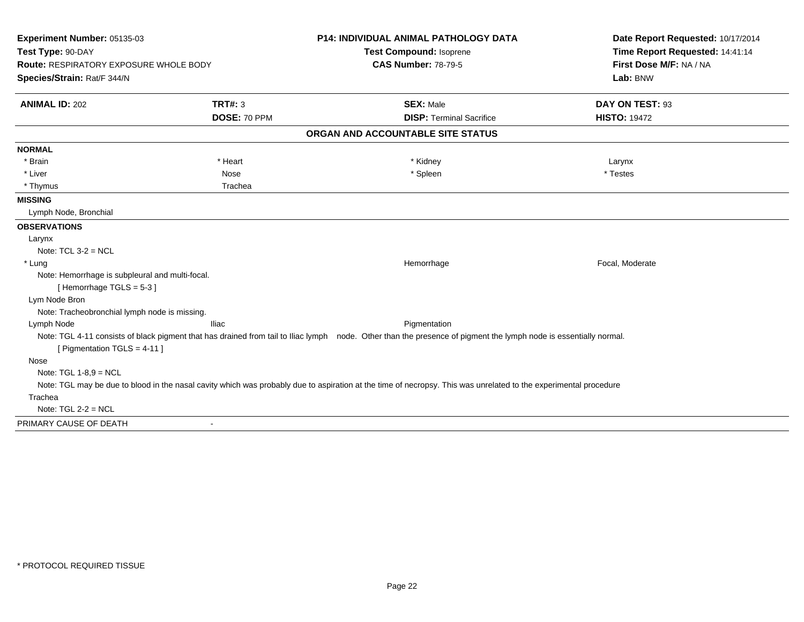| Experiment Number: 05135-03<br>Test Type: 90-DAY                           |                          | <b>P14: INDIVIDUAL ANIMAL PATHOLOGY DATA</b><br>Test Compound: Isoprene                                                                                           | Date Report Requested: 10/17/2014<br>Time Report Requested: 14:41:14 |
|----------------------------------------------------------------------------|--------------------------|-------------------------------------------------------------------------------------------------------------------------------------------------------------------|----------------------------------------------------------------------|
| Route: RESPIRATORY EXPOSURE WHOLE BODY<br>Species/Strain: Rat/F 344/N      |                          | <b>CAS Number: 78-79-5</b>                                                                                                                                        | First Dose M/F: NA / NA<br>Lab: BNW                                  |
| <b>ANIMAL ID: 202</b>                                                      | <b>TRT#: 3</b>           | <b>SEX: Male</b>                                                                                                                                                  | DAY ON TEST: 93                                                      |
|                                                                            | DOSE: 70 PPM             | <b>DISP: Terminal Sacrifice</b>                                                                                                                                   | <b>HISTO: 19472</b>                                                  |
|                                                                            |                          | ORGAN AND ACCOUNTABLE SITE STATUS                                                                                                                                 |                                                                      |
| <b>NORMAL</b>                                                              |                          |                                                                                                                                                                   |                                                                      |
| * Brain                                                                    | * Heart                  | * Kidney                                                                                                                                                          | Larynx                                                               |
| * Liver                                                                    | Nose                     | * Spleen                                                                                                                                                          | * Testes                                                             |
| * Thymus                                                                   | Trachea                  |                                                                                                                                                                   |                                                                      |
| <b>MISSING</b>                                                             |                          |                                                                                                                                                                   |                                                                      |
| Lymph Node, Bronchial                                                      |                          |                                                                                                                                                                   |                                                                      |
| <b>OBSERVATIONS</b>                                                        |                          |                                                                                                                                                                   |                                                                      |
| Larynx                                                                     |                          |                                                                                                                                                                   |                                                                      |
| Note: $TCL 3-2 = NCL$                                                      |                          |                                                                                                                                                                   |                                                                      |
| * Lung                                                                     |                          | Hemorrhage                                                                                                                                                        | Focal, Moderate                                                      |
| Note: Hemorrhage is subpleural and multi-focal.<br>[Hemorrhage TGLS = 5-3] |                          |                                                                                                                                                                   |                                                                      |
| Lym Node Bron                                                              |                          |                                                                                                                                                                   |                                                                      |
| Note: Tracheobronchial lymph node is missing.                              |                          |                                                                                                                                                                   |                                                                      |
| Lymph Node                                                                 | <b>Iliac</b>             | Pigmentation                                                                                                                                                      |                                                                      |
| [ Pigmentation TGLS = 4-11 ]                                               |                          | Note: TGL 4-11 consists of black pigment that has drained from tail to Iliac lymph node. Other than the presence of pigment the lymph node is essentially normal. |                                                                      |
| Nose                                                                       |                          |                                                                                                                                                                   |                                                                      |
| Note: TGL $1-8,9 = NCL$                                                    |                          |                                                                                                                                                                   |                                                                      |
|                                                                            |                          | Note: TGL may be due to blood in the nasal cavity which was probably due to aspiration at the time of necropsy. This was unrelated to the experimental procedure  |                                                                      |
| Trachea                                                                    |                          |                                                                                                                                                                   |                                                                      |
| Note: $TGL 2-2 = NCL$                                                      |                          |                                                                                                                                                                   |                                                                      |
| PRIMARY CAUSE OF DEATH                                                     | $\overline{\phantom{a}}$ |                                                                                                                                                                   |                                                                      |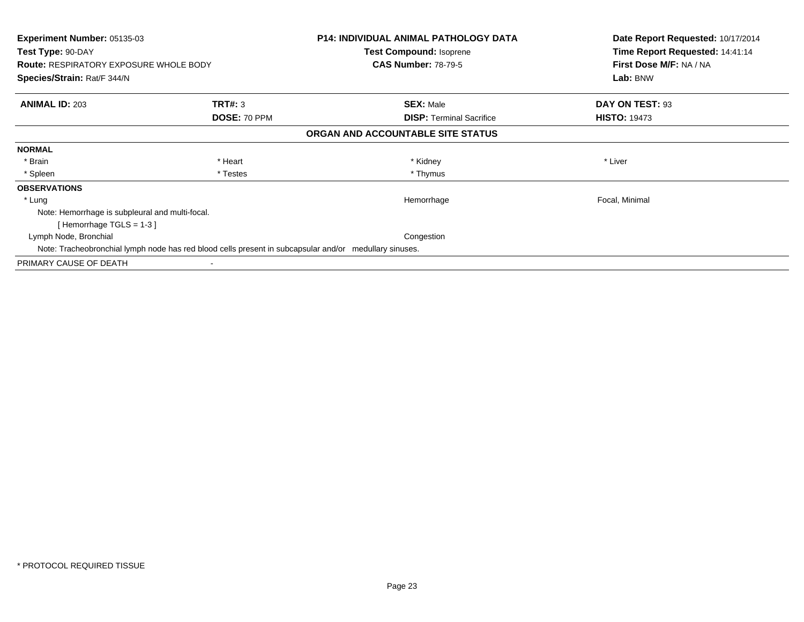| <b>Experiment Number: 05135-03</b><br>Test Type: 90-DAY<br><b>Route: RESPIRATORY EXPOSURE WHOLE BODY</b> |              | <b>P14: INDIVIDUAL ANIMAL PATHOLOGY DATA</b><br><b>Test Compound: Isoprene</b><br><b>CAS Number: 78-79-5</b> | Date Report Requested: 10/17/2014<br>Time Report Requested: 14:41:14<br>First Dose M/F: NA / NA |
|----------------------------------------------------------------------------------------------------------|--------------|--------------------------------------------------------------------------------------------------------------|-------------------------------------------------------------------------------------------------|
| <b>Species/Strain: Rat/F 344/N</b>                                                                       |              |                                                                                                              | Lab: BNW                                                                                        |
| <b>ANIMAL ID: 203</b>                                                                                    | TRT#: 3      | <b>SEX: Male</b>                                                                                             | DAY ON TEST: 93                                                                                 |
|                                                                                                          | DOSE: 70 PPM | <b>DISP:</b> Terminal Sacrifice                                                                              | <b>HISTO: 19473</b>                                                                             |
|                                                                                                          |              | ORGAN AND ACCOUNTABLE SITE STATUS                                                                            |                                                                                                 |
| <b>NORMAL</b>                                                                                            |              |                                                                                                              |                                                                                                 |
| * Brain                                                                                                  | * Heart      | * Kidney                                                                                                     | * Liver                                                                                         |
| * Spleen                                                                                                 | * Testes     | * Thymus                                                                                                     |                                                                                                 |
| <b>OBSERVATIONS</b>                                                                                      |              |                                                                                                              |                                                                                                 |
| * Lung                                                                                                   |              | Hemorrhage                                                                                                   | Focal, Minimal                                                                                  |
| Note: Hemorrhage is subpleural and multi-focal.                                                          |              |                                                                                                              |                                                                                                 |
| [Hemorrhage TGLS = $1-3$ ]                                                                               |              |                                                                                                              |                                                                                                 |
| Lymph Node, Bronchial                                                                                    |              | Congestion                                                                                                   |                                                                                                 |
| Note: Tracheobronchial lymph node has red blood cells present in subcapsular and/or medullary sinuses.   |              |                                                                                                              |                                                                                                 |
| PRIMARY CAUSE OF DEATH                                                                                   |              |                                                                                                              |                                                                                                 |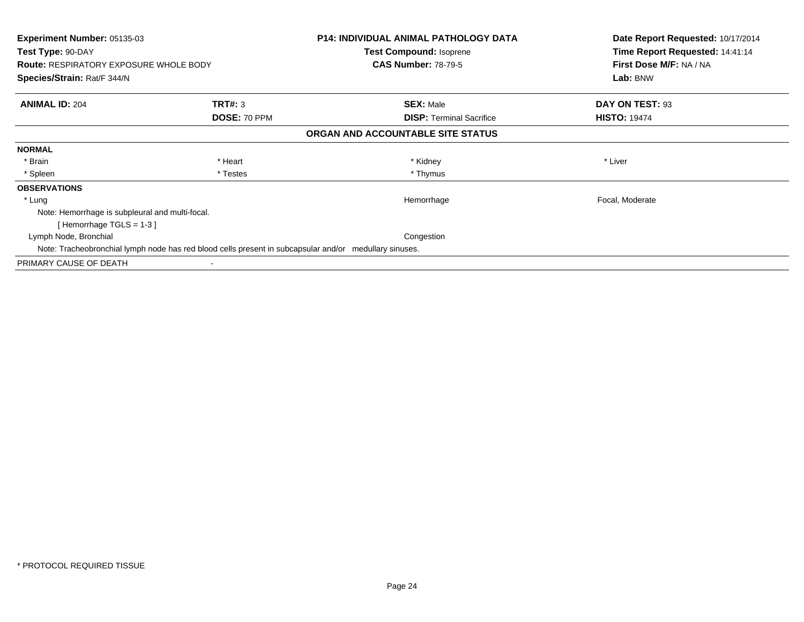| Experiment Number: 05135-03<br>Test Type: 90-DAY<br><b>Route: RESPIRATORY EXPOSURE WHOLE BODY</b>      |              | <b>P14: INDIVIDUAL ANIMAL PATHOLOGY DATA</b><br><b>Test Compound: Isoprene</b><br><b>CAS Number: 78-79-5</b> | Date Report Requested: 10/17/2014<br>Time Report Requested: 14:41:14<br>First Dose M/F: NA / NA |
|--------------------------------------------------------------------------------------------------------|--------------|--------------------------------------------------------------------------------------------------------------|-------------------------------------------------------------------------------------------------|
| Species/Strain: Rat/F 344/N                                                                            |              |                                                                                                              | Lab: BNW                                                                                        |
| <b>ANIMAL ID: 204</b>                                                                                  | TRT#: 3      | <b>SEX: Male</b>                                                                                             | DAY ON TEST: 93                                                                                 |
|                                                                                                        | DOSE: 70 PPM | <b>DISP:</b> Terminal Sacrifice                                                                              | <b>HISTO: 19474</b>                                                                             |
|                                                                                                        |              | ORGAN AND ACCOUNTABLE SITE STATUS                                                                            |                                                                                                 |
| <b>NORMAL</b>                                                                                          |              |                                                                                                              |                                                                                                 |
| * Brain                                                                                                | * Heart      | * Kidney                                                                                                     | * Liver                                                                                         |
| * Spleen                                                                                               | * Testes     | * Thymus                                                                                                     |                                                                                                 |
| <b>OBSERVATIONS</b>                                                                                    |              |                                                                                                              |                                                                                                 |
| * Lung                                                                                                 |              | Hemorrhage                                                                                                   | Focal, Moderate                                                                                 |
| Note: Hemorrhage is subpleural and multi-focal.                                                        |              |                                                                                                              |                                                                                                 |
| [Hemorrhage TGLS = 1-3]                                                                                |              |                                                                                                              |                                                                                                 |
| Lymph Node, Bronchial                                                                                  |              | Congestion                                                                                                   |                                                                                                 |
| Note: Tracheobronchial lymph node has red blood cells present in subcapsular and/or medullary sinuses. |              |                                                                                                              |                                                                                                 |
| PRIMARY CAUSE OF DEATH                                                                                 |              |                                                                                                              |                                                                                                 |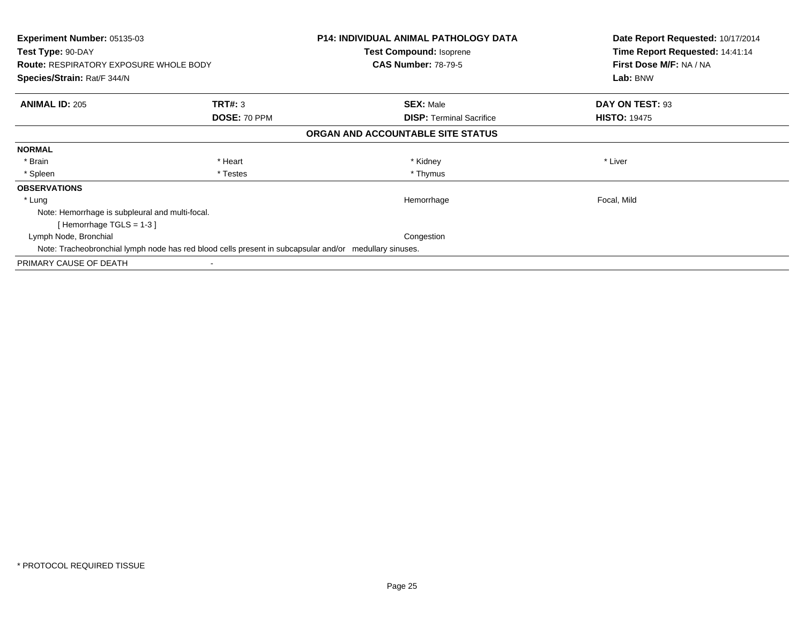| <b>Experiment Number: 05135-03</b><br>Test Type: 90-DAY<br><b>Route: RESPIRATORY EXPOSURE WHOLE BODY</b> |              | <b>P14: INDIVIDUAL ANIMAL PATHOLOGY DATA</b><br><b>Test Compound: Isoprene</b><br><b>CAS Number: 78-79-5</b> | Date Report Requested: 10/17/2014<br>Time Report Requested: 14:41:14<br>First Dose M/F: NA / NA |
|----------------------------------------------------------------------------------------------------------|--------------|--------------------------------------------------------------------------------------------------------------|-------------------------------------------------------------------------------------------------|
| <b>Species/Strain: Rat/F 344/N</b>                                                                       |              |                                                                                                              | Lab: BNW                                                                                        |
| <b>ANIMAL ID: 205</b>                                                                                    | TRT#: 3      | <b>SEX: Male</b>                                                                                             | DAY ON TEST: 93                                                                                 |
|                                                                                                          | DOSE: 70 PPM | <b>DISP:</b> Terminal Sacrifice                                                                              | <b>HISTO: 19475</b>                                                                             |
|                                                                                                          |              | ORGAN AND ACCOUNTABLE SITE STATUS                                                                            |                                                                                                 |
| <b>NORMAL</b>                                                                                            |              |                                                                                                              |                                                                                                 |
| * Brain                                                                                                  | * Heart      | * Kidney                                                                                                     | * Liver                                                                                         |
| * Spleen                                                                                                 | * Testes     | * Thymus                                                                                                     |                                                                                                 |
| <b>OBSERVATIONS</b>                                                                                      |              |                                                                                                              |                                                                                                 |
| * Lung                                                                                                   |              | Hemorrhage                                                                                                   | Focal, Mild                                                                                     |
| Note: Hemorrhage is subpleural and multi-focal.                                                          |              |                                                                                                              |                                                                                                 |
| [Hemorrhage TGLS = $1-3$ ]                                                                               |              |                                                                                                              |                                                                                                 |
| Lymph Node, Bronchial                                                                                    |              | Congestion                                                                                                   |                                                                                                 |
| Note: Tracheobronchial lymph node has red blood cells present in subcapsular and/or medullary sinuses.   |              |                                                                                                              |                                                                                                 |
| PRIMARY CAUSE OF DEATH                                                                                   |              |                                                                                                              |                                                                                                 |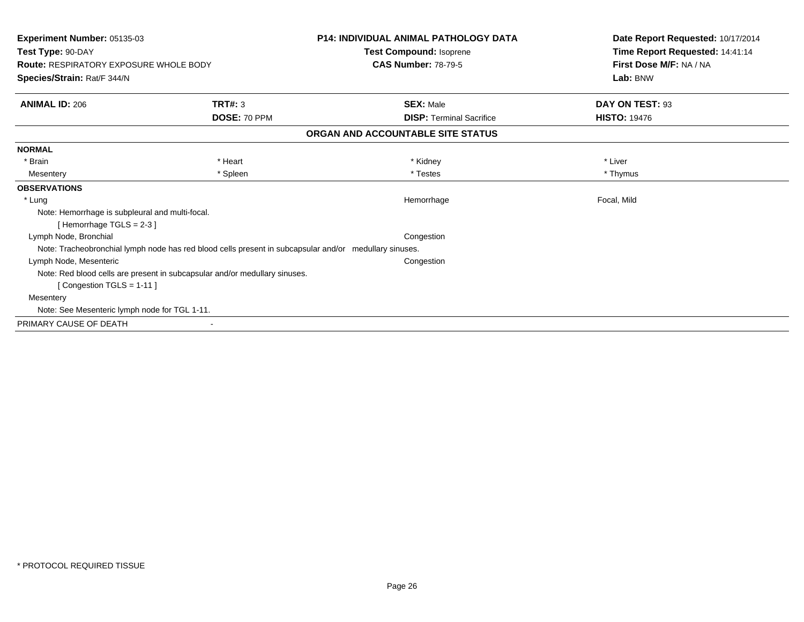| <b>Experiment Number: 05135-03</b><br>Test Type: 90-DAY<br><b>Route: RESPIRATORY EXPOSURE WHOLE BODY</b><br>Species/Strain: Rat/F 344/N | <b>P14: INDIVIDUAL ANIMAL PATHOLOGY DATA</b><br>Test Compound: Isoprene<br><b>CAS Number: 78-79-5</b> | Date Report Requested: 10/17/2014<br>Time Report Requested: 14:41:14<br>First Dose M/F: NA / NA<br>Lab: BNW |
|-----------------------------------------------------------------------------------------------------------------------------------------|-------------------------------------------------------------------------------------------------------|-------------------------------------------------------------------------------------------------------------|
| <b>ANIMAL ID: 206</b><br><b>TRT#: 3</b>                                                                                                 | <b>SEX: Male</b>                                                                                      | DAY ON TEST: 93                                                                                             |
| DOSE: 70 PPM                                                                                                                            | <b>DISP: Terminal Sacrifice</b>                                                                       | <b>HISTO: 19476</b>                                                                                         |
|                                                                                                                                         | ORGAN AND ACCOUNTABLE SITE STATUS                                                                     |                                                                                                             |
| <b>NORMAL</b>                                                                                                                           |                                                                                                       |                                                                                                             |
| * Brain<br>* Heart                                                                                                                      | * Kidney                                                                                              | * Liver                                                                                                     |
| * Spleen<br>Mesentery                                                                                                                   | * Testes                                                                                              | * Thymus                                                                                                    |
| <b>OBSERVATIONS</b>                                                                                                                     |                                                                                                       |                                                                                                             |
| * Lung                                                                                                                                  | Hemorrhage                                                                                            | Focal, Mild                                                                                                 |
| Note: Hemorrhage is subpleural and multi-focal.<br>[Hemorrhage TGLS = $2-3$ ]                                                           |                                                                                                       |                                                                                                             |
| Lymph Node, Bronchial                                                                                                                   | Congestion                                                                                            |                                                                                                             |
| Note: Tracheobronchial lymph node has red blood cells present in subcapsular and/or medullary sinuses.                                  |                                                                                                       |                                                                                                             |
| Lymph Node, Mesenteric                                                                                                                  | Congestion                                                                                            |                                                                                                             |
| Note: Red blood cells are present in subcapsular and/or medullary sinuses.                                                              |                                                                                                       |                                                                                                             |
| [Congestion TGLS = 1-11]                                                                                                                |                                                                                                       |                                                                                                             |
| Mesentery                                                                                                                               |                                                                                                       |                                                                                                             |
| Note: See Mesenteric lymph node for TGL 1-11.                                                                                           |                                                                                                       |                                                                                                             |
| PRIMARY CAUSE OF DEATH                                                                                                                  |                                                                                                       |                                                                                                             |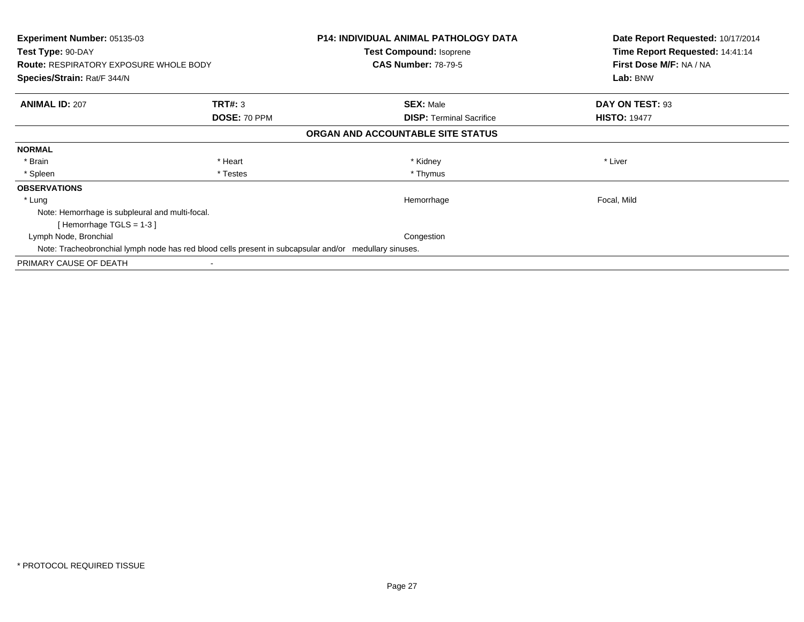| <b>Experiment Number: 05135-03</b><br>Test Type: 90-DAY<br><b>Route: RESPIRATORY EXPOSURE WHOLE BODY</b> |              | <b>P14: INDIVIDUAL ANIMAL PATHOLOGY DATA</b><br><b>Test Compound: Isoprene</b><br><b>CAS Number: 78-79-5</b> | Date Report Requested: 10/17/2014<br>Time Report Requested: 14:41:14<br>First Dose M/F: NA / NA |
|----------------------------------------------------------------------------------------------------------|--------------|--------------------------------------------------------------------------------------------------------------|-------------------------------------------------------------------------------------------------|
| <b>Species/Strain: Rat/F 344/N</b>                                                                       |              |                                                                                                              | Lab: BNW                                                                                        |
| <b>ANIMAL ID: 207</b>                                                                                    | TRT#: 3      | <b>SEX: Male</b>                                                                                             | DAY ON TEST: 93                                                                                 |
|                                                                                                          | DOSE: 70 PPM | <b>DISP:</b> Terminal Sacrifice                                                                              | <b>HISTO: 19477</b>                                                                             |
|                                                                                                          |              | ORGAN AND ACCOUNTABLE SITE STATUS                                                                            |                                                                                                 |
| <b>NORMAL</b>                                                                                            |              |                                                                                                              |                                                                                                 |
| * Brain                                                                                                  | * Heart      | * Kidney                                                                                                     | * Liver                                                                                         |
| * Spleen                                                                                                 | * Testes     | * Thymus                                                                                                     |                                                                                                 |
| <b>OBSERVATIONS</b>                                                                                      |              |                                                                                                              |                                                                                                 |
| * Lung                                                                                                   |              | Hemorrhage                                                                                                   | Focal, Mild                                                                                     |
| Note: Hemorrhage is subpleural and multi-focal.                                                          |              |                                                                                                              |                                                                                                 |
| [Hemorrhage TGLS = $1-3$ ]                                                                               |              |                                                                                                              |                                                                                                 |
| Lymph Node, Bronchial                                                                                    |              | Congestion                                                                                                   |                                                                                                 |
| Note: Tracheobronchial lymph node has red blood cells present in subcapsular and/or medullary sinuses.   |              |                                                                                                              |                                                                                                 |
| PRIMARY CAUSE OF DEATH                                                                                   |              |                                                                                                              |                                                                                                 |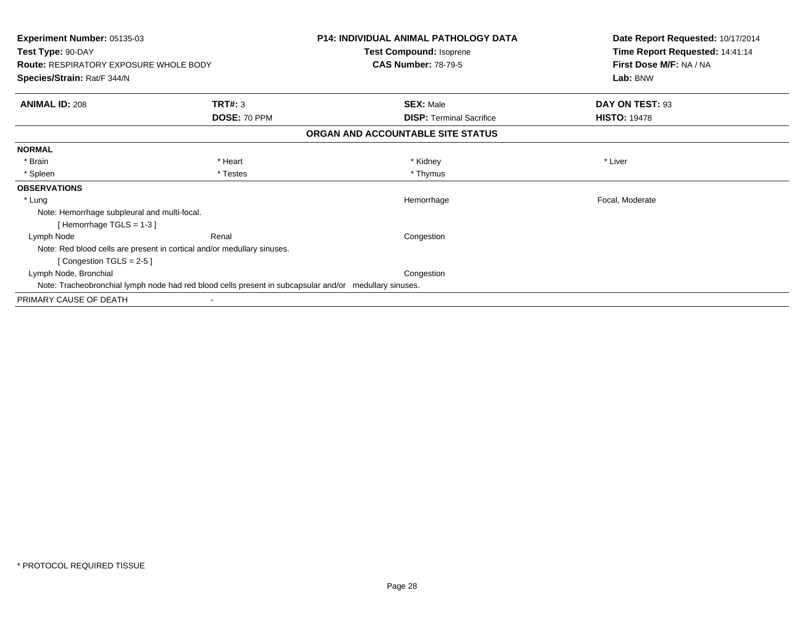| Experiment Number: 05135-03<br>Test Type: 90-DAY                                                       |                                                                         | <b>P14: INDIVIDUAL ANIMAL PATHOLOGY DATA</b><br><b>Test Compound: Isoprene</b> | Date Report Requested: 10/17/2014<br>Time Report Requested: 14:41:14 |
|--------------------------------------------------------------------------------------------------------|-------------------------------------------------------------------------|--------------------------------------------------------------------------------|----------------------------------------------------------------------|
| <b>Route: RESPIRATORY EXPOSURE WHOLE BODY</b>                                                          |                                                                         | <b>CAS Number: 78-79-5</b>                                                     | First Dose M/F: NA / NA                                              |
| Species/Strain: Rat/F 344/N                                                                            |                                                                         |                                                                                | Lab: BNW                                                             |
| <b>ANIMAL ID: 208</b>                                                                                  | TRT#: 3                                                                 | <b>SEX: Male</b>                                                               | DAY ON TEST: 93                                                      |
|                                                                                                        | DOSE: 70 PPM                                                            | <b>DISP: Terminal Sacrifice</b>                                                | <b>HISTO: 19478</b>                                                  |
|                                                                                                        |                                                                         | ORGAN AND ACCOUNTABLE SITE STATUS                                              |                                                                      |
| <b>NORMAL</b>                                                                                          |                                                                         |                                                                                |                                                                      |
| * Brain                                                                                                | * Heart                                                                 | * Kidney                                                                       | * Liver                                                              |
| * Spleen                                                                                               | * Testes                                                                | * Thymus                                                                       |                                                                      |
| <b>OBSERVATIONS</b>                                                                                    |                                                                         |                                                                                |                                                                      |
| * Lung                                                                                                 |                                                                         | Hemorrhage                                                                     | Focal, Moderate                                                      |
| Note: Hemorrhage subpleural and multi-focal.                                                           |                                                                         |                                                                                |                                                                      |
| [Hemorrhage TGLS = $1-3$ ]                                                                             |                                                                         |                                                                                |                                                                      |
| Lymph Node                                                                                             | Renal                                                                   | Congestion                                                                     |                                                                      |
|                                                                                                        | Note: Red blood cells are present in cortical and/or medullary sinuses. |                                                                                |                                                                      |
| [Congestion TGLS = $2-5$ ]                                                                             |                                                                         |                                                                                |                                                                      |
| Lymph Node, Bronchial                                                                                  |                                                                         | Congestion                                                                     |                                                                      |
| Note: Tracheobronchial lymph node had red blood cells present in subcapsular and/or medullary sinuses. |                                                                         |                                                                                |                                                                      |
| PRIMARY CAUSE OF DEATH                                                                                 |                                                                         |                                                                                |                                                                      |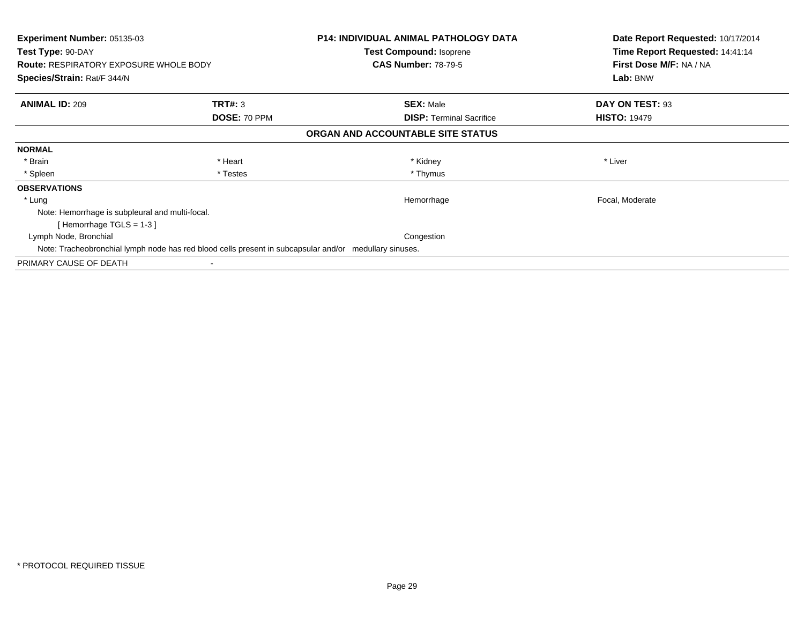| <b>Experiment Number: 05135-03</b><br>Test Type: 90-DAY<br><b>Route: RESPIRATORY EXPOSURE WHOLE BODY</b> |              | <b>P14: INDIVIDUAL ANIMAL PATHOLOGY DATA</b><br><b>Test Compound: Isoprene</b><br><b>CAS Number: 78-79-5</b> | Date Report Requested: 10/17/2014<br>Time Report Requested: 14:41:14<br>First Dose M/F: NA / NA |
|----------------------------------------------------------------------------------------------------------|--------------|--------------------------------------------------------------------------------------------------------------|-------------------------------------------------------------------------------------------------|
| <b>Species/Strain: Rat/F 344/N</b>                                                                       |              |                                                                                                              | Lab: BNW                                                                                        |
| <b>ANIMAL ID: 209</b>                                                                                    | TRT#: 3      | <b>SEX: Male</b>                                                                                             | DAY ON TEST: 93                                                                                 |
|                                                                                                          | DOSE: 70 PPM | <b>DISP:</b> Terminal Sacrifice                                                                              | <b>HISTO: 19479</b>                                                                             |
|                                                                                                          |              | ORGAN AND ACCOUNTABLE SITE STATUS                                                                            |                                                                                                 |
| <b>NORMAL</b>                                                                                            |              |                                                                                                              |                                                                                                 |
| * Brain                                                                                                  | * Heart      | * Kidney                                                                                                     | * Liver                                                                                         |
| * Spleen                                                                                                 | * Testes     | * Thymus                                                                                                     |                                                                                                 |
| <b>OBSERVATIONS</b>                                                                                      |              |                                                                                                              |                                                                                                 |
| * Lung                                                                                                   |              | Hemorrhage                                                                                                   | Focal, Moderate                                                                                 |
| Note: Hemorrhage is subpleural and multi-focal.                                                          |              |                                                                                                              |                                                                                                 |
| [Hemorrhage TGLS = $1-3$ ]                                                                               |              |                                                                                                              |                                                                                                 |
| Lymph Node, Bronchial                                                                                    |              | Congestion                                                                                                   |                                                                                                 |
| Note: Tracheobronchial lymph node has red blood cells present in subcapsular and/or medullary sinuses.   |              |                                                                                                              |                                                                                                 |
| PRIMARY CAUSE OF DEATH                                                                                   |              |                                                                                                              |                                                                                                 |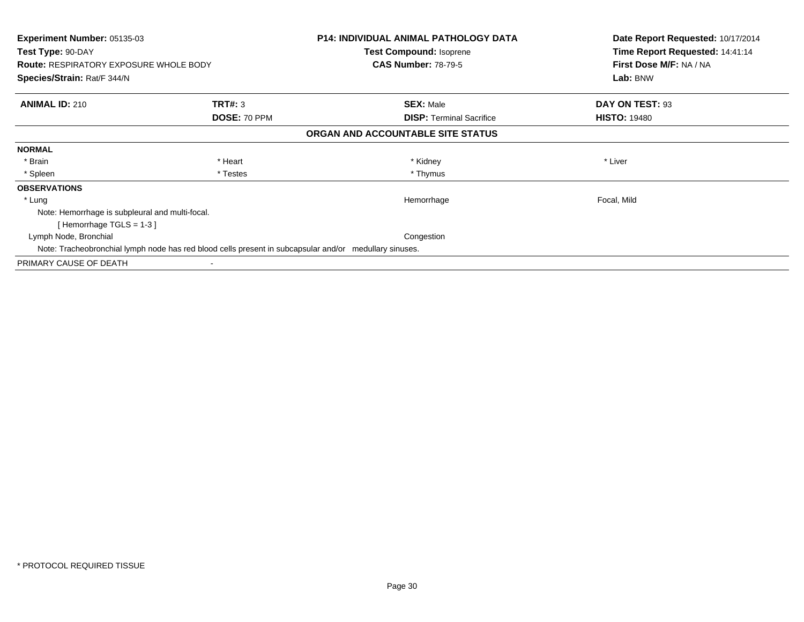| Experiment Number: 05135-03<br>Test Type: 90-DAY<br><b>Route: RESPIRATORY EXPOSURE WHOLE BODY</b>      |              | <b>P14: INDIVIDUAL ANIMAL PATHOLOGY DATA</b><br><b>Test Compound: Isoprene</b><br><b>CAS Number: 78-79-5</b> | Date Report Requested: 10/17/2014<br>Time Report Requested: 14:41:14<br>First Dose M/F: NA / NA<br>Lab: BNW |
|--------------------------------------------------------------------------------------------------------|--------------|--------------------------------------------------------------------------------------------------------------|-------------------------------------------------------------------------------------------------------------|
| Species/Strain: Rat/F 344/N                                                                            |              |                                                                                                              |                                                                                                             |
| <b>ANIMAL ID: 210</b>                                                                                  | TRT#: 3      | <b>SEX: Male</b>                                                                                             | DAY ON TEST: 93                                                                                             |
|                                                                                                        | DOSE: 70 PPM | <b>DISP:</b> Terminal Sacrifice                                                                              | <b>HISTO: 19480</b>                                                                                         |
|                                                                                                        |              | ORGAN AND ACCOUNTABLE SITE STATUS                                                                            |                                                                                                             |
| <b>NORMAL</b>                                                                                          |              |                                                                                                              |                                                                                                             |
| * Brain                                                                                                | * Heart      | * Kidney                                                                                                     | * Liver                                                                                                     |
| * Spleen                                                                                               | * Testes     | * Thymus                                                                                                     |                                                                                                             |
| <b>OBSERVATIONS</b>                                                                                    |              |                                                                                                              |                                                                                                             |
| * Lung                                                                                                 |              | Hemorrhage                                                                                                   | Focal, Mild                                                                                                 |
| Note: Hemorrhage is subpleural and multi-focal.                                                        |              |                                                                                                              |                                                                                                             |
| [Hemorrhage TGLS = 1-3]                                                                                |              |                                                                                                              |                                                                                                             |
| Lymph Node, Bronchial                                                                                  |              | Congestion                                                                                                   |                                                                                                             |
| Note: Tracheobronchial lymph node has red blood cells present in subcapsular and/or medullary sinuses. |              |                                                                                                              |                                                                                                             |
| PRIMARY CAUSE OF DEATH                                                                                 |              |                                                                                                              |                                                                                                             |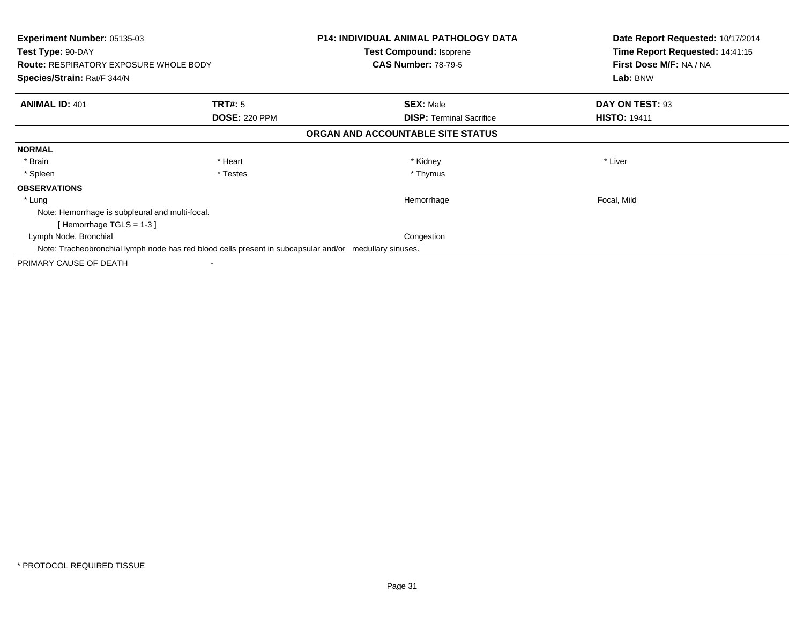| Experiment Number: 05135-03<br>Test Type: 90-DAY<br><b>Route: RESPIRATORY EXPOSURE WHOLE BODY</b>      |                      | <b>P14: INDIVIDUAL ANIMAL PATHOLOGY DATA</b><br><b>Test Compound: Isoprene</b><br><b>CAS Number: 78-79-5</b> | Date Report Requested: 10/17/2014<br>Time Report Requested: 14:41:15<br>First Dose M/F: NA / NA |
|--------------------------------------------------------------------------------------------------------|----------------------|--------------------------------------------------------------------------------------------------------------|-------------------------------------------------------------------------------------------------|
| Species/Strain: Rat/F 344/N                                                                            |                      |                                                                                                              | Lab: BNW                                                                                        |
| <b>ANIMAL ID: 401</b>                                                                                  | <b>TRT#:</b> 5       | <b>SEX: Male</b>                                                                                             | DAY ON TEST: 93                                                                                 |
|                                                                                                        | <b>DOSE: 220 PPM</b> | <b>DISP:</b> Terminal Sacrifice                                                                              | <b>HISTO: 19411</b>                                                                             |
|                                                                                                        |                      | ORGAN AND ACCOUNTABLE SITE STATUS                                                                            |                                                                                                 |
| <b>NORMAL</b>                                                                                          |                      |                                                                                                              |                                                                                                 |
| * Brain                                                                                                | * Heart              | * Kidney                                                                                                     | * Liver                                                                                         |
| * Spleen                                                                                               | * Testes             | * Thymus                                                                                                     |                                                                                                 |
| <b>OBSERVATIONS</b>                                                                                    |                      |                                                                                                              |                                                                                                 |
| * Lung                                                                                                 |                      | Hemorrhage                                                                                                   | Focal, Mild                                                                                     |
| Note: Hemorrhage is subpleural and multi-focal.                                                        |                      |                                                                                                              |                                                                                                 |
| [Hemorrhage TGLS = 1-3]                                                                                |                      |                                                                                                              |                                                                                                 |
| Lymph Node, Bronchial                                                                                  |                      | Congestion                                                                                                   |                                                                                                 |
| Note: Tracheobronchial lymph node has red blood cells present in subcapsular and/or medullary sinuses. |                      |                                                                                                              |                                                                                                 |
| PRIMARY CAUSE OF DEATH                                                                                 |                      |                                                                                                              |                                                                                                 |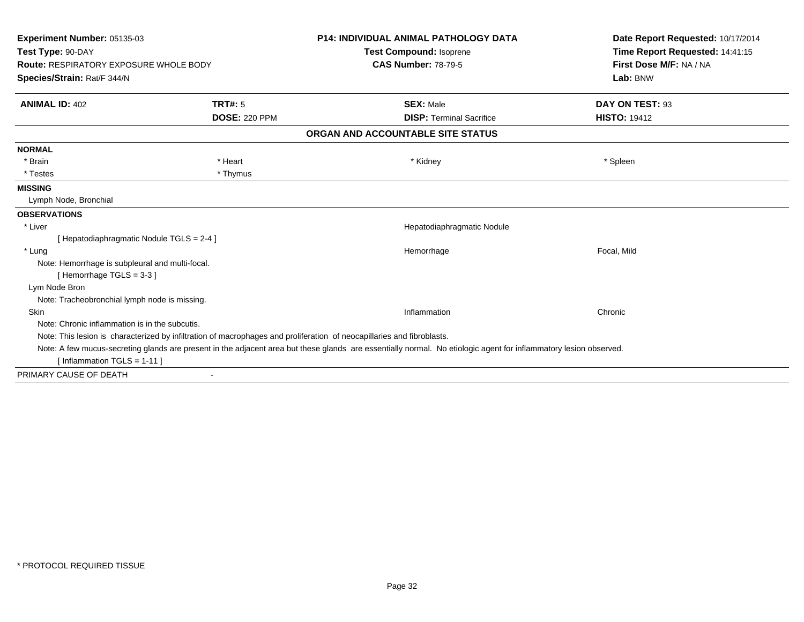| Experiment Number: 05135-03<br>Test Type: 90-DAY<br><b>Route: RESPIRATORY EXPOSURE WHOLE BODY</b>                                                                 |                      | <b>P14: INDIVIDUAL ANIMAL PATHOLOGY DATA</b><br><b>Test Compound: Isoprene</b><br><b>CAS Number: 78-79-5</b>           | Date Report Requested: 10/17/2014<br>Time Report Requested: 14:41:15<br>First Dose M/F: NA / NA |                             |                |                  |                 |
|-------------------------------------------------------------------------------------------------------------------------------------------------------------------|----------------------|------------------------------------------------------------------------------------------------------------------------|-------------------------------------------------------------------------------------------------|-----------------------------|----------------|------------------|-----------------|
|                                                                                                                                                                   |                      |                                                                                                                        |                                                                                                 | Species/Strain: Rat/F 344/N |                |                  | Lab: BNW        |
|                                                                                                                                                                   |                      |                                                                                                                        |                                                                                                 | <b>ANIMAL ID: 402</b>       | <b>TRT#: 5</b> | <b>SEX: Male</b> | DAY ON TEST: 93 |
|                                                                                                                                                                   | <b>DOSE: 220 PPM</b> | <b>DISP: Terminal Sacrifice</b>                                                                                        | <b>HISTO: 19412</b>                                                                             |                             |                |                  |                 |
|                                                                                                                                                                   |                      | ORGAN AND ACCOUNTABLE SITE STATUS                                                                                      |                                                                                                 |                             |                |                  |                 |
| <b>NORMAL</b>                                                                                                                                                     |                      |                                                                                                                        |                                                                                                 |                             |                |                  |                 |
| * Brain                                                                                                                                                           | * Heart              | * Kidney                                                                                                               | * Spleen                                                                                        |                             |                |                  |                 |
| * Testes                                                                                                                                                          | * Thymus             |                                                                                                                        |                                                                                                 |                             |                |                  |                 |
| <b>MISSING</b>                                                                                                                                                    |                      |                                                                                                                        |                                                                                                 |                             |                |                  |                 |
| Lymph Node, Bronchial                                                                                                                                             |                      |                                                                                                                        |                                                                                                 |                             |                |                  |                 |
| <b>OBSERVATIONS</b>                                                                                                                                               |                      |                                                                                                                        |                                                                                                 |                             |                |                  |                 |
| * Liver                                                                                                                                                           |                      | Hepatodiaphragmatic Nodule                                                                                             |                                                                                                 |                             |                |                  |                 |
| [ Hepatodiaphragmatic Nodule TGLS = 2-4 ]                                                                                                                         |                      |                                                                                                                        |                                                                                                 |                             |                |                  |                 |
| * Lung                                                                                                                                                            |                      | Hemorrhage                                                                                                             | Focal, Mild                                                                                     |                             |                |                  |                 |
| Note: Hemorrhage is subpleural and multi-focal.                                                                                                                   |                      |                                                                                                                        |                                                                                                 |                             |                |                  |                 |
| [Hemorrhage TGLS = $3-3$ ]                                                                                                                                        |                      |                                                                                                                        |                                                                                                 |                             |                |                  |                 |
| Lym Node Bron                                                                                                                                                     |                      |                                                                                                                        |                                                                                                 |                             |                |                  |                 |
| Note: Tracheobronchial lymph node is missing.                                                                                                                     |                      |                                                                                                                        |                                                                                                 |                             |                |                  |                 |
| Skin                                                                                                                                                              |                      | Inflammation                                                                                                           | Chronic                                                                                         |                             |                |                  |                 |
| Note: Chronic inflammation is in the subcutis.                                                                                                                    |                      |                                                                                                                        |                                                                                                 |                             |                |                  |                 |
|                                                                                                                                                                   |                      | Note: This lesion is characterized by infiltration of macrophages and proliferation of neocapillaries and fibroblasts. |                                                                                                 |                             |                |                  |                 |
| Note: A few mucus-secreting glands are present in the adjacent area but these glands are essentially normal. No etiologic agent for inflammatory lesion observed. |                      |                                                                                                                        |                                                                                                 |                             |                |                  |                 |
| [Inflammation TGLS = $1-11$ ]                                                                                                                                     |                      |                                                                                                                        |                                                                                                 |                             |                |                  |                 |
| PRIMARY CAUSE OF DEATH                                                                                                                                            |                      |                                                                                                                        |                                                                                                 |                             |                |                  |                 |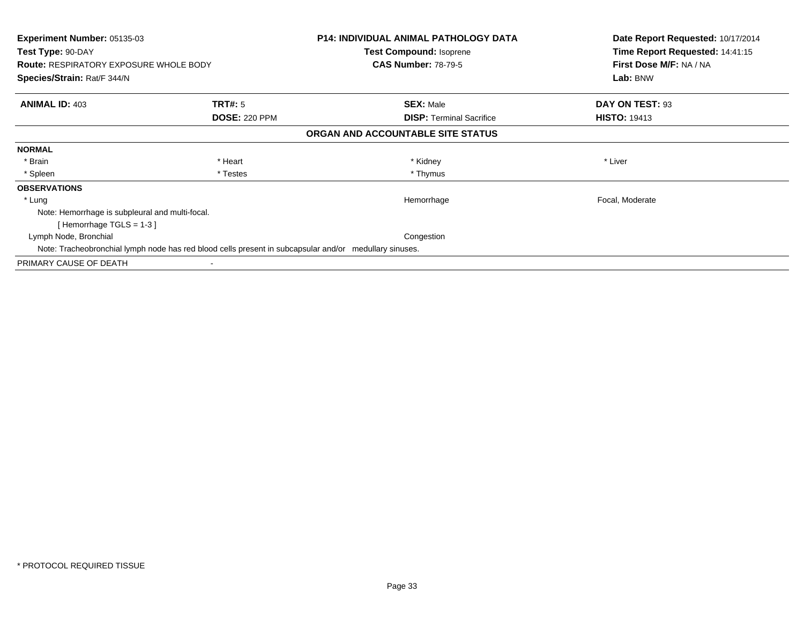| Experiment Number: 05135-03<br>Test Type: 90-DAY<br><b>Route: RESPIRATORY EXPOSURE WHOLE BODY</b><br>Species/Strain: Rat/F 344/N |                      | <b>P14: INDIVIDUAL ANIMAL PATHOLOGY DATA</b><br><b>Test Compound: Isoprene</b><br><b>CAS Number: 78-79-5</b> | Date Report Requested: 10/17/2014<br>Time Report Requested: 14:41:15<br>First Dose M/F: NA / NA<br>Lab: BNW |  |
|----------------------------------------------------------------------------------------------------------------------------------|----------------------|--------------------------------------------------------------------------------------------------------------|-------------------------------------------------------------------------------------------------------------|--|
|                                                                                                                                  |                      |                                                                                                              |                                                                                                             |  |
| <b>ANIMAL ID: 403</b>                                                                                                            | <b>TRT#:</b> 5       | <b>SEX: Male</b>                                                                                             | DAY ON TEST: 93                                                                                             |  |
|                                                                                                                                  | <b>DOSE: 220 PPM</b> | <b>DISP:</b> Terminal Sacrifice                                                                              | <b>HISTO: 19413</b>                                                                                         |  |
|                                                                                                                                  |                      | ORGAN AND ACCOUNTABLE SITE STATUS                                                                            |                                                                                                             |  |
| <b>NORMAL</b>                                                                                                                    |                      |                                                                                                              |                                                                                                             |  |
| * Brain                                                                                                                          | * Heart              | * Kidney                                                                                                     | * Liver                                                                                                     |  |
| * Spleen                                                                                                                         | * Testes             | * Thymus                                                                                                     |                                                                                                             |  |
| <b>OBSERVATIONS</b>                                                                                                              |                      |                                                                                                              |                                                                                                             |  |
| * Lung                                                                                                                           |                      | Hemorrhage                                                                                                   | Focal, Moderate                                                                                             |  |
| Note: Hemorrhage is subpleural and multi-focal.                                                                                  |                      |                                                                                                              |                                                                                                             |  |
| [Hemorrhage TGLS = 1-3]                                                                                                          |                      |                                                                                                              |                                                                                                             |  |
| Lymph Node, Bronchial                                                                                                            |                      | Congestion                                                                                                   |                                                                                                             |  |
| Note: Tracheobronchial lymph node has red blood cells present in subcapsular and/or medullary sinuses.                           |                      |                                                                                                              |                                                                                                             |  |
| PRIMARY CAUSE OF DEATH                                                                                                           |                      |                                                                                                              |                                                                                                             |  |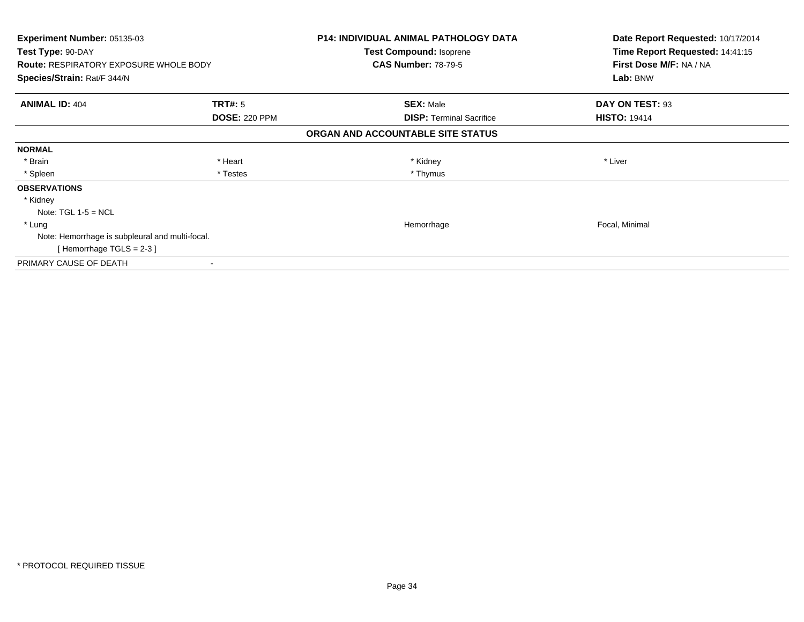| Experiment Number: 05135-03<br>Test Type: 90-DAY<br><b>Route: RESPIRATORY EXPOSURE WHOLE BODY</b> |                      | <b>P14: INDIVIDUAL ANIMAL PATHOLOGY DATA</b><br>Test Compound: Isoprene<br><b>CAS Number: 78-79-5</b> | Date Report Requested: 10/17/2014<br>Time Report Requested: 14:41:15<br>First Dose M/F: NA / NA |
|---------------------------------------------------------------------------------------------------|----------------------|-------------------------------------------------------------------------------------------------------|-------------------------------------------------------------------------------------------------|
| Species/Strain: Rat/F 344/N                                                                       |                      |                                                                                                       | Lab: BNW                                                                                        |
| <b>ANIMAL ID: 404</b>                                                                             | TRT#: 5              | <b>SEX: Male</b>                                                                                      | DAY ON TEST: 93                                                                                 |
|                                                                                                   | <b>DOSE: 220 PPM</b> | <b>DISP:</b> Terminal Sacrifice                                                                       | <b>HISTO: 19414</b>                                                                             |
|                                                                                                   |                      | ORGAN AND ACCOUNTABLE SITE STATUS                                                                     |                                                                                                 |
| <b>NORMAL</b>                                                                                     |                      |                                                                                                       |                                                                                                 |
| * Brain                                                                                           | * Heart              | * Kidney                                                                                              | * Liver                                                                                         |
| * Spleen                                                                                          | * Testes             | * Thymus                                                                                              |                                                                                                 |
| <b>OBSERVATIONS</b>                                                                               |                      |                                                                                                       |                                                                                                 |
| * Kidney                                                                                          |                      |                                                                                                       |                                                                                                 |
| Note: $TGL 1-5 = NCL$                                                                             |                      |                                                                                                       |                                                                                                 |
| * Lung                                                                                            |                      | Hemorrhage                                                                                            | Focal, Minimal                                                                                  |
| Note: Hemorrhage is subpleural and multi-focal.                                                   |                      |                                                                                                       |                                                                                                 |
| [Hemorrhage TGLS = $2-3$ ]                                                                        |                      |                                                                                                       |                                                                                                 |
| PRIMARY CAUSE OF DEATH                                                                            |                      |                                                                                                       |                                                                                                 |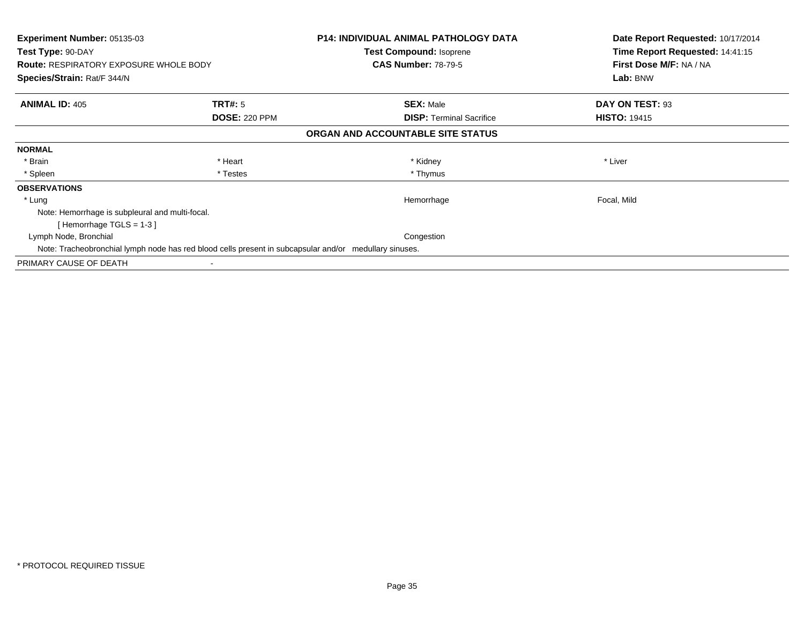| Experiment Number: 05135-03<br>Test Type: 90-DAY<br><b>Route: RESPIRATORY EXPOSURE WHOLE BODY</b>      |                      | <b>P14: INDIVIDUAL ANIMAL PATHOLOGY DATA</b><br><b>Test Compound: Isoprene</b><br><b>CAS Number: 78-79-5</b> | Date Report Requested: 10/17/2014<br>Time Report Requested: 14:41:15<br>First Dose M/F: NA / NA |  |
|--------------------------------------------------------------------------------------------------------|----------------------|--------------------------------------------------------------------------------------------------------------|-------------------------------------------------------------------------------------------------|--|
| Species/Strain: Rat/F 344/N                                                                            |                      |                                                                                                              | Lab: BNW                                                                                        |  |
| <b>ANIMAL ID: 405</b>                                                                                  | <b>TRT#:</b> 5       | <b>SEX: Male</b>                                                                                             | DAY ON TEST: 93                                                                                 |  |
|                                                                                                        | <b>DOSE: 220 PPM</b> | <b>DISP:</b> Terminal Sacrifice                                                                              | <b>HISTO: 19415</b>                                                                             |  |
|                                                                                                        |                      | ORGAN AND ACCOUNTABLE SITE STATUS                                                                            |                                                                                                 |  |
| <b>NORMAL</b>                                                                                          |                      |                                                                                                              |                                                                                                 |  |
| * Brain                                                                                                | * Heart              | * Kidney                                                                                                     | * Liver                                                                                         |  |
| * Spleen                                                                                               | * Testes             | * Thymus                                                                                                     |                                                                                                 |  |
| <b>OBSERVATIONS</b>                                                                                    |                      |                                                                                                              |                                                                                                 |  |
| * Lung                                                                                                 |                      | Hemorrhage                                                                                                   | Focal, Mild                                                                                     |  |
| Note: Hemorrhage is subpleural and multi-focal.                                                        |                      |                                                                                                              |                                                                                                 |  |
| [Hemorrhage TGLS = 1-3]                                                                                |                      |                                                                                                              |                                                                                                 |  |
| Lymph Node, Bronchial                                                                                  |                      | Congestion                                                                                                   |                                                                                                 |  |
| Note: Tracheobronchial lymph node has red blood cells present in subcapsular and/or medullary sinuses. |                      |                                                                                                              |                                                                                                 |  |
| PRIMARY CAUSE OF DEATH                                                                                 |                      |                                                                                                              |                                                                                                 |  |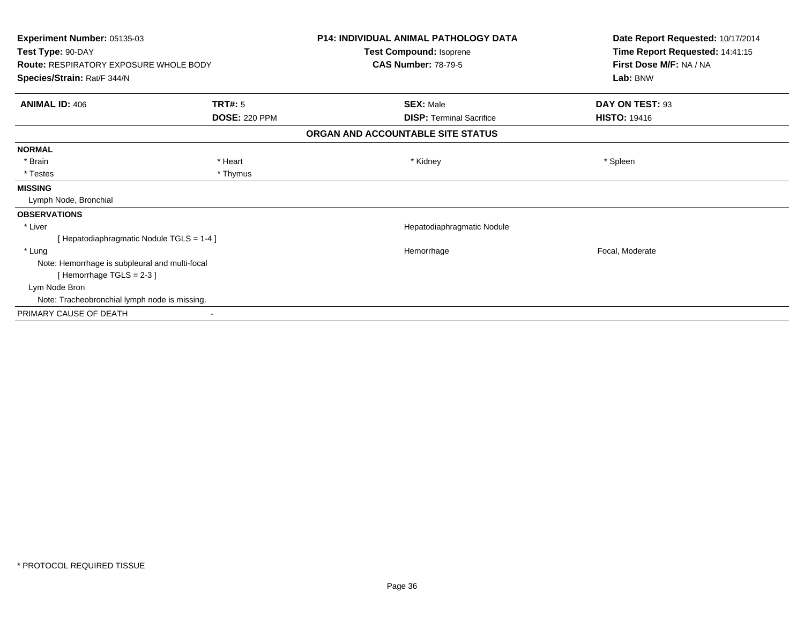| <b>Experiment Number: 05135-03</b><br>Test Type: 90-DAY<br><b>Route: RESPIRATORY EXPOSURE WHOLE BODY</b> |                      | P14: INDIVIDUAL ANIMAL PATHOLOGY DATA<br>Test Compound: Isoprene | Date Report Requested: 10/17/2014<br>Time Report Requested: 14:41:15<br>First Dose M/F: NA / NA<br>Lab: BNW |                            |
|----------------------------------------------------------------------------------------------------------|----------------------|------------------------------------------------------------------|-------------------------------------------------------------------------------------------------------------|----------------------------|
|                                                                                                          |                      |                                                                  |                                                                                                             | <b>CAS Number: 78-79-5</b> |
|                                                                                                          |                      | Species/Strain: Rat/F 344/N                                      |                                                                                                             |                            |
| <b>ANIMAL ID: 406</b>                                                                                    | <b>TRT#: 5</b>       | <b>SEX: Male</b>                                                 | DAY ON TEST: 93                                                                                             |                            |
|                                                                                                          | <b>DOSE: 220 PPM</b> | <b>DISP: Terminal Sacrifice</b>                                  | <b>HISTO: 19416</b>                                                                                         |                            |
| ORGAN AND ACCOUNTABLE SITE STATUS                                                                        |                      |                                                                  |                                                                                                             |                            |
| <b>NORMAL</b>                                                                                            |                      |                                                                  |                                                                                                             |                            |
| * Brain                                                                                                  | * Heart              | * Kidney                                                         | * Spleen                                                                                                    |                            |
| * Testes                                                                                                 | * Thymus             |                                                                  |                                                                                                             |                            |
| <b>MISSING</b>                                                                                           |                      |                                                                  |                                                                                                             |                            |
| Lymph Node, Bronchial                                                                                    |                      |                                                                  |                                                                                                             |                            |
| <b>OBSERVATIONS</b>                                                                                      |                      |                                                                  |                                                                                                             |                            |
| * Liver                                                                                                  |                      | Hepatodiaphragmatic Nodule                                       |                                                                                                             |                            |
| [Hepatodiaphragmatic Nodule TGLS = 1-4]                                                                  |                      |                                                                  |                                                                                                             |                            |
| * Lung                                                                                                   |                      | Hemorrhage                                                       | Focal, Moderate                                                                                             |                            |
| Note: Hemorrhage is subpleural and multi-focal                                                           |                      |                                                                  |                                                                                                             |                            |
| [Hemorrhage TGLS = $2-3$ ]                                                                               |                      |                                                                  |                                                                                                             |                            |
| Lym Node Bron                                                                                            |                      |                                                                  |                                                                                                             |                            |
| Note: Tracheobronchial lymph node is missing.                                                            |                      |                                                                  |                                                                                                             |                            |
| PRIMARY CAUSE OF DEATH                                                                                   |                      |                                                                  |                                                                                                             |                            |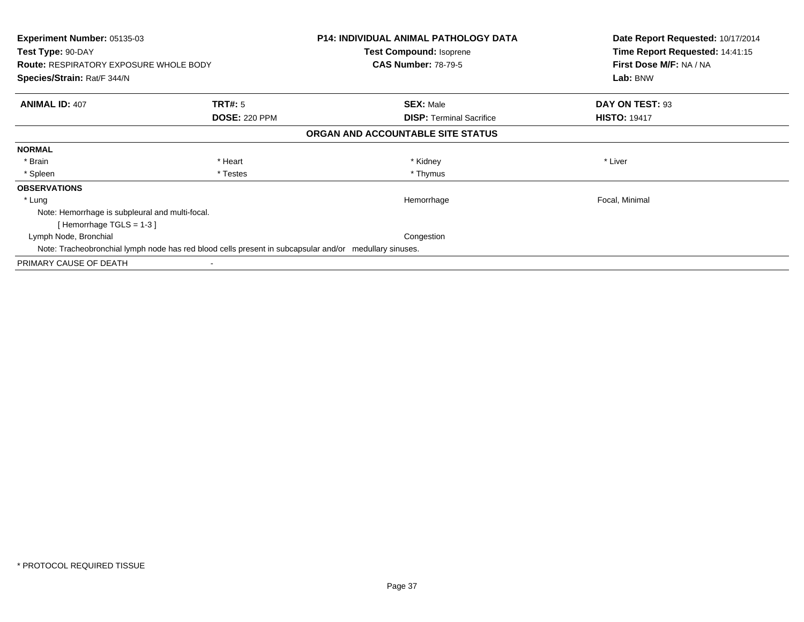| Experiment Number: 05135-03<br>Test Type: 90-DAY<br><b>Route: RESPIRATORY EXPOSURE WHOLE BODY</b><br>Species/Strain: Rat/F 344/N |                      | <b>P14: INDIVIDUAL ANIMAL PATHOLOGY DATA</b><br><b>Test Compound: Isoprene</b><br><b>CAS Number: 78-79-5</b> | Date Report Requested: 10/17/2014<br>Time Report Requested: 14:41:15<br>First Dose M/F: NA / NA<br>Lab: BNW |
|----------------------------------------------------------------------------------------------------------------------------------|----------------------|--------------------------------------------------------------------------------------------------------------|-------------------------------------------------------------------------------------------------------------|
|                                                                                                                                  |                      |                                                                                                              |                                                                                                             |
| <b>ANIMAL ID: 407</b>                                                                                                            | <b>TRT#:</b> 5       | <b>SEX: Male</b>                                                                                             | DAY ON TEST: 93                                                                                             |
|                                                                                                                                  | <b>DOSE: 220 PPM</b> | <b>DISP:</b> Terminal Sacrifice                                                                              | <b>HISTO: 19417</b>                                                                                         |
|                                                                                                                                  |                      | ORGAN AND ACCOUNTABLE SITE STATUS                                                                            |                                                                                                             |
| <b>NORMAL</b>                                                                                                                    |                      |                                                                                                              |                                                                                                             |
| * Brain                                                                                                                          | * Heart              | * Kidney                                                                                                     | * Liver                                                                                                     |
| * Spleen                                                                                                                         | * Testes             | * Thymus                                                                                                     |                                                                                                             |
| <b>OBSERVATIONS</b>                                                                                                              |                      |                                                                                                              |                                                                                                             |
| * Lung                                                                                                                           |                      | Hemorrhage                                                                                                   | Focal, Minimal                                                                                              |
| Note: Hemorrhage is subpleural and multi-focal.                                                                                  |                      |                                                                                                              |                                                                                                             |
| [Hemorrhage TGLS = 1-3]                                                                                                          |                      |                                                                                                              |                                                                                                             |
| Lymph Node, Bronchial                                                                                                            |                      | Congestion                                                                                                   |                                                                                                             |
| Note: Tracheobronchial lymph node has red blood cells present in subcapsular and/or medullary sinuses.                           |                      |                                                                                                              |                                                                                                             |
| PRIMARY CAUSE OF DEATH                                                                                                           |                      |                                                                                                              |                                                                                                             |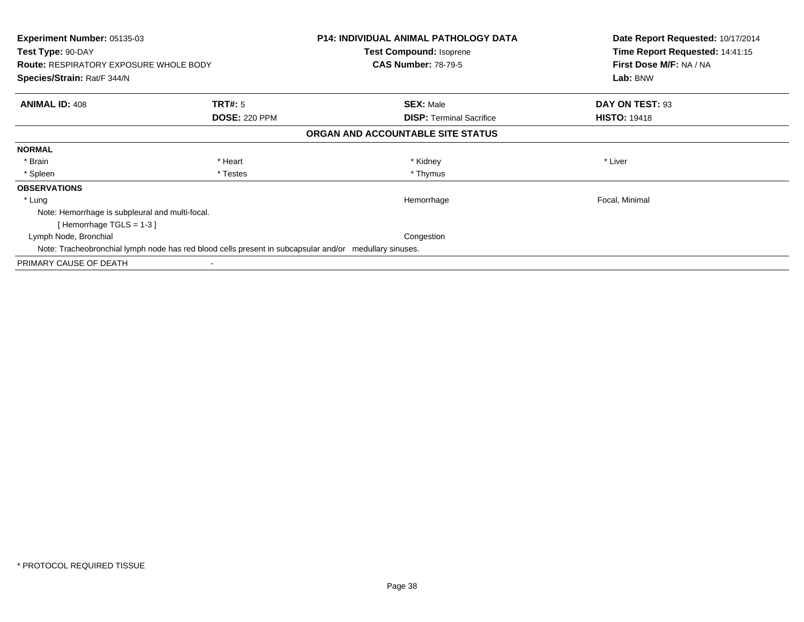| Experiment Number: 05135-03<br>Test Type: 90-DAY<br><b>Route: RESPIRATORY EXPOSURE WHOLE BODY</b><br>Species/Strain: Rat/F 344/N |                      | <b>P14: INDIVIDUAL ANIMAL PATHOLOGY DATA</b><br><b>Test Compound: Isoprene</b><br><b>CAS Number: 78-79-5</b> | Date Report Requested: 10/17/2014<br>Time Report Requested: 14:41:15<br>First Dose M/F: NA / NA<br>Lab: BNW |
|----------------------------------------------------------------------------------------------------------------------------------|----------------------|--------------------------------------------------------------------------------------------------------------|-------------------------------------------------------------------------------------------------------------|
|                                                                                                                                  |                      |                                                                                                              |                                                                                                             |
| <b>ANIMAL ID: 408</b>                                                                                                            | <b>TRT#:</b> 5       | <b>SEX: Male</b>                                                                                             | DAY ON TEST: 93                                                                                             |
|                                                                                                                                  | <b>DOSE: 220 PPM</b> | <b>DISP:</b> Terminal Sacrifice                                                                              | <b>HISTO: 19418</b>                                                                                         |
|                                                                                                                                  |                      | ORGAN AND ACCOUNTABLE SITE STATUS                                                                            |                                                                                                             |
| <b>NORMAL</b>                                                                                                                    |                      |                                                                                                              |                                                                                                             |
| * Brain                                                                                                                          | * Heart              | * Kidney                                                                                                     | * Liver                                                                                                     |
| * Spleen                                                                                                                         | * Testes             | * Thymus                                                                                                     |                                                                                                             |
| <b>OBSERVATIONS</b>                                                                                                              |                      |                                                                                                              |                                                                                                             |
| * Lung                                                                                                                           |                      | Hemorrhage                                                                                                   | Focal, Minimal                                                                                              |
| Note: Hemorrhage is subpleural and multi-focal.                                                                                  |                      |                                                                                                              |                                                                                                             |
| [Hemorrhage TGLS = 1-3]                                                                                                          |                      |                                                                                                              |                                                                                                             |
| Lymph Node, Bronchial                                                                                                            |                      | Congestion                                                                                                   |                                                                                                             |
| Note: Tracheobronchial lymph node has red blood cells present in subcapsular and/or medullary sinuses.                           |                      |                                                                                                              |                                                                                                             |
| PRIMARY CAUSE OF DEATH                                                                                                           |                      |                                                                                                              |                                                                                                             |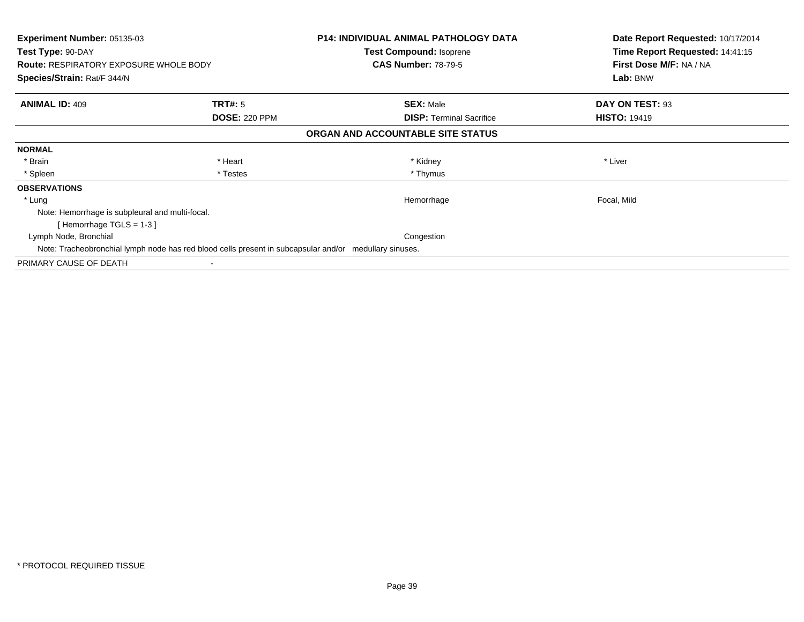| Experiment Number: 05135-03<br>Test Type: 90-DAY<br><b>Route: RESPIRATORY EXPOSURE WHOLE BODY</b><br>Species/Strain: Rat/F 344/N |                      | <b>P14: INDIVIDUAL ANIMAL PATHOLOGY DATA</b><br><b>Test Compound: Isoprene</b><br><b>CAS Number: 78-79-5</b> | Date Report Requested: 10/17/2014<br>Time Report Requested: 14:41:15<br>First Dose M/F: NA / NA<br>Lab: BNW |
|----------------------------------------------------------------------------------------------------------------------------------|----------------------|--------------------------------------------------------------------------------------------------------------|-------------------------------------------------------------------------------------------------------------|
|                                                                                                                                  |                      |                                                                                                              |                                                                                                             |
| <b>ANIMAL ID: 409</b>                                                                                                            | <b>TRT#:</b> 5       | <b>SEX: Male</b>                                                                                             | DAY ON TEST: 93                                                                                             |
|                                                                                                                                  | <b>DOSE: 220 PPM</b> | <b>DISP:</b> Terminal Sacrifice                                                                              | <b>HISTO: 19419</b>                                                                                         |
|                                                                                                                                  |                      | ORGAN AND ACCOUNTABLE SITE STATUS                                                                            |                                                                                                             |
| <b>NORMAL</b>                                                                                                                    |                      |                                                                                                              |                                                                                                             |
| * Brain                                                                                                                          | * Heart              | * Kidney                                                                                                     | * Liver                                                                                                     |
| * Spleen                                                                                                                         | * Testes             | * Thymus                                                                                                     |                                                                                                             |
| <b>OBSERVATIONS</b>                                                                                                              |                      |                                                                                                              |                                                                                                             |
| * Lung                                                                                                                           |                      | Hemorrhage                                                                                                   | Focal, Mild                                                                                                 |
| Note: Hemorrhage is subpleural and multi-focal.                                                                                  |                      |                                                                                                              |                                                                                                             |
| [Hemorrhage TGLS = 1-3]                                                                                                          |                      |                                                                                                              |                                                                                                             |
| Lymph Node, Bronchial                                                                                                            |                      | Congestion                                                                                                   |                                                                                                             |
| Note: Tracheobronchial lymph node has red blood cells present in subcapsular and/or medullary sinuses.                           |                      |                                                                                                              |                                                                                                             |
| PRIMARY CAUSE OF DEATH                                                                                                           |                      |                                                                                                              |                                                                                                             |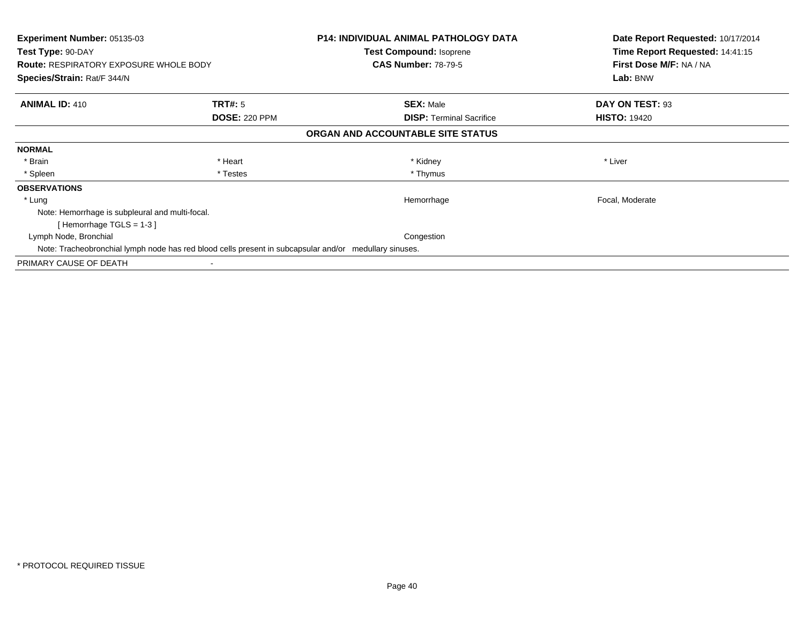| Experiment Number: 05135-03<br>Test Type: 90-DAY<br><b>Route: RESPIRATORY EXPOSURE WHOLE BODY</b><br>Species/Strain: Rat/F 344/N |                      | <b>P14: INDIVIDUAL ANIMAL PATHOLOGY DATA</b><br><b>Test Compound: Isoprene</b><br><b>CAS Number: 78-79-5</b> | Date Report Requested: 10/17/2014<br>Time Report Requested: 14:41:15<br>First Dose M/F: NA / NA<br>Lab: BNW |
|----------------------------------------------------------------------------------------------------------------------------------|----------------------|--------------------------------------------------------------------------------------------------------------|-------------------------------------------------------------------------------------------------------------|
|                                                                                                                                  |                      |                                                                                                              |                                                                                                             |
| <b>ANIMAL ID: 410</b>                                                                                                            | <b>TRT#:</b> 5       | <b>SEX: Male</b>                                                                                             | DAY ON TEST: 93                                                                                             |
|                                                                                                                                  | <b>DOSE: 220 PPM</b> | <b>DISP:</b> Terminal Sacrifice                                                                              | <b>HISTO: 19420</b>                                                                                         |
|                                                                                                                                  |                      | ORGAN AND ACCOUNTABLE SITE STATUS                                                                            |                                                                                                             |
| <b>NORMAL</b>                                                                                                                    |                      |                                                                                                              |                                                                                                             |
| * Brain                                                                                                                          | * Heart              | * Kidney                                                                                                     | * Liver                                                                                                     |
| * Spleen                                                                                                                         | * Testes             | * Thymus                                                                                                     |                                                                                                             |
| <b>OBSERVATIONS</b>                                                                                                              |                      |                                                                                                              |                                                                                                             |
| * Lung                                                                                                                           |                      | Hemorrhage                                                                                                   | Focal, Moderate                                                                                             |
| Note: Hemorrhage is subpleural and multi-focal.                                                                                  |                      |                                                                                                              |                                                                                                             |
| [Hemorrhage TGLS = 1-3]                                                                                                          |                      |                                                                                                              |                                                                                                             |
| Lymph Node, Bronchial                                                                                                            |                      | Congestion                                                                                                   |                                                                                                             |
| Note: Tracheobronchial lymph node has red blood cells present in subcapsular and/or medullary sinuses.                           |                      |                                                                                                              |                                                                                                             |
| PRIMARY CAUSE OF DEATH                                                                                                           |                      |                                                                                                              |                                                                                                             |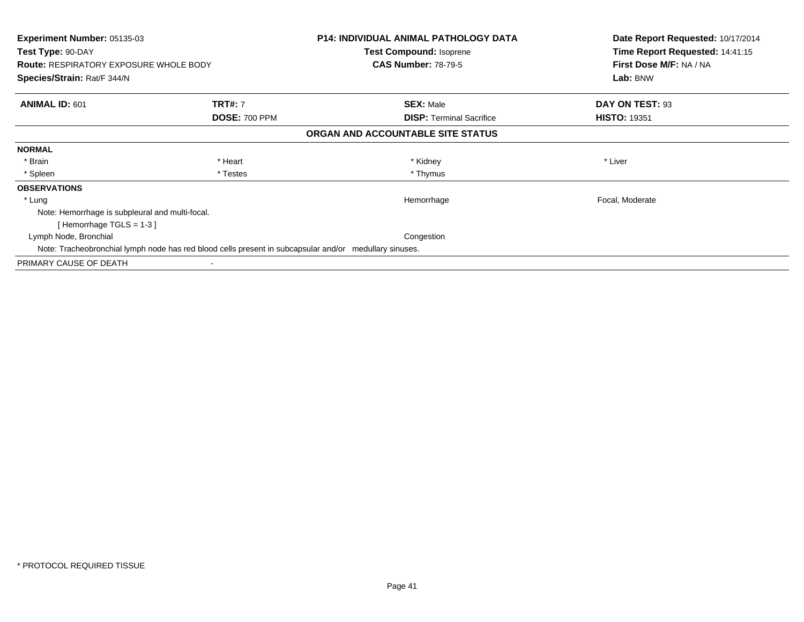| Experiment Number: 05135-03<br>Test Type: 90-DAY<br><b>Route: RESPIRATORY EXPOSURE WHOLE BODY</b><br>Species/Strain: Rat/F 344/N |                      | <b>P14: INDIVIDUAL ANIMAL PATHOLOGY DATA</b><br><b>Test Compound: Isoprene</b><br><b>CAS Number: 78-79-5</b> | Date Report Requested: 10/17/2014<br>Time Report Requested: 14:41:15<br>First Dose M/F: NA / NA<br>Lab: BNW |
|----------------------------------------------------------------------------------------------------------------------------------|----------------------|--------------------------------------------------------------------------------------------------------------|-------------------------------------------------------------------------------------------------------------|
|                                                                                                                                  |                      |                                                                                                              |                                                                                                             |
| <b>ANIMAL ID: 601</b>                                                                                                            | <b>TRT#: 7</b>       | <b>SEX: Male</b>                                                                                             | DAY ON TEST: 93                                                                                             |
|                                                                                                                                  | <b>DOSE: 700 PPM</b> | <b>DISP:</b> Terminal Sacrifice                                                                              | <b>HISTO: 19351</b>                                                                                         |
|                                                                                                                                  |                      | ORGAN AND ACCOUNTABLE SITE STATUS                                                                            |                                                                                                             |
| <b>NORMAL</b>                                                                                                                    |                      |                                                                                                              |                                                                                                             |
| * Brain                                                                                                                          | * Heart              | * Kidney                                                                                                     | * Liver                                                                                                     |
| * Spleen                                                                                                                         | * Testes             | * Thymus                                                                                                     |                                                                                                             |
| <b>OBSERVATIONS</b>                                                                                                              |                      |                                                                                                              |                                                                                                             |
| * Lung                                                                                                                           |                      | Hemorrhage                                                                                                   | Focal, Moderate                                                                                             |
| Note: Hemorrhage is subpleural and multi-focal.                                                                                  |                      |                                                                                                              |                                                                                                             |
| [Hemorrhage TGLS = 1-3]                                                                                                          |                      |                                                                                                              |                                                                                                             |
| Lymph Node, Bronchial                                                                                                            |                      | Congestion                                                                                                   |                                                                                                             |
| Note: Tracheobronchial lymph node has red blood cells present in subcapsular and/or medullary sinuses.                           |                      |                                                                                                              |                                                                                                             |
| PRIMARY CAUSE OF DEATH                                                                                                           |                      |                                                                                                              |                                                                                                             |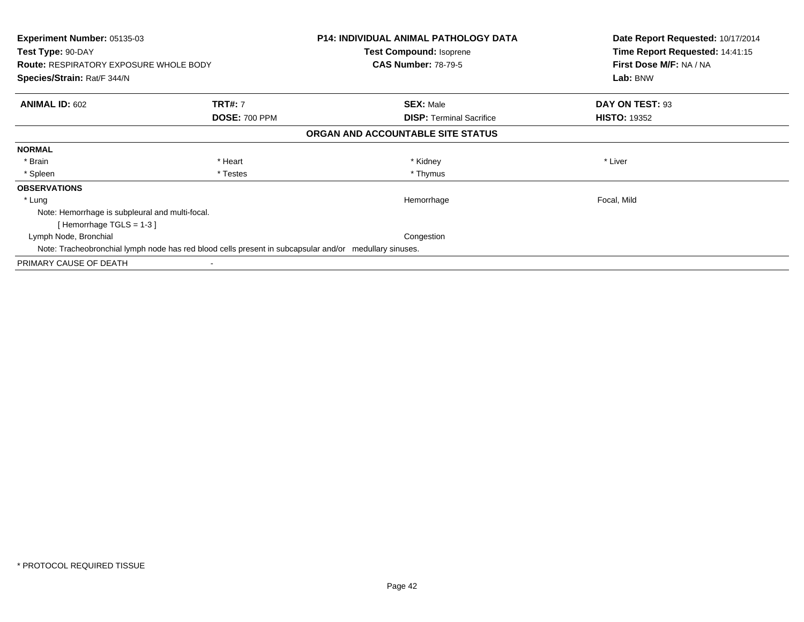| Experiment Number: 05135-03<br>Test Type: 90-DAY<br><b>Route: RESPIRATORY EXPOSURE WHOLE BODY</b><br>Species/Strain: Rat/F 344/N |                      | <b>P14: INDIVIDUAL ANIMAL PATHOLOGY DATA</b><br><b>Test Compound: Isoprene</b><br><b>CAS Number: 78-79-5</b> | Date Report Requested: 10/17/2014<br>Time Report Requested: 14:41:15<br>First Dose M/F: NA / NA<br>Lab: BNW |
|----------------------------------------------------------------------------------------------------------------------------------|----------------------|--------------------------------------------------------------------------------------------------------------|-------------------------------------------------------------------------------------------------------------|
|                                                                                                                                  |                      |                                                                                                              |                                                                                                             |
| <b>ANIMAL ID: 602</b>                                                                                                            | <b>TRT#: 7</b>       | <b>SEX: Male</b>                                                                                             | DAY ON TEST: 93                                                                                             |
|                                                                                                                                  | <b>DOSE: 700 PPM</b> | <b>DISP:</b> Terminal Sacrifice                                                                              | <b>HISTO: 19352</b>                                                                                         |
|                                                                                                                                  |                      | ORGAN AND ACCOUNTABLE SITE STATUS                                                                            |                                                                                                             |
| <b>NORMAL</b>                                                                                                                    |                      |                                                                                                              |                                                                                                             |
| * Brain                                                                                                                          | * Heart              | * Kidney                                                                                                     | * Liver                                                                                                     |
| * Spleen                                                                                                                         | * Testes             | * Thymus                                                                                                     |                                                                                                             |
| <b>OBSERVATIONS</b>                                                                                                              |                      |                                                                                                              |                                                                                                             |
| * Lung                                                                                                                           |                      | Hemorrhage                                                                                                   | Focal, Mild                                                                                                 |
| Note: Hemorrhage is subpleural and multi-focal.                                                                                  |                      |                                                                                                              |                                                                                                             |
| [Hemorrhage TGLS = 1-3]                                                                                                          |                      |                                                                                                              |                                                                                                             |
| Lymph Node, Bronchial                                                                                                            |                      | Congestion                                                                                                   |                                                                                                             |
| Note: Tracheobronchial lymph node has red blood cells present in subcapsular and/or medullary sinuses.                           |                      |                                                                                                              |                                                                                                             |
| PRIMARY CAUSE OF DEATH                                                                                                           |                      |                                                                                                              |                                                                                                             |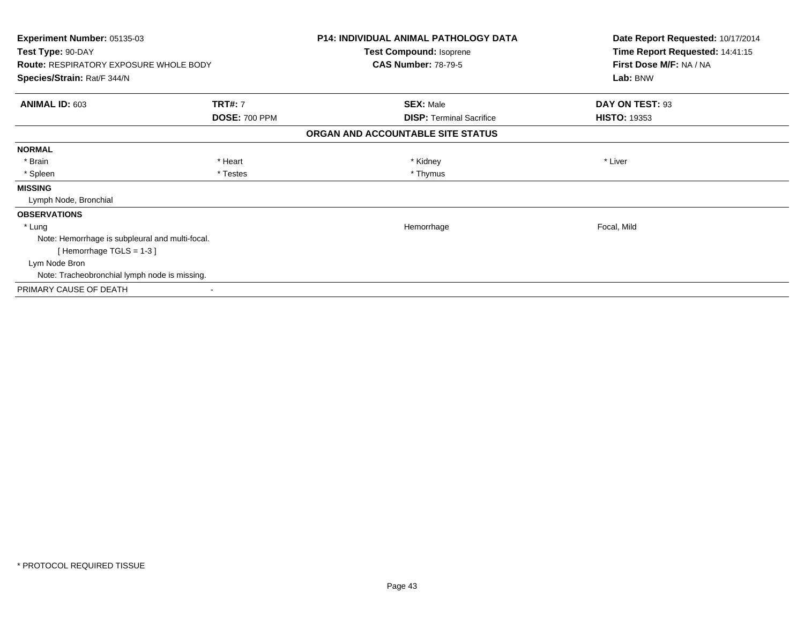| Experiment Number: 05135-03<br>Test Type: 90-DAY<br><b>Route: RESPIRATORY EXPOSURE WHOLE BODY</b> |                                        | <b>P14: INDIVIDUAL ANIMAL PATHOLOGY DATA</b><br>Test Compound: Isoprene<br><b>CAS Number: 78-79-5</b> | Date Report Requested: 10/17/2014<br>Time Report Requested: 14:41:15<br>First Dose M/F: NA / NA |
|---------------------------------------------------------------------------------------------------|----------------------------------------|-------------------------------------------------------------------------------------------------------|-------------------------------------------------------------------------------------------------|
| Species/Strain: Rat/F 344/N                                                                       |                                        |                                                                                                       | Lab: BNW                                                                                        |
| <b>ANIMAL ID: 603</b>                                                                             | <b>TRT#: 7</b><br><b>DOSE: 700 PPM</b> | <b>SEX: Male</b><br><b>DISP: Terminal Sacrifice</b>                                                   | DAY ON TEST: 93<br><b>HISTO: 19353</b>                                                          |
|                                                                                                   |                                        | ORGAN AND ACCOUNTABLE SITE STATUS                                                                     |                                                                                                 |
| <b>NORMAL</b>                                                                                     |                                        |                                                                                                       |                                                                                                 |
| * Brain                                                                                           | * Heart                                | * Kidney                                                                                              | * Liver                                                                                         |
| * Spleen                                                                                          | * Testes                               | * Thymus                                                                                              |                                                                                                 |
| <b>MISSING</b>                                                                                    |                                        |                                                                                                       |                                                                                                 |
| Lymph Node, Bronchial                                                                             |                                        |                                                                                                       |                                                                                                 |
| <b>OBSERVATIONS</b>                                                                               |                                        |                                                                                                       |                                                                                                 |
| * Lung                                                                                            |                                        | Hemorrhage                                                                                            | Focal, Mild                                                                                     |
| Note: Hemorrhage is subpleural and multi-focal.                                                   |                                        |                                                                                                       |                                                                                                 |
| [Hemorrhage TGLS = 1-3]                                                                           |                                        |                                                                                                       |                                                                                                 |
| Lym Node Bron                                                                                     |                                        |                                                                                                       |                                                                                                 |
| Note: Tracheobronchial lymph node is missing.                                                     |                                        |                                                                                                       |                                                                                                 |
| PRIMARY CAUSE OF DEATH                                                                            |                                        |                                                                                                       |                                                                                                 |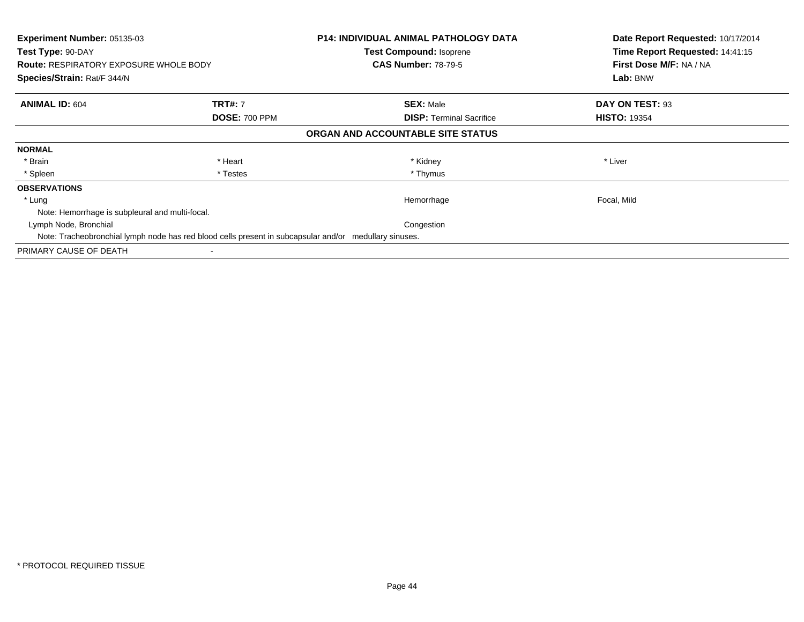| <b>Experiment Number: 05135-03</b><br>Test Type: 90-DAY |                                                                                                        | <b>P14: INDIVIDUAL ANIMAL PATHOLOGY DATA</b><br><b>Test Compound: Isoprene</b> | Date Report Requested: 10/17/2014<br>Time Report Requested: 14:41:15 |
|---------------------------------------------------------|--------------------------------------------------------------------------------------------------------|--------------------------------------------------------------------------------|----------------------------------------------------------------------|
| <b>Route: RESPIRATORY EXPOSURE WHOLE BODY</b>           |                                                                                                        | <b>CAS Number: 78-79-5</b>                                                     | First Dose M/F: NA / NA                                              |
| Species/Strain: Rat/F 344/N                             |                                                                                                        |                                                                                | Lab: BNW                                                             |
| <b>ANIMAL ID: 604</b>                                   | <b>TRT#: 7</b>                                                                                         | <b>SEX: Male</b>                                                               | DAY ON TEST: 93                                                      |
|                                                         | <b>DOSE: 700 PPM</b>                                                                                   | <b>DISP:</b> Terminal Sacrifice                                                | <b>HISTO: 19354</b>                                                  |
|                                                         |                                                                                                        | ORGAN AND ACCOUNTABLE SITE STATUS                                              |                                                                      |
| <b>NORMAL</b>                                           |                                                                                                        |                                                                                |                                                                      |
| * Brain                                                 | * Heart                                                                                                | * Kidney                                                                       | * Liver                                                              |
| * Spleen                                                | * Testes                                                                                               | * Thymus                                                                       |                                                                      |
| <b>OBSERVATIONS</b>                                     |                                                                                                        |                                                                                |                                                                      |
| * Lung                                                  |                                                                                                        | Hemorrhage                                                                     | Focal, Mild                                                          |
| Note: Hemorrhage is subpleural and multi-focal.         |                                                                                                        |                                                                                |                                                                      |
| Lymph Node, Bronchial                                   |                                                                                                        | Congestion                                                                     |                                                                      |
|                                                         | Note: Tracheobronchial lymph node has red blood cells present in subcapsular and/or medullary sinuses. |                                                                                |                                                                      |
| PRIMARY CAUSE OF DEATH                                  |                                                                                                        |                                                                                |                                                                      |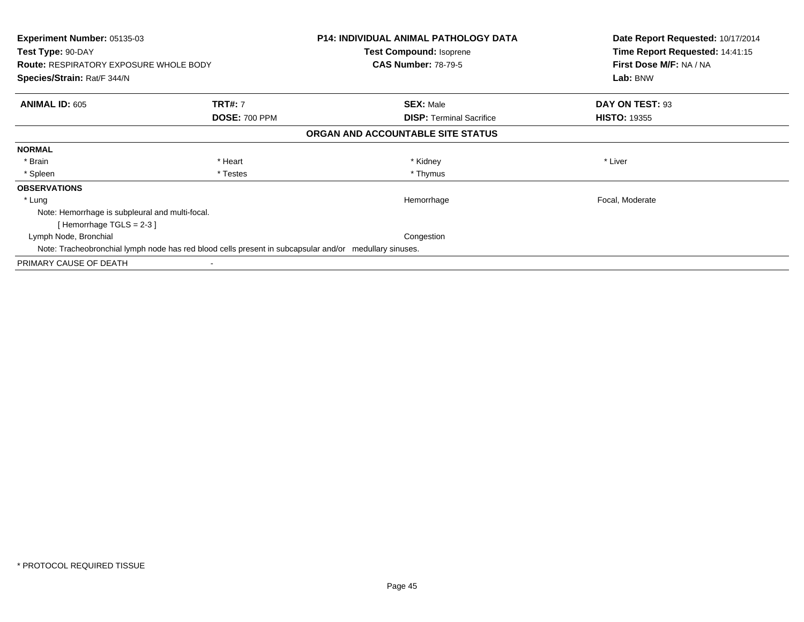| Experiment Number: 05135-03<br>Test Type: 90-DAY<br><b>Route: RESPIRATORY EXPOSURE WHOLE BODY</b><br>Species/Strain: Rat/F 344/N |                      | <b>P14: INDIVIDUAL ANIMAL PATHOLOGY DATA</b><br><b>Test Compound: Isoprene</b><br><b>CAS Number: 78-79-5</b> | Date Report Requested: 10/17/2014<br>Time Report Requested: 14:41:15<br>First Dose M/F: NA / NA<br>Lab: BNW |
|----------------------------------------------------------------------------------------------------------------------------------|----------------------|--------------------------------------------------------------------------------------------------------------|-------------------------------------------------------------------------------------------------------------|
|                                                                                                                                  |                      |                                                                                                              |                                                                                                             |
| <b>ANIMAL ID: 605</b>                                                                                                            | <b>TRT#: 7</b>       | <b>SEX: Male</b>                                                                                             | DAY ON TEST: 93                                                                                             |
|                                                                                                                                  | <b>DOSE: 700 PPM</b> | <b>DISP:</b> Terminal Sacrifice                                                                              | <b>HISTO: 19355</b>                                                                                         |
|                                                                                                                                  |                      | ORGAN AND ACCOUNTABLE SITE STATUS                                                                            |                                                                                                             |
| <b>NORMAL</b>                                                                                                                    |                      |                                                                                                              |                                                                                                             |
| * Brain                                                                                                                          | * Heart              | * Kidney                                                                                                     | * Liver                                                                                                     |
| * Spleen                                                                                                                         | * Testes             | * Thymus                                                                                                     |                                                                                                             |
| <b>OBSERVATIONS</b>                                                                                                              |                      |                                                                                                              |                                                                                                             |
| * Lung                                                                                                                           |                      | Hemorrhage                                                                                                   | Focal, Moderate                                                                                             |
| Note: Hemorrhage is subpleural and multi-focal.                                                                                  |                      |                                                                                                              |                                                                                                             |
| [Hemorrhage TGLS = 2-3 ]                                                                                                         |                      |                                                                                                              |                                                                                                             |
| Lymph Node, Bronchial                                                                                                            |                      | Congestion                                                                                                   |                                                                                                             |
| Note: Tracheobronchial lymph node has red blood cells present in subcapsular and/or medullary sinuses.                           |                      |                                                                                                              |                                                                                                             |
| PRIMARY CAUSE OF DEATH                                                                                                           |                      |                                                                                                              |                                                                                                             |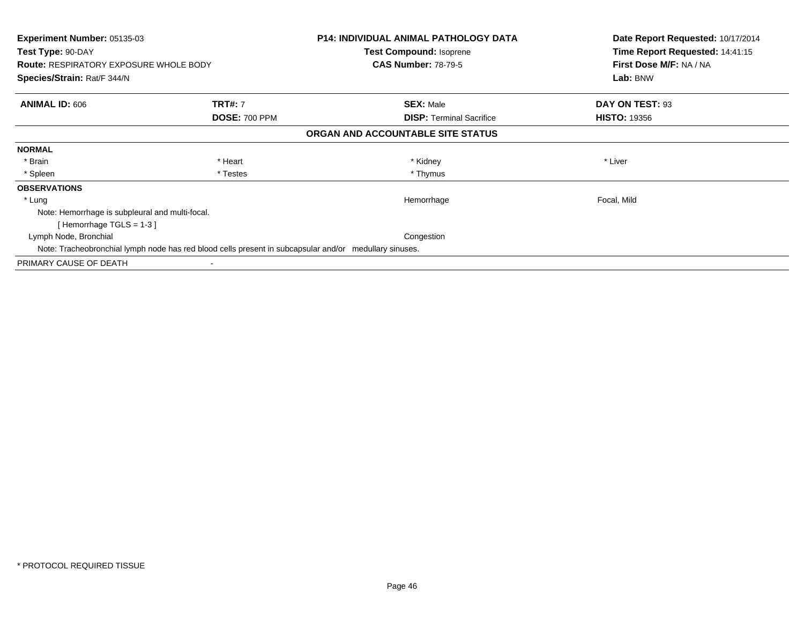| Experiment Number: 05135-03<br>Test Type: 90-DAY<br><b>Route: RESPIRATORY EXPOSURE WHOLE BODY</b><br>Species/Strain: Rat/F 344/N |                      | <b>P14: INDIVIDUAL ANIMAL PATHOLOGY DATA</b><br><b>Test Compound: Isoprene</b><br><b>CAS Number: 78-79-5</b> | Date Report Requested: 10/17/2014<br>Time Report Requested: 14:41:15<br>First Dose M/F: NA / NA<br>Lab: BNW |
|----------------------------------------------------------------------------------------------------------------------------------|----------------------|--------------------------------------------------------------------------------------------------------------|-------------------------------------------------------------------------------------------------------------|
|                                                                                                                                  |                      |                                                                                                              |                                                                                                             |
| <b>ANIMAL ID: 606</b>                                                                                                            | <b>TRT#: 7</b>       | <b>SEX: Male</b>                                                                                             | DAY ON TEST: 93                                                                                             |
|                                                                                                                                  | <b>DOSE: 700 PPM</b> | <b>DISP:</b> Terminal Sacrifice                                                                              | <b>HISTO: 19356</b>                                                                                         |
|                                                                                                                                  |                      | ORGAN AND ACCOUNTABLE SITE STATUS                                                                            |                                                                                                             |
| <b>NORMAL</b>                                                                                                                    |                      |                                                                                                              |                                                                                                             |
| * Brain                                                                                                                          | * Heart              | * Kidney                                                                                                     | * Liver                                                                                                     |
| * Spleen                                                                                                                         | * Testes             | * Thymus                                                                                                     |                                                                                                             |
| <b>OBSERVATIONS</b>                                                                                                              |                      |                                                                                                              |                                                                                                             |
| * Lung                                                                                                                           |                      | Hemorrhage                                                                                                   | Focal, Mild                                                                                                 |
| Note: Hemorrhage is subpleural and multi-focal.                                                                                  |                      |                                                                                                              |                                                                                                             |
| [Hemorrhage TGLS = 1-3]                                                                                                          |                      |                                                                                                              |                                                                                                             |
| Lymph Node, Bronchial                                                                                                            |                      | Congestion                                                                                                   |                                                                                                             |
| Note: Tracheobronchial lymph node has red blood cells present in subcapsular and/or medullary sinuses.                           |                      |                                                                                                              |                                                                                                             |
| PRIMARY CAUSE OF DEATH                                                                                                           |                      |                                                                                                              |                                                                                                             |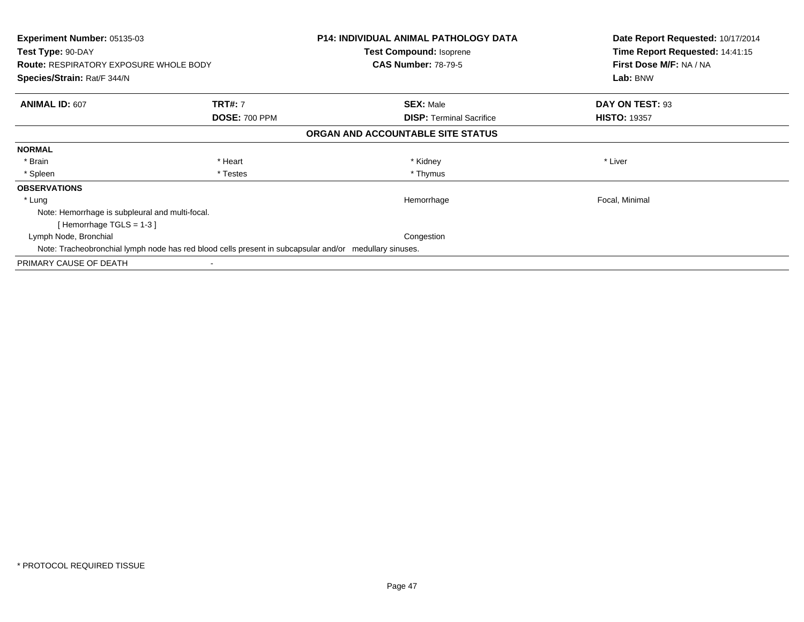| Experiment Number: 05135-03<br>Test Type: 90-DAY<br><b>Route: RESPIRATORY EXPOSURE WHOLE BODY</b><br>Species/Strain: Rat/F 344/N |                      | <b>P14: INDIVIDUAL ANIMAL PATHOLOGY DATA</b><br><b>Test Compound: Isoprene</b><br><b>CAS Number: 78-79-5</b> | Date Report Requested: 10/17/2014<br>Time Report Requested: 14:41:15<br>First Dose M/F: NA / NA<br>Lab: BNW |
|----------------------------------------------------------------------------------------------------------------------------------|----------------------|--------------------------------------------------------------------------------------------------------------|-------------------------------------------------------------------------------------------------------------|
|                                                                                                                                  |                      |                                                                                                              |                                                                                                             |
| <b>ANIMAL ID: 607</b>                                                                                                            | <b>TRT#: 7</b>       | <b>SEX: Male</b>                                                                                             | DAY ON TEST: 93                                                                                             |
|                                                                                                                                  | <b>DOSE: 700 PPM</b> | <b>DISP:</b> Terminal Sacrifice                                                                              | <b>HISTO: 19357</b>                                                                                         |
|                                                                                                                                  |                      | ORGAN AND ACCOUNTABLE SITE STATUS                                                                            |                                                                                                             |
| <b>NORMAL</b>                                                                                                                    |                      |                                                                                                              |                                                                                                             |
| * Brain                                                                                                                          | * Heart              | * Kidney                                                                                                     | * Liver                                                                                                     |
| * Spleen                                                                                                                         | * Testes             | * Thymus                                                                                                     |                                                                                                             |
| <b>OBSERVATIONS</b>                                                                                                              |                      |                                                                                                              |                                                                                                             |
| * Lung                                                                                                                           |                      | Hemorrhage                                                                                                   | Focal, Minimal                                                                                              |
| Note: Hemorrhage is subpleural and multi-focal.                                                                                  |                      |                                                                                                              |                                                                                                             |
| [Hemorrhage TGLS = 1-3]                                                                                                          |                      |                                                                                                              |                                                                                                             |
| Lymph Node, Bronchial                                                                                                            |                      | Congestion                                                                                                   |                                                                                                             |
| Note: Tracheobronchial lymph node has red blood cells present in subcapsular and/or medullary sinuses.                           |                      |                                                                                                              |                                                                                                             |
| PRIMARY CAUSE OF DEATH                                                                                                           |                      |                                                                                                              |                                                                                                             |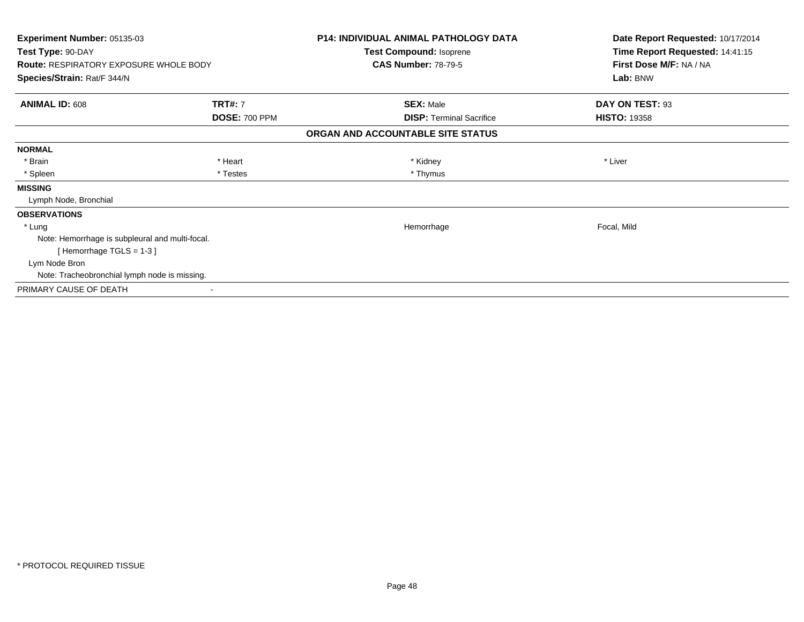| Experiment Number: 05135-03<br>Test Type: 90-DAY<br><b>Route: RESPIRATORY EXPOSURE WHOLE BODY</b> |                                        | <b>P14: INDIVIDUAL ANIMAL PATHOLOGY DATA</b><br>Test Compound: Isoprene<br><b>CAS Number: 78-79-5</b> | Date Report Requested: 10/17/2014<br>Time Report Requested: 14:41:15<br>First Dose M/F: NA / NA |
|---------------------------------------------------------------------------------------------------|----------------------------------------|-------------------------------------------------------------------------------------------------------|-------------------------------------------------------------------------------------------------|
| Species/Strain: Rat/F 344/N                                                                       |                                        |                                                                                                       | Lab: BNW                                                                                        |
| <b>ANIMAL ID: 608</b>                                                                             | <b>TRT#: 7</b><br><b>DOSE: 700 PPM</b> | <b>SEX: Male</b><br><b>DISP: Terminal Sacrifice</b>                                                   | DAY ON TEST: 93<br><b>HISTO: 19358</b>                                                          |
|                                                                                                   |                                        | ORGAN AND ACCOUNTABLE SITE STATUS                                                                     |                                                                                                 |
| <b>NORMAL</b>                                                                                     |                                        |                                                                                                       |                                                                                                 |
| * Brain                                                                                           | * Heart                                | * Kidney                                                                                              | * Liver                                                                                         |
| * Spleen                                                                                          | * Testes                               | * Thymus                                                                                              |                                                                                                 |
| <b>MISSING</b>                                                                                    |                                        |                                                                                                       |                                                                                                 |
| Lymph Node, Bronchial                                                                             |                                        |                                                                                                       |                                                                                                 |
| <b>OBSERVATIONS</b>                                                                               |                                        |                                                                                                       |                                                                                                 |
| * Lung                                                                                            |                                        | Hemorrhage                                                                                            | Focal, Mild                                                                                     |
| Note: Hemorrhage is subpleural and multi-focal.                                                   |                                        |                                                                                                       |                                                                                                 |
| [Hemorrhage TGLS = 1-3]                                                                           |                                        |                                                                                                       |                                                                                                 |
| Lym Node Bron                                                                                     |                                        |                                                                                                       |                                                                                                 |
| Note: Tracheobronchial lymph node is missing.                                                     |                                        |                                                                                                       |                                                                                                 |
| PRIMARY CAUSE OF DEATH                                                                            |                                        |                                                                                                       |                                                                                                 |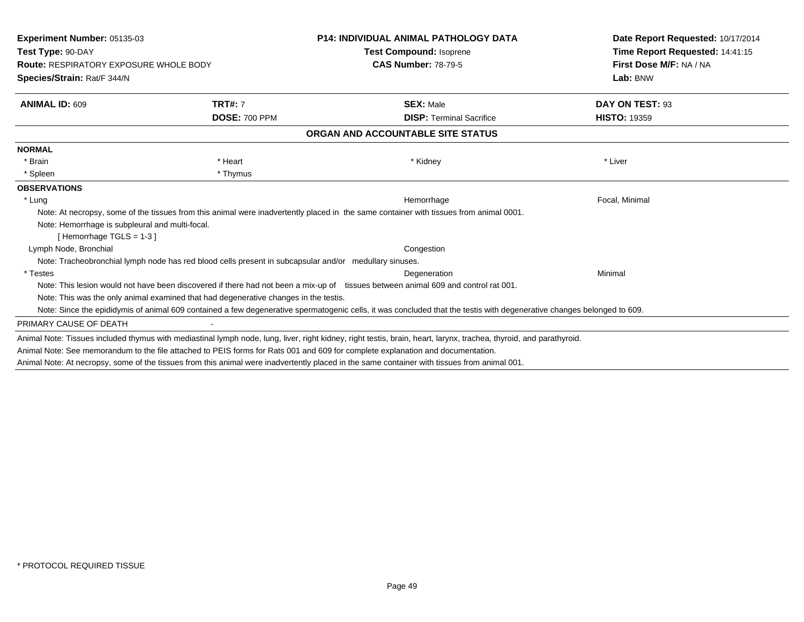| <b>Experiment Number: 05135-03</b><br>Test Type: 90-DAY<br><b>Route: RESPIRATORY EXPOSURE WHOLE BODY</b> |                      | <b>P14: INDIVIDUAL ANIMAL PATHOLOGY DATA</b>                                                                                                                           | Date Report Requested: 10/17/2014<br>Time Report Requested: 14:41:15 |
|----------------------------------------------------------------------------------------------------------|----------------------|------------------------------------------------------------------------------------------------------------------------------------------------------------------------|----------------------------------------------------------------------|
|                                                                                                          |                      | <b>Test Compound: Isoprene</b>                                                                                                                                         |                                                                      |
|                                                                                                          |                      | <b>CAS Number: 78-79-5</b>                                                                                                                                             | First Dose M/F: NA / NA                                              |
| Species/Strain: Rat/F 344/N                                                                              |                      |                                                                                                                                                                        | Lab: BNW                                                             |
| <b>ANIMAL ID: 609</b>                                                                                    | <b>TRT#: 7</b>       | <b>SEX: Male</b>                                                                                                                                                       | DAY ON TEST: 93                                                      |
|                                                                                                          | <b>DOSE: 700 PPM</b> | <b>DISP: Terminal Sacrifice</b>                                                                                                                                        | <b>HISTO: 19359</b>                                                  |
|                                                                                                          |                      | ORGAN AND ACCOUNTABLE SITE STATUS                                                                                                                                      |                                                                      |
| <b>NORMAL</b>                                                                                            |                      |                                                                                                                                                                        |                                                                      |
| * Brain                                                                                                  | * Heart              | * Kidney                                                                                                                                                               | * Liver                                                              |
| * Spleen                                                                                                 | * Thymus             |                                                                                                                                                                        |                                                                      |
| <b>OBSERVATIONS</b>                                                                                      |                      |                                                                                                                                                                        |                                                                      |
| * Lung                                                                                                   |                      | Hemorrhage                                                                                                                                                             | Focal, Minimal                                                       |
|                                                                                                          |                      | Note: At necropsy, some of the tissues from this animal were inadvertently placed in the same container with tissues from animal 0001.                                 |                                                                      |
| Note: Hemorrhage is subpleural and multi-focal.                                                          |                      |                                                                                                                                                                        |                                                                      |
| [Hemorrhage TGLS = $1-3$ ]                                                                               |                      |                                                                                                                                                                        |                                                                      |
| Lymph Node, Bronchial                                                                                    |                      | Congestion                                                                                                                                                             |                                                                      |
| Note: Tracheobronchial lymph node has red blood cells present in subcapsular and/or medullary sinuses.   |                      |                                                                                                                                                                        |                                                                      |
| * Testes                                                                                                 |                      | Degeneration                                                                                                                                                           | Minimal                                                              |
|                                                                                                          |                      | Note: This lesion would not have been discovered if there had not been a mix-up of tissues between animal 609 and control rat 001.                                     |                                                                      |
| Note: This was the only animal examined that had degenerative changes in the testis.                     |                      |                                                                                                                                                                        |                                                                      |
|                                                                                                          |                      | Note: Since the epididymis of animal 609 contained a few degenerative spermatogenic cells, it was concluded that the testis with degenerative changes belonged to 609. |                                                                      |
| PRIMARY CAUSE OF DEATH                                                                                   |                      |                                                                                                                                                                        |                                                                      |
|                                                                                                          |                      | Animal Note: Tissues included thymus with mediastinal lymph node, lung, liver, right kidney, right testis, brain, heart, larynx, trachea, thyroid, and parathyroid.    |                                                                      |
|                                                                                                          |                      | Animal Note: See memorandum to the file attached to PEIS forms for Rats 001 and 609 for complete explanation and documentation.                                        |                                                                      |
|                                                                                                          |                      | Animal Note: At necropsy, some of the tissues from this animal were inadvertently placed in the same container with tissues from animal 001.                           |                                                                      |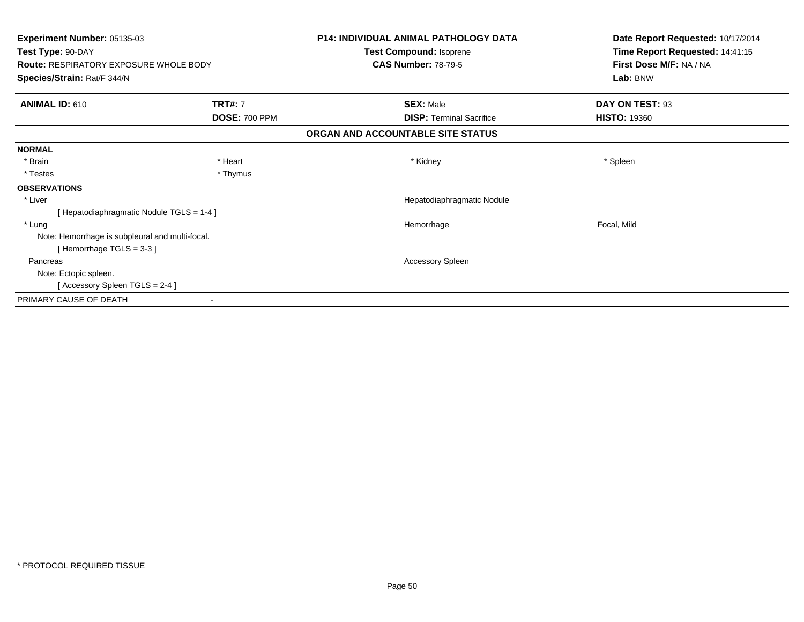| Experiment Number: 05135-03                     |                      | <b>P14: INDIVIDUAL ANIMAL PATHOLOGY DATA</b> | Date Report Requested: 10/17/2014 |
|-------------------------------------------------|----------------------|----------------------------------------------|-----------------------------------|
| Test Type: 90-DAY                               |                      | Test Compound: Isoprene                      | Time Report Requested: 14:41:15   |
| <b>Route: RESPIRATORY EXPOSURE WHOLE BODY</b>   |                      | <b>CAS Number: 78-79-5</b>                   | First Dose M/F: NA / NA           |
| Species/Strain: Rat/F 344/N                     |                      |                                              | Lab: BNW                          |
| <b>ANIMAL ID: 610</b>                           | <b>TRT#: 7</b>       | <b>SEX: Male</b>                             | DAY ON TEST: 93                   |
|                                                 | <b>DOSE: 700 PPM</b> | <b>DISP: Terminal Sacrifice</b>              | <b>HISTO: 19360</b>               |
|                                                 |                      | ORGAN AND ACCOUNTABLE SITE STATUS            |                                   |
| <b>NORMAL</b>                                   |                      |                                              |                                   |
| * Brain                                         | * Heart              | * Kidney                                     | * Spleen                          |
| * Testes                                        | * Thymus             |                                              |                                   |
| <b>OBSERVATIONS</b>                             |                      |                                              |                                   |
| * Liver                                         |                      | Hepatodiaphragmatic Nodule                   |                                   |
| [Hepatodiaphragmatic Nodule TGLS = 1-4]         |                      |                                              |                                   |
| * Lung                                          |                      | Hemorrhage                                   | Focal, Mild                       |
| Note: Hemorrhage is subpleural and multi-focal. |                      |                                              |                                   |
| [Hemorrhage TGLS = 3-3]                         |                      |                                              |                                   |
| Pancreas                                        |                      | Accessory Spleen                             |                                   |
| Note: Ectopic spleen.                           |                      |                                              |                                   |
| [Accessory Spleen TGLS = 2-4]                   |                      |                                              |                                   |
| PRIMARY CAUSE OF DEATH                          |                      |                                              |                                   |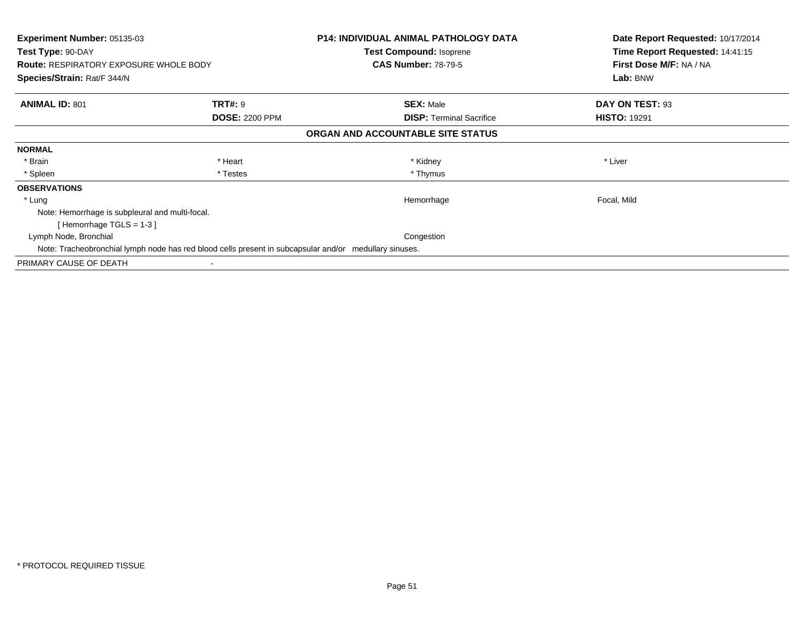| Experiment Number: 05135-03<br>Test Type: 90-DAY<br><b>Route: RESPIRATORY EXPOSURE WHOLE BODY</b><br>Species/Strain: Rat/F 344/N |                       | <b>P14: INDIVIDUAL ANIMAL PATHOLOGY DATA</b><br><b>Test Compound: Isoprene</b><br><b>CAS Number: 78-79-5</b> | Date Report Requested: 10/17/2014<br>Time Report Requested: 14:41:15<br>First Dose M/F: NA / NA<br>Lab: BNW |
|----------------------------------------------------------------------------------------------------------------------------------|-----------------------|--------------------------------------------------------------------------------------------------------------|-------------------------------------------------------------------------------------------------------------|
|                                                                                                                                  |                       |                                                                                                              |                                                                                                             |
| <b>ANIMAL ID: 801</b>                                                                                                            | <b>TRT#: 9</b>        | <b>SEX: Male</b>                                                                                             | DAY ON TEST: 93                                                                                             |
|                                                                                                                                  | <b>DOSE: 2200 PPM</b> | <b>DISP:</b> Terminal Sacrifice                                                                              | <b>HISTO: 19291</b>                                                                                         |
|                                                                                                                                  |                       | ORGAN AND ACCOUNTABLE SITE STATUS                                                                            |                                                                                                             |
| <b>NORMAL</b>                                                                                                                    |                       |                                                                                                              |                                                                                                             |
| * Brain                                                                                                                          | * Heart               | * Kidney                                                                                                     | * Liver                                                                                                     |
| * Spleen                                                                                                                         | * Testes              | * Thymus                                                                                                     |                                                                                                             |
| <b>OBSERVATIONS</b>                                                                                                              |                       |                                                                                                              |                                                                                                             |
| * Lung                                                                                                                           |                       | Hemorrhage                                                                                                   | Focal, Mild                                                                                                 |
| Note: Hemorrhage is subpleural and multi-focal.                                                                                  |                       |                                                                                                              |                                                                                                             |
| [Hemorrhage TGLS = 1-3]                                                                                                          |                       |                                                                                                              |                                                                                                             |
| Lymph Node, Bronchial                                                                                                            |                       | Congestion                                                                                                   |                                                                                                             |
| Note: Tracheobronchial lymph node has red blood cells present in subcapsular and/or medullary sinuses.                           |                       |                                                                                                              |                                                                                                             |
| PRIMARY CAUSE OF DEATH                                                                                                           |                       |                                                                                                              |                                                                                                             |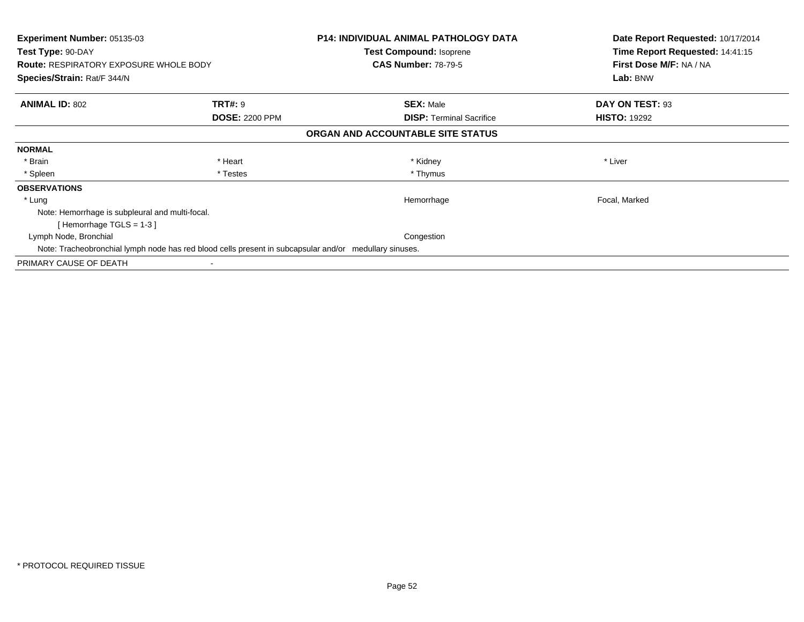| Experiment Number: 05135-03<br>Test Type: 90-DAY<br><b>Route: RESPIRATORY EXPOSURE WHOLE BODY</b><br>Species/Strain: Rat/F 344/N |                       | <b>P14: INDIVIDUAL ANIMAL PATHOLOGY DATA</b><br><b>Test Compound: Isoprene</b><br><b>CAS Number: 78-79-5</b> | Date Report Requested: 10/17/2014<br>Time Report Requested: 14:41:15<br>First Dose M/F: NA / NA<br>Lab: BNW |
|----------------------------------------------------------------------------------------------------------------------------------|-----------------------|--------------------------------------------------------------------------------------------------------------|-------------------------------------------------------------------------------------------------------------|
|                                                                                                                                  |                       |                                                                                                              |                                                                                                             |
| <b>ANIMAL ID: 802</b>                                                                                                            | <b>TRT#: 9</b>        | <b>SEX: Male</b>                                                                                             | DAY ON TEST: 93                                                                                             |
|                                                                                                                                  | <b>DOSE: 2200 PPM</b> | <b>DISP:</b> Terminal Sacrifice                                                                              | <b>HISTO: 19292</b>                                                                                         |
|                                                                                                                                  |                       | ORGAN AND ACCOUNTABLE SITE STATUS                                                                            |                                                                                                             |
| <b>NORMAL</b>                                                                                                                    |                       |                                                                                                              |                                                                                                             |
| * Brain                                                                                                                          | * Heart               | * Kidney                                                                                                     | * Liver                                                                                                     |
| * Spleen                                                                                                                         | * Testes              | * Thymus                                                                                                     |                                                                                                             |
| <b>OBSERVATIONS</b>                                                                                                              |                       |                                                                                                              |                                                                                                             |
| * Lung                                                                                                                           |                       | Hemorrhage                                                                                                   | Focal, Marked                                                                                               |
| Note: Hemorrhage is subpleural and multi-focal.                                                                                  |                       |                                                                                                              |                                                                                                             |
| [Hemorrhage TGLS = 1-3]                                                                                                          |                       |                                                                                                              |                                                                                                             |
| Lymph Node, Bronchial                                                                                                            |                       | Congestion                                                                                                   |                                                                                                             |
| Note: Tracheobronchial lymph node has red blood cells present in subcapsular and/or medullary sinuses.                           |                       |                                                                                                              |                                                                                                             |
| PRIMARY CAUSE OF DEATH                                                                                                           |                       |                                                                                                              |                                                                                                             |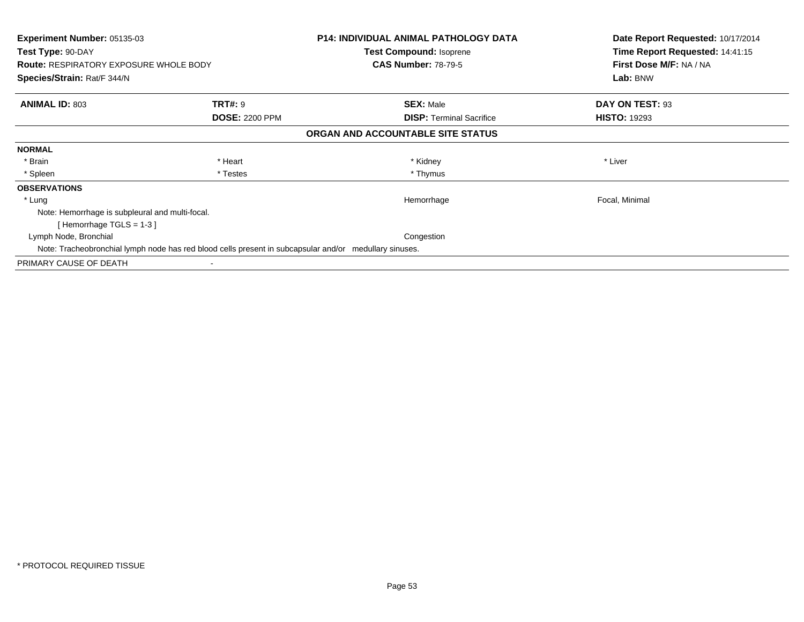| Experiment Number: 05135-03<br>Test Type: 90-DAY<br><b>Route: RESPIRATORY EXPOSURE WHOLE BODY</b><br>Species/Strain: Rat/F 344/N |                       | <b>P14: INDIVIDUAL ANIMAL PATHOLOGY DATA</b><br><b>Test Compound: Isoprene</b><br><b>CAS Number: 78-79-5</b> | Date Report Requested: 10/17/2014<br>Time Report Requested: 14:41:15<br>First Dose M/F: NA / NA<br>Lab: BNW |
|----------------------------------------------------------------------------------------------------------------------------------|-----------------------|--------------------------------------------------------------------------------------------------------------|-------------------------------------------------------------------------------------------------------------|
|                                                                                                                                  |                       |                                                                                                              |                                                                                                             |
| <b>ANIMAL ID: 803</b>                                                                                                            | <b>TRT#: 9</b>        | <b>SEX: Male</b>                                                                                             | DAY ON TEST: 93                                                                                             |
|                                                                                                                                  | <b>DOSE: 2200 PPM</b> | <b>DISP:</b> Terminal Sacrifice                                                                              | <b>HISTO: 19293</b>                                                                                         |
|                                                                                                                                  |                       | ORGAN AND ACCOUNTABLE SITE STATUS                                                                            |                                                                                                             |
| <b>NORMAL</b>                                                                                                                    |                       |                                                                                                              |                                                                                                             |
| * Brain                                                                                                                          | * Heart               | * Kidney                                                                                                     | * Liver                                                                                                     |
| * Spleen                                                                                                                         | * Testes              | * Thymus                                                                                                     |                                                                                                             |
| <b>OBSERVATIONS</b>                                                                                                              |                       |                                                                                                              |                                                                                                             |
| * Lung                                                                                                                           |                       | Hemorrhage                                                                                                   | Focal, Minimal                                                                                              |
| Note: Hemorrhage is subpleural and multi-focal.                                                                                  |                       |                                                                                                              |                                                                                                             |
| [Hemorrhage TGLS = 1-3]                                                                                                          |                       |                                                                                                              |                                                                                                             |
| Lymph Node, Bronchial                                                                                                            |                       | Congestion                                                                                                   |                                                                                                             |
| Note: Tracheobronchial lymph node has red blood cells present in subcapsular and/or medullary sinuses.                           |                       |                                                                                                              |                                                                                                             |
| PRIMARY CAUSE OF DEATH                                                                                                           |                       |                                                                                                              |                                                                                                             |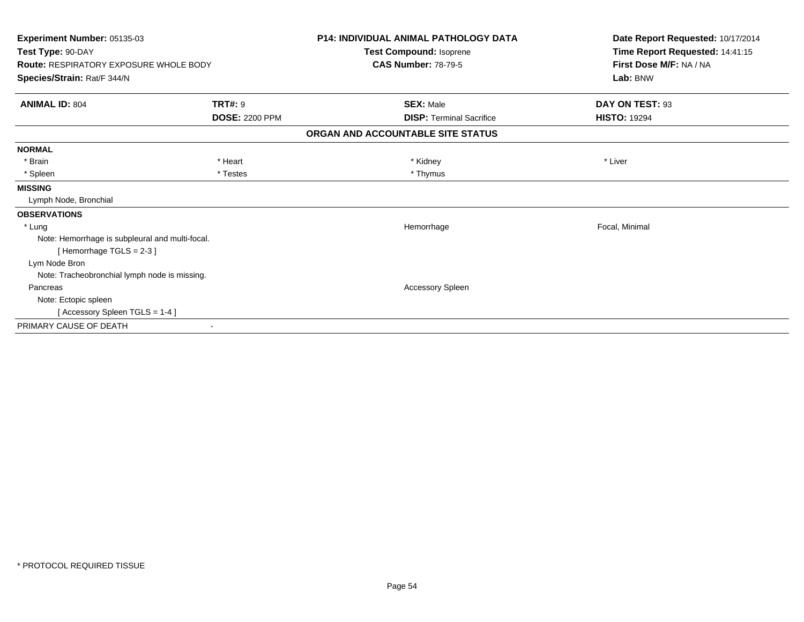| Experiment Number: 05135-03<br>Test Type: 90-DAY<br><b>Route: RESPIRATORY EXPOSURE WHOLE BODY</b><br>Species/Strain: Rat/F 344/N |                       | <b>P14: INDIVIDUAL ANIMAL PATHOLOGY DATA</b><br>Test Compound: Isoprene | Date Report Requested: 10/17/2014<br>Time Report Requested: 14:41:15<br>First Dose M/F: NA / NA<br>Lab: BNW |
|----------------------------------------------------------------------------------------------------------------------------------|-----------------------|-------------------------------------------------------------------------|-------------------------------------------------------------------------------------------------------------|
|                                                                                                                                  |                       | <b>CAS Number: 78-79-5</b>                                              |                                                                                                             |
| <b>ANIMAL ID: 804</b>                                                                                                            | <b>TRT#: 9</b>        | <b>SEX: Male</b>                                                        | DAY ON TEST: 93                                                                                             |
|                                                                                                                                  | <b>DOSE: 2200 PPM</b> | <b>DISP: Terminal Sacrifice</b>                                         | <b>HISTO: 19294</b>                                                                                         |
|                                                                                                                                  |                       | ORGAN AND ACCOUNTABLE SITE STATUS                                       |                                                                                                             |
| <b>NORMAL</b>                                                                                                                    |                       |                                                                         |                                                                                                             |
| * Brain                                                                                                                          | * Heart               | * Kidney                                                                | * Liver                                                                                                     |
| * Spleen                                                                                                                         | * Testes              | * Thymus                                                                |                                                                                                             |
| <b>MISSING</b>                                                                                                                   |                       |                                                                         |                                                                                                             |
| Lymph Node, Bronchial                                                                                                            |                       |                                                                         |                                                                                                             |
| <b>OBSERVATIONS</b>                                                                                                              |                       |                                                                         |                                                                                                             |
| * Lung                                                                                                                           |                       | Hemorrhage                                                              | Focal, Minimal                                                                                              |
| Note: Hemorrhage is subpleural and multi-focal.<br>[Hemorrhage TGLS = 2-3]                                                       |                       |                                                                         |                                                                                                             |
| Lym Node Bron                                                                                                                    |                       |                                                                         |                                                                                                             |
| Note: Tracheobronchial lymph node is missing.                                                                                    |                       |                                                                         |                                                                                                             |
| Pancreas                                                                                                                         |                       | Accessory Spleen                                                        |                                                                                                             |
| Note: Ectopic spleen                                                                                                             |                       |                                                                         |                                                                                                             |
| [Accessory Spleen TGLS = 1-4]                                                                                                    |                       |                                                                         |                                                                                                             |
| PRIMARY CAUSE OF DEATH                                                                                                           |                       |                                                                         |                                                                                                             |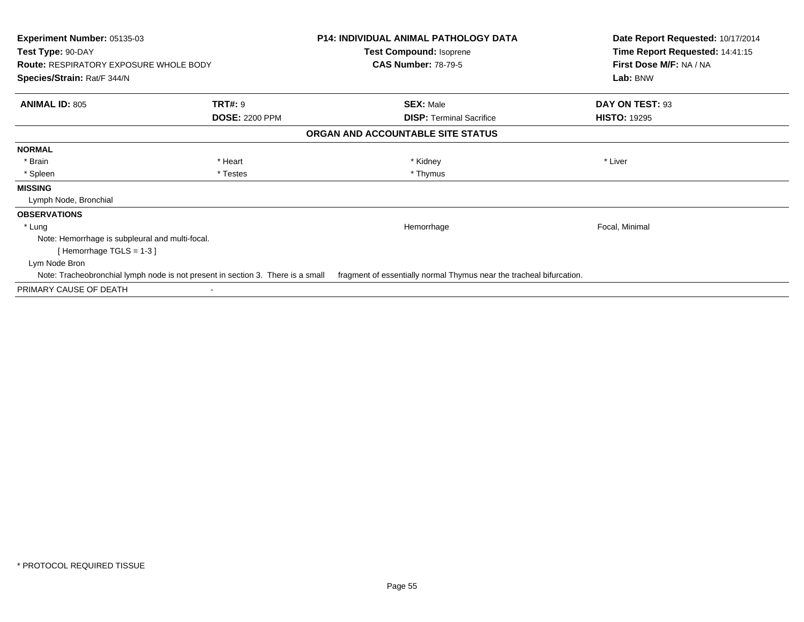| <b>Experiment Number: 05135-03</b><br>Test Type: 90-DAY                      |                                                                                 | <b>P14: INDIVIDUAL ANIMAL PATHOLOGY DATA</b><br><b>Test Compound: Isoprene</b> | Date Report Requested: 10/17/2014<br>Time Report Requested: 14:41:15 |
|------------------------------------------------------------------------------|---------------------------------------------------------------------------------|--------------------------------------------------------------------------------|----------------------------------------------------------------------|
| <b>Route: RESPIRATORY EXPOSURE WHOLE BODY</b><br>Species/Strain: Rat/F 344/N |                                                                                 | <b>CAS Number: 78-79-5</b>                                                     | First Dose M/F: NA / NA<br>Lab: BNW                                  |
| <b>ANIMAL ID: 805</b>                                                        | <b>TRT#: 9</b><br><b>DOSE: 2200 PPM</b>                                         | <b>SEX: Male</b><br><b>DISP: Terminal Sacrifice</b>                            | DAY ON TEST: 93<br><b>HISTO: 19295</b>                               |
|                                                                              |                                                                                 | ORGAN AND ACCOUNTABLE SITE STATUS                                              |                                                                      |
| <b>NORMAL</b>                                                                |                                                                                 |                                                                                |                                                                      |
| * Brain                                                                      | * Heart                                                                         | * Kidney                                                                       | * Liver                                                              |
| * Spleen                                                                     | * Testes                                                                        | * Thymus                                                                       |                                                                      |
| <b>MISSING</b>                                                               |                                                                                 |                                                                                |                                                                      |
| Lymph Node, Bronchial                                                        |                                                                                 |                                                                                |                                                                      |
| <b>OBSERVATIONS</b>                                                          |                                                                                 |                                                                                |                                                                      |
| * Lung                                                                       |                                                                                 | Hemorrhage                                                                     | Focal, Minimal                                                       |
| Note: Hemorrhage is subpleural and multi-focal.                              |                                                                                 |                                                                                |                                                                      |
| [Hemorrhage TGLS = $1-3$ ]                                                   |                                                                                 |                                                                                |                                                                      |
| Lym Node Bron                                                                |                                                                                 |                                                                                |                                                                      |
|                                                                              | Note: Tracheobronchial lymph node is not present in section 3. There is a small | fragment of essentially normal Thymus near the tracheal bifurcation.           |                                                                      |
| PRIMARY CAUSE OF DEATH                                                       |                                                                                 |                                                                                |                                                                      |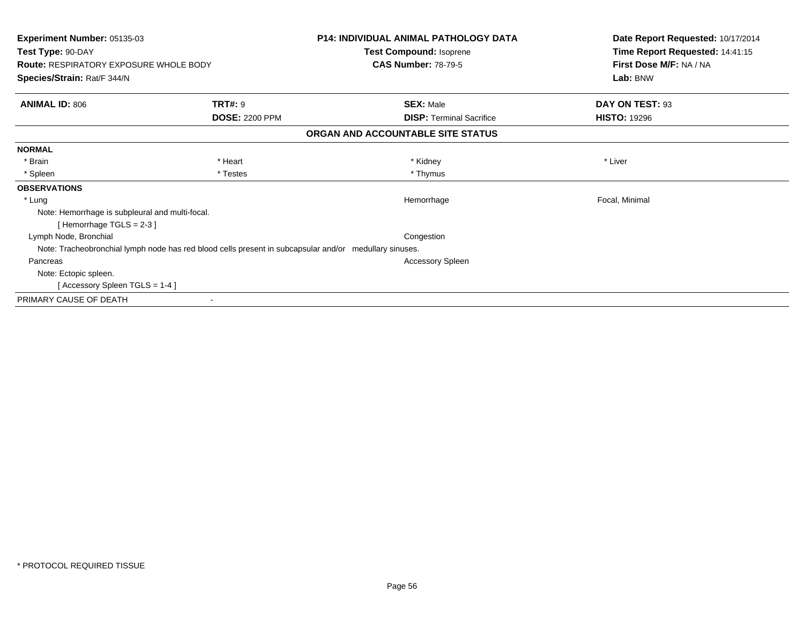| Experiment Number: 05135-03<br>Test Type: 90-DAY |                                                                                                        | <b>P14: INDIVIDUAL ANIMAL PATHOLOGY DATA</b><br><b>Test Compound: Isoprene</b> | Date Report Requested: 10/17/2014<br>Time Report Requested: 14:41:15 |
|--------------------------------------------------|--------------------------------------------------------------------------------------------------------|--------------------------------------------------------------------------------|----------------------------------------------------------------------|
| <b>Route: RESPIRATORY EXPOSURE WHOLE BODY</b>    |                                                                                                        | <b>CAS Number: 78-79-5</b>                                                     | First Dose M/F: NA / NA                                              |
| Species/Strain: Rat/F 344/N                      |                                                                                                        |                                                                                | Lab: BNW                                                             |
| <b>ANIMAL ID: 806</b>                            | <b>TRT#: 9</b>                                                                                         | <b>SEX: Male</b>                                                               | DAY ON TEST: 93                                                      |
|                                                  | <b>DOSE: 2200 PPM</b>                                                                                  | <b>DISP: Terminal Sacrifice</b>                                                | <b>HISTO: 19296</b>                                                  |
|                                                  |                                                                                                        | ORGAN AND ACCOUNTABLE SITE STATUS                                              |                                                                      |
| <b>NORMAL</b>                                    |                                                                                                        |                                                                                |                                                                      |
| * Brain                                          | * Heart                                                                                                | * Kidney                                                                       | * Liver                                                              |
| * Spleen                                         | * Testes                                                                                               | * Thymus                                                                       |                                                                      |
| <b>OBSERVATIONS</b>                              |                                                                                                        |                                                                                |                                                                      |
| * Lung                                           |                                                                                                        | Hemorrhage                                                                     | Focal, Minimal                                                       |
| Note: Hemorrhage is subpleural and multi-focal.  |                                                                                                        |                                                                                |                                                                      |
| [Hemorrhage TGLS = $2-3$ ]                       |                                                                                                        |                                                                                |                                                                      |
| Lymph Node, Bronchial                            |                                                                                                        | Congestion                                                                     |                                                                      |
|                                                  | Note: Tracheobronchial lymph node has red blood cells present in subcapsular and/or medullary sinuses. |                                                                                |                                                                      |
| Pancreas                                         |                                                                                                        | Accessory Spleen                                                               |                                                                      |
| Note: Ectopic spleen.                            |                                                                                                        |                                                                                |                                                                      |
| [Accessory Spleen TGLS = 1-4]                    |                                                                                                        |                                                                                |                                                                      |
| PRIMARY CAUSE OF DEATH                           |                                                                                                        |                                                                                |                                                                      |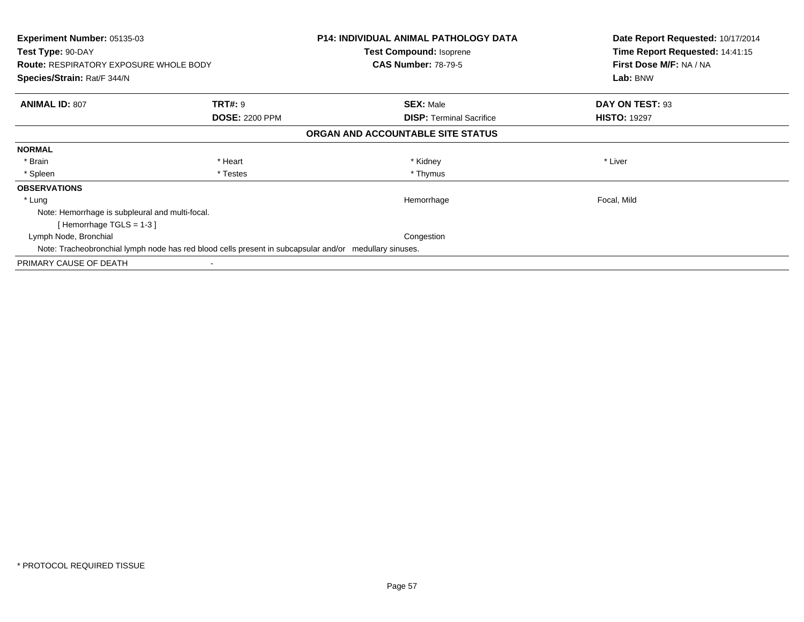| Experiment Number: 05135-03<br>Test Type: 90-DAY<br><b>Route: RESPIRATORY EXPOSURE WHOLE BODY</b><br>Species/Strain: Rat/F 344/N |                       | <b>P14: INDIVIDUAL ANIMAL PATHOLOGY DATA</b><br><b>Test Compound: Isoprene</b><br><b>CAS Number: 78-79-5</b> | Date Report Requested: 10/17/2014<br>Time Report Requested: 14:41:15<br>First Dose M/F: NA / NA<br>Lab: BNW |
|----------------------------------------------------------------------------------------------------------------------------------|-----------------------|--------------------------------------------------------------------------------------------------------------|-------------------------------------------------------------------------------------------------------------|
|                                                                                                                                  |                       |                                                                                                              |                                                                                                             |
| <b>ANIMAL ID: 807</b>                                                                                                            | <b>TRT#: 9</b>        | <b>SEX: Male</b>                                                                                             | DAY ON TEST: 93                                                                                             |
|                                                                                                                                  | <b>DOSE: 2200 PPM</b> | <b>DISP:</b> Terminal Sacrifice                                                                              | <b>HISTO: 19297</b>                                                                                         |
|                                                                                                                                  |                       | ORGAN AND ACCOUNTABLE SITE STATUS                                                                            |                                                                                                             |
| <b>NORMAL</b>                                                                                                                    |                       |                                                                                                              |                                                                                                             |
| * Brain                                                                                                                          | * Heart               | * Kidney                                                                                                     | * Liver                                                                                                     |
| * Spleen                                                                                                                         | * Testes              | * Thymus                                                                                                     |                                                                                                             |
| <b>OBSERVATIONS</b>                                                                                                              |                       |                                                                                                              |                                                                                                             |
| * Lung                                                                                                                           |                       | Hemorrhage                                                                                                   | Focal, Mild                                                                                                 |
| Note: Hemorrhage is subpleural and multi-focal.                                                                                  |                       |                                                                                                              |                                                                                                             |
| [Hemorrhage TGLS = 1-3]                                                                                                          |                       |                                                                                                              |                                                                                                             |
| Lymph Node, Bronchial                                                                                                            |                       | Congestion                                                                                                   |                                                                                                             |
| Note: Tracheobronchial lymph node has red blood cells present in subcapsular and/or medullary sinuses.                           |                       |                                                                                                              |                                                                                                             |
| PRIMARY CAUSE OF DEATH                                                                                                           |                       |                                                                                                              |                                                                                                             |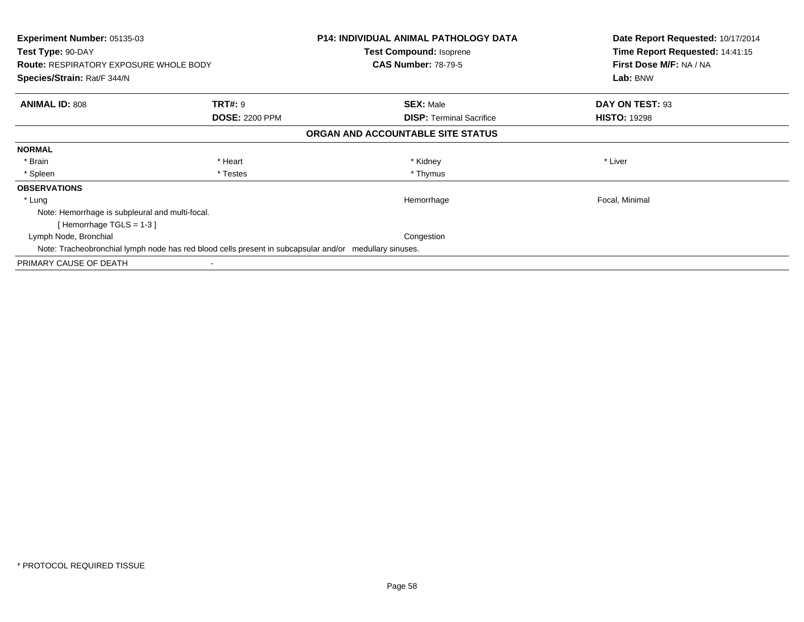| Experiment Number: 05135-03<br>Test Type: 90-DAY<br><b>Route: RESPIRATORY EXPOSURE WHOLE BODY</b><br>Species/Strain: Rat/F 344/N |                       | <b>P14: INDIVIDUAL ANIMAL PATHOLOGY DATA</b><br><b>Test Compound: Isoprene</b><br><b>CAS Number: 78-79-5</b> | Date Report Requested: 10/17/2014<br>Time Report Requested: 14:41:15<br>First Dose M/F: NA / NA<br>Lab: BNW |
|----------------------------------------------------------------------------------------------------------------------------------|-----------------------|--------------------------------------------------------------------------------------------------------------|-------------------------------------------------------------------------------------------------------------|
|                                                                                                                                  |                       |                                                                                                              |                                                                                                             |
| <b>ANIMAL ID: 808</b>                                                                                                            | <b>TRT#: 9</b>        | <b>SEX: Male</b>                                                                                             | DAY ON TEST: 93                                                                                             |
|                                                                                                                                  | <b>DOSE: 2200 PPM</b> | <b>DISP:</b> Terminal Sacrifice                                                                              | <b>HISTO: 19298</b>                                                                                         |
|                                                                                                                                  |                       | ORGAN AND ACCOUNTABLE SITE STATUS                                                                            |                                                                                                             |
| <b>NORMAL</b>                                                                                                                    |                       |                                                                                                              |                                                                                                             |
| * Brain                                                                                                                          | * Heart               | * Kidney                                                                                                     | * Liver                                                                                                     |
| * Spleen                                                                                                                         | * Testes              | * Thymus                                                                                                     |                                                                                                             |
| <b>OBSERVATIONS</b>                                                                                                              |                       |                                                                                                              |                                                                                                             |
| * Lung                                                                                                                           |                       | Hemorrhage                                                                                                   | Focal, Minimal                                                                                              |
| Note: Hemorrhage is subpleural and multi-focal.                                                                                  |                       |                                                                                                              |                                                                                                             |
| [Hemorrhage TGLS = 1-3]                                                                                                          |                       |                                                                                                              |                                                                                                             |
| Lymph Node, Bronchial                                                                                                            |                       | Congestion                                                                                                   |                                                                                                             |
| Note: Tracheobronchial lymph node has red blood cells present in subcapsular and/or medullary sinuses.                           |                       |                                                                                                              |                                                                                                             |
| PRIMARY CAUSE OF DEATH                                                                                                           |                       |                                                                                                              |                                                                                                             |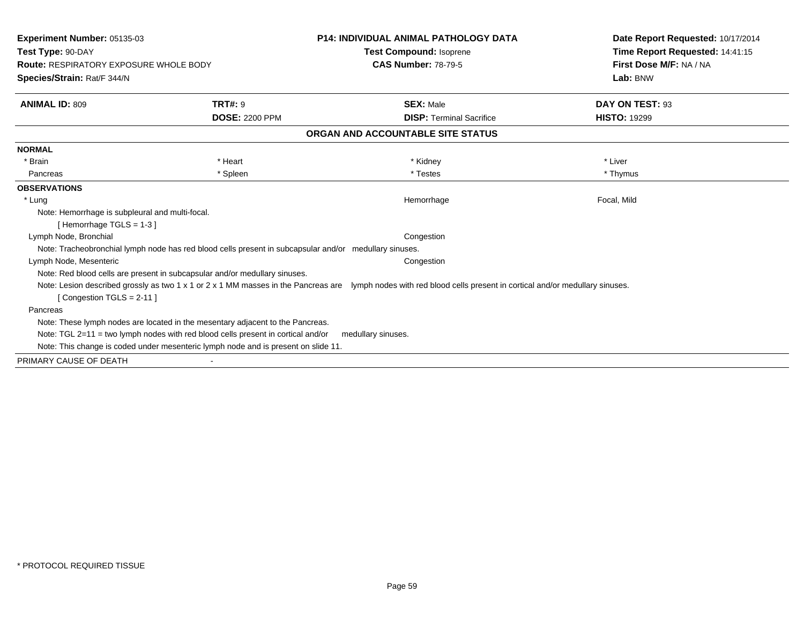| <b>Experiment Number: 05135-03</b><br>Test Type: 90-DAY<br><b>Route: RESPIRATORY EXPOSURE WHOLE BODY</b><br>Species/Strain: Rat/F 344/N |                       | <b>P14: INDIVIDUAL ANIMAL PATHOLOGY DATA</b><br><b>Test Compound: Isoprene</b><br><b>CAS Number: 78-79-5</b>                                                      | Date Report Requested: 10/17/2014<br>Time Report Requested: 14:41:15<br>First Dose M/F: NA / NA<br>Lab: BNW |
|-----------------------------------------------------------------------------------------------------------------------------------------|-----------------------|-------------------------------------------------------------------------------------------------------------------------------------------------------------------|-------------------------------------------------------------------------------------------------------------|
| <b>ANIMAL ID: 809</b>                                                                                                                   | <b>TRT#: 9</b>        | <b>SEX: Male</b>                                                                                                                                                  | DAY ON TEST: 93                                                                                             |
|                                                                                                                                         | <b>DOSE: 2200 PPM</b> | <b>DISP: Terminal Sacrifice</b>                                                                                                                                   | <b>HISTO: 19299</b>                                                                                         |
|                                                                                                                                         |                       | ORGAN AND ACCOUNTABLE SITE STATUS                                                                                                                                 |                                                                                                             |
| <b>NORMAL</b>                                                                                                                           |                       |                                                                                                                                                                   |                                                                                                             |
| * Brain                                                                                                                                 | * Heart               | * Kidney                                                                                                                                                          | * Liver                                                                                                     |
| Pancreas                                                                                                                                | * Spleen              | * Testes                                                                                                                                                          | * Thymus                                                                                                    |
| <b>OBSERVATIONS</b>                                                                                                                     |                       |                                                                                                                                                                   |                                                                                                             |
| * Lung                                                                                                                                  |                       | Hemorrhage                                                                                                                                                        | Focal, Mild                                                                                                 |
| Note: Hemorrhage is subpleural and multi-focal.<br>[Hemorrhage TGLS = $1-3$ ]                                                           |                       |                                                                                                                                                                   |                                                                                                             |
| Lymph Node, Bronchial                                                                                                                   |                       | Congestion                                                                                                                                                        |                                                                                                             |
| Note: Tracheobronchial lymph node has red blood cells present in subcapsular and/or medullary sinuses.                                  |                       |                                                                                                                                                                   |                                                                                                             |
| Lymph Node, Mesenteric                                                                                                                  |                       | Congestion                                                                                                                                                        |                                                                                                             |
| Note: Red blood cells are present in subcapsular and/or medullary sinuses.                                                              |                       |                                                                                                                                                                   |                                                                                                             |
| [Congestion TGLS = $2-11$ ]                                                                                                             |                       | Note: Lesion described grossly as two 1 x 1 or 2 x 1 MM masses in the Pancreas are lymph nodes with red blood cells present in cortical and/or medullary sinuses. |                                                                                                             |
| Pancreas                                                                                                                                |                       |                                                                                                                                                                   |                                                                                                             |
| Note: These lymph nodes are located in the mesentary adjacent to the Pancreas.                                                          |                       |                                                                                                                                                                   |                                                                                                             |
| Note: TGL $2=11$ = two lymph nodes with red blood cells present in cortical and/or                                                      |                       | medullary sinuses.                                                                                                                                                |                                                                                                             |
| Note: This change is coded under mesenteric lymph node and is present on slide 11.                                                      |                       |                                                                                                                                                                   |                                                                                                             |
| PRIMARY CAUSE OF DEATH                                                                                                                  |                       |                                                                                                                                                                   |                                                                                                             |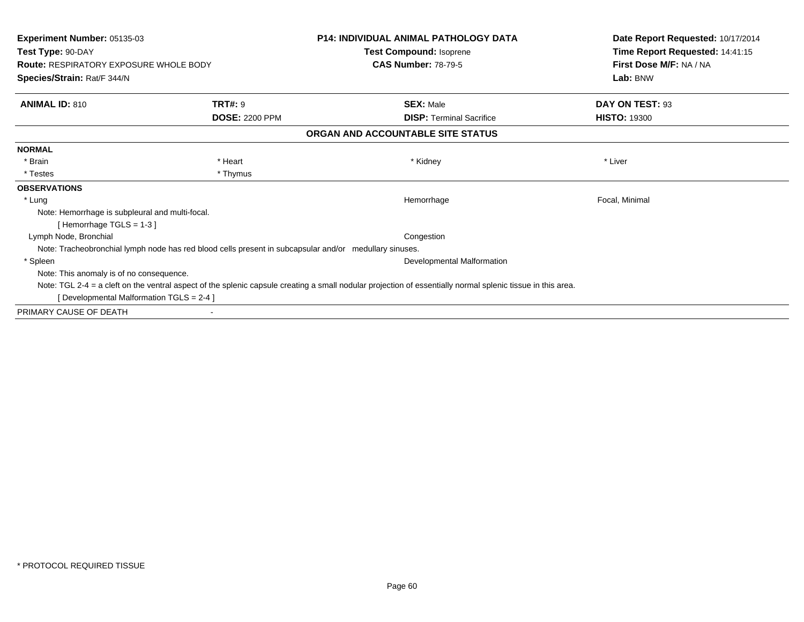| <b>Experiment Number: 05135-03</b>                                                                     |                       | <b>P14: INDIVIDUAL ANIMAL PATHOLOGY DATA</b>                                                                                                                | Date Report Requested: 10/17/2014                                      |
|--------------------------------------------------------------------------------------------------------|-----------------------|-------------------------------------------------------------------------------------------------------------------------------------------------------------|------------------------------------------------------------------------|
| Test Type: 90-DAY<br><b>Route: RESPIRATORY EXPOSURE WHOLE BODY</b><br>Species/Strain: Rat/F 344/N      |                       | Test Compound: Isoprene<br><b>CAS Number: 78-79-5</b>                                                                                                       | Time Report Requested: 14:41:15<br>First Dose M/F: NA / NA<br>Lab: BNW |
| <b>ANIMAL ID: 810</b>                                                                                  | <b>TRT#: 9</b>        | <b>SEX: Male</b>                                                                                                                                            | DAY ON TEST: 93                                                        |
|                                                                                                        | <b>DOSE: 2200 PPM</b> | <b>DISP:</b> Terminal Sacrifice                                                                                                                             | <b>HISTO: 19300</b>                                                    |
|                                                                                                        |                       | ORGAN AND ACCOUNTABLE SITE STATUS                                                                                                                           |                                                                        |
| <b>NORMAL</b>                                                                                          |                       |                                                                                                                                                             |                                                                        |
| * Brain                                                                                                | * Heart               | * Kidney                                                                                                                                                    | * Liver                                                                |
| * Testes                                                                                               | * Thymus              |                                                                                                                                                             |                                                                        |
| <b>OBSERVATIONS</b>                                                                                    |                       |                                                                                                                                                             |                                                                        |
| * Lung                                                                                                 |                       | Hemorrhage                                                                                                                                                  | Focal, Minimal                                                         |
| Note: Hemorrhage is subpleural and multi-focal.                                                        |                       |                                                                                                                                                             |                                                                        |
| [Hemorrhage TGLS = $1-3$ ]                                                                             |                       |                                                                                                                                                             |                                                                        |
| Lymph Node, Bronchial                                                                                  |                       | Congestion                                                                                                                                                  |                                                                        |
| Note: Tracheobronchial lymph node has red blood cells present in subcapsular and/or medullary sinuses. |                       |                                                                                                                                                             |                                                                        |
| * Spleen                                                                                               |                       | Developmental Malformation                                                                                                                                  |                                                                        |
| Note: This anomaly is of no consequence.                                                               |                       |                                                                                                                                                             |                                                                        |
|                                                                                                        |                       | Note: TGL 2-4 = a cleft on the ventral aspect of the splenic capsule creating a small nodular projection of essentially normal splenic tissue in this area. |                                                                        |
| [Developmental Malformation TGLS = 2-4 ]                                                               |                       |                                                                                                                                                             |                                                                        |
| PRIMARY CAUSE OF DEATH                                                                                 |                       |                                                                                                                                                             |                                                                        |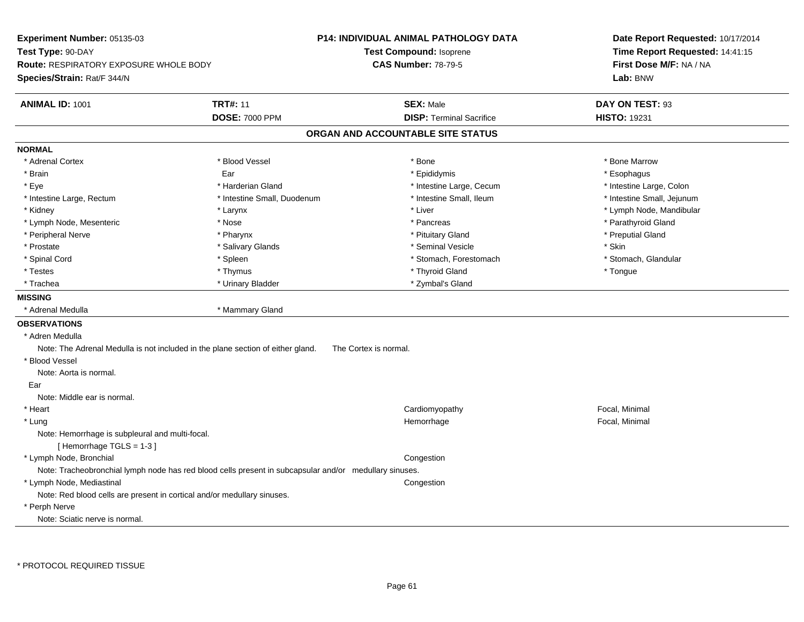| Experiment Number: 05135-03<br>Test Type: 90-DAY<br>Route: RESPIRATORY EXPOSURE WHOLE BODY<br>Species/Strain: Rat/F 344/N |                                          | P14: INDIVIDUAL ANIMAL PATHOLOGY DATA<br>Test Compound: Isoprene<br><b>CAS Number: 78-79-5</b> | Date Report Requested: 10/17/2014<br>Time Report Requested: 14:41:15<br>First Dose M/F: NA / NA<br>Lab: BNW |  |  |
|---------------------------------------------------------------------------------------------------------------------------|------------------------------------------|------------------------------------------------------------------------------------------------|-------------------------------------------------------------------------------------------------------------|--|--|
| <b>ANIMAL ID: 1001</b>                                                                                                    | <b>TRT#: 11</b><br><b>DOSE: 7000 PPM</b> | <b>SEX: Male</b><br><b>DISP: Terminal Sacrifice</b>                                            | DAY ON TEST: 93<br><b>HISTO: 19231</b>                                                                      |  |  |
|                                                                                                                           |                                          | ORGAN AND ACCOUNTABLE SITE STATUS                                                              |                                                                                                             |  |  |
| <b>NORMAL</b>                                                                                                             |                                          |                                                                                                |                                                                                                             |  |  |
| * Adrenal Cortex                                                                                                          | * Blood Vessel                           | * Bone                                                                                         | * Bone Marrow                                                                                               |  |  |
| * Brain                                                                                                                   | Ear                                      | * Epididymis                                                                                   | * Esophagus                                                                                                 |  |  |
| * Eye                                                                                                                     | * Harderian Gland                        | * Intestine Large, Cecum                                                                       | * Intestine Large, Colon                                                                                    |  |  |
| * Intestine Large, Rectum                                                                                                 | * Intestine Small, Duodenum              | * Intestine Small, Ileum                                                                       | * Intestine Small, Jejunum                                                                                  |  |  |
| * Kidney                                                                                                                  | * Larynx                                 | * Liver                                                                                        | * Lymph Node, Mandibular                                                                                    |  |  |
| * Lymph Node, Mesenteric                                                                                                  | * Nose                                   | * Pancreas                                                                                     | * Parathyroid Gland                                                                                         |  |  |
| * Peripheral Nerve                                                                                                        | * Pharynx                                | * Pituitary Gland                                                                              | * Preputial Gland                                                                                           |  |  |
| * Prostate                                                                                                                | * Salivary Glands                        | * Seminal Vesicle                                                                              | * Skin                                                                                                      |  |  |
| * Spinal Cord                                                                                                             | * Spleen                                 | * Stomach, Forestomach                                                                         | * Stomach, Glandular                                                                                        |  |  |
| * Testes                                                                                                                  | * Thymus                                 | * Thyroid Gland                                                                                | * Tongue                                                                                                    |  |  |
| * Trachea                                                                                                                 | * Urinary Bladder                        | * Zymbal's Gland                                                                               |                                                                                                             |  |  |
| <b>MISSING</b>                                                                                                            |                                          |                                                                                                |                                                                                                             |  |  |
| * Adrenal Medulla                                                                                                         | * Mammary Gland                          |                                                                                                |                                                                                                             |  |  |
| <b>OBSERVATIONS</b>                                                                                                       |                                          |                                                                                                |                                                                                                             |  |  |
| * Adren Medulla                                                                                                           |                                          |                                                                                                |                                                                                                             |  |  |
| Note: The Adrenal Medulla is not included in the plane section of either gland.                                           |                                          | The Cortex is normal.                                                                          |                                                                                                             |  |  |
| * Blood Vessel                                                                                                            |                                          |                                                                                                |                                                                                                             |  |  |
| Note: Aorta is normal.                                                                                                    |                                          |                                                                                                |                                                                                                             |  |  |
| Ear                                                                                                                       |                                          |                                                                                                |                                                                                                             |  |  |
| Note: Middle ear is normal.                                                                                               |                                          |                                                                                                |                                                                                                             |  |  |
| * Heart                                                                                                                   |                                          | Cardiomyopathy                                                                                 | Focal, Minimal                                                                                              |  |  |
| * Lung                                                                                                                    |                                          | Hemorrhage                                                                                     | Focal, Minimal                                                                                              |  |  |
| Note: Hemorrhage is subpleural and multi-focal.<br>[Hemorrhage TGLS = 1-3]                                                |                                          |                                                                                                |                                                                                                             |  |  |
| * Lymph Node, Bronchial                                                                                                   |                                          | Congestion                                                                                     |                                                                                                             |  |  |
| Note: Tracheobronchial lymph node has red blood cells present in subcapsular and/or medullary sinuses.                    |                                          |                                                                                                |                                                                                                             |  |  |
| * Lymph Node, Mediastinal                                                                                                 |                                          | Congestion                                                                                     |                                                                                                             |  |  |
| Note: Red blood cells are present in cortical and/or medullary sinuses.                                                   |                                          |                                                                                                |                                                                                                             |  |  |
| * Perph Nerve                                                                                                             |                                          |                                                                                                |                                                                                                             |  |  |
| Note: Sciatic nerve is normal.                                                                                            |                                          |                                                                                                |                                                                                                             |  |  |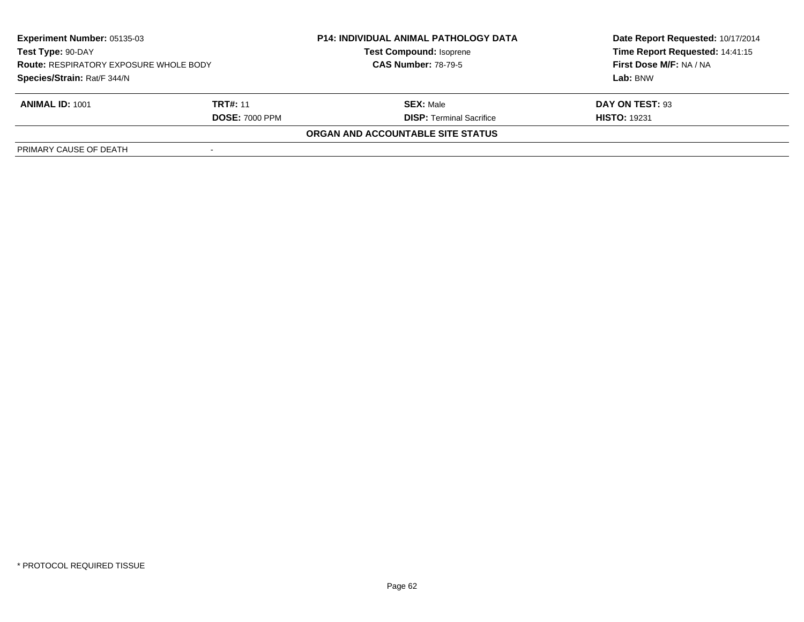| <b>Experiment Number: 05135-03</b><br>Test Type: 90-DAY<br><b>Route: RESPIRATORY EXPOSURE WHOLE BODY</b><br>Species/Strain: Rat/F 344/N |                       | <b>P14: INDIVIDUAL ANIMAL PATHOLOGY DATA</b><br><b>Test Compound: Isoprene</b> | Date Report Requested: 10/17/2014<br>Time Report Requested: 14:41:15<br>First Dose M/F: NA / NA |
|-----------------------------------------------------------------------------------------------------------------------------------------|-----------------------|--------------------------------------------------------------------------------|-------------------------------------------------------------------------------------------------|
|                                                                                                                                         |                       | <b>CAS Number: 78-79-5</b>                                                     |                                                                                                 |
|                                                                                                                                         |                       |                                                                                | Lab: BNW                                                                                        |
| <b>ANIMAL ID: 1001</b>                                                                                                                  | <b>TRT#: 11</b>       | <b>SEX: Male</b>                                                               | DAY ON TEST: 93                                                                                 |
|                                                                                                                                         | <b>DOSE: 7000 PPM</b> | <b>DISP: Terminal Sacrifice</b>                                                | <b>HISTO: 19231</b>                                                                             |
|                                                                                                                                         |                       | <b>ORGAN AND ACCOUNTABLE SITE STATUS</b>                                       |                                                                                                 |
| PRIMARY CAUSE OF DEATH                                                                                                                  |                       |                                                                                |                                                                                                 |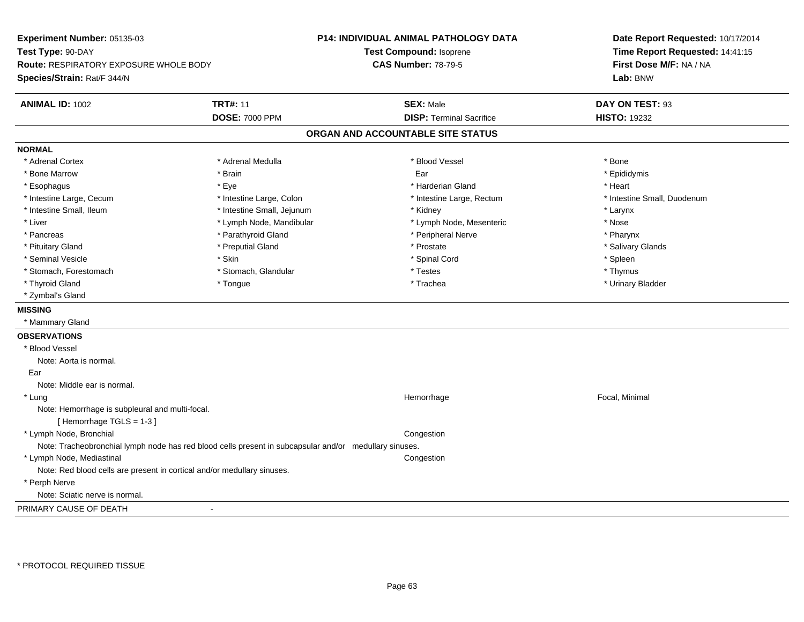**Experiment Number:** 05135-03**Test Type:** 90-DAY **Route:** RESPIRATORY EXPOSURE WHOLE BODY**Species/Strain:** Rat/F 344/N**P14: INDIVIDUAL ANIMAL PATHOLOGY DATATest Compound:** Isoprene**CAS Number:** 78-79-5**Date Report Requested:** 10/17/2014**Time Report Requested:** 14:41:15**First Dose M/F:** NA / NA**Lab:** BNW**ANIMAL ID:** 1002**TRT#:** 11 **SEX:** Male **DAY ON TEST:** 93 **DOSE:** 7000 PPM**DISP:** Terminal Sacrifice **HISTO:** 19232 **ORGAN AND ACCOUNTABLE SITE STATUSNORMAL**\* Adrenal Cortex \* Adrenal Cortex \* \* Adrenal Medulla \* \* Adrenal Medulla \* \* Blood Vessel \* \* Brood Vessel \* \* Bone \* Epididymis \* Bone Marrow \* \* Androidymis \* Brain \* \* Brain \* \* Epididymis \* Ear \* \* Epididymis \* Epididymis \* Epididymis \* \* Esophagus \* \* \* exercises \* \* Eye \* \* \* \* \* \* \* \* \* \* \* \* \* \* \* Harderian Gland \* \* \* \* \* \* \* \* \* Heart \* \* Heart \* Intestine Large, Cecum \* Intestine Large, Colon \* Intestine Large, Rectum \* Intestine Small, Duodenum \* Intestine Small, Ileum \* Intestine Small, Jejunum \* Kidney \* Larynx\* Nose \* Liver \* Lymph Node, Mandibular \* Note and \* Lymph Node, Mesenteric \* November \* Nose and \* Nose and \* Nose and \* Nose and \* Nose and \* Nose and \* Nose and \* Nose and \* Nose and \* Nose and \* Nose and \* Nose and \* Nose and \* Pharynx \* Pancreas \* Parathyroid Gland \* Parathyroid Gland \* Peripheral Nerve \* Salivary Glands \* Pituitary Gland \* \* Then the state \* Preputial Gland \* Prosection \* Prostate \* \* Salivary Glands \* Salivary Glands \* Salivary Glands \* Salivary Glands \* Salivary Glands \* Salivary Glands \* Salivary Glands \* Salivary Glan \* Seminal Vesicle \* Skin \* Spinal Cord \* Spleen \* Thymus \* Stomach, Forestomach \* Testes \* Stomach, Glandular \* Testes \* Testes \* Testes \* Testes \* Testes \* Testes \* T \* Urinary Bladder \* Thyroid Gland \* \* The control of the total property and the top of the top of the top of the top of the top of the top of the top of the top of the top of the top of the top of the top of the top of the top of the top of \* Zymbal's Gland**MISSING** \* Mammary Gland**OBSERVATIONS** \* Blood VesselNote: Aorta is normal. Ear Note: Middle ear is normal. \* Lungg is a state of the state of the state of the Hemorrhage is a state of the state of the Focal, Minimal state of the state of the state of the state of the state of the state of the state of the state of the state of the st Note: Hemorrhage is subpleural and multi-focal.[ Hemorrhage TGLS = 1-3 ] \* Lymph Node, Bronchial CongestionNote: Tracheobronchial lymph node has red blood cells present in subcapsular and/or medullary sinuses. \* Lymph Node, Mediastinal**Congestion** Note: Red blood cells are present in cortical and/or medullary sinuses. \* Perph Nerve Note: Sciatic nerve is normal.PRIMARY CAUSE OF DEATH-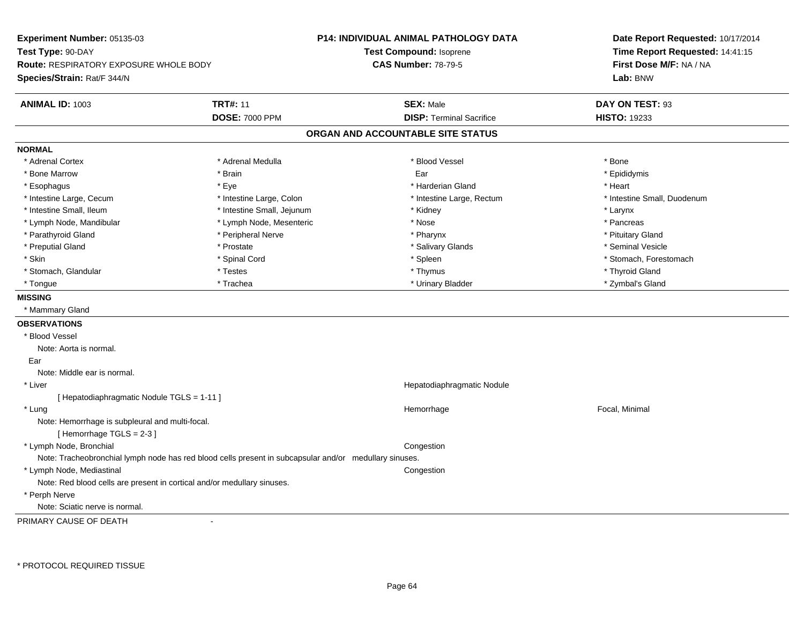**Experiment Number:** 05135-03**Test Type:** 90-DAY **Route:** RESPIRATORY EXPOSURE WHOLE BODY**Species/Strain:** Rat/F 344/N**P14: INDIVIDUAL ANIMAL PATHOLOGY DATATest Compound:** Isoprene**CAS Number:** 78-79-5**Date Report Requested:** 10/17/2014**Time Report Requested:** 14:41:15**First Dose M/F:** NA / NA**Lab:** BNW**ANIMAL ID:** 1003**TRT#:** 11 **SEX:** Male **DAY ON TEST:** 93 **DOSE:** 7000 PPM**DISP:** Terminal Sacrifice **HISTO:** 19233 **ORGAN AND ACCOUNTABLE SITE STATUSNORMAL**\* Adrenal Cortex \* Adrenal Cortex \* \* Adrenal Medulla \* \* Adrenal Medulla \* \* Blood Vessel \* \* Brood Vessel \* \* Bone \* Epididymis \* Bone Marrow \* \* Androidymis \* Brain \* \* Brain \* \* Epididymis \* Ear \* \* Epididymis \* Epididymis \* Epididymis \* \* Esophagus \* \* \* exercises \* \* Eye \* \* \* \* \* \* \* \* \* \* \* \* \* \* \* Harderian Gland \* \* \* \* \* \* \* \* \* Heart \* \* Heart \* Intestine Large, Cecum \* Intestine Large, Colon \* Intestine Large, Rectum \* Intestine Small, Duodenum \* Intestine Small, Ileum \* Intestine Small, Jejunum \* Kidney \* Larynx\* Pancreas \* Lymph Node, Mandibular \* Nose \* Lymph Node, Mesenteric \* Nose \* Nose \* Pituitary Gland \* Parathyroid Gland \* **Arror and \* Peripheral Nerve \* Pharynx \* Pharynx \* Pharynx** \* Pharynx \* Seminal Vesicle \* Preputial Gland \* \* Annual vesicle \* \* Prostate \* \* Salivary Glands \* \* Salivary Glands \* \* Seminal Vesicle \* \* Skin \* Spinal Cord \* Spinal Cord \* Spinal Cord \* Spinal \* Spinal \* Stomach, Forestomach \* Stomach, Forestomach \* Stomach, Glandular \* Thyroid Gland \* Testes \* Thyroid Gland \* Thyroid Gland \* Thyroid Gland \* Thyroid Gland \* Zymbal's Gland \* Tongue \* Trachea \* Urinary Bladder \* Zymbal's Gland **MISSING** \* Mammary Gland**OBSERVATIONS** \* Blood VesselNote: Aorta is normal. EarNote: Middle ear is normal. \* Liver Hepatodiaphragmatic Nodule[ Hepatodiaphragmatic Nodule TGLS = 1-11 ] \* Lungg is a state of the state of the state of the Hemorrhage is a state of the state of the Focal, Minimal state of the state of the state of the state of the state of the state of the state of the state of the state of the st Note: Hemorrhage is subpleural and multi-focal.[ Hemorrhage TGLS = 2-3 ] \* Lymph Node, Bronchial CongestionNote: Tracheobronchial lymph node has red blood cells present in subcapsular and/or medullary sinuses. \* Lymph Node, Mediastinal CongestionNote: Red blood cells are present in cortical and/or medullary sinuses. \* Perph Nerve Note: Sciatic nerve is normal.PRIMARY CAUSE OF DEATH-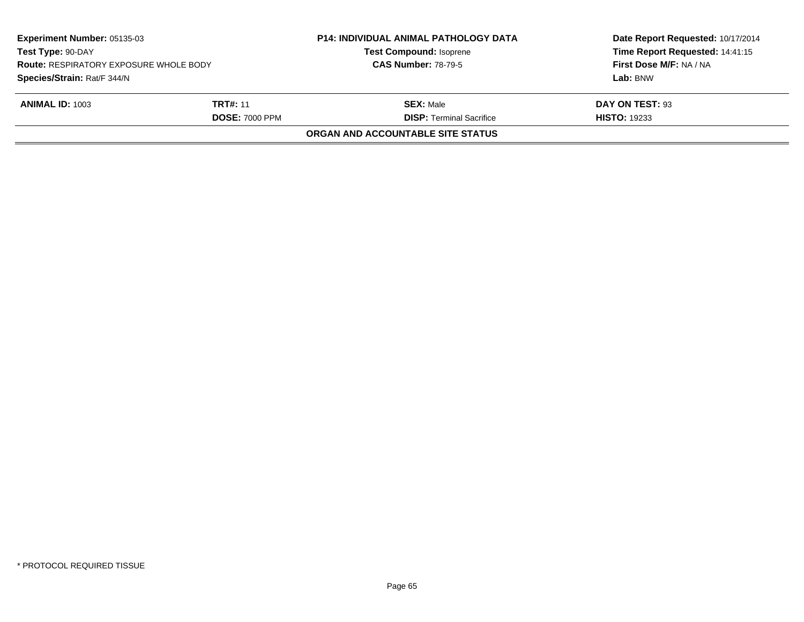| <b>Experiment Number: 05135-03</b><br>Test Type: 90-DAY<br><b>Route: RESPIRATORY EXPOSURE WHOLE BODY</b> |                       | <b>P14: INDIVIDUAL ANIMAL PATHOLOGY DATA</b><br><b>Test Compound: Isoprene</b> | Date Report Requested: 10/17/2014<br>Time Report Requested: 14:41:15<br>First Dose M/F: NA / NA |
|----------------------------------------------------------------------------------------------------------|-----------------------|--------------------------------------------------------------------------------|-------------------------------------------------------------------------------------------------|
|                                                                                                          |                       | <b>CAS Number: 78-79-5</b>                                                     |                                                                                                 |
| Species/Strain: Rat/F 344/N                                                                              |                       |                                                                                | Lab: BNW                                                                                        |
| <b>ANIMAL ID: 1003</b>                                                                                   | <b>TRT#: 11</b>       | <b>SEX: Male</b>                                                               | DAY ON TEST: 93                                                                                 |
|                                                                                                          | <b>DOSE: 7000 PPM</b> | <b>DISP: Terminal Sacrifice</b>                                                | <b>HISTO: 19233</b>                                                                             |
|                                                                                                          |                       | ORGAN AND ACCOUNTABLE SITE STATUS                                              |                                                                                                 |
|                                                                                                          |                       |                                                                                |                                                                                                 |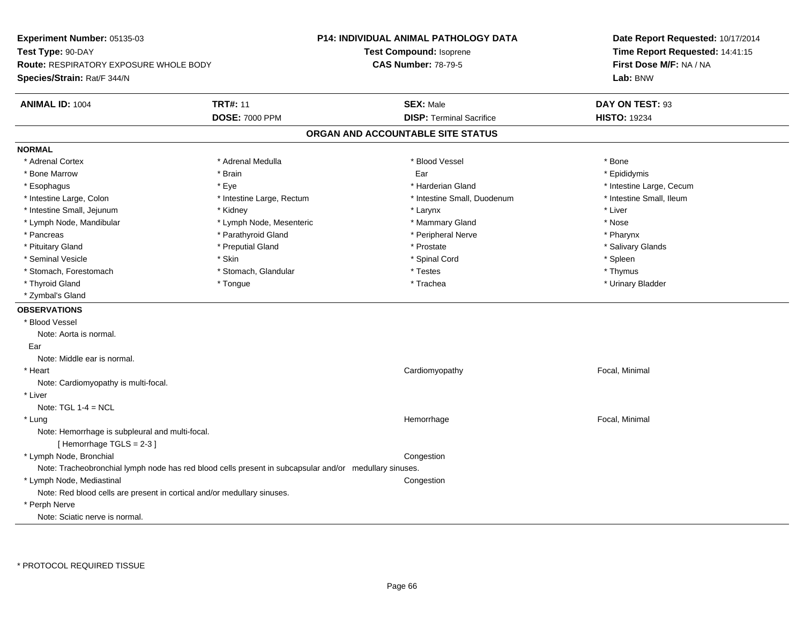**Experiment Number:** 05135-03**Test Type:** 90-DAY **Route:** RESPIRATORY EXPOSURE WHOLE BODY**Species/Strain:** Rat/F 344/N**P14: INDIVIDUAL ANIMAL PATHOLOGY DATATest Compound:** Isoprene**CAS Number:** 78-79-5**Date Report Requested:** 10/17/2014**Time Report Requested:** 14:41:15**First Dose M/F:** NA / NA**Lab:** BNW**ANIMAL ID:** 1004**TRT#:** 11 **SEX:** Male **DAY ON TEST:** 93 **DOSE:** 7000 PPM**DISP:** Terminal Sacrifice **HISTO:** 19234 **ORGAN AND ACCOUNTABLE SITE STATUSNORMAL**\* Adrenal Cortex \* Adrenal Cortex \* \* Adrenal Medulla \* \* Adrenal Medulla \* \* Blood Vessel \* \* Brood Vessel \* \* Bone \* Epididymis \* Bone Marrow \* \* Androidymis \* Brain \* \* Brain \* \* Epididymis \* Ear \* \* Epididymis \* Epididymis \* Epididymis \* \* Esophagus \* https://www.fragus.com/web/2012/state/secument/secument/secument/secument/secument/secument/secument/secument/secument/secument/secument/secument/secument/secument/secument/secument/secument/secument/secument \* Intestine Small, Ileum \* Intestine Large, Colon \* Intestine Large, Rectum \* Intestine Small, Duodenum \* Intestine Small, Duodenum \* Intestine Small, Jejunum \* \* Widney \* \* Kidney \* Larynx \* Larynx \* Larynx \* Larynx \* Liver \* Lymph Node, Mandibular \* Lymph Node, Mesenteric \* Mammary Gland \* Nose\* Pharynx \* Pancreas \* Parathyroid Gland \* Parathyroid Gland \* Peripheral Nerve \* Salivary Glands \* Pituitary Gland \* \* Then the state \* Preputial Gland \* Prosection \* Prostate \* \* Salivary Glands \* Salivary Glands \* Salivary Glands \* Salivary Glands \* Salivary Glands \* Salivary Glands \* Salivary Glands \* Salivary Glan \* Seminal Vesicle \* Skin \* Spinal Cord \* Spleen \* Thymus \* Stomach, Forestomach \* Testes \* Stomach, Glandular \* Testes \* Testes \* Testes \* Testes \* Testes \* Testes \* T \* Urinary Bladder \* Thyroid Gland \* \* The control of the total property and the top of the top of the top of the top of the top of the top of the top of the top of the top of the top of the top of the top of the top of the top of the top of \* Zymbal's Gland**OBSERVATIONS** \* Blood VesselNote: Aorta is normal. EarNote: Middle ear is normal. \* Heart Cardiomyopathy Focal, Minimal Note: Cardiomyopathy is multi-focal. \* LiverNote:  $TGL 1-4 = NCL$  \* Lungg is a state of the state of the state of the Hemorrhage is a state of the state of the Focal, Minimal state of the state of the state of the state of the state of the state of the state of the state of the state of the st Note: Hemorrhage is subpleural and multi-focal.[ Hemorrhage TGLS = 2-3 ] \* Lymph Node, Bronchial CongestionNote: Tracheobronchial lymph node has red blood cells present in subcapsular and/or medullary sinuses. \* Lymph Node, Mediastinal CongestionNote: Red blood cells are present in cortical and/or medullary sinuses. \* Perph NerveNote: Sciatic nerve is normal.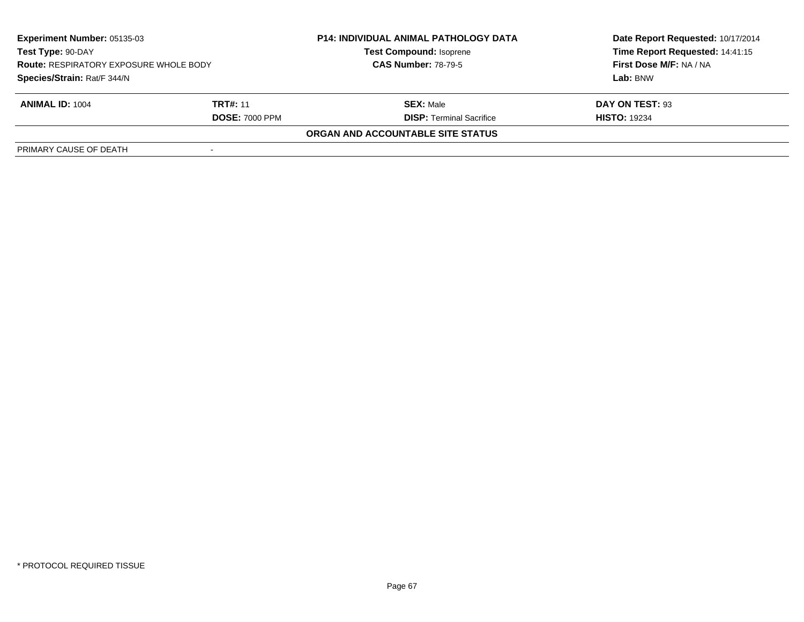| <b>Experiment Number: 05135-03</b><br>Test Type: 90-DAY<br><b>Route: RESPIRATORY EXPOSURE WHOLE BODY</b><br>Species/Strain: Rat/F 344/N |                       | <b>P14: INDIVIDUAL ANIMAL PATHOLOGY DATA</b><br><b>Test Compound: Isoprene</b> | Date Report Requested: 10/17/2014<br>Time Report Requested: 14:41:15<br>First Dose M/F: NA / NA |
|-----------------------------------------------------------------------------------------------------------------------------------------|-----------------------|--------------------------------------------------------------------------------|-------------------------------------------------------------------------------------------------|
|                                                                                                                                         |                       | <b>CAS Number: 78-79-5</b>                                                     |                                                                                                 |
|                                                                                                                                         |                       |                                                                                | Lab: BNW                                                                                        |
| <b>ANIMAL ID: 1004</b>                                                                                                                  | <b>TRT#: 11</b>       | <b>SEX: Male</b>                                                               | DAY ON TEST: 93                                                                                 |
|                                                                                                                                         | <b>DOSE: 7000 PPM</b> | <b>DISP: Terminal Sacrifice</b>                                                | <b>HISTO: 19234</b>                                                                             |
|                                                                                                                                         |                       | <b>ORGAN AND ACCOUNTABLE SITE STATUS</b>                                       |                                                                                                 |
| PRIMARY CAUSE OF DEATH                                                                                                                  |                       |                                                                                |                                                                                                 |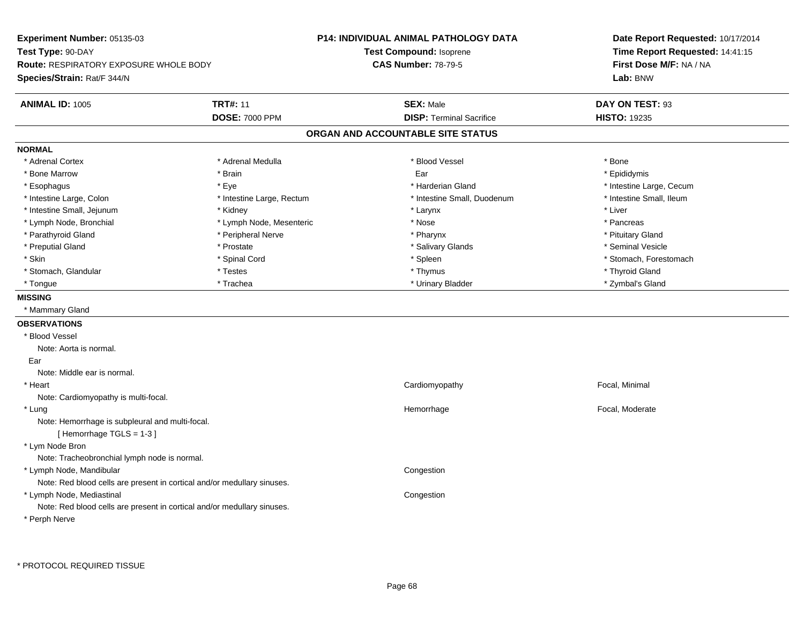**Experiment Number:** 05135-03**Test Type:** 90-DAY **Route:** RESPIRATORY EXPOSURE WHOLE BODY**Species/Strain:** Rat/F 344/N**P14: INDIVIDUAL ANIMAL PATHOLOGY DATATest Compound:** Isoprene**CAS Number:** 78-79-5**Date Report Requested:** 10/17/2014**Time Report Requested:** 14:41:15**First Dose M/F:** NA / NA**Lab:** BNW**ANIMAL ID:** 1005**TRT#:** 11 **SEX:** Male **DAY ON TEST:** 93 **DOSE:** 7000 PPM**DISP:** Terminal Sacrifice **HISTO:** 19235 **ORGAN AND ACCOUNTABLE SITE STATUSNORMAL**\* Adrenal Cortex \* Adrenal Cortex \* \* Adrenal Medulla \* \* Adrenal Medulla \* \* Blood Vessel \* \* Brood Vessel \* \* Bone \* Epididymis \* Bone Marrow \* \* Androidymis \* Brain \* \* Brain \* \* Epididymis \* Ear \* \* Epididymis \* Epididymis \* Epididymis \* \* Esophagus \* https://www.fragus.com/web/2012/state/secument/secument/secument/secument/secument/secument/secument/secument/secument/secument/secument/secument/secument/secument/secument/secument/secument/secument/secument \* Intestine Small, Ileum \* Intestine Large, Colon \* Intestine Large, Rectum \* Intestine Small, Duodenum \* Intestine Small, Duodenum \* Intestine Small, Jejunum \* \* Widney \* Kidney \* Larynx \* Larynx \* Larynx \* Larynx \* Liver \* Lymph Node, Bronchial \* The state of the second text of the second text of the second text of the second text of the second text of the second text of the second text of the second text of the second text of the second t \* Pituitary Gland \* Parathyroid Gland \* **Arror and \* Peripheral Nerve \* Pharynx \* Pharynx \* Pharynx** \* Pharynx \* Seminal Vesicle \* Preputial Gland \* \* Annual vesicle \* \* Prostate \* \* Salivary Glands \* \* Salivary Glands \* \* Seminal Vesicle \* \* Skin \* Spinal Cord \* Spinal Cord \* Spinal Cord \* Spinal \* Spinal \* Stomach, Forestomach \* Stomach, Forestomach \* Stomach, Glandular \* Thyroid Gland \* Testes \* Thyroid Gland \* Thyroid Gland \* Thyroid Gland \* Thyroid Gland \* Zymbal's Gland \* Tongue \* Trachea \* Urinary Bladder \* Zymbal's Gland **MISSING** \* Mammary Gland**OBSERVATIONS** \* Blood VesselNote: Aorta is normal. EarNote: Middle ear is normal. \* Heart Cardiomyopathy Focal, Minimal Note: Cardiomyopathy is multi-focal. \* Lungg is a state of the state of the state of the Hemorrhage Second Hemorrhage Second Labor and Theorem and Theorem Second Labor and Theorem and Theorem and Theorem and Theorem and Theorem and Theorem and Theorem and Theorem a Note: Hemorrhage is subpleural and multi-focal.[ Hemorrhage TGLS = 1-3 ] \* Lym Node Bron Note: Tracheobronchial lymph node is normal. \* Lymph Node, Mandibular**Example 2** is a state of the congression of the congression of the congression of the congression of the congression Note: Red blood cells are present in cortical and/or medullary sinuses. \* Lymph Node, Mediastinal CongestionNote: Red blood cells are present in cortical and/or medullary sinuses.\* Perph Nerve

\* PROTOCOL REQUIRED TISSUE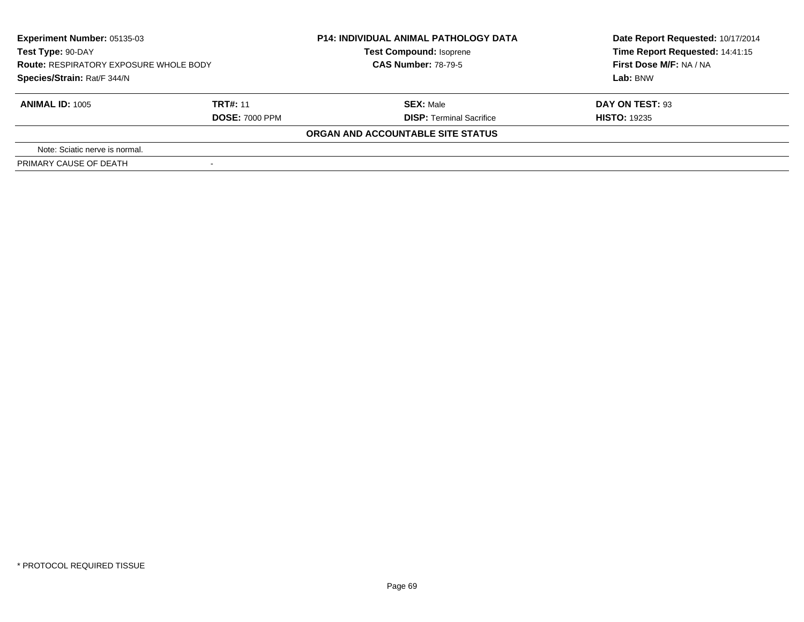| Experiment Number: 05135-03<br>Test Type: 90-DAY<br><b>Route: RESPIRATORY EXPOSURE WHOLE BODY</b><br>Species/Strain: Rat/F 344/N |                       | <b>P14: INDIVIDUAL ANIMAL PATHOLOGY DATA</b><br><b>Test Compound: Isoprene</b><br><b>CAS Number: 78-79-5</b> | Date Report Requested: 10/17/2014<br>Time Report Requested: 14:41:15<br>First Dose M/F: NA / NA |
|----------------------------------------------------------------------------------------------------------------------------------|-----------------------|--------------------------------------------------------------------------------------------------------------|-------------------------------------------------------------------------------------------------|
|                                                                                                                                  |                       |                                                                                                              | Lab: BNW                                                                                        |
| <b>ANIMAL ID: 1005</b>                                                                                                           | <b>TRT#: 11</b>       | <b>SEX: Male</b>                                                                                             | DAY ON TEST: 93                                                                                 |
|                                                                                                                                  | <b>DOSE: 7000 PPM</b> | <b>DISP: Terminal Sacrifice</b>                                                                              | <b>HISTO: 19235</b>                                                                             |
|                                                                                                                                  |                       | ORGAN AND ACCOUNTABLE SITE STATUS                                                                            |                                                                                                 |
| Note: Sciatic nerve is normal.                                                                                                   |                       |                                                                                                              |                                                                                                 |
| PRIMARY CAUSE OF DEATH                                                                                                           |                       |                                                                                                              |                                                                                                 |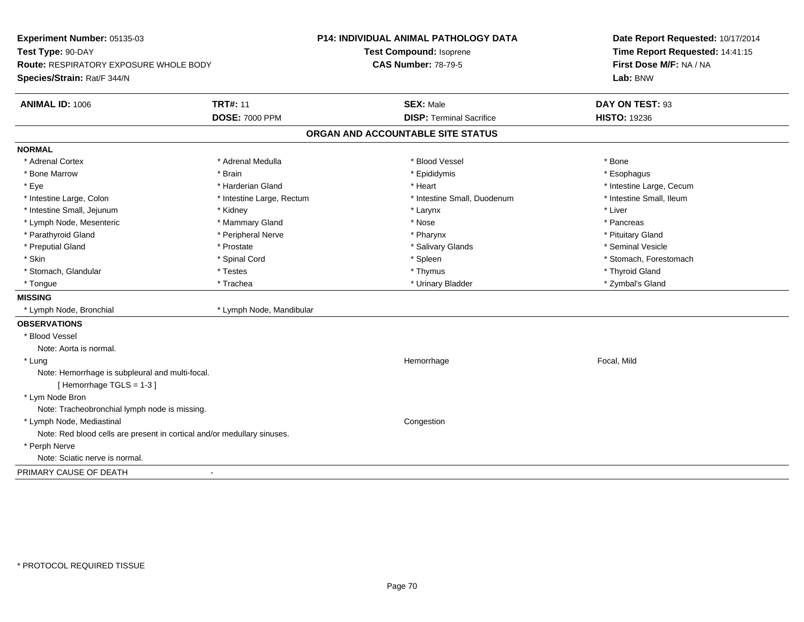| Experiment Number: 05135-03<br>Test Type: 90-DAY<br><b>Route: RESPIRATORY EXPOSURE WHOLE BODY</b><br>Species/Strain: Rat/F 344/N |                           | <b>P14: INDIVIDUAL ANIMAL PATHOLOGY DATA</b><br>Test Compound: Isoprene<br><b>CAS Number: 78-79-5</b> |                                   | Date Report Requested: 10/17/2014<br>Time Report Requested: 14:41:15<br>First Dose M/F: NA / NA<br>Lab: BNW |  |
|----------------------------------------------------------------------------------------------------------------------------------|---------------------------|-------------------------------------------------------------------------------------------------------|-----------------------------------|-------------------------------------------------------------------------------------------------------------|--|
| <b>ANIMAL ID: 1006</b>                                                                                                           | <b>TRT#: 11</b>           |                                                                                                       | <b>SEX: Male</b>                  | DAY ON TEST: 93                                                                                             |  |
|                                                                                                                                  | <b>DOSE: 7000 PPM</b>     |                                                                                                       | <b>DISP: Terminal Sacrifice</b>   | <b>HISTO: 19236</b>                                                                                         |  |
|                                                                                                                                  |                           |                                                                                                       | ORGAN AND ACCOUNTABLE SITE STATUS |                                                                                                             |  |
| <b>NORMAL</b>                                                                                                                    |                           |                                                                                                       |                                   |                                                                                                             |  |
| * Adrenal Cortex                                                                                                                 | * Adrenal Medulla         |                                                                                                       | * Blood Vessel                    | * Bone                                                                                                      |  |
| * Bone Marrow                                                                                                                    | * Brain                   |                                                                                                       | * Epididymis                      | * Esophagus                                                                                                 |  |
| * Eye                                                                                                                            | * Harderian Gland         |                                                                                                       | * Heart                           | * Intestine Large, Cecum                                                                                    |  |
| * Intestine Large, Colon                                                                                                         | * Intestine Large, Rectum |                                                                                                       | * Intestine Small, Duodenum       | * Intestine Small, Ileum                                                                                    |  |
| * Intestine Small, Jejunum                                                                                                       | * Kidney                  |                                                                                                       | * Larynx                          | * Liver                                                                                                     |  |
| * Lymph Node, Mesenteric                                                                                                         | * Mammary Gland           |                                                                                                       | * Nose                            | * Pancreas                                                                                                  |  |
| * Parathyroid Gland                                                                                                              | * Peripheral Nerve        |                                                                                                       | * Pharynx                         | * Pituitary Gland                                                                                           |  |
| * Preputial Gland                                                                                                                | * Prostate                |                                                                                                       | * Salivary Glands                 | * Seminal Vesicle                                                                                           |  |
| * Skin                                                                                                                           | * Spinal Cord             |                                                                                                       | * Spleen                          | * Stomach, Forestomach                                                                                      |  |
| * Stomach, Glandular                                                                                                             | * Testes                  |                                                                                                       | * Thymus                          | * Thyroid Gland                                                                                             |  |
| * Tongue                                                                                                                         | * Trachea                 |                                                                                                       | * Urinary Bladder                 | * Zymbal's Gland                                                                                            |  |
| <b>MISSING</b>                                                                                                                   |                           |                                                                                                       |                                   |                                                                                                             |  |
| * Lymph Node, Bronchial                                                                                                          | * Lymph Node, Mandibular  |                                                                                                       |                                   |                                                                                                             |  |
| <b>OBSERVATIONS</b>                                                                                                              |                           |                                                                                                       |                                   |                                                                                                             |  |
| * Blood Vessel                                                                                                                   |                           |                                                                                                       |                                   |                                                                                                             |  |
| Note: Aorta is normal.                                                                                                           |                           |                                                                                                       |                                   |                                                                                                             |  |
| * Lung                                                                                                                           |                           |                                                                                                       | Hemorrhage                        | Focal, Mild                                                                                                 |  |
| Note: Hemorrhage is subpleural and multi-focal.                                                                                  |                           |                                                                                                       |                                   |                                                                                                             |  |
| [Hemorrhage TGLS = 1-3]                                                                                                          |                           |                                                                                                       |                                   |                                                                                                             |  |
| * Lym Node Bron                                                                                                                  |                           |                                                                                                       |                                   |                                                                                                             |  |
| Note: Tracheobronchial lymph node is missing.                                                                                    |                           |                                                                                                       |                                   |                                                                                                             |  |
| * Lymph Node, Mediastinal                                                                                                        |                           |                                                                                                       | Congestion                        |                                                                                                             |  |
| Note: Red blood cells are present in cortical and/or medullary sinuses.                                                          |                           |                                                                                                       |                                   |                                                                                                             |  |
| * Perph Nerve                                                                                                                    |                           |                                                                                                       |                                   |                                                                                                             |  |
| Note: Sciatic nerve is normal.                                                                                                   |                           |                                                                                                       |                                   |                                                                                                             |  |
| PRIMARY CAUSE OF DEATH                                                                                                           |                           |                                                                                                       |                                   |                                                                                                             |  |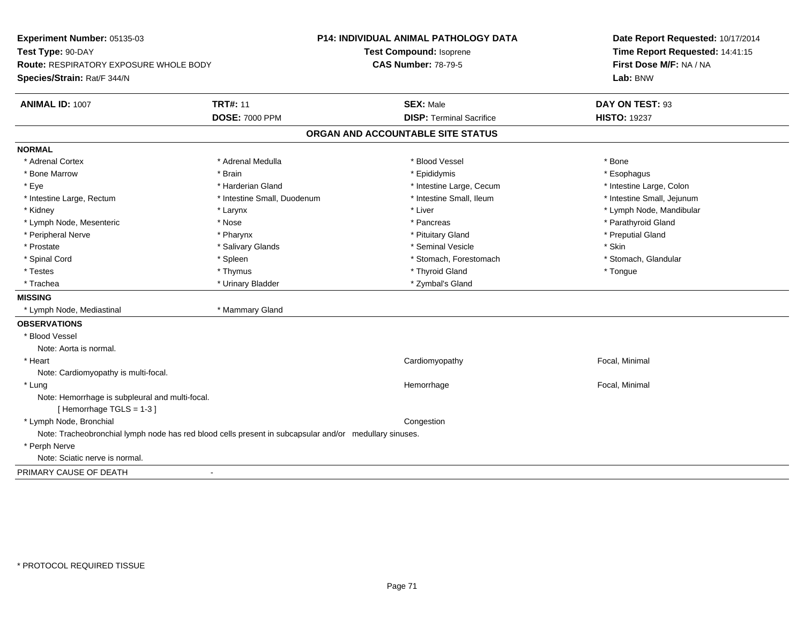| Experiment Number: 05135-03                                                                            |                             | P14: INDIVIDUAL ANIMAL PATHOLOGY DATA | Date Report Requested: 10/17/2014<br>Time Report Requested: 14:41:15<br>First Dose M/F: NA / NA<br>Lab: BNW |  |
|--------------------------------------------------------------------------------------------------------|-----------------------------|---------------------------------------|-------------------------------------------------------------------------------------------------------------|--|
| Test Type: 90-DAY                                                                                      |                             | Test Compound: Isoprene               |                                                                                                             |  |
| <b>Route: RESPIRATORY EXPOSURE WHOLE BODY</b>                                                          |                             | <b>CAS Number: 78-79-5</b>            |                                                                                                             |  |
| Species/Strain: Rat/F 344/N                                                                            |                             |                                       |                                                                                                             |  |
| ANIMAL ID: 1007                                                                                        | <b>TRT#: 11</b>             | <b>SEX: Male</b>                      | DAY ON TEST: 93                                                                                             |  |
|                                                                                                        | <b>DOSE: 7000 PPM</b>       | <b>DISP: Terminal Sacrifice</b>       | <b>HISTO: 19237</b>                                                                                         |  |
|                                                                                                        |                             | ORGAN AND ACCOUNTABLE SITE STATUS     |                                                                                                             |  |
| <b>NORMAL</b>                                                                                          |                             |                                       |                                                                                                             |  |
| * Adrenal Cortex                                                                                       | * Adrenal Medulla           | * Blood Vessel                        | * Bone                                                                                                      |  |
| * Bone Marrow                                                                                          | * Brain                     | * Epididymis                          | * Esophagus                                                                                                 |  |
| * Eye                                                                                                  | * Harderian Gland           | * Intestine Large, Cecum              | * Intestine Large, Colon                                                                                    |  |
| * Intestine Large, Rectum                                                                              | * Intestine Small, Duodenum | * Intestine Small, Ileum              | * Intestine Small, Jejunum                                                                                  |  |
| * Kidney                                                                                               | * Larynx                    | * Liver                               | * Lymph Node, Mandibular                                                                                    |  |
| * Lymph Node, Mesenteric                                                                               | * Nose                      | * Pancreas                            | * Parathyroid Gland                                                                                         |  |
| * Peripheral Nerve                                                                                     | * Pharynx                   | * Pituitary Gland                     | * Preputial Gland                                                                                           |  |
| * Prostate                                                                                             | * Salivary Glands           | * Seminal Vesicle                     | * Skin                                                                                                      |  |
| * Spinal Cord                                                                                          | * Spleen                    | * Stomach, Forestomach                | * Stomach, Glandular                                                                                        |  |
| * Testes                                                                                               | * Thymus                    | * Thyroid Gland                       | * Tongue                                                                                                    |  |
| * Trachea                                                                                              | * Urinary Bladder           | * Zymbal's Gland                      |                                                                                                             |  |
| <b>MISSING</b>                                                                                         |                             |                                       |                                                                                                             |  |
| * Lymph Node, Mediastinal                                                                              | * Mammary Gland             |                                       |                                                                                                             |  |
| <b>OBSERVATIONS</b>                                                                                    |                             |                                       |                                                                                                             |  |
| * Blood Vessel                                                                                         |                             |                                       |                                                                                                             |  |
| Note: Aorta is normal.                                                                                 |                             |                                       |                                                                                                             |  |
| * Heart                                                                                                |                             | Cardiomyopathy                        | Focal, Minimal                                                                                              |  |
| Note: Cardiomyopathy is multi-focal.                                                                   |                             |                                       |                                                                                                             |  |
| * Lung                                                                                                 |                             | Hemorrhage                            | Focal, Minimal                                                                                              |  |
| Note: Hemorrhage is subpleural and multi-focal.                                                        |                             |                                       |                                                                                                             |  |
| [Hemorrhage TGLS = $1-3$ ]                                                                             |                             |                                       |                                                                                                             |  |
| * Lymph Node, Bronchial                                                                                |                             | Congestion                            |                                                                                                             |  |
| Note: Tracheobronchial lymph node has red blood cells present in subcapsular and/or medullary sinuses. |                             |                                       |                                                                                                             |  |
| * Perph Nerve                                                                                          |                             |                                       |                                                                                                             |  |
| Note: Sciatic nerve is normal.                                                                         |                             |                                       |                                                                                                             |  |
| PRIMARY CAUSE OF DEATH                                                                                 | $\blacksquare$              |                                       |                                                                                                             |  |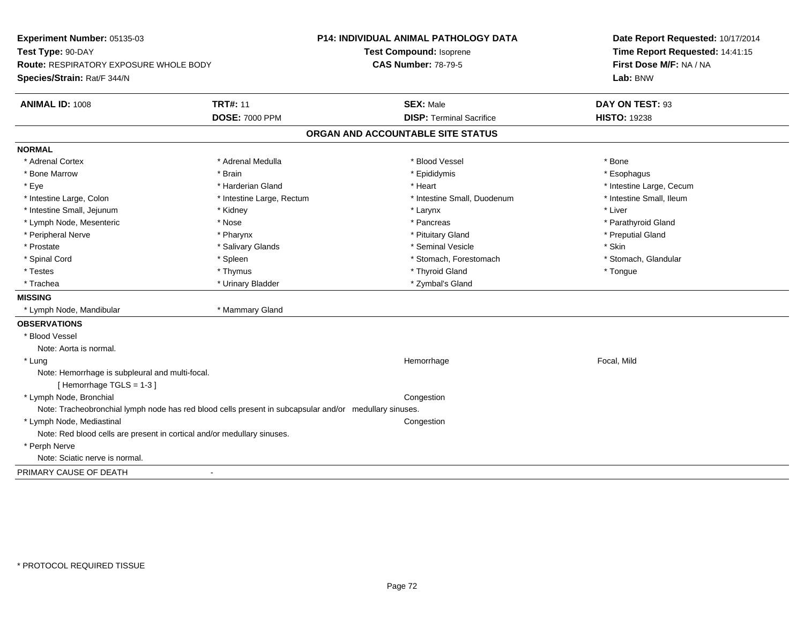| Experiment Number: 05135-03                                                                            |                           | P14: INDIVIDUAL ANIMAL PATHOLOGY DATA | Date Report Requested: 10/17/2014 |  |
|--------------------------------------------------------------------------------------------------------|---------------------------|---------------------------------------|-----------------------------------|--|
| Test Type: 90-DAY                                                                                      |                           | Test Compound: Isoprene               | Time Report Requested: 14:41:15   |  |
| <b>Route: RESPIRATORY EXPOSURE WHOLE BODY</b>                                                          |                           | <b>CAS Number: 78-79-5</b>            | First Dose M/F: NA / NA           |  |
| Species/Strain: Rat/F 344/N                                                                            |                           |                                       | Lab: BNW                          |  |
| <b>ANIMAL ID: 1008</b>                                                                                 | <b>TRT#: 11</b>           | <b>SEX: Male</b>                      | DAY ON TEST: 93                   |  |
|                                                                                                        | <b>DOSE: 7000 PPM</b>     | <b>DISP: Terminal Sacrifice</b>       | <b>HISTO: 19238</b>               |  |
|                                                                                                        |                           | ORGAN AND ACCOUNTABLE SITE STATUS     |                                   |  |
| <b>NORMAL</b>                                                                                          |                           |                                       |                                   |  |
| * Adrenal Cortex                                                                                       | * Adrenal Medulla         | * Blood Vessel                        | * Bone                            |  |
| * Bone Marrow                                                                                          | * Brain                   | * Epididymis                          | * Esophagus                       |  |
| * Eye                                                                                                  | * Harderian Gland         | * Heart                               | * Intestine Large, Cecum          |  |
| * Intestine Large, Colon                                                                               | * Intestine Large, Rectum | * Intestine Small, Duodenum           | * Intestine Small, Ileum          |  |
| * Intestine Small, Jejunum                                                                             | * Kidney                  | $^{\star}$ Larynx                     | * Liver                           |  |
| * Lymph Node, Mesenteric                                                                               | * Nose                    | * Pancreas                            | * Parathyroid Gland               |  |
| * Peripheral Nerve                                                                                     | * Pharynx                 | * Pituitary Gland                     | * Preputial Gland                 |  |
| * Prostate                                                                                             | * Salivary Glands         | * Seminal Vesicle                     | * Skin                            |  |
| * Spinal Cord                                                                                          | * Spleen                  | * Stomach, Forestomach                | * Stomach, Glandular              |  |
| * Testes                                                                                               | * Thymus                  | * Thyroid Gland                       | * Tongue                          |  |
| * Trachea                                                                                              | * Urinary Bladder         | * Zymbal's Gland                      |                                   |  |
| <b>MISSING</b>                                                                                         |                           |                                       |                                   |  |
| * Lymph Node, Mandibular                                                                               | * Mammary Gland           |                                       |                                   |  |
| <b>OBSERVATIONS</b>                                                                                    |                           |                                       |                                   |  |
| * Blood Vessel                                                                                         |                           |                                       |                                   |  |
| Note: Aorta is normal.                                                                                 |                           |                                       |                                   |  |
| * Lung                                                                                                 |                           | Hemorrhage                            | Focal, Mild                       |  |
| Note: Hemorrhage is subpleural and multi-focal.                                                        |                           |                                       |                                   |  |
| [Hemorrhage TGLS = 1-3]                                                                                |                           |                                       |                                   |  |
| * Lymph Node, Bronchial                                                                                |                           | Congestion                            |                                   |  |
| Note: Tracheobronchial lymph node has red blood cells present in subcapsular and/or medullary sinuses. |                           |                                       |                                   |  |
| * Lymph Node, Mediastinal                                                                              |                           | Congestion                            |                                   |  |
| Note: Red blood cells are present in cortical and/or medullary sinuses.                                |                           |                                       |                                   |  |
| * Perph Nerve                                                                                          |                           |                                       |                                   |  |
| Note: Sciatic nerve is normal.                                                                         |                           |                                       |                                   |  |
| PRIMARY CAUSE OF DEATH                                                                                 |                           |                                       |                                   |  |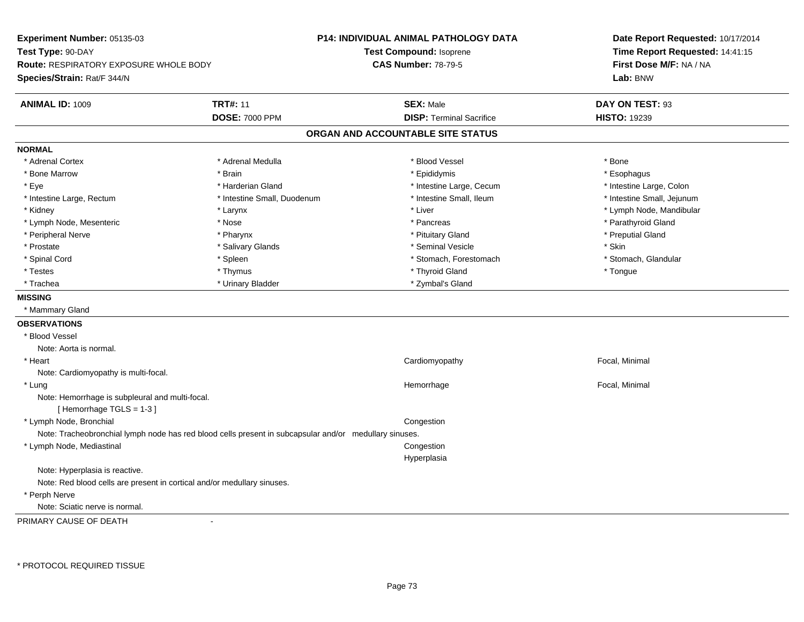**Experiment Number:** 05135-03**Test Type:** 90-DAY **Route:** RESPIRATORY EXPOSURE WHOLE BODY**Species/Strain:** Rat/F 344/N**P14: INDIVIDUAL ANIMAL PATHOLOGY DATATest Compound:** Isoprene**CAS Number:** 78-79-5**Date Report Requested:** 10/17/2014**Time Report Requested:** 14:41:15**First Dose M/F:** NA / NA**Lab:** BNW**ANIMAL ID:** 1009**TRT#:** 11 **SEX:** Male **DAY ON TEST:** 93 **DOSE:** 7000 PPM**DISP:** Terminal Sacrifice **HISTO:** 19239 **ORGAN AND ACCOUNTABLE SITE STATUSNORMAL**\* Adrenal Cortex \* Adrenal Cortex \* \* Adrenal Medulla \* \* Adrenal Medulla \* \* Blood Vessel \* \* Brood Vessel \* \* Bone \* Esophagus \* Bone Marrow \* Brain \* Epididymis \* Esophagus \* Intestine Large, Colon \* Eye \* Harderian Gland \* Harderian Gland \* 11th \* Intestine Large, Cecum \* \* Intestine Small, Jejunum \* Intestine Large, Rectum \* Intestine Small, Duodenum \* Intestine Small, Ileum \* Intestine Small, Ileum \* Kidney \* Larynx \* Liver \* Lymph Node, Mandibular \* Lymph Node, Mesenteric \* The state of the state of the state of the state of the state of the state of the state of the state of the state of the state of the state of the state of the state of the state of the state of \* Peripheral Nerve \* \* \* \* Pharynx \* \* Pharynx \* \* \* Preputial Gland \* \* Preputial Gland \* \* Preputial Gland \* Prostate \* \* Salivary Glands \* \* Salivary Glands \* \* Seminal Vesicle \* \* \* Seminal Yestrich \* \* Skin \* \* Skin \* Stomach, Glandular \* Spinal Cord \* Spinal Cord \* Spinal Cord \* Stomach, Forestomach \* Stomach, Forestomach \* Stomach, Forestomach \* Testes \* Thymus \* Thyroid Gland \* Tongue \* Trachea \* Urinary Bladder \* 2ymbal's Gland \* Zymbal's Gland \* Zymbal's Gland \* Zymbal's Gland **MISSING** \* Mammary Gland**OBSERVATIONS** \* Blood VesselNote: Aorta is normal. \* Heart Cardiomyopathy Focal, Minimal Note: Cardiomyopathy is multi-focal. \* Lungg is a state of the state of the state of the Hemorrhage is a state of the state of the Focal, Minimal state of the state of the state of the state of the state of the state of the state of the state of the state of the st Note: Hemorrhage is subpleural and multi-focal.[ Hemorrhage TGLS = 1-3 ] \* Lymph Node, Bronchial CongestionNote: Tracheobronchial lymph node has red blood cells present in subcapsular and/or medullary sinuses. \* Lymph Node, Mediastinal Congestion HyperplasiaNote: Hyperplasia is reactive.Note: Red blood cells are present in cortical and/or medullary sinuses. \* Perph NerveNote: Sciatic nerve is normal.

PRIMARY CAUSE OF DEATH-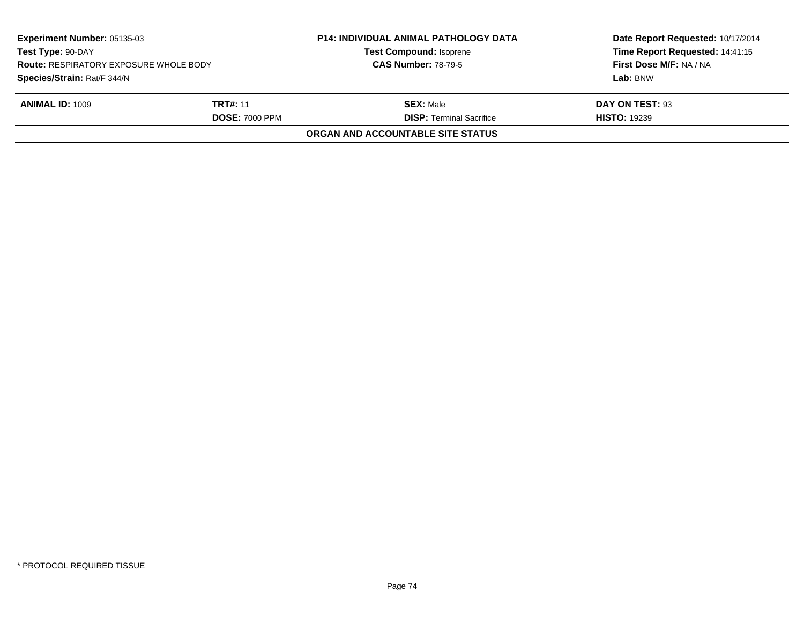| <b>Experiment Number: 05135-03</b><br>Test Type: 90-DAY<br><b>Route: RESPIRATORY EXPOSURE WHOLE BODY</b><br>Species/Strain: Rat/F 344/N |                 | <b>P14: INDIVIDUAL ANIMAL PATHOLOGY DATA</b><br><b>Test Compound: Isoprene</b> | Date Report Requested: 10/17/2014<br>Time Report Requested: 14:41:15<br>First Dose M/F: NA / NA<br>Lab: BNW |
|-----------------------------------------------------------------------------------------------------------------------------------------|-----------------|--------------------------------------------------------------------------------|-------------------------------------------------------------------------------------------------------------|
|                                                                                                                                         |                 | <b>CAS Number: 78-79-5</b>                                                     |                                                                                                             |
|                                                                                                                                         |                 |                                                                                |                                                                                                             |
| <b>ANIMAL ID: 1009</b>                                                                                                                  | <b>TRT#: 11</b> | <b>SEX: Male</b>                                                               | DAY ON TEST: 93                                                                                             |
| <b>DOSE: 7000 PPM</b>                                                                                                                   |                 | <b>DISP: Terminal Sacrifice</b>                                                | <b>HISTO: 19239</b>                                                                                         |
|                                                                                                                                         |                 | ORGAN AND ACCOUNTABLE SITE STATUS                                              |                                                                                                             |
|                                                                                                                                         |                 |                                                                                |                                                                                                             |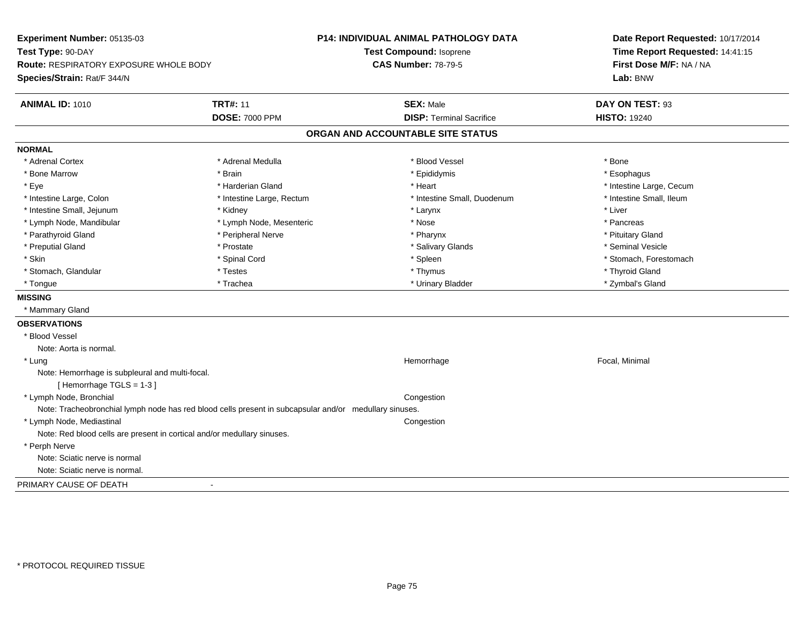| Experiment Number: 05135-03                                                                            |                           | <b>P14: INDIVIDUAL ANIMAL PATHOLOGY DATA</b> | Date Report Requested: 10/17/2014 |  |
|--------------------------------------------------------------------------------------------------------|---------------------------|----------------------------------------------|-----------------------------------|--|
| Test Type: 90-DAY                                                                                      |                           | Test Compound: Isoprene                      | Time Report Requested: 14:41:15   |  |
| <b>Route: RESPIRATORY EXPOSURE WHOLE BODY</b>                                                          |                           | <b>CAS Number: 78-79-5</b>                   | First Dose M/F: NA / NA           |  |
| Species/Strain: Rat/F 344/N                                                                            |                           |                                              | Lab: BNW                          |  |
|                                                                                                        |                           |                                              |                                   |  |
| <b>ANIMAL ID: 1010</b>                                                                                 | <b>TRT#: 11</b>           | <b>SEX: Male</b>                             | DAY ON TEST: 93                   |  |
|                                                                                                        | <b>DOSE: 7000 PPM</b>     | <b>DISP: Terminal Sacrifice</b>              | <b>HISTO: 19240</b>               |  |
|                                                                                                        |                           | ORGAN AND ACCOUNTABLE SITE STATUS            |                                   |  |
| <b>NORMAL</b>                                                                                          |                           |                                              |                                   |  |
| * Adrenal Cortex                                                                                       | * Adrenal Medulla         | * Blood Vessel                               | * Bone                            |  |
| * Bone Marrow                                                                                          | * Brain                   | * Epididymis                                 | * Esophagus                       |  |
| * Eye                                                                                                  | * Harderian Gland         | * Heart                                      | * Intestine Large, Cecum          |  |
| * Intestine Large, Colon                                                                               | * Intestine Large, Rectum | * Intestine Small, Duodenum                  | * Intestine Small, Ileum          |  |
| * Intestine Small, Jejunum                                                                             | * Kidney                  | * Larynx                                     | * Liver                           |  |
| * Lymph Node, Mandibular                                                                               | * Lymph Node, Mesenteric  | * Nose                                       | * Pancreas                        |  |
| * Parathyroid Gland                                                                                    | * Peripheral Nerve        | * Pharynx                                    | * Pituitary Gland                 |  |
| * Preputial Gland                                                                                      | * Prostate                | * Salivary Glands                            | * Seminal Vesicle                 |  |
| * Skin                                                                                                 | * Spinal Cord             | * Spleen                                     | * Stomach, Forestomach            |  |
| * Stomach, Glandular                                                                                   | * Testes                  | * Thymus                                     | * Thyroid Gland                   |  |
| * Tongue                                                                                               | * Trachea                 | * Urinary Bladder                            | * Zymbal's Gland                  |  |
| <b>MISSING</b>                                                                                         |                           |                                              |                                   |  |
| * Mammary Gland                                                                                        |                           |                                              |                                   |  |
| <b>OBSERVATIONS</b>                                                                                    |                           |                                              |                                   |  |
| * Blood Vessel                                                                                         |                           |                                              |                                   |  |
| Note: Aorta is normal.                                                                                 |                           |                                              |                                   |  |
| * Lung                                                                                                 |                           | Hemorrhage                                   | Focal, Minimal                    |  |
| Note: Hemorrhage is subpleural and multi-focal.<br>[Hemorrhage TGLS = 1-3]                             |                           |                                              |                                   |  |
| * Lymph Node, Bronchial                                                                                |                           | Congestion                                   |                                   |  |
| Note: Tracheobronchial lymph node has red blood cells present in subcapsular and/or medullary sinuses. |                           |                                              |                                   |  |
| * Lymph Node, Mediastinal                                                                              |                           | Congestion                                   |                                   |  |
| Note: Red blood cells are present in cortical and/or medullary sinuses.                                |                           |                                              |                                   |  |
| * Perph Nerve                                                                                          |                           |                                              |                                   |  |
| Note: Sciatic nerve is normal                                                                          |                           |                                              |                                   |  |
| Note: Sciatic nerve is normal.                                                                         |                           |                                              |                                   |  |
| PRIMARY CAUSE OF DEATH<br>$\blacksquare$                                                               |                           |                                              |                                   |  |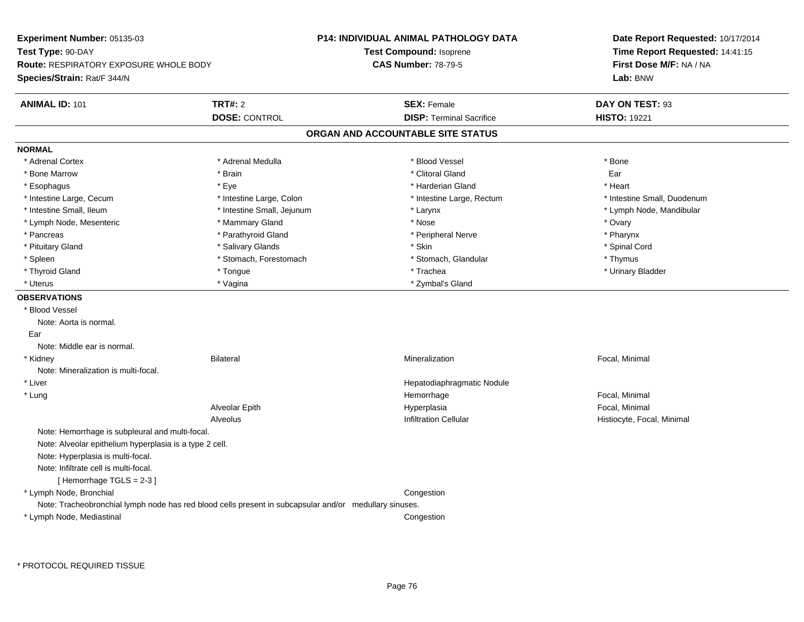| Experiment Number: 05135-03                                                                            | <b>P14: INDIVIDUAL ANIMAL PATHOLOGY DATA</b> | Date Report Requested: 10/17/2014                          |  |
|--------------------------------------------------------------------------------------------------------|----------------------------------------------|------------------------------------------------------------|--|
| Test Type: 90-DAY                                                                                      | Test Compound: Isoprene                      | Time Report Requested: 14:41:15<br>First Dose M/F: NA / NA |  |
| <b>Route: RESPIRATORY EXPOSURE WHOLE BODY</b>                                                          | <b>CAS Number: 78-79-5</b>                   |                                                            |  |
| Species/Strain: Rat/F 344/N                                                                            |                                              | Lab: BNW                                                   |  |
| <b>ANIMAL ID: 101</b><br><b>TRT#: 2</b>                                                                | <b>SEX: Female</b>                           | DAY ON TEST: 93                                            |  |
| <b>DOSE: CONTROL</b>                                                                                   | <b>DISP: Terminal Sacrifice</b>              | <b>HISTO: 19221</b>                                        |  |
|                                                                                                        | ORGAN AND ACCOUNTABLE SITE STATUS            |                                                            |  |
| <b>NORMAL</b>                                                                                          |                                              |                                                            |  |
| * Adrenal Cortex<br>* Adrenal Medulla                                                                  | * Blood Vessel                               | * Bone                                                     |  |
| * Bone Marrow<br>* Brain                                                                               | * Clitoral Gland                             | Ear                                                        |  |
| * Esophagus<br>* Eye                                                                                   | * Harderian Gland                            | * Heart                                                    |  |
| * Intestine Large, Cecum<br>* Intestine Large, Colon                                                   | * Intestine Large, Rectum                    | * Intestine Small, Duodenum                                |  |
| * Intestine Small, Ileum<br>* Intestine Small, Jejunum                                                 | * Larynx                                     | * Lymph Node, Mandibular                                   |  |
| * Mammary Gland<br>* Lymph Node, Mesenteric                                                            | * Nose                                       | * Ovary                                                    |  |
| * Parathyroid Gland<br>* Pancreas                                                                      | * Peripheral Nerve                           | * Pharynx                                                  |  |
| * Salivary Glands<br>* Pituitary Gland                                                                 | * Skin                                       | * Spinal Cord                                              |  |
| * Stomach, Forestomach<br>* Spleen                                                                     | * Stomach, Glandular                         | * Thymus                                                   |  |
| * Thyroid Gland<br>* Tongue                                                                            | * Trachea                                    | * Urinary Bladder                                          |  |
| * Uterus<br>* Vagina                                                                                   | * Zymbal's Gland                             |                                                            |  |
| <b>OBSERVATIONS</b>                                                                                    |                                              |                                                            |  |
| * Blood Vessel                                                                                         |                                              |                                                            |  |
| Note: Aorta is normal.                                                                                 |                                              |                                                            |  |
| Ear                                                                                                    |                                              |                                                            |  |
| Note: Middle ear is normal.                                                                            |                                              |                                                            |  |
| * Kidney<br><b>Bilateral</b>                                                                           | Mineralization                               | Focal, Minimal                                             |  |
| Note: Mineralization is multi-focal.                                                                   |                                              |                                                            |  |
| * Liver                                                                                                | Hepatodiaphragmatic Nodule                   |                                                            |  |
| * Lung                                                                                                 | Hemorrhage                                   | Focal, Minimal                                             |  |
| Alveolar Epith                                                                                         | Hyperplasia                                  | Focal, Minimal                                             |  |
| <b>Alveolus</b>                                                                                        | <b>Infiltration Cellular</b>                 | Histiocyte, Focal, Minimal                                 |  |
| Note: Hemorrhage is subpleural and multi-focal.                                                        |                                              |                                                            |  |
| Note: Alveolar epithelium hyperplasia is a type 2 cell.                                                |                                              |                                                            |  |
| Note: Hyperplasia is multi-focal.                                                                      |                                              |                                                            |  |
| Note: Infiltrate cell is multi-focal.                                                                  |                                              |                                                            |  |
| [Hemorrhage TGLS = 2-3]                                                                                |                                              |                                                            |  |
| * Lymph Node, Bronchial                                                                                |                                              |                                                            |  |
|                                                                                                        | Congestion                                   |                                                            |  |
| Note: Tracheobronchial lymph node has red blood cells present in subcapsular and/or medullary sinuses. |                                              |                                                            |  |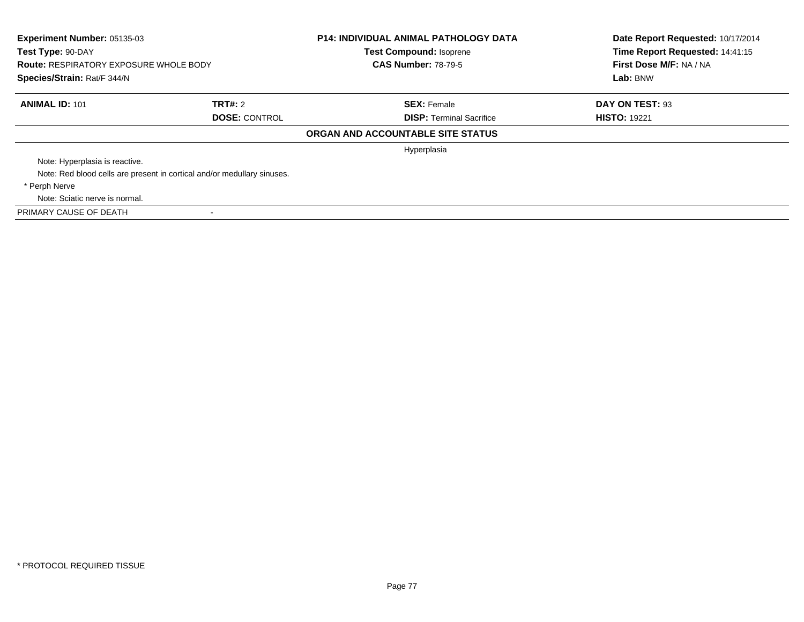| Experiment Number: 05135-03<br>Test Type: 90-DAY<br><b>Route: RESPIRATORY EXPOSURE WHOLE BODY</b><br>Species/Strain: Rat/F 344/N |                                                                         | <b>P14: INDIVIDUAL ANIMAL PATHOLOGY DATA</b><br><b>Test Compound: Isoprene</b><br><b>CAS Number: 78-79-5</b> | Date Report Requested: 10/17/2014<br>Time Report Requested: 14:41:15<br>First Dose M/F: NA / NA<br>Lab: BNW |  |
|----------------------------------------------------------------------------------------------------------------------------------|-------------------------------------------------------------------------|--------------------------------------------------------------------------------------------------------------|-------------------------------------------------------------------------------------------------------------|--|
| <b>ANIMAL ID: 101</b>                                                                                                            | <b>TRT#: 2</b>                                                          | <b>SEX: Female</b>                                                                                           | DAY ON TEST: 93                                                                                             |  |
|                                                                                                                                  | <b>DOSE: CONTROL</b>                                                    | <b>DISP:</b> Terminal Sacrifice                                                                              | <b>HISTO: 19221</b>                                                                                         |  |
|                                                                                                                                  |                                                                         | ORGAN AND ACCOUNTABLE SITE STATUS                                                                            |                                                                                                             |  |
|                                                                                                                                  |                                                                         | Hyperplasia                                                                                                  |                                                                                                             |  |
| Note: Hyperplasia is reactive.                                                                                                   |                                                                         |                                                                                                              |                                                                                                             |  |
|                                                                                                                                  | Note: Red blood cells are present in cortical and/or medullary sinuses. |                                                                                                              |                                                                                                             |  |
| * Perph Nerve                                                                                                                    |                                                                         |                                                                                                              |                                                                                                             |  |
| Note: Sciatic nerve is normal.                                                                                                   |                                                                         |                                                                                                              |                                                                                                             |  |
| PRIMARY CAUSE OF DEATH                                                                                                           |                                                                         |                                                                                                              |                                                                                                             |  |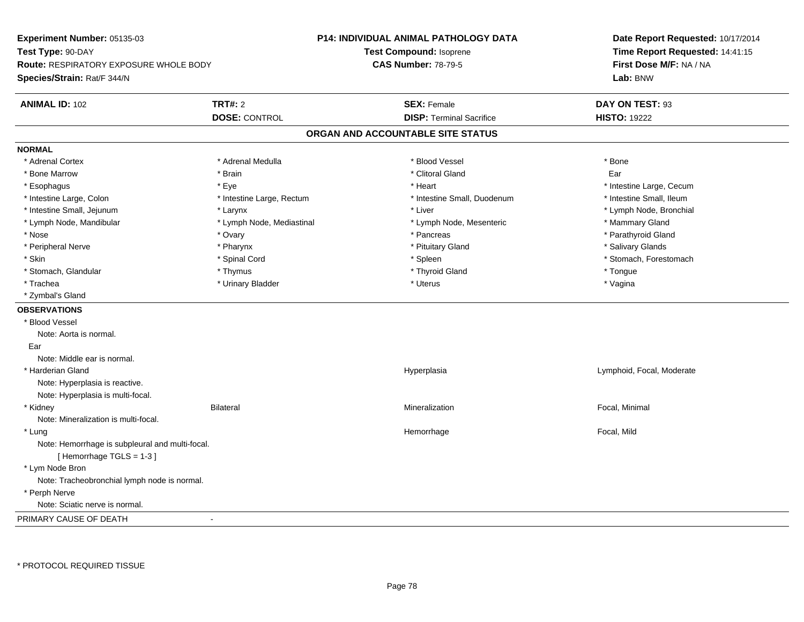| Experiment Number: 05135-03                                        |                           | <b>P14: INDIVIDUAL ANIMAL PATHOLOGY DATA</b> | Date Report Requested: 10/17/2014 |  |
|--------------------------------------------------------------------|---------------------------|----------------------------------------------|-----------------------------------|--|
| Test Type: 90-DAY<br><b>Route: RESPIRATORY EXPOSURE WHOLE BODY</b> |                           | <b>Test Compound: Isoprene</b>               | Time Report Requested: 14:41:15   |  |
|                                                                    |                           | <b>CAS Number: 78-79-5</b>                   | First Dose M/F: NA / NA           |  |
| Species/Strain: Rat/F 344/N                                        |                           |                                              | Lab: BNW                          |  |
| <b>ANIMAL ID: 102</b>                                              | <b>TRT#: 2</b>            | <b>SEX: Female</b>                           | DAY ON TEST: 93                   |  |
|                                                                    | <b>DOSE: CONTROL</b>      | <b>DISP: Terminal Sacrifice</b>              | <b>HISTO: 19222</b>               |  |
|                                                                    |                           | ORGAN AND ACCOUNTABLE SITE STATUS            |                                   |  |
| <b>NORMAL</b>                                                      |                           |                                              |                                   |  |
| * Adrenal Cortex                                                   | * Adrenal Medulla         | * Blood Vessel                               | * Bone                            |  |
| * Bone Marrow                                                      | * Brain                   | * Clitoral Gland                             | Ear                               |  |
| * Esophagus                                                        | * Eye                     | * Heart                                      | * Intestine Large, Cecum          |  |
| * Intestine Large, Colon                                           | * Intestine Large, Rectum | * Intestine Small, Duodenum                  | * Intestine Small, Ileum          |  |
| * Intestine Small, Jejunum                                         | * Larynx                  | * Liver                                      | * Lymph Node, Bronchial           |  |
| * Lymph Node, Mandibular                                           | * Lymph Node, Mediastinal | * Lymph Node, Mesenteric                     | * Mammary Gland                   |  |
| * Nose                                                             | * Ovary                   | * Pancreas                                   | * Parathyroid Gland               |  |
| * Peripheral Nerve                                                 | * Pharynx                 | * Pituitary Gland                            | * Salivary Glands                 |  |
| * Skin                                                             | * Spinal Cord             | * Spleen                                     | * Stomach, Forestomach            |  |
| * Stomach, Glandular                                               | * Thymus                  | * Thyroid Gland                              | * Tongue                          |  |
| * Trachea                                                          | * Urinary Bladder         | * Uterus                                     | * Vagina                          |  |
| * Zymbal's Gland                                                   |                           |                                              |                                   |  |
| <b>OBSERVATIONS</b>                                                |                           |                                              |                                   |  |
| * Blood Vessel                                                     |                           |                                              |                                   |  |
| Note: Aorta is normal.                                             |                           |                                              |                                   |  |
| Ear                                                                |                           |                                              |                                   |  |
| Note: Middle ear is normal.                                        |                           |                                              |                                   |  |
| * Harderian Gland                                                  |                           | Hyperplasia                                  | Lymphoid, Focal, Moderate         |  |
| Note: Hyperplasia is reactive.                                     |                           |                                              |                                   |  |
| Note: Hyperplasia is multi-focal.                                  |                           |                                              |                                   |  |
| * Kidney                                                           | <b>Bilateral</b>          | Mineralization                               | Focal, Minimal                    |  |
| Note: Mineralization is multi-focal.                               |                           |                                              |                                   |  |
| * Lung                                                             |                           | Hemorrhage                                   | Focal, Mild                       |  |
| Note: Hemorrhage is subpleural and multi-focal.                    |                           |                                              |                                   |  |
| [Hemorrhage TGLS = 1-3]                                            |                           |                                              |                                   |  |
| * Lym Node Bron                                                    |                           |                                              |                                   |  |
| Note: Tracheobronchial lymph node is normal.                       |                           |                                              |                                   |  |
| * Perph Nerve                                                      |                           |                                              |                                   |  |
| Note: Sciatic nerve is normal.                                     |                           |                                              |                                   |  |
| PRIMARY CAUSE OF DEATH                                             |                           |                                              |                                   |  |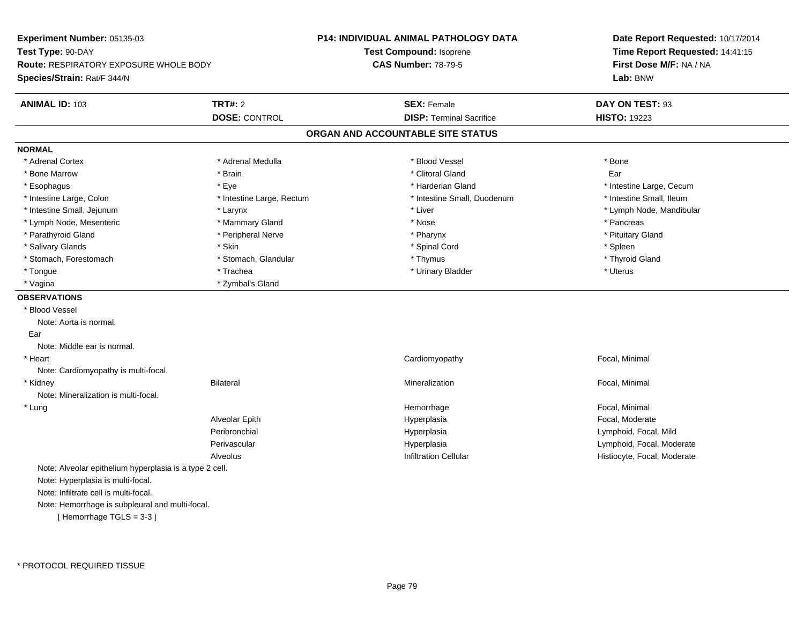| Experiment Number: 05135-03                             |                           | <b>P14: INDIVIDUAL ANIMAL PATHOLOGY DATA</b> | Date Report Requested: 10/17/2014                          |  |
|---------------------------------------------------------|---------------------------|----------------------------------------------|------------------------------------------------------------|--|
| Test Type: 90-DAY                                       |                           | <b>Test Compound: Isoprene</b>               | Time Report Requested: 14:41:15<br>First Dose M/F: NA / NA |  |
| <b>Route: RESPIRATORY EXPOSURE WHOLE BODY</b>           |                           | <b>CAS Number: 78-79-5</b>                   |                                                            |  |
| Species/Strain: Rat/F 344/N                             |                           |                                              | Lab: BNW                                                   |  |
| <b>ANIMAL ID: 103</b>                                   | <b>TRT#: 2</b>            | <b>SEX: Female</b>                           | DAY ON TEST: 93                                            |  |
|                                                         | <b>DOSE: CONTROL</b>      | <b>DISP: Terminal Sacrifice</b>              | <b>HISTO: 19223</b>                                        |  |
|                                                         |                           | ORGAN AND ACCOUNTABLE SITE STATUS            |                                                            |  |
| <b>NORMAL</b>                                           |                           |                                              |                                                            |  |
| * Adrenal Cortex                                        | * Adrenal Medulla         | * Blood Vessel                               | * Bone                                                     |  |
| * Bone Marrow                                           | * Brain                   | * Clitoral Gland                             | Ear                                                        |  |
| * Esophagus                                             | * Eye                     | * Harderian Gland                            | * Intestine Large, Cecum                                   |  |
| * Intestine Large, Colon                                | * Intestine Large, Rectum | * Intestine Small, Duodenum                  | * Intestine Small, Ileum                                   |  |
| * Intestine Small, Jejunum                              | * Larynx                  | * Liver                                      | * Lymph Node, Mandibular                                   |  |
| * Lymph Node, Mesenteric                                | * Mammary Gland           | * Nose                                       | * Pancreas                                                 |  |
| * Parathyroid Gland                                     | * Peripheral Nerve        | * Pharynx                                    | * Pituitary Gland                                          |  |
| * Salivary Glands                                       | * Skin                    | * Spinal Cord                                | * Spleen                                                   |  |
| * Stomach, Forestomach                                  | * Stomach, Glandular      | * Thymus                                     | * Thyroid Gland                                            |  |
| * Tongue                                                | * Trachea                 | * Urinary Bladder                            | * Uterus                                                   |  |
| * Vagina                                                | * Zymbal's Gland          |                                              |                                                            |  |
| <b>OBSERVATIONS</b>                                     |                           |                                              |                                                            |  |
| * Blood Vessel                                          |                           |                                              |                                                            |  |
| Note: Aorta is normal.                                  |                           |                                              |                                                            |  |
| Ear                                                     |                           |                                              |                                                            |  |
| Note: Middle ear is normal.                             |                           |                                              |                                                            |  |
| * Heart                                                 |                           | Cardiomyopathy                               | Focal, Minimal                                             |  |
| Note: Cardiomyopathy is multi-focal.                    |                           |                                              |                                                            |  |
| * Kidney                                                | <b>Bilateral</b>          | Mineralization                               | Focal, Minimal                                             |  |
| Note: Mineralization is multi-focal.                    |                           |                                              |                                                            |  |
| * Lung                                                  |                           | Hemorrhage                                   | Focal, Minimal                                             |  |
|                                                         | Alveolar Epith            | Hyperplasia                                  | Focal, Moderate                                            |  |
|                                                         | Peribronchial             | Hyperplasia                                  | Lymphoid, Focal, Mild                                      |  |
|                                                         | Perivascular              | Hyperplasia                                  | Lymphoid, Focal, Moderate                                  |  |
|                                                         | Alveolus                  | <b>Infiltration Cellular</b>                 | Histiocyte, Focal, Moderate                                |  |
| Note: Alveolar epithelium hyperplasia is a type 2 cell. |                           |                                              |                                                            |  |
| Note: Hyperplasia is multi-focal.                       |                           |                                              |                                                            |  |
| Note: Infiltrate cell is multi-focal.                   |                           |                                              |                                                            |  |
| Note: Hemorrhage is subpleural and multi-focal.         |                           |                                              |                                                            |  |
| [Hemorrhage TGLS = 3-3]                                 |                           |                                              |                                                            |  |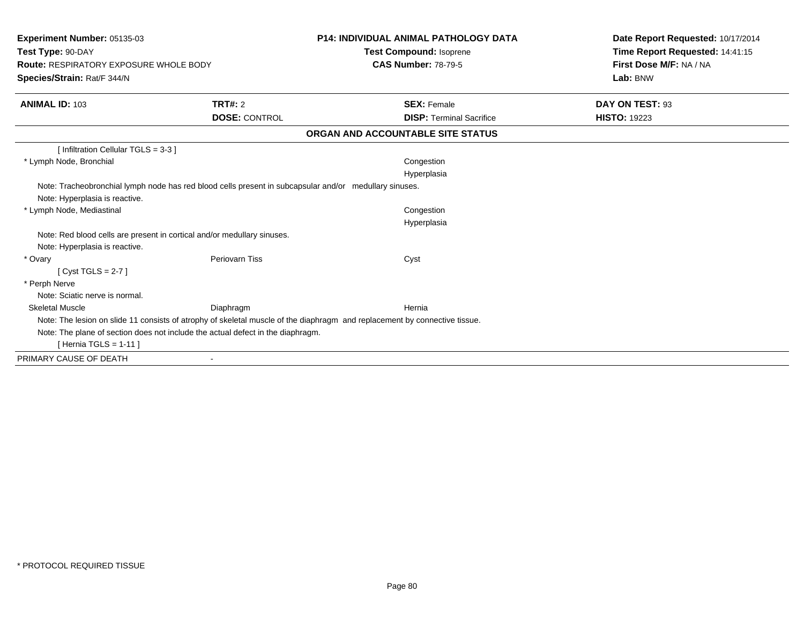| Experiment Number: 05135-03<br>Test Type: 90-DAY<br><b>Route: RESPIRATORY EXPOSURE WHOLE BODY</b><br>Species/Strain: Rat/F 344/N |                      | <b>P14: INDIVIDUAL ANIMAL PATHOLOGY DATA</b><br><b>Test Compound: Isoprene</b><br><b>CAS Number: 78-79-5</b>               | Date Report Requested: 10/17/2014<br>Time Report Requested: 14:41:15<br>First Dose M/F: NA / NA<br>Lab: BNW |
|----------------------------------------------------------------------------------------------------------------------------------|----------------------|----------------------------------------------------------------------------------------------------------------------------|-------------------------------------------------------------------------------------------------------------|
| <b>ANIMAL ID: 103</b>                                                                                                            | TRT#: 2              | <b>SEX: Female</b>                                                                                                         | DAY ON TEST: 93                                                                                             |
|                                                                                                                                  | <b>DOSE: CONTROL</b> | <b>DISP: Terminal Sacrifice</b>                                                                                            | <b>HISTO: 19223</b>                                                                                         |
|                                                                                                                                  |                      | ORGAN AND ACCOUNTABLE SITE STATUS                                                                                          |                                                                                                             |
| [ Infiltration Cellular TGLS = 3-3 ]                                                                                             |                      |                                                                                                                            |                                                                                                             |
| * Lymph Node, Bronchial                                                                                                          |                      | Congestion                                                                                                                 |                                                                                                             |
|                                                                                                                                  |                      | Hyperplasia                                                                                                                |                                                                                                             |
| Note: Tracheobronchial lymph node has red blood cells present in subcapsular and/or medullary sinuses.                           |                      |                                                                                                                            |                                                                                                             |
| Note: Hyperplasia is reactive.                                                                                                   |                      |                                                                                                                            |                                                                                                             |
| * Lymph Node, Mediastinal                                                                                                        |                      | Congestion                                                                                                                 |                                                                                                             |
|                                                                                                                                  |                      | Hyperplasia                                                                                                                |                                                                                                             |
| Note: Red blood cells are present in cortical and/or medullary sinuses.                                                          |                      |                                                                                                                            |                                                                                                             |
| Note: Hyperplasia is reactive.                                                                                                   |                      |                                                                                                                            |                                                                                                             |
| * Ovary                                                                                                                          | Periovarn Tiss       | Cyst                                                                                                                       |                                                                                                             |
| [Cyst TGLS = $2-7$ ]                                                                                                             |                      |                                                                                                                            |                                                                                                             |
| * Perph Nerve                                                                                                                    |                      |                                                                                                                            |                                                                                                             |
| Note: Sciatic nerve is normal.                                                                                                   |                      |                                                                                                                            |                                                                                                             |
| <b>Skeletal Muscle</b>                                                                                                           | Diaphragm            | Hernia                                                                                                                     |                                                                                                             |
|                                                                                                                                  |                      | Note: The lesion on slide 11 consists of atrophy of skeletal muscle of the diaphragm and replacement by connective tissue. |                                                                                                             |
| Note: The plane of section does not include the actual defect in the diaphragm.                                                  |                      |                                                                                                                            |                                                                                                             |
| [ Hernia TGLS = $1-11$ ]                                                                                                         |                      |                                                                                                                            |                                                                                                             |
| PRIMARY CAUSE OF DEATH                                                                                                           |                      |                                                                                                                            |                                                                                                             |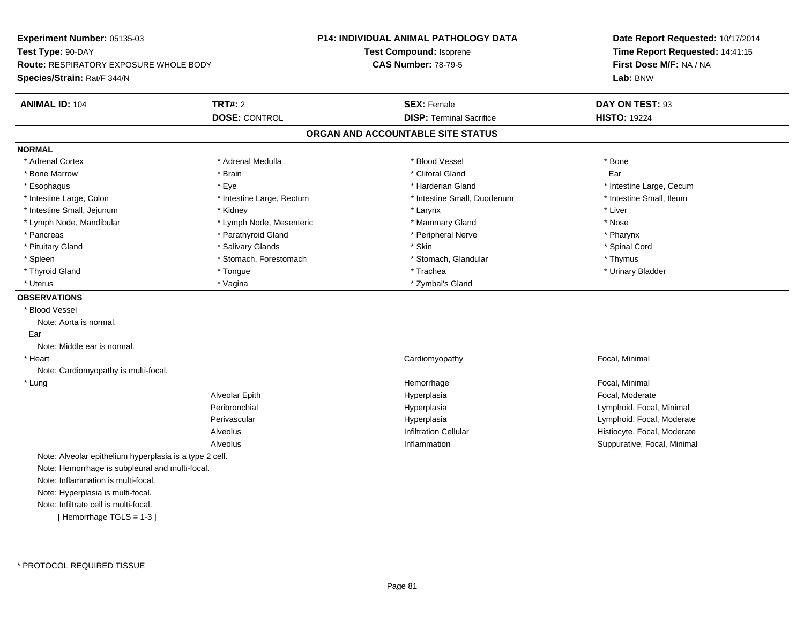**Experiment Number:** 05135-03**Test Type:** 90-DAY **Route:** RESPIRATORY EXPOSURE WHOLE BODY**Species/Strain:** Rat/F 344/N**P14: INDIVIDUAL ANIMAL PATHOLOGY DATATest Compound:** Isoprene**CAS Number:** 78-79-5**Date Report Requested:** 10/17/2014**Time Report Requested:** 14:41:15**First Dose M/F:** NA / NA**Lab:** BNW**ANIMAL ID:** 104**TRT#:** 2 **SEX:** Female **DAY ON TEST:** 93 **DOSE:** CONTROL**DISP:** Terminal Sacrifice **HISTO:** 19224 **ORGAN AND ACCOUNTABLE SITE STATUSNORMAL**\* Adrenal Cortex \* Adrenal Cortex \* \* Adrenal Medulla \* \* Adrenal Medulla \* \* Blood Vessel \* \* Brood Vessel \* \* Bone \* Bone Marrow \* \* Android \* Bone Marrow \* Clitoral Gland \* Clitoral Gland \* Clitoral Gland \* Clitoral Gland \* C \* Esophagus \* Eye \* Harderian Gland \* Harderian Gland \* \* Harderian Gland \* \* Hotelstine Large, Cecum \* Intestine Small, Ileum \* Intestine Large, Colon \* Intestine Large, Rectum \* Intestine Small, Duodenum \* Intestine Small, Duodenum \* Intestine Small, Jejunum \* \* Widney \* Kidney \* Larynx \* Larynx \* Larynx \* Larynx \* Liver \* Lymph Node, Mandibular \* The state of the state of the second temperature and the state of the state of the state of the state of the state of the state of the state of the state of the state of the state of the state of \* Pharynx \* Pancreas \* Parathyroid Gland \* Parathyroid Gland \* Peripheral Nerve \* Spinal Cord \* Pituitary Gland \* \* Spinal Cord \* Salivary Glands \* \* Skin \* \* Skin \* \* Spinal Cord \* Spinal Cord \* Spinal Cord \* Spinal Cord \* Spinal Cord \* Spinal Cord \* Spinal Cord \* Spinal Cord \* Spinal Cord \* Spinal Cord \* Spinal C \* Spleen \* Stomach, Forestomach \* Stomach \* Stomach \* Stomach, Glandular \* Thymus \* Thymus \* Urinary Bladder \* Thyroid Gland \* \* The control of the total property and the top of the top of the top of the top of the top of the top of the top of the top of the top of the top of the top of the top of the top of the top of the top of \* Uterus \* Zymbal's Gland \* Zymbal's Gland \* Zymbal's Gland \* Zymbal's Gland \* Zymbal's Gland **OBSERVATIONS** \* Blood VesselNote: Aorta is normal. EarNote: Middle ear is normal. \* Heart Cardiomyopathy Focal, Minimal Note: Cardiomyopathy is multi-focal. \* Lungg is a state of the state of the state of the Hemorrhage is a state of the state of the Focal, Minimal state of the state of the state of the state of the state of the state of the state of the state of the state of the st Alveolar Epith Hyperplasia Focal, Moderate Peribronchial Hyperplasia Lymphoid, Focal, Minimal Perivascular Hyperplasia Lymphoid, Focal, Moderate AlveolusHistiocyte, Focal, Moderate n Suppurative, Focal, Minimal Alveolus InflammationNote: Alveolar epithelium hyperplasia is a type 2 cell.Note: Hemorrhage is subpleural and multi-focal.Note: Inflammation is multi-focal.Note: Hyperplasia is multi-focal.Note: Infiltrate cell is multi-focal.[ Hemorrhage TGLS = 1-3 ]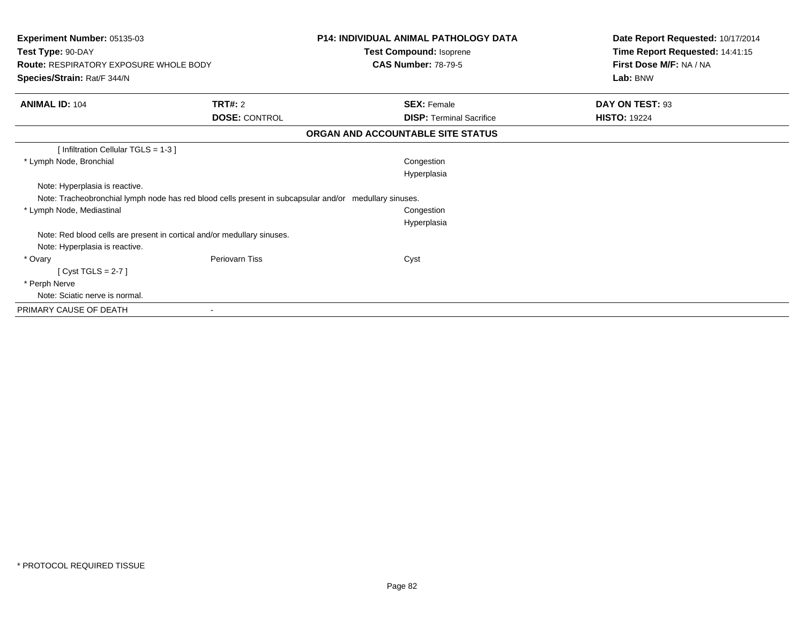| Experiment Number: 05135-03<br>Test Type: 90-DAY                                                       |                      | <b>P14: INDIVIDUAL ANIMAL PATHOLOGY DATA</b> | Date Report Requested: 10/17/2014<br>Time Report Requested: 14:41:15 |  |
|--------------------------------------------------------------------------------------------------------|----------------------|----------------------------------------------|----------------------------------------------------------------------|--|
|                                                                                                        |                      | Test Compound: Isoprene                      |                                                                      |  |
| <b>Route: RESPIRATORY EXPOSURE WHOLE BODY</b>                                                          |                      | <b>CAS Number: 78-79-5</b>                   | First Dose M/F: NA / NA                                              |  |
| Species/Strain: Rat/F 344/N                                                                            |                      |                                              | Lab: BNW                                                             |  |
| <b>ANIMAL ID: 104</b>                                                                                  | <b>TRT#: 2</b>       | <b>SEX: Female</b>                           | DAY ON TEST: 93                                                      |  |
|                                                                                                        | <b>DOSE: CONTROL</b> | <b>DISP: Terminal Sacrifice</b>              | <b>HISTO: 19224</b>                                                  |  |
|                                                                                                        |                      | ORGAN AND ACCOUNTABLE SITE STATUS            |                                                                      |  |
| [Infiltration Cellular TGLS = 1-3]                                                                     |                      |                                              |                                                                      |  |
| * Lymph Node, Bronchial                                                                                |                      | Congestion                                   |                                                                      |  |
|                                                                                                        |                      | Hyperplasia                                  |                                                                      |  |
| Note: Hyperplasia is reactive.                                                                         |                      |                                              |                                                                      |  |
| Note: Tracheobronchial lymph node has red blood cells present in subcapsular and/or medullary sinuses. |                      |                                              |                                                                      |  |
| * Lymph Node, Mediastinal                                                                              |                      | Congestion                                   |                                                                      |  |
|                                                                                                        |                      | Hyperplasia                                  |                                                                      |  |
| Note: Red blood cells are present in cortical and/or medullary sinuses.                                |                      |                                              |                                                                      |  |
| Note: Hyperplasia is reactive.                                                                         |                      |                                              |                                                                      |  |
| * Ovary                                                                                                | Periovarn Tiss       | Cyst                                         |                                                                      |  |
| [ $Cyst TGLS = 2-7$ ]                                                                                  |                      |                                              |                                                                      |  |
| * Perph Nerve                                                                                          |                      |                                              |                                                                      |  |
| Note: Sciatic nerve is normal.                                                                         |                      |                                              |                                                                      |  |
| PRIMARY CAUSE OF DEATH                                                                                 |                      |                                              |                                                                      |  |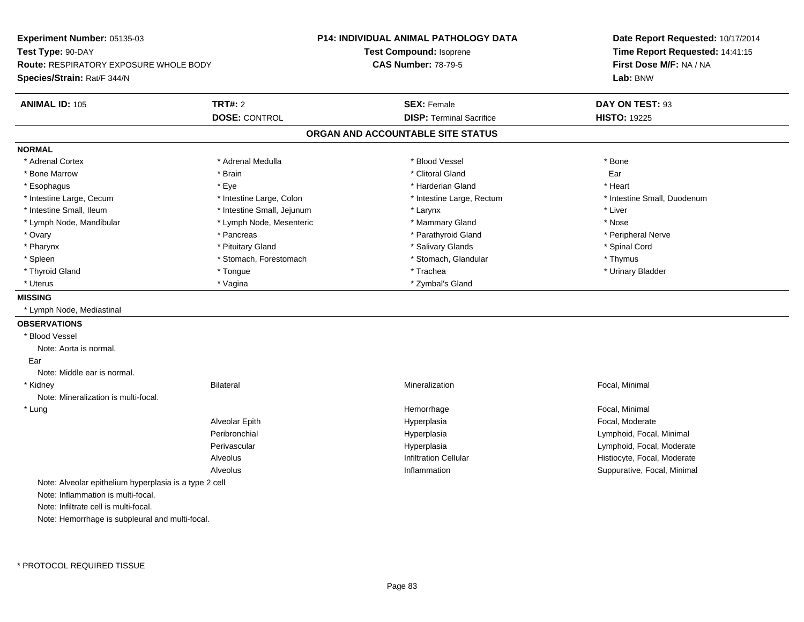| Experiment Number: 05135-03                            |                            | <b>P14: INDIVIDUAL ANIMAL PATHOLOGY DATA</b> | Date Report Requested: 10/17/2014                          |  |
|--------------------------------------------------------|----------------------------|----------------------------------------------|------------------------------------------------------------|--|
| Test Type: 90-DAY                                      |                            | Test Compound: Isoprene                      | Time Report Requested: 14:41:15<br>First Dose M/F: NA / NA |  |
| <b>Route: RESPIRATORY EXPOSURE WHOLE BODY</b>          |                            | <b>CAS Number: 78-79-5</b>                   |                                                            |  |
| <b>Species/Strain: Rat/F 344/N</b>                     |                            |                                              | Lab: BNW                                                   |  |
| <b>ANIMAL ID: 105</b>                                  | <b>TRT#: 2</b>             | <b>SEX: Female</b>                           | DAY ON TEST: 93                                            |  |
|                                                        | <b>DOSE: CONTROL</b>       | <b>DISP: Terminal Sacrifice</b>              | <b>HISTO: 19225</b>                                        |  |
|                                                        |                            | ORGAN AND ACCOUNTABLE SITE STATUS            |                                                            |  |
| <b>NORMAL</b>                                          |                            |                                              |                                                            |  |
| * Adrenal Cortex                                       | * Adrenal Medulla          | * Blood Vessel                               | * Bone                                                     |  |
| * Bone Marrow                                          | * Brain                    | * Clitoral Gland                             | Ear                                                        |  |
| * Esophagus                                            | * Eye                      | * Harderian Gland                            | * Heart                                                    |  |
| * Intestine Large, Cecum                               | * Intestine Large, Colon   | * Intestine Large, Rectum                    | * Intestine Small, Duodenum                                |  |
| * Intestine Small, Ileum                               | * Intestine Small, Jejunum | * Larynx                                     | * Liver                                                    |  |
| * Lymph Node, Mandibular                               | * Lymph Node, Mesenteric   | * Mammary Gland                              | * Nose                                                     |  |
| * Ovary                                                | * Pancreas                 | * Parathyroid Gland                          | * Peripheral Nerve                                         |  |
| * Pharynx                                              | * Pituitary Gland          | * Salivary Glands                            | * Spinal Cord                                              |  |
| * Spleen                                               | * Stomach, Forestomach     | * Stomach, Glandular                         | * Thymus                                                   |  |
| * Thyroid Gland                                        | * Tongue                   | * Trachea                                    | * Urinary Bladder                                          |  |
| * Uterus                                               | * Vagina                   | * Zymbal's Gland                             |                                                            |  |
| <b>MISSING</b>                                         |                            |                                              |                                                            |  |
| * Lymph Node, Mediastinal                              |                            |                                              |                                                            |  |
| <b>OBSERVATIONS</b>                                    |                            |                                              |                                                            |  |
| * Blood Vessel                                         |                            |                                              |                                                            |  |
| Note: Aorta is normal.                                 |                            |                                              |                                                            |  |
| Ear                                                    |                            |                                              |                                                            |  |
| Note: Middle ear is normal.                            |                            |                                              |                                                            |  |
| * Kidney                                               | <b>Bilateral</b>           | Mineralization                               | Focal, Minimal                                             |  |
| Note: Mineralization is multi-focal.                   |                            |                                              |                                                            |  |
| * Lung                                                 |                            | Hemorrhage                                   | Focal, Minimal                                             |  |
|                                                        | Alveolar Epith             | Hyperplasia                                  | Focal, Moderate                                            |  |
|                                                        | Peribronchial              | Hyperplasia                                  | Lymphoid, Focal, Minimal                                   |  |
|                                                        | Perivascular               | Hyperplasia                                  | Lymphoid, Focal, Moderate                                  |  |
|                                                        | Alveolus                   | <b>Infiltration Cellular</b>                 | Histiocyte, Focal, Moderate                                |  |
|                                                        | Alveolus                   | Inflammation                                 | Suppurative, Focal, Minimal                                |  |
| Note: Alveolar epithelium hyperplasia is a type 2 cell |                            |                                              |                                                            |  |
| Note: Inflammation is multi-focal.                     |                            |                                              |                                                            |  |
| Note: Infiltrate cell is multi-focal.                  |                            |                                              |                                                            |  |
| Note: Hemorrhage is subpleural and multi-focal.        |                            |                                              |                                                            |  |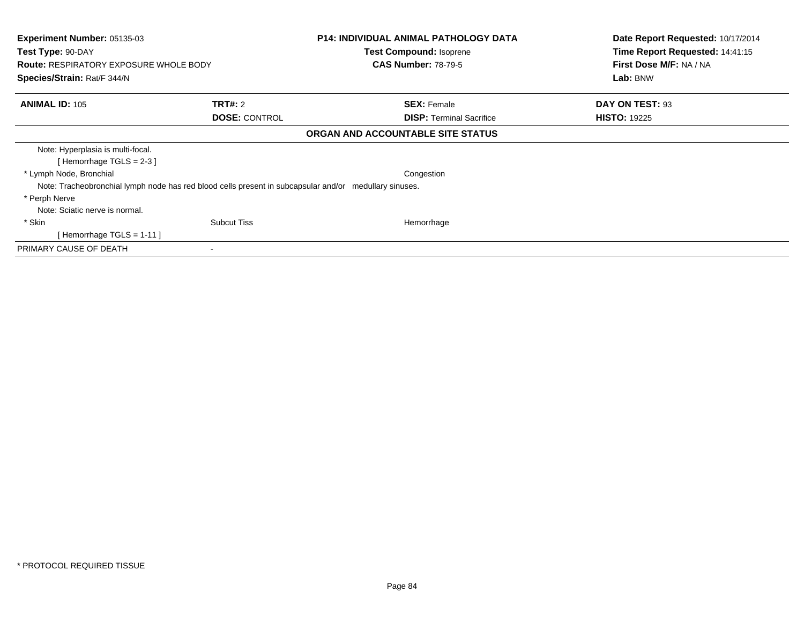| <b>Experiment Number: 05135-03</b><br>Test Type: 90-DAY<br><b>Route: RESPIRATORY EXPOSURE WHOLE BODY</b> |                      | <b>P14: INDIVIDUAL ANIMAL PATHOLOGY DATA</b><br><b>Test Compound: Isoprene</b><br><b>CAS Number: 78-79-5</b> | Date Report Requested: 10/17/2014<br>Time Report Requested: 14:41:15<br>First Dose M/F: NA / NA |  |
|----------------------------------------------------------------------------------------------------------|----------------------|--------------------------------------------------------------------------------------------------------------|-------------------------------------------------------------------------------------------------|--|
| Species/Strain: Rat/F 344/N                                                                              |                      |                                                                                                              | Lab: BNW                                                                                        |  |
| <b>ANIMAL ID: 105</b>                                                                                    | TRT#: 2              | <b>SEX: Female</b>                                                                                           | DAY ON TEST: 93                                                                                 |  |
|                                                                                                          | <b>DOSE: CONTROL</b> | <b>DISP:</b> Terminal Sacrifice                                                                              | <b>HISTO: 19225</b>                                                                             |  |
|                                                                                                          |                      | ORGAN AND ACCOUNTABLE SITE STATUS                                                                            |                                                                                                 |  |
| Note: Hyperplasia is multi-focal.                                                                        |                      |                                                                                                              |                                                                                                 |  |
| [Hemorrhage TGLS = $2-3$ ]                                                                               |                      |                                                                                                              |                                                                                                 |  |
| * Lymph Node, Bronchial                                                                                  |                      | Congestion                                                                                                   |                                                                                                 |  |
| Note: Tracheobronchial lymph node has red blood cells present in subcapsular and/or medullary sinuses.   |                      |                                                                                                              |                                                                                                 |  |
| * Perph Nerve                                                                                            |                      |                                                                                                              |                                                                                                 |  |
| Note: Sciatic nerve is normal.                                                                           |                      |                                                                                                              |                                                                                                 |  |
| * Skin                                                                                                   | <b>Subcut Tiss</b>   | Hemorrhage                                                                                                   |                                                                                                 |  |
| [Hemorrhage TGLS = $1-11$ ]                                                                              |                      |                                                                                                              |                                                                                                 |  |
| PRIMARY CAUSE OF DEATH                                                                                   |                      |                                                                                                              |                                                                                                 |  |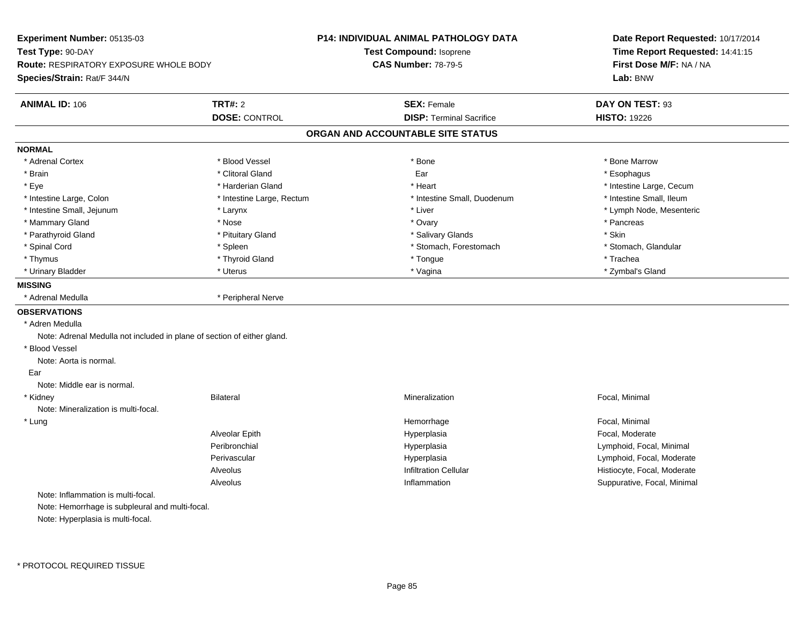**Experiment Number:** 05135-03**Test Type:** 90-DAY **Route:** RESPIRATORY EXPOSURE WHOLE BODY**Species/Strain:** Rat/F 344/N**P14: INDIVIDUAL ANIMAL PATHOLOGY DATATest Compound:** Isoprene**CAS Number:** 78-79-5**Date Report Requested:** 10/17/2014**Time Report Requested:** 14:41:15**First Dose M/F:** NA / NA**Lab:** BNW**ANIMAL ID:** 106**TRT#:** 2 **SEX:** Female **DAY ON TEST:** 93 **DOSE:** CONTROL**DISP:** Terminal Sacrifice **HISTO:** 19226 **ORGAN AND ACCOUNTABLE SITE STATUSNORMAL**\* Adrenal Cortex \* Adrenal Cortex \* \* Attachers \* Blood Vessel \* \* Bone \* \* \* Bone \* \* Bone \* \* Bone \* Bone Marrow \* Bone Marrow \* Brain \* Andreas \* Community of the Clitoral Gland \* Clitoral Gland \* Ear \* Esophagus \* Esophagus \* Esophagus \* Eye \* https://www.frage.com/mode.com/mode.com/mode.com/mode.com/mode.com/mode.com/mode.com/mode.com/mode.com/ \* Intestine Small, Ileum \* Intestine Large, Colon \* Intestine Large, Rectum \* Intestine Small, Duodenum \* Intestine Small, Duodenum \* Intestine Small, Jejunum \* Larynx \* Liver \* Lymph Node, Mesenteric \* Mammary Gland \* \* Andrew \* Nose \* \* Nose \* \* Ovary \* Ovary \* Ovary \* \* Ovary \* \* Pancreas \* \* Pancreas \* \* Pancreas \* \* Pancreas \* \* Pancreas \* \* Pancreas \* \* Pancreas \* \* Pancreas \* \* Pancreas \* \* Pancreas \* \* Pancreas \* Parathyroid Gland \* The state of the state of the state of the state of the state of the state of the state of the state of the state of the state of the state of the state of the state of the state of the state of the s \* Stomach. Glandular \* Spinal Cord **\* Stomach, Forestomach \* Spinal Cord \*** Stomach, Forestomach \* Stomach, Forestomach \* Thymus \* \* The mode of the total term of the total term of the total term of the total term of the total term of the total term of the total term of the total term of the total term of the total term of the total term of \* Zymbal's Gland \* Urinary Bladder \* \* \* Uterus \* Uterus \* Uterus \* \* Vagina \* \* Zymbal's Gland \* Zymbal's Gland \* \* Zymbal's Gland \* **MISSING**\* Adrenal Medulla \* Peripheral Nerve **OBSERVATIONS** \* Adren Medulla Note: Adrenal Medulla not included in plane of section of either gland. \* Blood VesselNote: Aorta is normal. Ear Note: Middle ear is normal. \* Kidneyy Bilateral Mineralization Mineralization **Example 2018** Focal, Minimal Note: Mineralization is multi-focal. \* Lungg is a state of the state of the state of the Hemorrhage is a state of the state of the Focal, Minimal state of the state of the state of the state of the state of the state of the state of the state of the state of the st Alveolar Epith Hyperplasia Focal, Moderate Peribronchial Hyperplasia Lymphoid, Focal, Minimal Perivascular HyperplasiaHyperplasia<br>
Infiltration Cellular<br>
Infiltration Cellular<br>
Infiltration Cellular<br>
Infiltration Cellular AlveolusHistiocyte, Focal, Moderate n Suppurative, Focal, Minimal Alveolus InflammationNote: Inflammation is multi-focal.Note: Hemorrhage is subpleural and multi-focal.Note: Hyperplasia is multi-focal.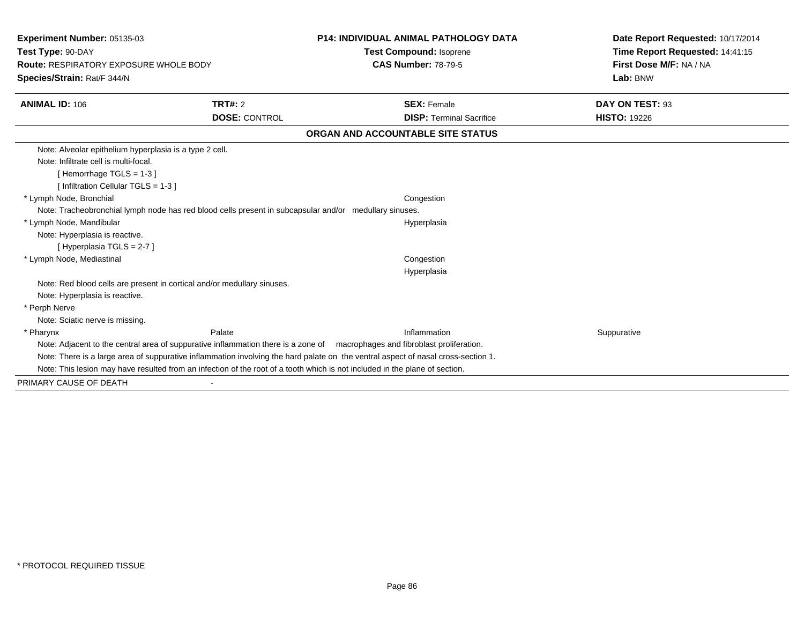| <b>Experiment Number: 05135-03</b><br>Test Type: 90-DAY                                                |                      | <b>P14: INDIVIDUAL ANIMAL PATHOLOGY DATA</b>                                                                                      | Date Report Requested: 10/17/2014<br>Time Report Requested: 14:41:15 |
|--------------------------------------------------------------------------------------------------------|----------------------|-----------------------------------------------------------------------------------------------------------------------------------|----------------------------------------------------------------------|
|                                                                                                        |                      | <b>Test Compound: Isoprene</b>                                                                                                    |                                                                      |
| Route: RESPIRATORY EXPOSURE WHOLE BODY                                                                 |                      | <b>CAS Number: 78-79-5</b>                                                                                                        | First Dose M/F: NA / NA                                              |
| Species/Strain: Rat/F 344/N                                                                            |                      |                                                                                                                                   | Lab: BNW                                                             |
| <b>ANIMAL ID: 106</b>                                                                                  | TRT#: 2              | <b>SEX: Female</b>                                                                                                                | DAY ON TEST: 93                                                      |
|                                                                                                        | <b>DOSE: CONTROL</b> | <b>DISP: Terminal Sacrifice</b>                                                                                                   | <b>HISTO: 19226</b>                                                  |
|                                                                                                        |                      | ORGAN AND ACCOUNTABLE SITE STATUS                                                                                                 |                                                                      |
| Note: Alveolar epithelium hyperplasia is a type 2 cell.                                                |                      |                                                                                                                                   |                                                                      |
| Note: Infiltrate cell is multi-focal.                                                                  |                      |                                                                                                                                   |                                                                      |
| [Hemorrhage TGLS = 1-3]                                                                                |                      |                                                                                                                                   |                                                                      |
| [ Infiltration Cellular TGLS = 1-3 ]                                                                   |                      |                                                                                                                                   |                                                                      |
| * Lymph Node, Bronchial                                                                                |                      | Congestion                                                                                                                        |                                                                      |
| Note: Tracheobronchial lymph node has red blood cells present in subcapsular and/or medullary sinuses. |                      |                                                                                                                                   |                                                                      |
| * Lymph Node, Mandibular                                                                               |                      | Hyperplasia                                                                                                                       |                                                                      |
| Note: Hyperplasia is reactive.                                                                         |                      |                                                                                                                                   |                                                                      |
| [Hyperplasia TGLS = 2-7]                                                                               |                      |                                                                                                                                   |                                                                      |
| * Lymph Node, Mediastinal                                                                              |                      | Congestion                                                                                                                        |                                                                      |
|                                                                                                        |                      | Hyperplasia                                                                                                                       |                                                                      |
| Note: Red blood cells are present in cortical and/or medullary sinuses.                                |                      |                                                                                                                                   |                                                                      |
| Note: Hyperplasia is reactive.                                                                         |                      |                                                                                                                                   |                                                                      |
| * Perph Nerve                                                                                          |                      |                                                                                                                                   |                                                                      |
| Note: Sciatic nerve is missing.                                                                        |                      |                                                                                                                                   |                                                                      |
| * Pharynx                                                                                              | Palate               | Inflammation                                                                                                                      | Suppurative                                                          |
|                                                                                                        |                      | Note: Adjacent to the central area of suppurative inflammation there is a zone of macrophages and fibroblast proliferation.       |                                                                      |
|                                                                                                        |                      | Note: There is a large area of suppurative inflammation involving the hard palate on the ventral aspect of nasal cross-section 1. |                                                                      |
|                                                                                                        |                      | Note: This lesion may have resulted from an infection of the root of a tooth which is not included in the plane of section.       |                                                                      |
|                                                                                                        |                      |                                                                                                                                   |                                                                      |

PRIMARY CAUSE OF DEATH-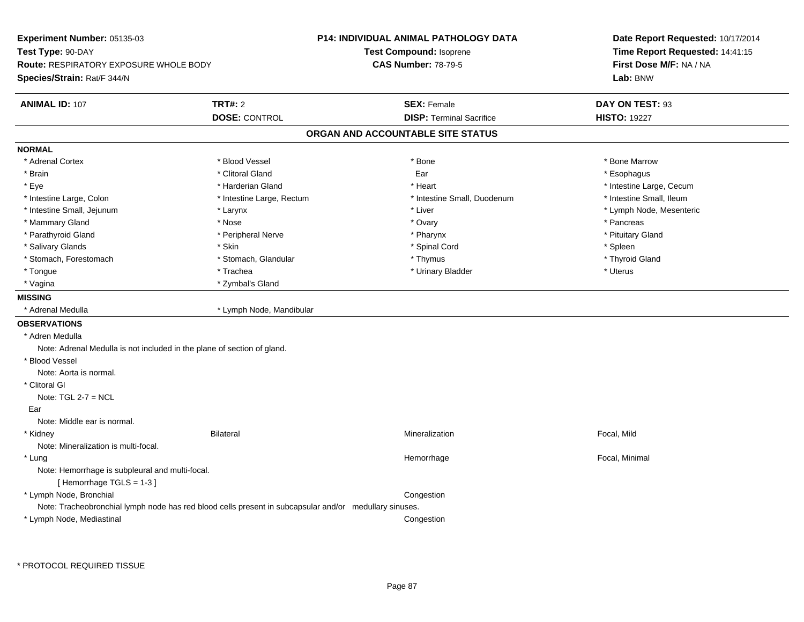| Experiment Number: 05135-03                                                          |                                                                                                        | P14: INDIVIDUAL ANIMAL PATHOLOGY DATA | Date Report Requested: 10/17/2014 |  |
|--------------------------------------------------------------------------------------|--------------------------------------------------------------------------------------------------------|---------------------------------------|-----------------------------------|--|
| Test Type: 90-DAY                                                                    |                                                                                                        | Test Compound: Isoprene               | Time Report Requested: 14:41:15   |  |
| Route: RESPIRATORY EXPOSURE WHOLE BODY                                               |                                                                                                        | <b>CAS Number: 78-79-5</b>            | First Dose M/F: NA / NA           |  |
| Species/Strain: Rat/F 344/N                                                          |                                                                                                        |                                       | Lab: BNW                          |  |
| <b>ANIMAL ID: 107</b>                                                                | <b>TRT#: 2</b>                                                                                         | <b>SEX: Female</b>                    | DAY ON TEST: 93                   |  |
|                                                                                      | <b>DOSE: CONTROL</b>                                                                                   | <b>DISP: Terminal Sacrifice</b>       | <b>HISTO: 19227</b>               |  |
|                                                                                      |                                                                                                        | ORGAN AND ACCOUNTABLE SITE STATUS     |                                   |  |
| <b>NORMAL</b>                                                                        |                                                                                                        |                                       |                                   |  |
| * Adrenal Cortex                                                                     | * Blood Vessel                                                                                         | * Bone                                | * Bone Marrow                     |  |
| * Brain                                                                              | * Clitoral Gland                                                                                       | Ear                                   | * Esophagus                       |  |
| * Eye                                                                                | * Harderian Gland                                                                                      | * Heart                               | * Intestine Large, Cecum          |  |
| * Intestine Large, Colon                                                             | * Intestine Large, Rectum                                                                              | * Intestine Small, Duodenum           | * Intestine Small, Ileum          |  |
| * Intestine Small, Jejunum                                                           | * Larynx                                                                                               | * Liver                               | * Lymph Node, Mesenteric          |  |
| * Mammary Gland                                                                      | * Nose                                                                                                 | * Ovary                               | * Pancreas                        |  |
| * Parathyroid Gland                                                                  | * Peripheral Nerve                                                                                     | * Pharynx                             | * Pituitary Gland                 |  |
| * Salivary Glands                                                                    | * Skin                                                                                                 | * Spinal Cord                         | * Spleen                          |  |
| * Stomach, Forestomach                                                               | * Stomach, Glandular                                                                                   | * Thymus                              | * Thyroid Gland                   |  |
| * Tongue                                                                             | * Trachea                                                                                              | * Urinary Bladder                     | * Uterus                          |  |
| * Vagina                                                                             | * Zymbal's Gland                                                                                       |                                       |                                   |  |
| <b>MISSING</b>                                                                       |                                                                                                        |                                       |                                   |  |
| * Adrenal Medulla                                                                    | * Lymph Node, Mandibular                                                                               |                                       |                                   |  |
| <b>OBSERVATIONS</b>                                                                  |                                                                                                        |                                       |                                   |  |
| * Adren Medulla                                                                      |                                                                                                        |                                       |                                   |  |
| Note: Adrenal Medulla is not included in the plane of section of gland.              |                                                                                                        |                                       |                                   |  |
| * Blood Vessel                                                                       |                                                                                                        |                                       |                                   |  |
| Note: Aorta is normal.                                                               |                                                                                                        |                                       |                                   |  |
| * Clitoral GI                                                                        |                                                                                                        |                                       |                                   |  |
| Note: $TGL 2-7 = NCL$                                                                |                                                                                                        |                                       |                                   |  |
| Ear                                                                                  |                                                                                                        |                                       |                                   |  |
| Note: Middle ear is normal.                                                          |                                                                                                        |                                       |                                   |  |
| * Kidney                                                                             | <b>Bilateral</b>                                                                                       | Mineralization                        | Focal, Mild                       |  |
| Note: Mineralization is multi-focal.                                                 |                                                                                                        |                                       |                                   |  |
| * Lung<br>Note: Hemorrhage is subpleural and multi-focal.<br>[Hemorrhage TGLS = 1-3] |                                                                                                        | Hemorrhage                            | Focal, Minimal                    |  |
| * Lymph Node, Bronchial                                                              |                                                                                                        | Congestion                            |                                   |  |
|                                                                                      | Note: Tracheobronchial lymph node has red blood cells present in subcapsular and/or medullary sinuses. |                                       |                                   |  |
| * Lymph Node, Mediastinal                                                            |                                                                                                        | Congestion                            |                                   |  |
|                                                                                      |                                                                                                        |                                       |                                   |  |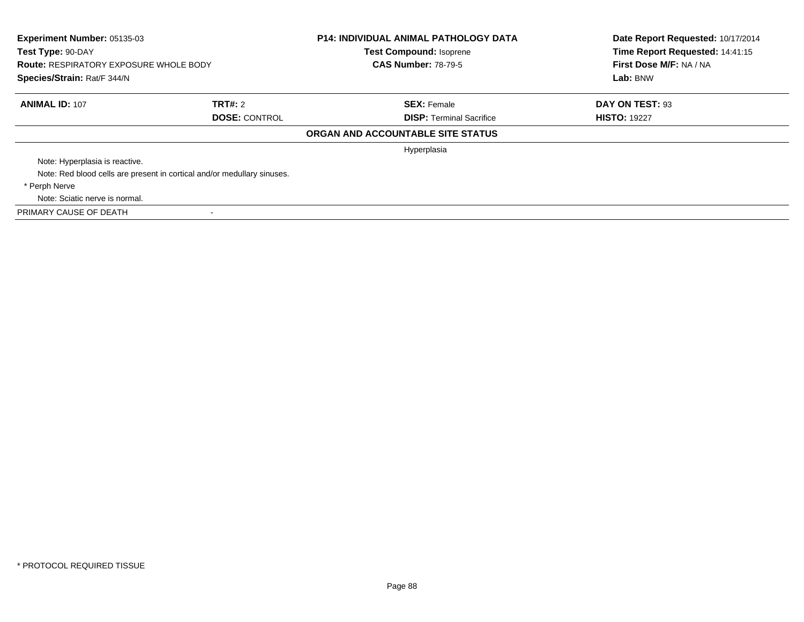| Experiment Number: 05135-03<br>Test Type: 90-DAY<br><b>Route: RESPIRATORY EXPOSURE WHOLE BODY</b><br>Species/Strain: Rat/F 344/N |                                                                         | <b>P14: INDIVIDUAL ANIMAL PATHOLOGY DATA</b><br><b>Test Compound: Isoprene</b><br><b>CAS Number: 78-79-5</b> | Date Report Requested: 10/17/2014<br>Time Report Requested: 14:41:15<br>First Dose M/F: NA / NA<br>Lab: BNW |
|----------------------------------------------------------------------------------------------------------------------------------|-------------------------------------------------------------------------|--------------------------------------------------------------------------------------------------------------|-------------------------------------------------------------------------------------------------------------|
|                                                                                                                                  |                                                                         |                                                                                                              |                                                                                                             |
| <b>ANIMAL ID: 107</b>                                                                                                            | TRT#: 2<br><b>DOSE: CONTROL</b>                                         | <b>SEX: Female</b><br><b>DISP:</b> Terminal Sacrifice                                                        | DAY ON TEST: 93<br><b>HISTO: 19227</b>                                                                      |
|                                                                                                                                  |                                                                         | ORGAN AND ACCOUNTABLE SITE STATUS                                                                            |                                                                                                             |
|                                                                                                                                  |                                                                         | Hyperplasia                                                                                                  |                                                                                                             |
| Note: Hyperplasia is reactive.                                                                                                   |                                                                         |                                                                                                              |                                                                                                             |
|                                                                                                                                  | Note: Red blood cells are present in cortical and/or medullary sinuses. |                                                                                                              |                                                                                                             |
| * Perph Nerve                                                                                                                    |                                                                         |                                                                                                              |                                                                                                             |
| Note: Sciatic nerve is normal.                                                                                                   |                                                                         |                                                                                                              |                                                                                                             |
| PRIMARY CAUSE OF DEATH                                                                                                           |                                                                         |                                                                                                              |                                                                                                             |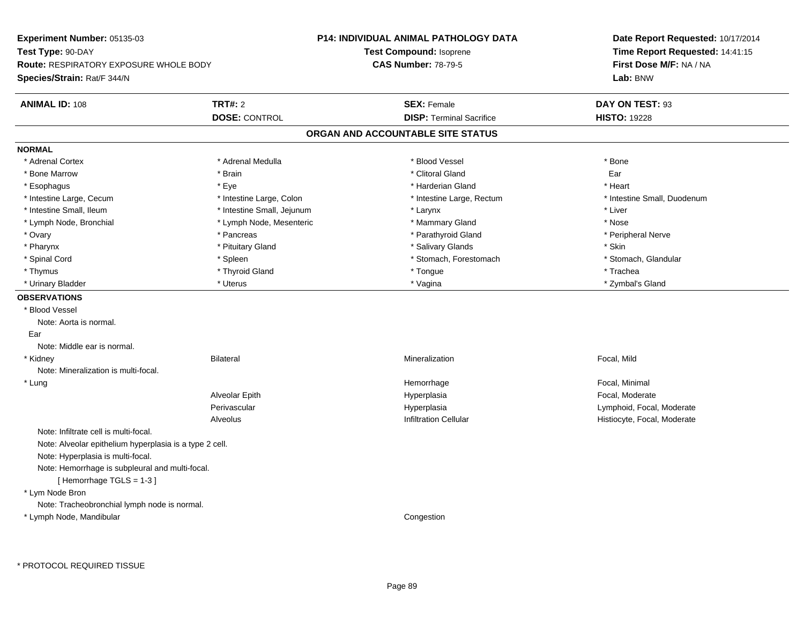| Experiment Number: 05135-03                             |                            | <b>P14: INDIVIDUAL ANIMAL PATHOLOGY DATA</b> | Date Report Requested: 10/17/2014                          |  |
|---------------------------------------------------------|----------------------------|----------------------------------------------|------------------------------------------------------------|--|
| Test Type: 90-DAY                                       |                            | Test Compound: Isoprene                      | Time Report Requested: 14:41:15<br>First Dose M/F: NA / NA |  |
| <b>Route: RESPIRATORY EXPOSURE WHOLE BODY</b>           |                            | <b>CAS Number: 78-79-5</b>                   |                                                            |  |
| Species/Strain: Rat/F 344/N                             |                            |                                              | Lab: BNW                                                   |  |
| <b>ANIMAL ID: 108</b>                                   | <b>TRT#: 2</b>             | <b>SEX: Female</b>                           | DAY ON TEST: 93                                            |  |
|                                                         | <b>DOSE: CONTROL</b>       | <b>DISP: Terminal Sacrifice</b>              | <b>HISTO: 19228</b>                                        |  |
|                                                         |                            | ORGAN AND ACCOUNTABLE SITE STATUS            |                                                            |  |
| <b>NORMAL</b>                                           |                            |                                              |                                                            |  |
| * Adrenal Cortex                                        | * Adrenal Medulla          | * Blood Vessel                               | * Bone                                                     |  |
| * Bone Marrow                                           | * Brain                    | * Clitoral Gland                             | Ear                                                        |  |
| * Esophagus                                             | * Eye                      | * Harderian Gland                            | * Heart                                                    |  |
| * Intestine Large, Cecum                                | * Intestine Large, Colon   | * Intestine Large, Rectum                    | * Intestine Small, Duodenum                                |  |
| * Intestine Small, Ileum                                | * Intestine Small, Jejunum | * Larynx                                     | * Liver                                                    |  |
| * Lymph Node, Bronchial                                 | * Lymph Node, Mesenteric   | * Mammary Gland                              | * Nose                                                     |  |
| * Ovary                                                 | * Pancreas                 | * Parathyroid Gland                          | * Peripheral Nerve                                         |  |
| * Pharynx                                               | * Pituitary Gland          | * Salivary Glands                            | * Skin                                                     |  |
| * Spinal Cord                                           | * Spleen                   | * Stomach, Forestomach                       | * Stomach, Glandular                                       |  |
| * Thymus                                                | * Thyroid Gland            | * Tongue                                     | * Trachea                                                  |  |
| * Urinary Bladder                                       | * Uterus                   | * Vagina                                     | * Zymbal's Gland                                           |  |
| <b>OBSERVATIONS</b>                                     |                            |                                              |                                                            |  |
| * Blood Vessel                                          |                            |                                              |                                                            |  |
| Note: Aorta is normal.                                  |                            |                                              |                                                            |  |
| Ear                                                     |                            |                                              |                                                            |  |
| Note: Middle ear is normal.                             |                            |                                              |                                                            |  |
| * Kidney                                                | <b>Bilateral</b>           | Mineralization                               | Focal, Mild                                                |  |
| Note: Mineralization is multi-focal.                    |                            |                                              |                                                            |  |
| $*$ Lung                                                |                            | Hemorrhage                                   | Focal, Minimal                                             |  |
|                                                         | Alveolar Epith             | Hyperplasia                                  | Focal, Moderate                                            |  |
|                                                         | Perivascular               | Hyperplasia                                  | Lymphoid, Focal, Moderate                                  |  |
|                                                         | Alveolus                   | <b>Infiltration Cellular</b>                 | Histiocyte, Focal, Moderate                                |  |
| Note: Infiltrate cell is multi-focal.                   |                            |                                              |                                                            |  |
| Note: Alveolar epithelium hyperplasia is a type 2 cell. |                            |                                              |                                                            |  |
| Note: Hyperplasia is multi-focal.                       |                            |                                              |                                                            |  |
| Note: Hemorrhage is subpleural and multi-focal.         |                            |                                              |                                                            |  |
| [Hemorrhage TGLS = 1-3]                                 |                            |                                              |                                                            |  |
| * Lym Node Bron                                         |                            |                                              |                                                            |  |
| Note: Tracheobronchial lymph node is normal.            |                            |                                              |                                                            |  |
| * Lymph Node, Mandibular                                |                            | Congestion                                   |                                                            |  |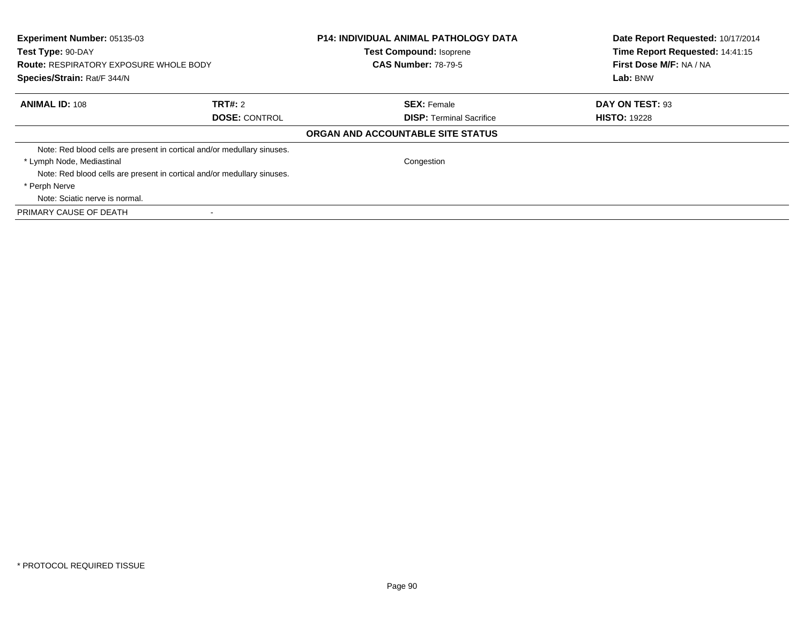| Experiment Number: 05135-03<br>Test Type: 90-DAY<br><b>Route: RESPIRATORY EXPOSURE WHOLE BODY</b><br>Species/Strain: Rat/F 344/N |                                                                         | <b>P14: INDIVIDUAL ANIMAL PATHOLOGY DATA</b><br>Test Compound: Isoprene<br><b>CAS Number: 78-79-5</b> | Date Report Requested: 10/17/2014<br>Time Report Requested: 14:41:15<br>First Dose M/F: NA / NA<br>Lab: BNW |
|----------------------------------------------------------------------------------------------------------------------------------|-------------------------------------------------------------------------|-------------------------------------------------------------------------------------------------------|-------------------------------------------------------------------------------------------------------------|
| <b>ANIMAL ID: 108</b>                                                                                                            | TRT#: 2                                                                 | <b>SEX: Female</b>                                                                                    | DAY ON TEST: 93                                                                                             |
|                                                                                                                                  | <b>DOSE: CONTROL</b>                                                    | <b>DISP:</b> Terminal Sacrifice                                                                       | <b>HISTO: 19228</b>                                                                                         |
|                                                                                                                                  |                                                                         | ORGAN AND ACCOUNTABLE SITE STATUS                                                                     |                                                                                                             |
|                                                                                                                                  | Note: Red blood cells are present in cortical and/or medullary sinuses. |                                                                                                       |                                                                                                             |
| * Lymph Node, Mediastinal                                                                                                        |                                                                         | Congestion                                                                                            |                                                                                                             |
|                                                                                                                                  | Note: Red blood cells are present in cortical and/or medullary sinuses. |                                                                                                       |                                                                                                             |
| * Perph Nerve                                                                                                                    |                                                                         |                                                                                                       |                                                                                                             |
| Note: Sciatic nerve is normal.                                                                                                   |                                                                         |                                                                                                       |                                                                                                             |
| PRIMARY CAUSE OF DEATH                                                                                                           |                                                                         |                                                                                                       |                                                                                                             |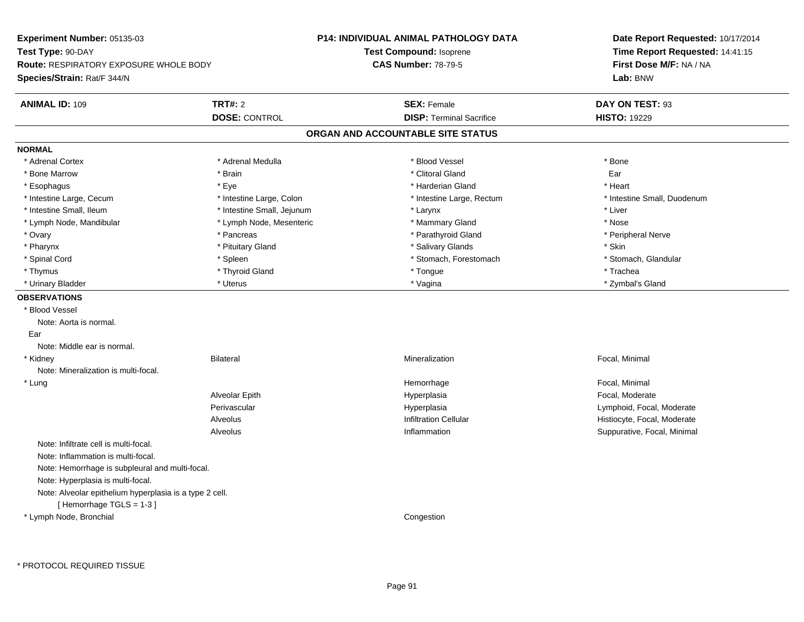| <b>Experiment Number: 05135-03</b>                      |                            | <b>P14: INDIVIDUAL ANIMAL PATHOLOGY DATA</b> | Date Report Requested: 10/17/2014                          |  |
|---------------------------------------------------------|----------------------------|----------------------------------------------|------------------------------------------------------------|--|
| Test Type: 90-DAY                                       |                            | Test Compound: Isoprene                      | Time Report Requested: 14:41:15<br>First Dose M/F: NA / NA |  |
| <b>Route: RESPIRATORY EXPOSURE WHOLE BODY</b>           |                            | <b>CAS Number: 78-79-5</b>                   |                                                            |  |
| Species/Strain: Rat/F 344/N                             |                            |                                              | Lab: BNW                                                   |  |
| <b>ANIMAL ID: 109</b>                                   | <b>TRT#: 2</b>             | <b>SEX: Female</b>                           | DAY ON TEST: 93                                            |  |
|                                                         | <b>DOSE: CONTROL</b>       | <b>DISP: Terminal Sacrifice</b>              | <b>HISTO: 19229</b>                                        |  |
|                                                         |                            | ORGAN AND ACCOUNTABLE SITE STATUS            |                                                            |  |
| <b>NORMAL</b>                                           |                            |                                              |                                                            |  |
| * Adrenal Cortex                                        | * Adrenal Medulla          | * Blood Vessel                               | * Bone                                                     |  |
| * Bone Marrow                                           | * Brain                    | * Clitoral Gland                             | Ear                                                        |  |
| * Esophagus                                             | * Eye                      | * Harderian Gland                            | * Heart                                                    |  |
| * Intestine Large, Cecum                                | * Intestine Large, Colon   | * Intestine Large, Rectum                    | * Intestine Small, Duodenum                                |  |
| * Intestine Small, Ileum                                | * Intestine Small, Jejunum | * Larynx                                     | * Liver                                                    |  |
| * Lymph Node, Mandibular                                | * Lymph Node, Mesenteric   | * Mammary Gland                              | * Nose                                                     |  |
| * Ovary                                                 | * Pancreas                 | * Parathyroid Gland                          | * Peripheral Nerve                                         |  |
| * Pharynx                                               | * Pituitary Gland          | * Salivary Glands                            | * Skin                                                     |  |
| * Spinal Cord                                           | * Spleen                   | * Stomach, Forestomach                       | * Stomach, Glandular                                       |  |
| * Thymus                                                | * Thyroid Gland            | * Tongue                                     | * Trachea                                                  |  |
| * Urinary Bladder                                       | * Uterus                   | * Vagina                                     | * Zymbal's Gland                                           |  |
| <b>OBSERVATIONS</b>                                     |                            |                                              |                                                            |  |
| * Blood Vessel                                          |                            |                                              |                                                            |  |
| Note: Aorta is normal.                                  |                            |                                              |                                                            |  |
| Ear                                                     |                            |                                              |                                                            |  |
| Note: Middle ear is normal.                             |                            |                                              |                                                            |  |
| * Kidney                                                | <b>Bilateral</b>           | Mineralization                               | Focal, Minimal                                             |  |
| Note: Mineralization is multi-focal.                    |                            |                                              |                                                            |  |
| $^{\star}$ Lung                                         |                            | Hemorrhage                                   | Focal, Minimal                                             |  |
|                                                         | Alveolar Epith             | Hyperplasia                                  | Focal, Moderate                                            |  |
|                                                         | Perivascular               | Hyperplasia                                  | Lymphoid, Focal, Moderate                                  |  |
|                                                         | Alveolus                   | <b>Infiltration Cellular</b>                 | Histiocyte, Focal, Moderate                                |  |
|                                                         | Alveolus                   | Inflammation                                 | Suppurative, Focal, Minimal                                |  |
| Note: Infiltrate cell is multi-focal.                   |                            |                                              |                                                            |  |
| Note: Inflammation is multi-focal.                      |                            |                                              |                                                            |  |
| Note: Hemorrhage is subpleural and multi-focal.         |                            |                                              |                                                            |  |
| Note: Hyperplasia is multi-focal.                       |                            |                                              |                                                            |  |
| Note: Alveolar epithelium hyperplasia is a type 2 cell. |                            |                                              |                                                            |  |
| [Hemorrhage TGLS = 1-3]                                 |                            |                                              |                                                            |  |
| * Lymph Node, Bronchial                                 |                            | Congestion                                   |                                                            |  |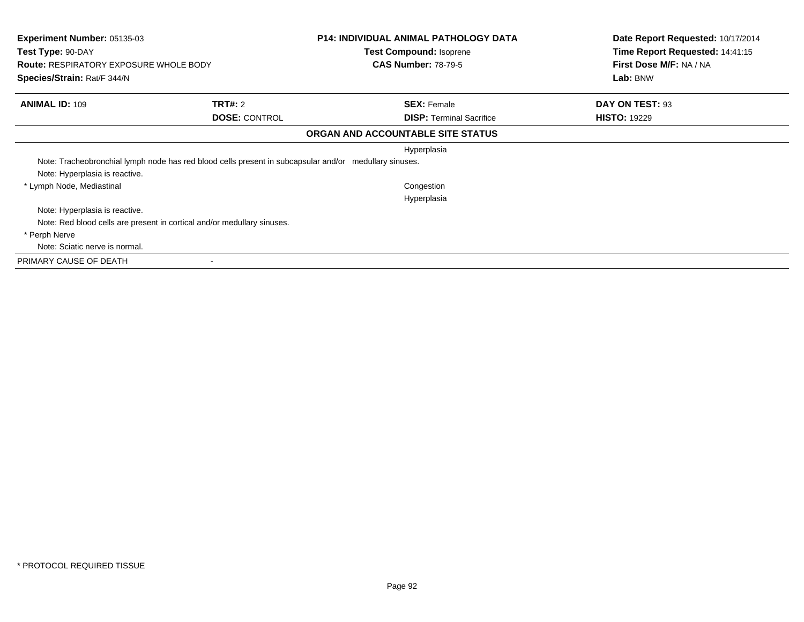| <b>Experiment Number: 05135-03</b><br>Test Type: 90-DAY<br><b>Route: RESPIRATORY EXPOSURE WHOLE BODY</b><br>Species/Strain: Rat/F 344/N |                      | <b>P14: INDIVIDUAL ANIMAL PATHOLOGY DATA</b><br><b>Test Compound: Isoprene</b><br><b>CAS Number: 78-79-5</b> | Date Report Requested: 10/17/2014<br>Time Report Requested: 14:41:15<br>First Dose M/F: NA / NA<br>Lab: BNW |
|-----------------------------------------------------------------------------------------------------------------------------------------|----------------------|--------------------------------------------------------------------------------------------------------------|-------------------------------------------------------------------------------------------------------------|
| <b>ANIMAL ID: 109</b>                                                                                                                   | <b>TRT#: 2</b>       | <b>SEX: Female</b>                                                                                           | DAY ON TEST: 93                                                                                             |
|                                                                                                                                         | <b>DOSE: CONTROL</b> | <b>DISP:</b> Terminal Sacrifice                                                                              | <b>HISTO: 19229</b>                                                                                         |
|                                                                                                                                         |                      | ORGAN AND ACCOUNTABLE SITE STATUS                                                                            |                                                                                                             |
|                                                                                                                                         |                      | Hyperplasia                                                                                                  |                                                                                                             |
| Note: Tracheobronchial lymph node has red blood cells present in subcapsular and/or medullary sinuses.                                  |                      |                                                                                                              |                                                                                                             |
| Note: Hyperplasia is reactive.                                                                                                          |                      |                                                                                                              |                                                                                                             |
| * Lymph Node, Mediastinal                                                                                                               |                      | Congestion                                                                                                   |                                                                                                             |
|                                                                                                                                         |                      | Hyperplasia                                                                                                  |                                                                                                             |
| Note: Hyperplasia is reactive.                                                                                                          |                      |                                                                                                              |                                                                                                             |
| Note: Red blood cells are present in cortical and/or medullary sinuses.                                                                 |                      |                                                                                                              |                                                                                                             |
| * Perph Nerve                                                                                                                           |                      |                                                                                                              |                                                                                                             |
| Note: Sciatic nerve is normal.                                                                                                          |                      |                                                                                                              |                                                                                                             |
| PRIMARY CAUSE OF DEATH<br>$\overline{\phantom{a}}$                                                                                      |                      |                                                                                                              |                                                                                                             |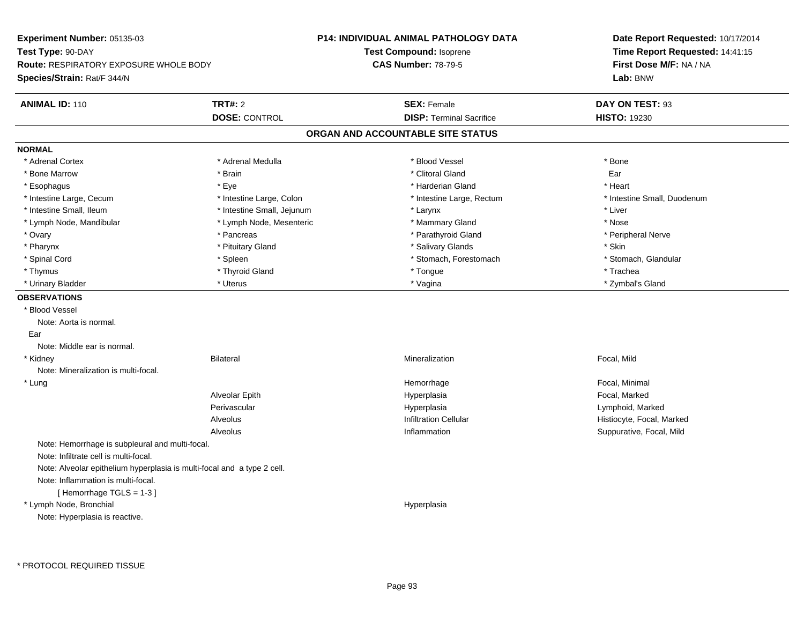| Experiment Number: 05135-03                                             |                            | <b>P14: INDIVIDUAL ANIMAL PATHOLOGY DATA</b> | Date Report Requested: 10/17/2014                          |  |
|-------------------------------------------------------------------------|----------------------------|----------------------------------------------|------------------------------------------------------------|--|
| Test Type: 90-DAY                                                       |                            | Test Compound: Isoprene                      | Time Report Requested: 14:41:15<br>First Dose M/F: NA / NA |  |
| <b>Route: RESPIRATORY EXPOSURE WHOLE BODY</b>                           |                            | <b>CAS Number: 78-79-5</b>                   |                                                            |  |
| Species/Strain: Rat/F 344/N                                             |                            |                                              | Lab: BNW                                                   |  |
| <b>ANIMAL ID: 110</b>                                                   | <b>TRT#: 2</b>             | <b>SEX: Female</b>                           | DAY ON TEST: 93                                            |  |
|                                                                         | <b>DOSE: CONTROL</b>       | <b>DISP: Terminal Sacrifice</b>              | <b>HISTO: 19230</b>                                        |  |
|                                                                         |                            | ORGAN AND ACCOUNTABLE SITE STATUS            |                                                            |  |
| <b>NORMAL</b>                                                           |                            |                                              |                                                            |  |
| * Adrenal Cortex                                                        | * Adrenal Medulla          | * Blood Vessel                               | * Bone                                                     |  |
| * Bone Marrow                                                           | * Brain                    | * Clitoral Gland                             | Ear                                                        |  |
| * Esophagus                                                             | * Eye                      | * Harderian Gland                            | * Heart                                                    |  |
| * Intestine Large, Cecum                                                | * Intestine Large, Colon   | * Intestine Large, Rectum                    | * Intestine Small, Duodenum                                |  |
| * Intestine Small, Ileum                                                | * Intestine Small, Jejunum | * Larynx                                     | * Liver                                                    |  |
| * Lymph Node, Mandibular                                                | * Lymph Node, Mesenteric   | * Mammary Gland                              | * Nose                                                     |  |
| * Ovary                                                                 | * Pancreas                 | * Parathyroid Gland                          | * Peripheral Nerve                                         |  |
| * Pharynx                                                               | * Pituitary Gland          | * Salivary Glands                            | * Skin                                                     |  |
| * Spinal Cord                                                           | * Spleen                   | * Stomach, Forestomach                       | * Stomach, Glandular                                       |  |
| * Thymus                                                                | * Thyroid Gland            | * Tongue                                     | * Trachea                                                  |  |
| * Urinary Bladder                                                       | * Uterus                   | * Vagina                                     | * Zymbal's Gland                                           |  |
| <b>OBSERVATIONS</b>                                                     |                            |                                              |                                                            |  |
| * Blood Vessel                                                          |                            |                                              |                                                            |  |
| Note: Aorta is normal.                                                  |                            |                                              |                                                            |  |
| Ear                                                                     |                            |                                              |                                                            |  |
| Note: Middle ear is normal.                                             |                            |                                              |                                                            |  |
| * Kidney                                                                | <b>Bilateral</b>           | Mineralization                               | Focal, Mild                                                |  |
| Note: Mineralization is multi-focal.                                    |                            |                                              |                                                            |  |
| * Lung                                                                  |                            | Hemorrhage                                   | Focal, Minimal                                             |  |
|                                                                         | Alveolar Epith             | Hyperplasia                                  | Focal, Marked                                              |  |
|                                                                         | Perivascular               | Hyperplasia                                  | Lymphoid, Marked                                           |  |
|                                                                         | Alveolus                   | <b>Infiltration Cellular</b>                 | Histiocyte, Focal, Marked                                  |  |
|                                                                         | Alveolus                   | Inflammation                                 | Suppurative, Focal, Mild                                   |  |
| Note: Hemorrhage is subpleural and multi-focal.                         |                            |                                              |                                                            |  |
| Note: Infiltrate cell is multi-focal.                                   |                            |                                              |                                                            |  |
| Note: Alveolar epithelium hyperplasia is multi-focal and a type 2 cell. |                            |                                              |                                                            |  |
| Note: Inflammation is multi-focal.                                      |                            |                                              |                                                            |  |
| [Hemorrhage TGLS = 1-3]                                                 |                            |                                              |                                                            |  |
| * Lymph Node, Bronchial                                                 |                            | Hyperplasia                                  |                                                            |  |
| Note: Hyperplasia is reactive.                                          |                            |                                              |                                                            |  |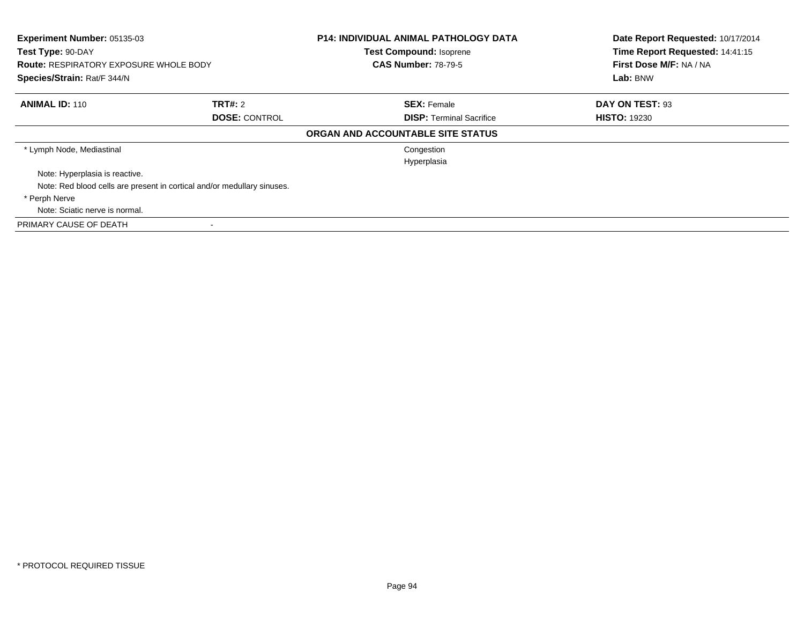| Experiment Number: 05135-03<br>Test Type: 90-DAY<br><b>Route: RESPIRATORY EXPOSURE WHOLE BODY</b><br>Species/Strain: Rat/F 344/N |                      | <b>P14: INDIVIDUAL ANIMAL PATHOLOGY DATA</b><br>Test Compound: Isoprene<br><b>CAS Number: 78-79-5</b> | Date Report Requested: 10/17/2014<br>Time Report Requested: 14:41:15<br>First Dose M/F: NA / NA<br>Lab: BNW |
|----------------------------------------------------------------------------------------------------------------------------------|----------------------|-------------------------------------------------------------------------------------------------------|-------------------------------------------------------------------------------------------------------------|
| <b>ANIMAL ID: 110</b>                                                                                                            | <b>TRT#: 2</b>       | <b>SEX: Female</b>                                                                                    | DAY ON TEST: 93                                                                                             |
|                                                                                                                                  | <b>DOSE: CONTROL</b> | <b>DISP:</b> Terminal Sacrifice                                                                       | <b>HISTO: 19230</b>                                                                                         |
|                                                                                                                                  |                      | ORGAN AND ACCOUNTABLE SITE STATUS                                                                     |                                                                                                             |
| * Lymph Node, Mediastinal                                                                                                        |                      | Congestion                                                                                            |                                                                                                             |
|                                                                                                                                  |                      | Hyperplasia                                                                                           |                                                                                                             |
| Note: Hyperplasia is reactive.                                                                                                   |                      |                                                                                                       |                                                                                                             |
| Note: Red blood cells are present in cortical and/or medullary sinuses.                                                          |                      |                                                                                                       |                                                                                                             |
| * Perph Nerve                                                                                                                    |                      |                                                                                                       |                                                                                                             |
| Note: Sciatic nerve is normal.                                                                                                   |                      |                                                                                                       |                                                                                                             |
| PRIMARY CAUSE OF DEATH                                                                                                           |                      |                                                                                                       |                                                                                                             |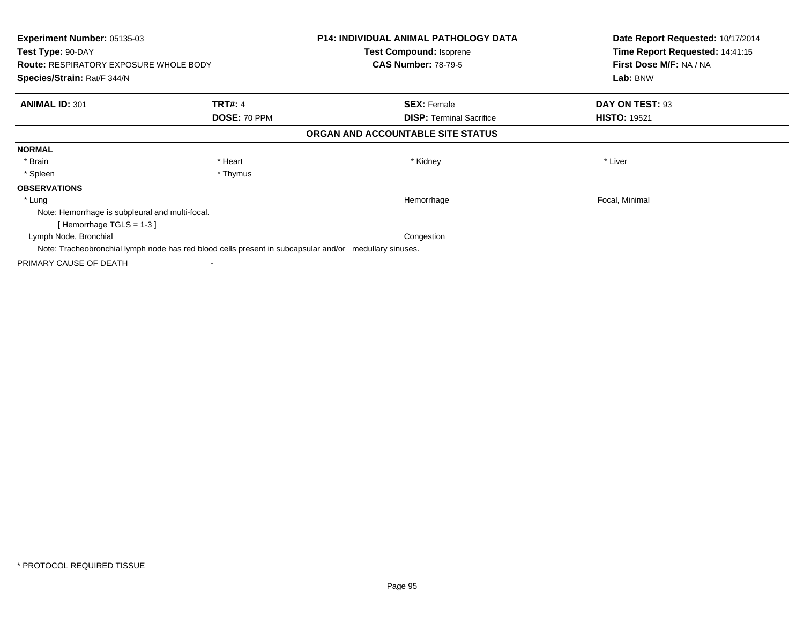| <b>Experiment Number: 05135-03</b><br>Test Type: 90-DAY<br><b>Route: RESPIRATORY EXPOSURE WHOLE BODY</b> |                | <b>P14: INDIVIDUAL ANIMAL PATHOLOGY DATA</b><br>Test Compound: Isoprene<br><b>CAS Number: 78-79-5</b> | Date Report Requested: 10/17/2014<br>Time Report Requested: 14:41:15<br>First Dose M/F: NA / NA |
|----------------------------------------------------------------------------------------------------------|----------------|-------------------------------------------------------------------------------------------------------|-------------------------------------------------------------------------------------------------|
| Species/Strain: Rat/F 344/N                                                                              |                |                                                                                                       | Lab: BNW                                                                                        |
| <b>ANIMAL ID: 301</b>                                                                                    | <b>TRT#: 4</b> | <b>SEX: Female</b>                                                                                    | DAY ON TEST: 93                                                                                 |
|                                                                                                          | DOSE: 70 PPM   | <b>DISP:</b> Terminal Sacrifice                                                                       | <b>HISTO: 19521</b>                                                                             |
|                                                                                                          |                | ORGAN AND ACCOUNTABLE SITE STATUS                                                                     |                                                                                                 |
| <b>NORMAL</b>                                                                                            |                |                                                                                                       |                                                                                                 |
| * Brain                                                                                                  | * Heart        | * Kidney                                                                                              | * Liver                                                                                         |
| * Spleen                                                                                                 | * Thymus       |                                                                                                       |                                                                                                 |
| <b>OBSERVATIONS</b>                                                                                      |                |                                                                                                       |                                                                                                 |
| * Lung                                                                                                   |                | Hemorrhage                                                                                            | Focal, Minimal                                                                                  |
| Note: Hemorrhage is subpleural and multi-focal.                                                          |                |                                                                                                       |                                                                                                 |
| [Hemorrhage TGLS = $1-3$ ]                                                                               |                |                                                                                                       |                                                                                                 |
| Lymph Node, Bronchial                                                                                    |                | Congestion                                                                                            |                                                                                                 |
| Note: Tracheobronchial lymph node has red blood cells present in subcapsular and/or medullary sinuses.   |                |                                                                                                       |                                                                                                 |
| PRIMARY CAUSE OF DEATH                                                                                   |                |                                                                                                       |                                                                                                 |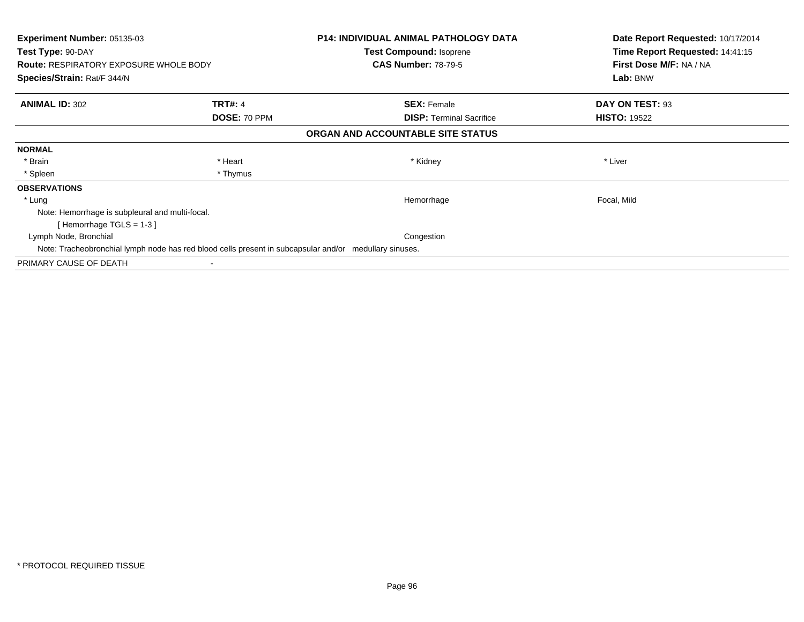| <b>Experiment Number: 05135-03</b><br>Test Type: 90-DAY<br><b>Route: RESPIRATORY EXPOSURE WHOLE BODY</b> |                | <b>P14: INDIVIDUAL ANIMAL PATHOLOGY DATA</b><br>Test Compound: Isoprene<br><b>CAS Number: 78-79-5</b> | Date Report Requested: 10/17/2014<br>Time Report Requested: 14:41:15<br>First Dose M/F: NA / NA |
|----------------------------------------------------------------------------------------------------------|----------------|-------------------------------------------------------------------------------------------------------|-------------------------------------------------------------------------------------------------|
| Species/Strain: Rat/F 344/N                                                                              |                |                                                                                                       | Lab: BNW                                                                                        |
| <b>ANIMAL ID: 302</b>                                                                                    | <b>TRT#: 4</b> | <b>SEX: Female</b>                                                                                    | DAY ON TEST: 93                                                                                 |
|                                                                                                          | DOSE: 70 PPM   | <b>DISP:</b> Terminal Sacrifice                                                                       | <b>HISTO: 19522</b>                                                                             |
|                                                                                                          |                | ORGAN AND ACCOUNTABLE SITE STATUS                                                                     |                                                                                                 |
| <b>NORMAL</b>                                                                                            |                |                                                                                                       |                                                                                                 |
| * Brain                                                                                                  | * Heart        | * Kidney                                                                                              | * Liver                                                                                         |
| * Spleen                                                                                                 | * Thymus       |                                                                                                       |                                                                                                 |
| <b>OBSERVATIONS</b>                                                                                      |                |                                                                                                       |                                                                                                 |
| * Lung                                                                                                   |                | Hemorrhage                                                                                            | Focal, Mild                                                                                     |
| Note: Hemorrhage is subpleural and multi-focal.                                                          |                |                                                                                                       |                                                                                                 |
| [Hemorrhage TGLS = $1-3$ ]                                                                               |                |                                                                                                       |                                                                                                 |
| Lymph Node, Bronchial                                                                                    |                | Congestion                                                                                            |                                                                                                 |
| Note: Tracheobronchial lymph node has red blood cells present in subcapsular and/or medullary sinuses.   |                |                                                                                                       |                                                                                                 |
| PRIMARY CAUSE OF DEATH                                                                                   |                |                                                                                                       |                                                                                                 |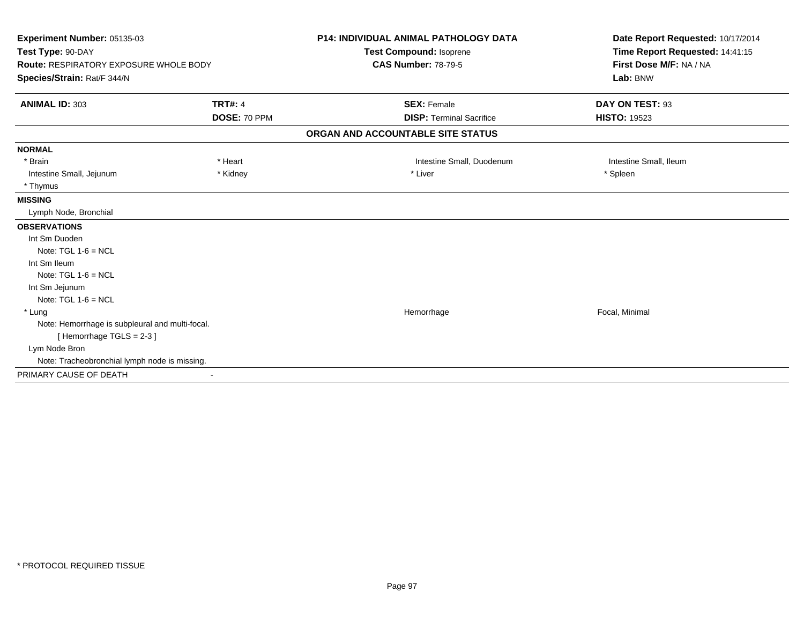| Experiment Number: 05135-03<br>Test Type: 90-DAY |                | <b>P14: INDIVIDUAL ANIMAL PATHOLOGY DATA</b> | Date Report Requested: 10/17/2014<br>Time Report Requested: 14:41:15 |
|--------------------------------------------------|----------------|----------------------------------------------|----------------------------------------------------------------------|
|                                                  |                | Test Compound: Isoprene                      |                                                                      |
| <b>Route: RESPIRATORY EXPOSURE WHOLE BODY</b>    |                | <b>CAS Number: 78-79-5</b>                   | First Dose M/F: NA / NA                                              |
| Species/Strain: Rat/F 344/N                      |                |                                              | Lab: BNW                                                             |
| <b>ANIMAL ID: 303</b>                            | <b>TRT#: 4</b> | <b>SEX: Female</b>                           | DAY ON TEST: 93                                                      |
|                                                  | DOSE: 70 PPM   | <b>DISP: Terminal Sacrifice</b>              | <b>HISTO: 19523</b>                                                  |
|                                                  |                | ORGAN AND ACCOUNTABLE SITE STATUS            |                                                                      |
| <b>NORMAL</b>                                    |                |                                              |                                                                      |
| * Brain                                          | * Heart        | Intestine Small, Duodenum                    | Intestine Small, Ileum                                               |
| Intestine Small, Jejunum                         | * Kidney       | * Liver                                      | * Spleen                                                             |
| * Thymus                                         |                |                                              |                                                                      |
| <b>MISSING</b>                                   |                |                                              |                                                                      |
| Lymph Node, Bronchial                            |                |                                              |                                                                      |
| <b>OBSERVATIONS</b>                              |                |                                              |                                                                      |
| Int Sm Duoden                                    |                |                                              |                                                                      |
| Note: $TGL 1-6 = NCL$                            |                |                                              |                                                                      |
| Int Sm Ileum                                     |                |                                              |                                                                      |
| Note: $TGL 1-6 = NCL$                            |                |                                              |                                                                      |
| Int Sm Jejunum                                   |                |                                              |                                                                      |
| Note: $TGL 1-6 = NCL$                            |                |                                              |                                                                      |
| * Lung                                           |                | Hemorrhage                                   | Focal, Minimal                                                       |
| Note: Hemorrhage is subpleural and multi-focal.  |                |                                              |                                                                      |
| [Hemorrhage TGLS = $2-3$ ]                       |                |                                              |                                                                      |
| Lym Node Bron                                    |                |                                              |                                                                      |
| Note: Tracheobronchial lymph node is missing.    |                |                                              |                                                                      |
| PRIMARY CAUSE OF DEATH                           |                |                                              |                                                                      |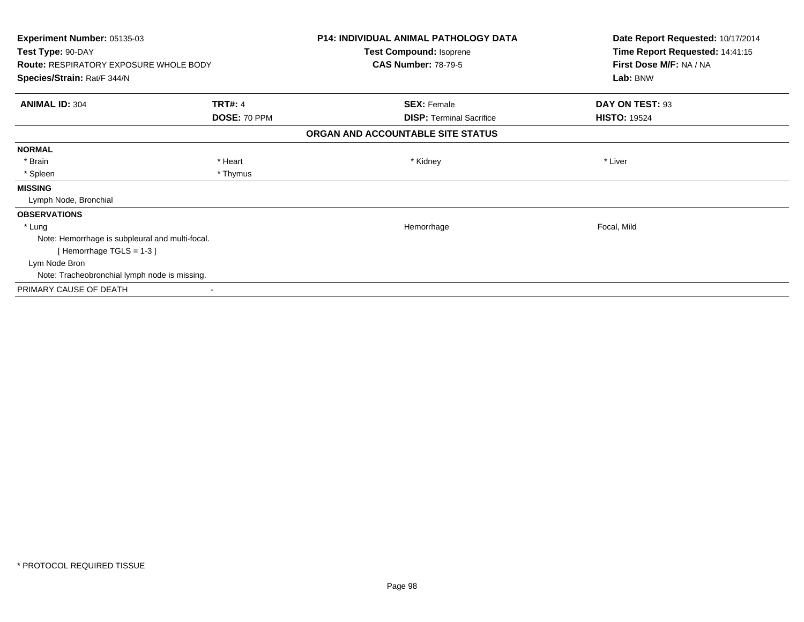| <b>Experiment Number: 05135-03</b>              |                | <b>P14: INDIVIDUAL ANIMAL PATHOLOGY DATA</b> | Date Report Requested: 10/17/2014 |
|-------------------------------------------------|----------------|----------------------------------------------|-----------------------------------|
| Test Type: 90-DAY                               |                | Test Compound: Isoprene                      | Time Report Requested: 14:41:15   |
| <b>Route: RESPIRATORY EXPOSURE WHOLE BODY</b>   |                | <b>CAS Number: 78-79-5</b>                   | First Dose M/F: NA / NA           |
| Species/Strain: Rat/F 344/N                     |                |                                              | Lab: BNW                          |
| <b>ANIMAL ID: 304</b>                           | <b>TRT#: 4</b> | <b>SEX: Female</b>                           | DAY ON TEST: 93                   |
|                                                 | DOSE: 70 PPM   | <b>DISP: Terminal Sacrifice</b>              | <b>HISTO: 19524</b>               |
|                                                 |                | ORGAN AND ACCOUNTABLE SITE STATUS            |                                   |
| <b>NORMAL</b>                                   |                |                                              |                                   |
| * Brain                                         | * Heart        | * Kidney                                     | * Liver                           |
| * Spleen                                        | * Thymus       |                                              |                                   |
| <b>MISSING</b>                                  |                |                                              |                                   |
| Lymph Node, Bronchial                           |                |                                              |                                   |
| <b>OBSERVATIONS</b>                             |                |                                              |                                   |
| * Lung                                          |                | Hemorrhage                                   | Focal, Mild                       |
| Note: Hemorrhage is subpleural and multi-focal. |                |                                              |                                   |
| [Hemorrhage TGLS = $1-3$ ]                      |                |                                              |                                   |
| Lym Node Bron                                   |                |                                              |                                   |
| Note: Tracheobronchial lymph node is missing.   |                |                                              |                                   |
| PRIMARY CAUSE OF DEATH                          |                |                                              |                                   |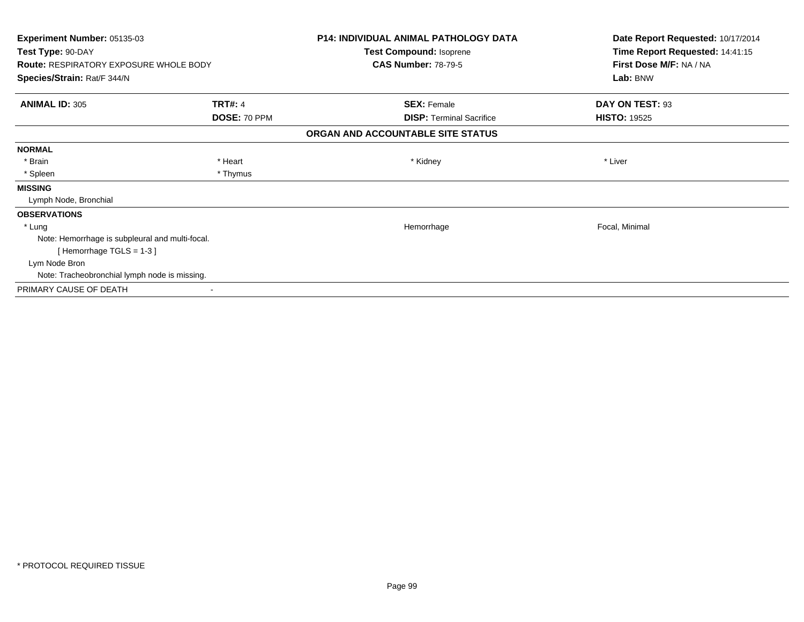| <b>Experiment Number: 05135-03</b>              |                | <b>P14: INDIVIDUAL ANIMAL PATHOLOGY DATA</b> | Date Report Requested: 10/17/2014 |
|-------------------------------------------------|----------------|----------------------------------------------|-----------------------------------|
| Test Type: 90-DAY                               |                | Test Compound: Isoprene                      | Time Report Requested: 14:41:15   |
| <b>Route: RESPIRATORY EXPOSURE WHOLE BODY</b>   |                | <b>CAS Number: 78-79-5</b>                   | First Dose M/F: NA / NA           |
| Species/Strain: Rat/F 344/N                     |                |                                              | Lab: BNW                          |
| <b>ANIMAL ID: 305</b>                           | <b>TRT#: 4</b> | <b>SEX: Female</b>                           | DAY ON TEST: 93                   |
|                                                 | DOSE: 70 PPM   | <b>DISP: Terminal Sacrifice</b>              | <b>HISTO: 19525</b>               |
|                                                 |                | ORGAN AND ACCOUNTABLE SITE STATUS            |                                   |
| <b>NORMAL</b>                                   |                |                                              |                                   |
| * Brain                                         | * Heart        | * Kidney                                     | * Liver                           |
| * Spleen                                        | * Thymus       |                                              |                                   |
| <b>MISSING</b>                                  |                |                                              |                                   |
| Lymph Node, Bronchial                           |                |                                              |                                   |
| <b>OBSERVATIONS</b>                             |                |                                              |                                   |
| * Lung                                          |                | Hemorrhage                                   | Focal, Minimal                    |
| Note: Hemorrhage is subpleural and multi-focal. |                |                                              |                                   |
| [Hemorrhage TGLS = $1-3$ ]                      |                |                                              |                                   |
| Lym Node Bron                                   |                |                                              |                                   |
| Note: Tracheobronchial lymph node is missing.   |                |                                              |                                   |
| PRIMARY CAUSE OF DEATH                          |                |                                              |                                   |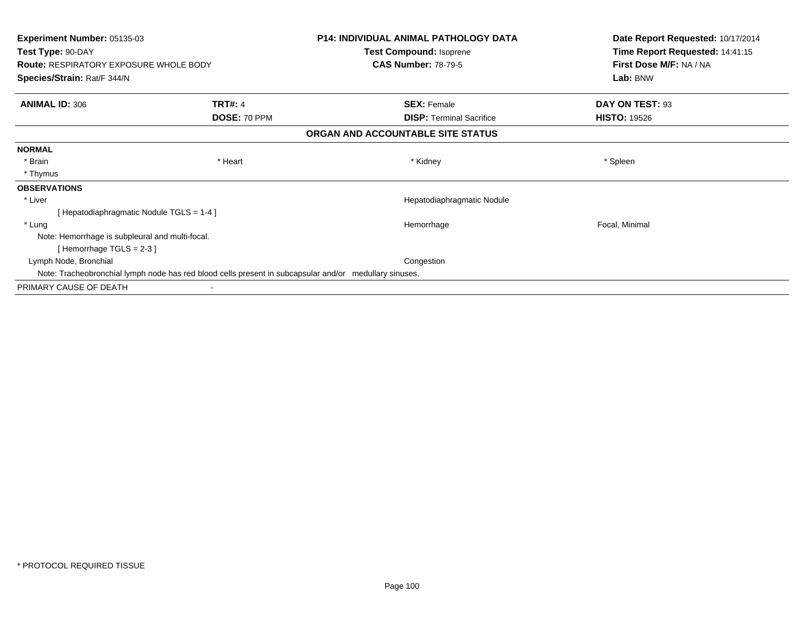| <b>Experiment Number: 05135-03</b><br>Test Type: 90-DAY |                                                                                                        | <b>P14: INDIVIDUAL ANIMAL PATHOLOGY DATA</b> | Date Report Requested: 10/17/2014<br>Time Report Requested: 14:41:15 |
|---------------------------------------------------------|--------------------------------------------------------------------------------------------------------|----------------------------------------------|----------------------------------------------------------------------|
|                                                         |                                                                                                        | Test Compound: Isoprene                      |                                                                      |
| <b>Route: RESPIRATORY EXPOSURE WHOLE BODY</b>           |                                                                                                        | <b>CAS Number: 78-79-5</b>                   | First Dose M/F: NA / NA<br>Lab: BNW                                  |
| Species/Strain: Rat/F 344/N                             |                                                                                                        |                                              |                                                                      |
| <b>ANIMAL ID: 306</b>                                   | <b>TRT#: 4</b>                                                                                         | <b>SEX: Female</b>                           | DAY ON TEST: 93                                                      |
|                                                         | DOSE: 70 PPM                                                                                           | <b>DISP: Terminal Sacrifice</b>              | <b>HISTO: 19526</b>                                                  |
|                                                         |                                                                                                        | ORGAN AND ACCOUNTABLE SITE STATUS            |                                                                      |
| <b>NORMAL</b>                                           |                                                                                                        |                                              |                                                                      |
| * Brain                                                 | * Heart                                                                                                | * Kidney                                     | * Spleen                                                             |
| * Thymus                                                |                                                                                                        |                                              |                                                                      |
| <b>OBSERVATIONS</b>                                     |                                                                                                        |                                              |                                                                      |
| * Liver                                                 |                                                                                                        | Hepatodiaphragmatic Nodule                   |                                                                      |
| [Hepatodiaphragmatic Nodule TGLS = 1-4]                 |                                                                                                        |                                              |                                                                      |
| * Lung                                                  |                                                                                                        | Hemorrhage                                   | Focal, Minimal                                                       |
| Note: Hemorrhage is subpleural and multi-focal.         |                                                                                                        |                                              |                                                                      |
| [Hemorrhage TGLS = $2-3$ ]                              |                                                                                                        |                                              |                                                                      |
| Lymph Node, Bronchial                                   |                                                                                                        | Congestion                                   |                                                                      |
|                                                         | Note: Tracheobronchial lymph node has red blood cells present in subcapsular and/or medullary sinuses. |                                              |                                                                      |
| PRIMARY CAUSE OF DEATH                                  |                                                                                                        |                                              |                                                                      |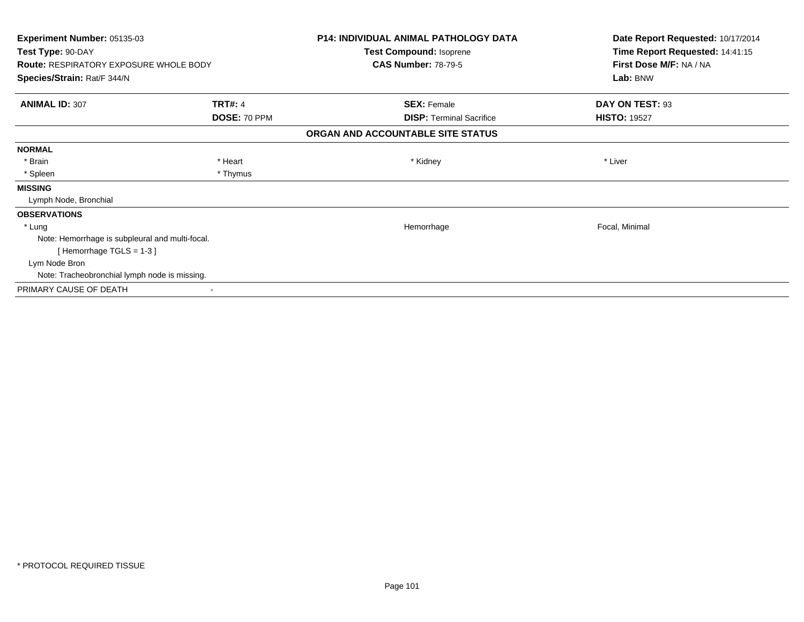| <b>Experiment Number: 05135-03</b><br>Test Type: 90-DAY |                | <b>P14: INDIVIDUAL ANIMAL PATHOLOGY DATA</b> | Date Report Requested: 10/17/2014<br>Time Report Requested: 14:41:15 |
|---------------------------------------------------------|----------------|----------------------------------------------|----------------------------------------------------------------------|
|                                                         |                | Test Compound: Isoprene                      |                                                                      |
| <b>Route: RESPIRATORY EXPOSURE WHOLE BODY</b>           |                | <b>CAS Number: 78-79-5</b>                   | First Dose M/F: NA / NA<br>Lab: BNW                                  |
| Species/Strain: Rat/F 344/N                             |                |                                              |                                                                      |
| <b>ANIMAL ID: 307</b>                                   | <b>TRT#: 4</b> | <b>SEX: Female</b>                           | DAY ON TEST: 93                                                      |
|                                                         | DOSE: 70 PPM   | <b>DISP: Terminal Sacrifice</b>              | <b>HISTO: 19527</b>                                                  |
|                                                         |                | ORGAN AND ACCOUNTABLE SITE STATUS            |                                                                      |
| <b>NORMAL</b>                                           |                |                                              |                                                                      |
| * Brain                                                 | * Heart        | * Kidney                                     | * Liver                                                              |
| * Spleen                                                | * Thymus       |                                              |                                                                      |
| <b>MISSING</b>                                          |                |                                              |                                                                      |
| Lymph Node, Bronchial                                   |                |                                              |                                                                      |
| <b>OBSERVATIONS</b>                                     |                |                                              |                                                                      |
| * Lung                                                  |                | Hemorrhage                                   | Focal, Minimal                                                       |
| Note: Hemorrhage is subpleural and multi-focal.         |                |                                              |                                                                      |
| [Hemorrhage TGLS = $1-3$ ]                              |                |                                              |                                                                      |
| Lym Node Bron                                           |                |                                              |                                                                      |
| Note: Tracheobronchial lymph node is missing.           |                |                                              |                                                                      |
| PRIMARY CAUSE OF DEATH                                  |                |                                              |                                                                      |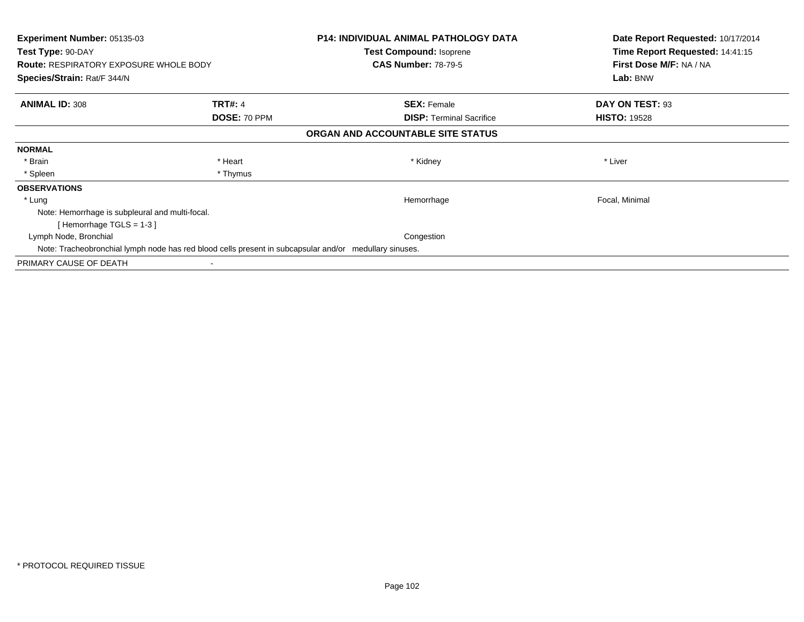| <b>Experiment Number: 05135-03</b><br>Test Type: 90-DAY<br><b>Route: RESPIRATORY EXPOSURE WHOLE BODY</b><br>Species/Strain: Rat/F 344/N |              | <b>P14: INDIVIDUAL ANIMAL PATHOLOGY DATA</b><br>Test Compound: Isoprene<br><b>CAS Number: 78-79-5</b> | Date Report Requested: 10/17/2014<br>Time Report Requested: 14:41:15<br>First Dose M/F: NA / NA<br>Lab: BNW |
|-----------------------------------------------------------------------------------------------------------------------------------------|--------------|-------------------------------------------------------------------------------------------------------|-------------------------------------------------------------------------------------------------------------|
|                                                                                                                                         |              |                                                                                                       |                                                                                                             |
|                                                                                                                                         | DOSE: 70 PPM | <b>DISP:</b> Terminal Sacrifice                                                                       | <b>HISTO: 19528</b>                                                                                         |
|                                                                                                                                         |              | ORGAN AND ACCOUNTABLE SITE STATUS                                                                     |                                                                                                             |
| <b>NORMAL</b>                                                                                                                           |              |                                                                                                       |                                                                                                             |
| * Brain                                                                                                                                 | * Heart      | * Kidney                                                                                              | * Liver                                                                                                     |
| * Spleen                                                                                                                                | * Thymus     |                                                                                                       |                                                                                                             |
| <b>OBSERVATIONS</b>                                                                                                                     |              |                                                                                                       |                                                                                                             |
| * Lung                                                                                                                                  |              | Hemorrhage                                                                                            | Focal, Minimal                                                                                              |
| Note: Hemorrhage is subpleural and multi-focal.                                                                                         |              |                                                                                                       |                                                                                                             |
| [Hemorrhage TGLS = $1-3$ ]                                                                                                              |              |                                                                                                       |                                                                                                             |
| Lymph Node, Bronchial                                                                                                                   |              | Congestion                                                                                            |                                                                                                             |
| Note: Tracheobronchial lymph node has red blood cells present in subcapsular and/or medullary sinuses.                                  |              |                                                                                                       |                                                                                                             |
| PRIMARY CAUSE OF DEATH                                                                                                                  |              |                                                                                                       |                                                                                                             |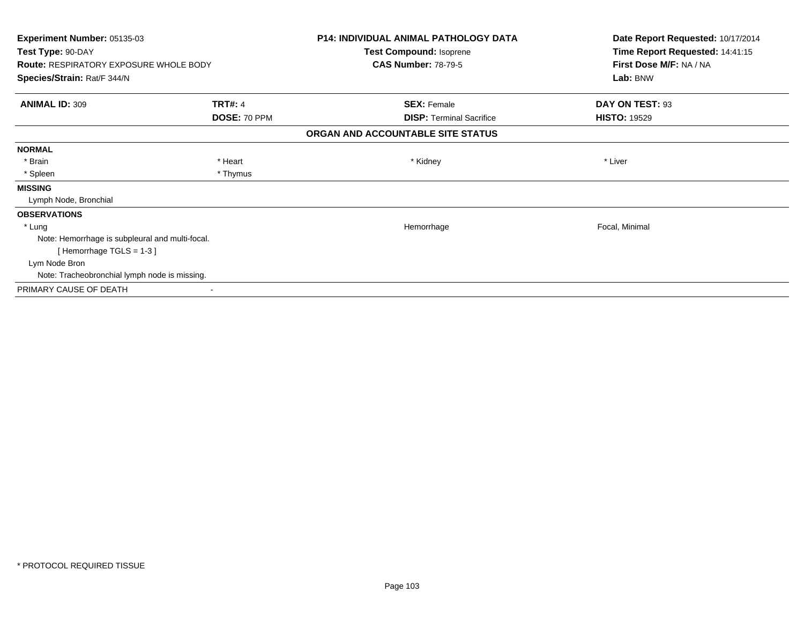| <b>Experiment Number: 05135-03</b><br>Test Type: 90-DAY |                | <b>P14: INDIVIDUAL ANIMAL PATHOLOGY DATA</b> | Date Report Requested: 10/17/2014<br>Time Report Requested: 14:41:15 |
|---------------------------------------------------------|----------------|----------------------------------------------|----------------------------------------------------------------------|
|                                                         |                | Test Compound: Isoprene                      |                                                                      |
| <b>Route: RESPIRATORY EXPOSURE WHOLE BODY</b>           |                | <b>CAS Number: 78-79-5</b>                   | First Dose M/F: NA / NA<br>Lab: BNW                                  |
| Species/Strain: Rat/F 344/N                             |                |                                              |                                                                      |
| <b>ANIMAL ID: 309</b>                                   | <b>TRT#: 4</b> | <b>SEX: Female</b>                           | DAY ON TEST: 93                                                      |
|                                                         | DOSE: 70 PPM   | <b>DISP: Terminal Sacrifice</b>              | <b>HISTO: 19529</b>                                                  |
|                                                         |                | ORGAN AND ACCOUNTABLE SITE STATUS            |                                                                      |
| <b>NORMAL</b>                                           |                |                                              |                                                                      |
| * Brain                                                 | * Heart        | * Kidney                                     | * Liver                                                              |
| * Spleen                                                | * Thymus       |                                              |                                                                      |
| <b>MISSING</b>                                          |                |                                              |                                                                      |
| Lymph Node, Bronchial                                   |                |                                              |                                                                      |
| <b>OBSERVATIONS</b>                                     |                |                                              |                                                                      |
| * Lung                                                  |                | Hemorrhage                                   | Focal, Minimal                                                       |
| Note: Hemorrhage is subpleural and multi-focal.         |                |                                              |                                                                      |
| [Hemorrhage TGLS = $1-3$ ]                              |                |                                              |                                                                      |
| Lym Node Bron                                           |                |                                              |                                                                      |
| Note: Tracheobronchial lymph node is missing.           |                |                                              |                                                                      |
| PRIMARY CAUSE OF DEATH                                  |                |                                              |                                                                      |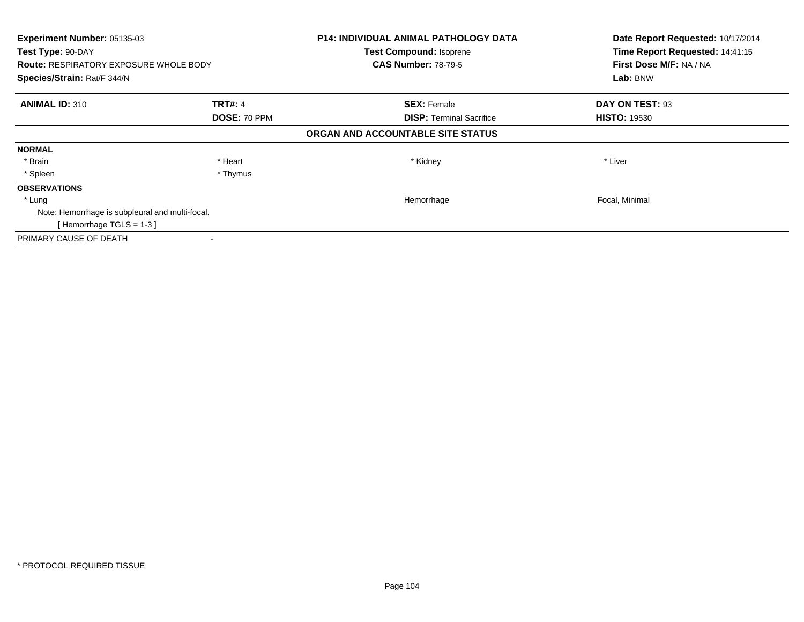| Experiment Number: 05135-03<br>Test Type: 90-DAY<br><b>Route: RESPIRATORY EXPOSURE WHOLE BODY</b><br>Species/Strain: Rat/F 344/N |          | P14: INDIVIDUAL ANIMAL PATHOLOGY DATA<br><b>Test Compound: Isoprene</b><br><b>CAS Number: 78-79-5</b> | Date Report Requested: 10/17/2014<br>Time Report Requested: 14:41:15<br>First Dose M/F: NA / NA<br>Lab: BNW |                       |                                 |                     |
|----------------------------------------------------------------------------------------------------------------------------------|----------|-------------------------------------------------------------------------------------------------------|-------------------------------------------------------------------------------------------------------------|-----------------------|---------------------------------|---------------------|
|                                                                                                                                  |          |                                                                                                       |                                                                                                             |                       |                                 |                     |
|                                                                                                                                  |          |                                                                                                       |                                                                                                             | <b>ANIMAL ID: 310</b> | <b>TRT#: 4</b>                  | <b>SEX: Female</b>  |
|                                                                                                                                  |          |                                                                                                       |                                                                                                             | DOSE: 70 PPM          | <b>DISP:</b> Terminal Sacrifice | <b>HISTO: 19530</b> |
|                                                                                                                                  |          | ORGAN AND ACCOUNTABLE SITE STATUS                                                                     |                                                                                                             |                       |                                 |                     |
| <b>NORMAL</b>                                                                                                                    |          |                                                                                                       |                                                                                                             |                       |                                 |                     |
| * Brain                                                                                                                          | * Heart  | * Kidney                                                                                              | * Liver                                                                                                     |                       |                                 |                     |
| * Spleen                                                                                                                         | * Thymus |                                                                                                       |                                                                                                             |                       |                                 |                     |
| <b>OBSERVATIONS</b>                                                                                                              |          |                                                                                                       |                                                                                                             |                       |                                 |                     |
| * Lung                                                                                                                           |          | Hemorrhage                                                                                            | Focal, Minimal                                                                                              |                       |                                 |                     |
| Note: Hemorrhage is subpleural and multi-focal.                                                                                  |          |                                                                                                       |                                                                                                             |                       |                                 |                     |
| [Hemorrhage TGLS = $1-3$ ]                                                                                                       |          |                                                                                                       |                                                                                                             |                       |                                 |                     |
| PRIMARY CAUSE OF DEATH                                                                                                           |          |                                                                                                       |                                                                                                             |                       |                                 |                     |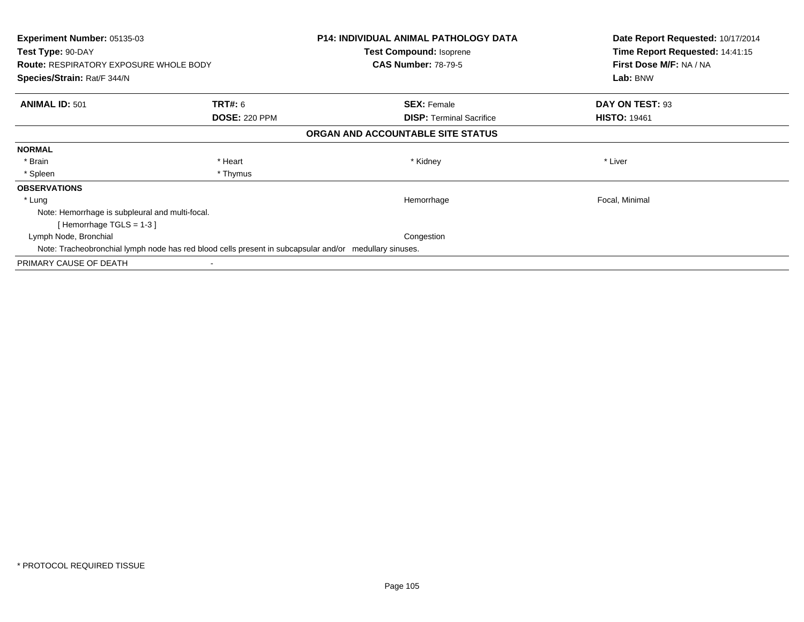| <b>Experiment Number: 05135-03</b><br>Test Type: 90-DAY<br><b>Route: RESPIRATORY EXPOSURE WHOLE BODY</b><br>Species/Strain: Rat/F 344/N |                      | <b>P14: INDIVIDUAL ANIMAL PATHOLOGY DATA</b><br>Test Compound: Isoprene<br><b>CAS Number: 78-79-5</b> | Date Report Requested: 10/17/2014<br>Time Report Requested: 14:41:15<br>First Dose M/F: NA / NA<br>Lab: BNW |
|-----------------------------------------------------------------------------------------------------------------------------------------|----------------------|-------------------------------------------------------------------------------------------------------|-------------------------------------------------------------------------------------------------------------|
|                                                                                                                                         |                      |                                                                                                       |                                                                                                             |
| <b>ANIMAL ID: 501</b>                                                                                                                   | <b>TRT#:</b> 6       | <b>SEX: Female</b>                                                                                    | DAY ON TEST: 93                                                                                             |
|                                                                                                                                         | <b>DOSE: 220 PPM</b> | <b>DISP:</b> Terminal Sacrifice                                                                       | <b>HISTO: 19461</b>                                                                                         |
|                                                                                                                                         |                      | ORGAN AND ACCOUNTABLE SITE STATUS                                                                     |                                                                                                             |
| <b>NORMAL</b>                                                                                                                           |                      |                                                                                                       |                                                                                                             |
| * Brain                                                                                                                                 | * Heart              | * Kidney                                                                                              | * Liver                                                                                                     |
| * Spleen                                                                                                                                | * Thymus             |                                                                                                       |                                                                                                             |
| <b>OBSERVATIONS</b>                                                                                                                     |                      |                                                                                                       |                                                                                                             |
| * Lung                                                                                                                                  |                      | Hemorrhage                                                                                            | Focal, Minimal                                                                                              |
| Note: Hemorrhage is subpleural and multi-focal.                                                                                         |                      |                                                                                                       |                                                                                                             |
| [Hemorrhage TGLS = $1-3$ ]                                                                                                              |                      |                                                                                                       |                                                                                                             |
| Lymph Node, Bronchial                                                                                                                   |                      | Congestion                                                                                            |                                                                                                             |
| Note: Tracheobronchial lymph node has red blood cells present in subcapsular and/or medullary sinuses.                                  |                      |                                                                                                       |                                                                                                             |
| PRIMARY CAUSE OF DEATH                                                                                                                  |                      |                                                                                                       |                                                                                                             |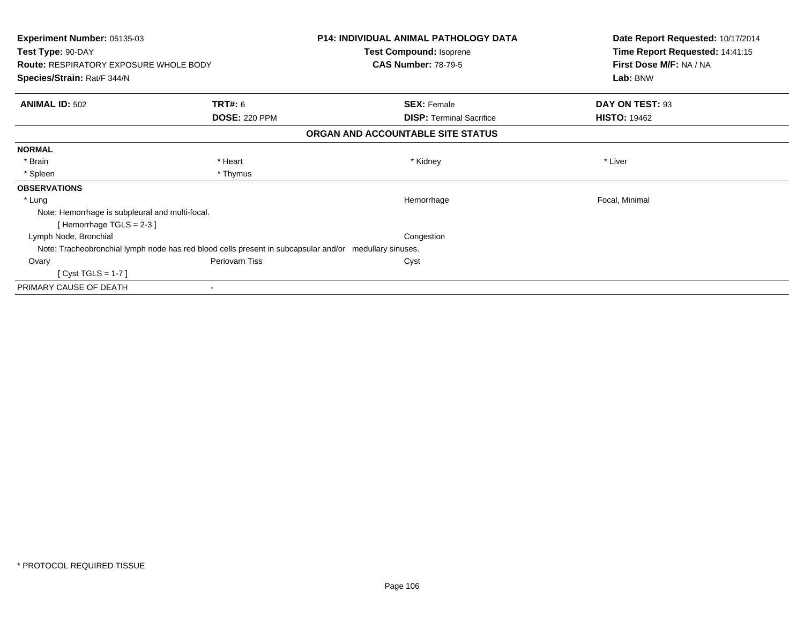| <b>Experiment Number: 05135-03</b><br>Test Type: 90-DAY |                                                                                                        | <b>P14: INDIVIDUAL ANIMAL PATHOLOGY DATA</b> | Date Report Requested: 10/17/2014<br>Time Report Requested: 14:41:15 |
|---------------------------------------------------------|--------------------------------------------------------------------------------------------------------|----------------------------------------------|----------------------------------------------------------------------|
|                                                         |                                                                                                        | <b>Test Compound: Isoprene</b>               |                                                                      |
| <b>Route: RESPIRATORY EXPOSURE WHOLE BODY</b>           |                                                                                                        | <b>CAS Number: 78-79-5</b>                   | First Dose M/F: NA / NA                                              |
| Species/Strain: Rat/F 344/N                             |                                                                                                        |                                              | Lab: BNW                                                             |
| <b>ANIMAL ID: 502</b>                                   | TRT#: 6                                                                                                | <b>SEX: Female</b>                           | DAY ON TEST: 93                                                      |
|                                                         | <b>DOSE: 220 PPM</b>                                                                                   | <b>DISP: Terminal Sacrifice</b>              | <b>HISTO: 19462</b>                                                  |
|                                                         |                                                                                                        | ORGAN AND ACCOUNTABLE SITE STATUS            |                                                                      |
| <b>NORMAL</b>                                           |                                                                                                        |                                              |                                                                      |
| * Brain                                                 | * Heart                                                                                                | * Kidney                                     | * Liver                                                              |
| * Spleen                                                | * Thymus                                                                                               |                                              |                                                                      |
| <b>OBSERVATIONS</b>                                     |                                                                                                        |                                              |                                                                      |
| * Lung                                                  |                                                                                                        | Hemorrhage                                   | Focal, Minimal                                                       |
| Note: Hemorrhage is subpleural and multi-focal.         |                                                                                                        |                                              |                                                                      |
| [Hemorrhage TGLS = 2-3]                                 |                                                                                                        |                                              |                                                                      |
| Lymph Node, Bronchial                                   |                                                                                                        | Congestion                                   |                                                                      |
|                                                         | Note: Tracheobronchial lymph node has red blood cells present in subcapsular and/or medullary sinuses. |                                              |                                                                      |
| Ovary                                                   | Periovarn Tiss                                                                                         | Cyst                                         |                                                                      |
| $[Cyst TGLS = 1-7]$                                     |                                                                                                        |                                              |                                                                      |
| PRIMARY CAUSE OF DEATH                                  |                                                                                                        |                                              |                                                                      |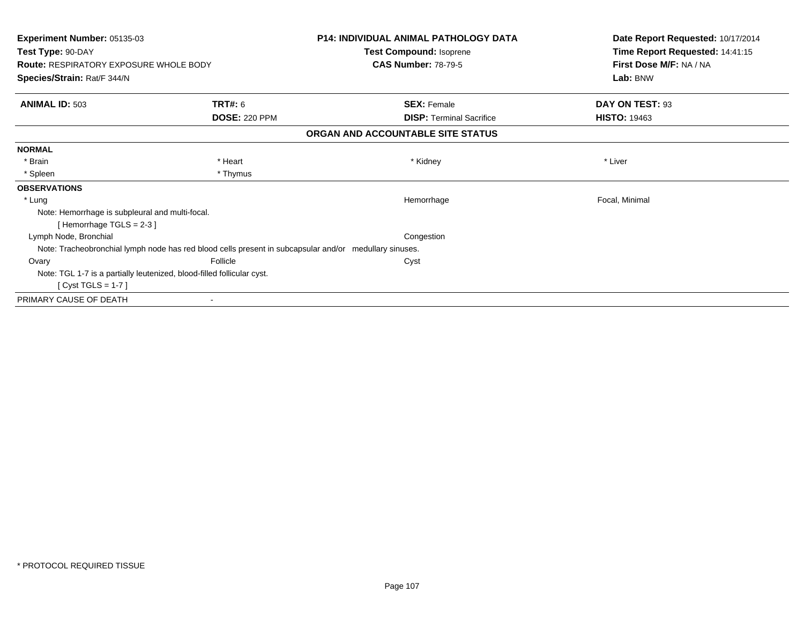| <b>Experiment Number: 05135-03</b><br>Test Type: 90-DAY |                                                                                                        | <b>P14: INDIVIDUAL ANIMAL PATHOLOGY DATA</b><br>Test Compound: Isoprene | Date Report Requested: 10/17/2014<br>Time Report Requested: 14:41:15 |
|---------------------------------------------------------|--------------------------------------------------------------------------------------------------------|-------------------------------------------------------------------------|----------------------------------------------------------------------|
|                                                         |                                                                                                        |                                                                         |                                                                      |
| Species/Strain: Rat/F 344/N                             |                                                                                                        |                                                                         | Lab: BNW                                                             |
| <b>ANIMAL ID: 503</b>                                   | TRT#: 6                                                                                                | <b>SEX: Female</b>                                                      | DAY ON TEST: 93                                                      |
|                                                         | <b>DOSE: 220 PPM</b>                                                                                   | <b>DISP: Terminal Sacrifice</b>                                         | <b>HISTO: 19463</b>                                                  |
|                                                         |                                                                                                        | ORGAN AND ACCOUNTABLE SITE STATUS                                       |                                                                      |
| <b>NORMAL</b>                                           |                                                                                                        |                                                                         |                                                                      |
| * Brain                                                 | * Heart                                                                                                | * Kidney                                                                | * Liver                                                              |
| * Spleen                                                | * Thymus                                                                                               |                                                                         |                                                                      |
| <b>OBSERVATIONS</b>                                     |                                                                                                        |                                                                         |                                                                      |
| * Lung                                                  |                                                                                                        | Hemorrhage                                                              | Focal, Minimal                                                       |
| Note: Hemorrhage is subpleural and multi-focal.         |                                                                                                        |                                                                         |                                                                      |
| [Hemorrhage TGLS = $2-3$ ]                              |                                                                                                        |                                                                         |                                                                      |
| Lymph Node, Bronchial                                   |                                                                                                        | Congestion                                                              |                                                                      |
|                                                         | Note: Tracheobronchial lymph node has red blood cells present in subcapsular and/or medullary sinuses. |                                                                         |                                                                      |
| Ovary                                                   | Follicle                                                                                               | Cyst                                                                    |                                                                      |
|                                                         | Note: TGL 1-7 is a partially leutenized, blood-filled follicular cyst.                                 |                                                                         |                                                                      |
| $[Cyst TGLS = 1-7]$                                     |                                                                                                        |                                                                         |                                                                      |
| PRIMARY CAUSE OF DEATH                                  |                                                                                                        |                                                                         |                                                                      |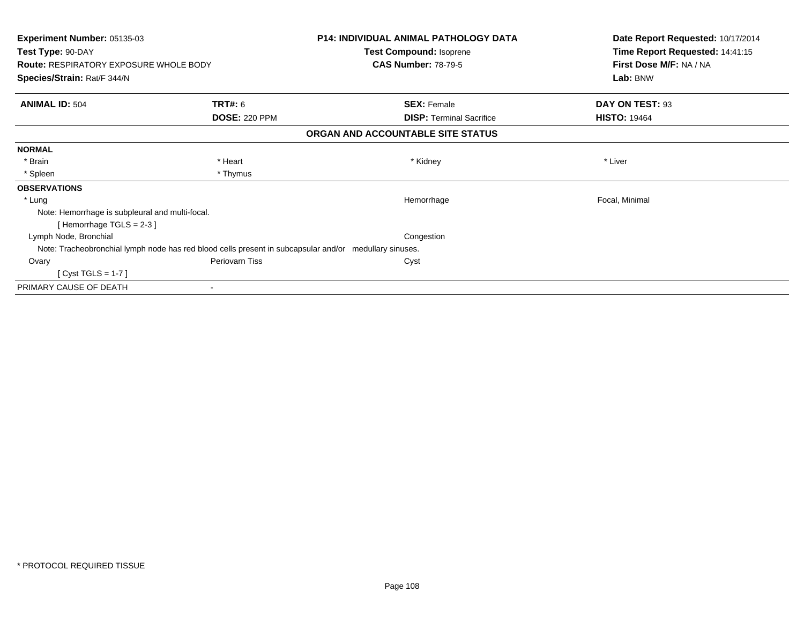| <b>Experiment Number: 05135-03</b><br>Test Type: 90-DAY |                                                                                                        | <b>P14: INDIVIDUAL ANIMAL PATHOLOGY DATA</b> | Date Report Requested: 10/17/2014<br>Time Report Requested: 14:41:15 |
|---------------------------------------------------------|--------------------------------------------------------------------------------------------------------|----------------------------------------------|----------------------------------------------------------------------|
|                                                         |                                                                                                        | <b>Test Compound: Isoprene</b>               |                                                                      |
| <b>Route: RESPIRATORY EXPOSURE WHOLE BODY</b>           |                                                                                                        | <b>CAS Number: 78-79-5</b>                   | First Dose M/F: NA / NA<br>Lab: BNW                                  |
| Species/Strain: Rat/F 344/N                             |                                                                                                        |                                              |                                                                      |
| <b>ANIMAL ID: 504</b>                                   | TRT#: 6                                                                                                | <b>SEX: Female</b>                           | DAY ON TEST: 93                                                      |
|                                                         | <b>DOSE: 220 PPM</b>                                                                                   | <b>DISP: Terminal Sacrifice</b>              | <b>HISTO: 19464</b>                                                  |
|                                                         |                                                                                                        | ORGAN AND ACCOUNTABLE SITE STATUS            |                                                                      |
| <b>NORMAL</b>                                           |                                                                                                        |                                              |                                                                      |
| * Brain                                                 | * Heart                                                                                                | * Kidney                                     | * Liver                                                              |
| * Spleen                                                | * Thymus                                                                                               |                                              |                                                                      |
| <b>OBSERVATIONS</b>                                     |                                                                                                        |                                              |                                                                      |
| * Lung                                                  |                                                                                                        | Hemorrhage                                   | Focal, Minimal                                                       |
| Note: Hemorrhage is subpleural and multi-focal.         |                                                                                                        |                                              |                                                                      |
| [Hemorrhage TGLS = 2-3]                                 |                                                                                                        |                                              |                                                                      |
| Lymph Node, Bronchial                                   |                                                                                                        | Congestion                                   |                                                                      |
|                                                         | Note: Tracheobronchial lymph node has red blood cells present in subcapsular and/or medullary sinuses. |                                              |                                                                      |
| Ovary                                                   | Periovarn Tiss                                                                                         | Cyst                                         |                                                                      |
| $[Cyst TGLS = 1-7]$                                     |                                                                                                        |                                              |                                                                      |
| PRIMARY CAUSE OF DEATH                                  |                                                                                                        |                                              |                                                                      |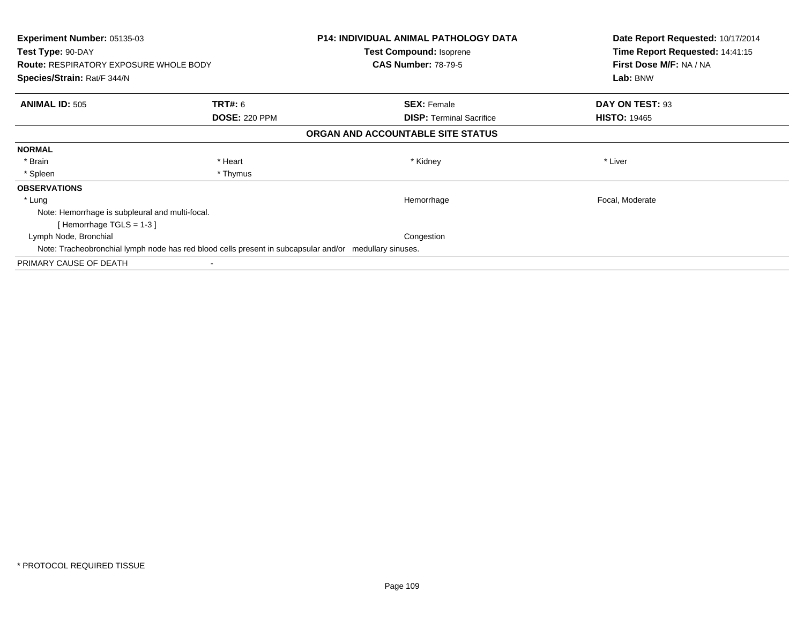| <b>Experiment Number: 05135-03</b><br>Test Type: 90-DAY<br><b>Route: RESPIRATORY EXPOSURE WHOLE BODY</b> |                      | <b>P14: INDIVIDUAL ANIMAL PATHOLOGY DATA</b><br>Test Compound: Isoprene<br><b>CAS Number: 78-79-5</b> | Date Report Requested: 10/17/2014<br>Time Report Requested: 14:41:15<br>First Dose M/F: NA / NA |
|----------------------------------------------------------------------------------------------------------|----------------------|-------------------------------------------------------------------------------------------------------|-------------------------------------------------------------------------------------------------|
| Species/Strain: Rat/F 344/N                                                                              |                      |                                                                                                       | Lab: BNW                                                                                        |
| <b>ANIMAL ID: 505</b>                                                                                    | <b>TRT#:</b> 6       | <b>SEX: Female</b>                                                                                    | DAY ON TEST: 93                                                                                 |
|                                                                                                          | <b>DOSE: 220 PPM</b> | <b>DISP:</b> Terminal Sacrifice                                                                       | <b>HISTO: 19465</b>                                                                             |
|                                                                                                          |                      | ORGAN AND ACCOUNTABLE SITE STATUS                                                                     |                                                                                                 |
| <b>NORMAL</b>                                                                                            |                      |                                                                                                       |                                                                                                 |
| * Brain                                                                                                  | * Heart              | * Kidney                                                                                              | * Liver                                                                                         |
| * Spleen                                                                                                 | * Thymus             |                                                                                                       |                                                                                                 |
| <b>OBSERVATIONS</b>                                                                                      |                      |                                                                                                       |                                                                                                 |
| * Lung                                                                                                   |                      | Hemorrhage                                                                                            | Focal, Moderate                                                                                 |
| Note: Hemorrhage is subpleural and multi-focal.                                                          |                      |                                                                                                       |                                                                                                 |
| [Hemorrhage TGLS = $1-3$ ]                                                                               |                      |                                                                                                       |                                                                                                 |
| Lymph Node, Bronchial                                                                                    |                      | Congestion                                                                                            |                                                                                                 |
| Note: Tracheobronchial lymph node has red blood cells present in subcapsular and/or medullary sinuses.   |                      |                                                                                                       |                                                                                                 |
| PRIMARY CAUSE OF DEATH                                                                                   |                      |                                                                                                       |                                                                                                 |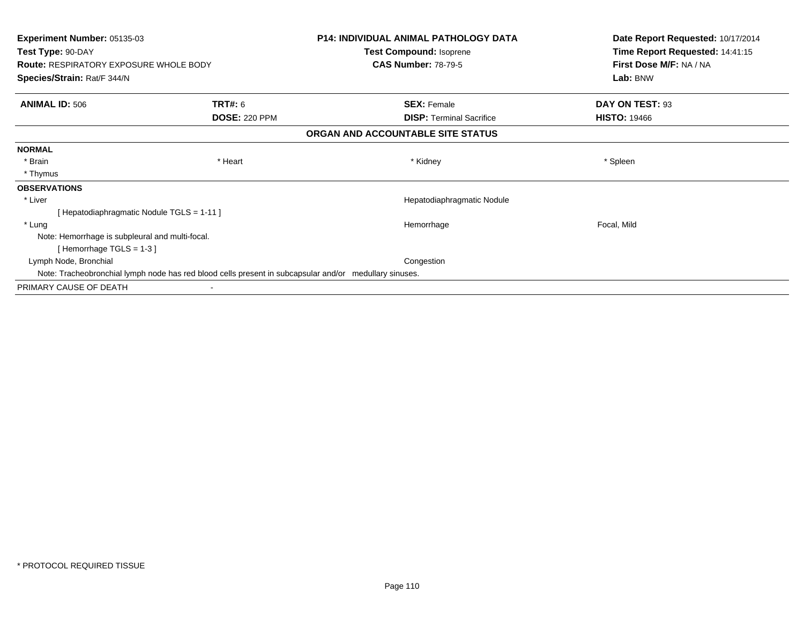| <b>Experiment Number: 05135-03</b>              |                                                                                                        | <b>P14: INDIVIDUAL ANIMAL PATHOLOGY DATA</b> | Date Report Requested: 10/17/2014 |
|-------------------------------------------------|--------------------------------------------------------------------------------------------------------|----------------------------------------------|-----------------------------------|
| Test Type: 90-DAY                               |                                                                                                        | Test Compound: Isoprene                      | Time Report Requested: 14:41:15   |
| <b>Route: RESPIRATORY EXPOSURE WHOLE BODY</b>   |                                                                                                        | <b>CAS Number: 78-79-5</b>                   | First Dose M/F: NA / NA           |
| Species/Strain: Rat/F 344/N                     |                                                                                                        |                                              | Lab: BNW                          |
| <b>ANIMAL ID: 506</b>                           | <b>TRT#: 6</b>                                                                                         | <b>SEX: Female</b>                           | DAY ON TEST: 93                   |
|                                                 | <b>DOSE: 220 PPM</b>                                                                                   | <b>DISP:</b> Terminal Sacrifice              | <b>HISTO: 19466</b>               |
|                                                 |                                                                                                        | ORGAN AND ACCOUNTABLE SITE STATUS            |                                   |
| <b>NORMAL</b>                                   |                                                                                                        |                                              |                                   |
| * Brain                                         | * Heart                                                                                                | * Kidney                                     | * Spleen                          |
| * Thymus                                        |                                                                                                        |                                              |                                   |
| <b>OBSERVATIONS</b>                             |                                                                                                        |                                              |                                   |
| * Liver                                         |                                                                                                        | Hepatodiaphragmatic Nodule                   |                                   |
| [Hepatodiaphragmatic Nodule TGLS = 1-11]        |                                                                                                        |                                              |                                   |
| * Lung                                          |                                                                                                        | Hemorrhage                                   | Focal, Mild                       |
| Note: Hemorrhage is subpleural and multi-focal. |                                                                                                        |                                              |                                   |
| [Hemorrhage TGLS = $1-3$ ]                      |                                                                                                        |                                              |                                   |
| Lymph Node, Bronchial                           |                                                                                                        | Congestion                                   |                                   |
|                                                 | Note: Tracheobronchial lymph node has red blood cells present in subcapsular and/or medullary sinuses. |                                              |                                   |
| PRIMARY CAUSE OF DEATH                          |                                                                                                        |                                              |                                   |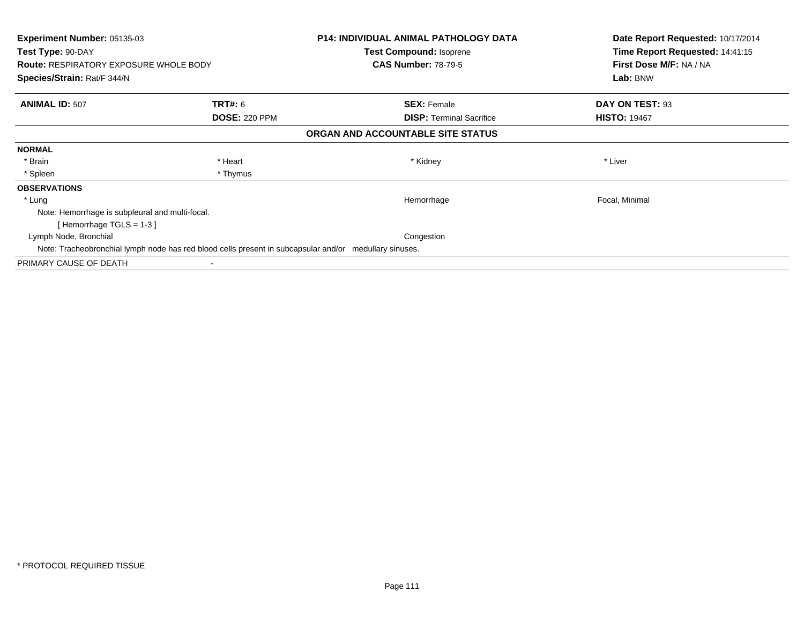| <b>Experiment Number: 05135-03</b><br>Test Type: 90-DAY<br><b>Route: RESPIRATORY EXPOSURE WHOLE BODY</b> |                      | <b>P14: INDIVIDUAL ANIMAL PATHOLOGY DATA</b><br>Test Compound: Isoprene<br><b>CAS Number: 78-79-5</b> | Date Report Requested: 10/17/2014<br>Time Report Requested: 14:41:15<br>First Dose M/F: NA / NA |
|----------------------------------------------------------------------------------------------------------|----------------------|-------------------------------------------------------------------------------------------------------|-------------------------------------------------------------------------------------------------|
| Species/Strain: Rat/F 344/N                                                                              |                      |                                                                                                       | Lab: BNW                                                                                        |
| <b>ANIMAL ID: 507</b>                                                                                    | <b>TRT#:</b> 6       | <b>SEX: Female</b>                                                                                    | DAY ON TEST: 93                                                                                 |
|                                                                                                          | <b>DOSE: 220 PPM</b> | <b>DISP:</b> Terminal Sacrifice                                                                       | <b>HISTO: 19467</b>                                                                             |
|                                                                                                          |                      | ORGAN AND ACCOUNTABLE SITE STATUS                                                                     |                                                                                                 |
| <b>NORMAL</b>                                                                                            |                      |                                                                                                       |                                                                                                 |
| * Brain                                                                                                  | * Heart              | * Kidney                                                                                              | * Liver                                                                                         |
| * Spleen                                                                                                 | * Thymus             |                                                                                                       |                                                                                                 |
| <b>OBSERVATIONS</b>                                                                                      |                      |                                                                                                       |                                                                                                 |
| * Lung                                                                                                   |                      | Hemorrhage                                                                                            | Focal, Minimal                                                                                  |
| Note: Hemorrhage is subpleural and multi-focal.                                                          |                      |                                                                                                       |                                                                                                 |
| [Hemorrhage TGLS = $1-3$ ]                                                                               |                      |                                                                                                       |                                                                                                 |
| Lymph Node, Bronchial                                                                                    |                      | Congestion                                                                                            |                                                                                                 |
| Note: Tracheobronchial lymph node has red blood cells present in subcapsular and/or medullary sinuses.   |                      |                                                                                                       |                                                                                                 |
| PRIMARY CAUSE OF DEATH                                                                                   |                      |                                                                                                       |                                                                                                 |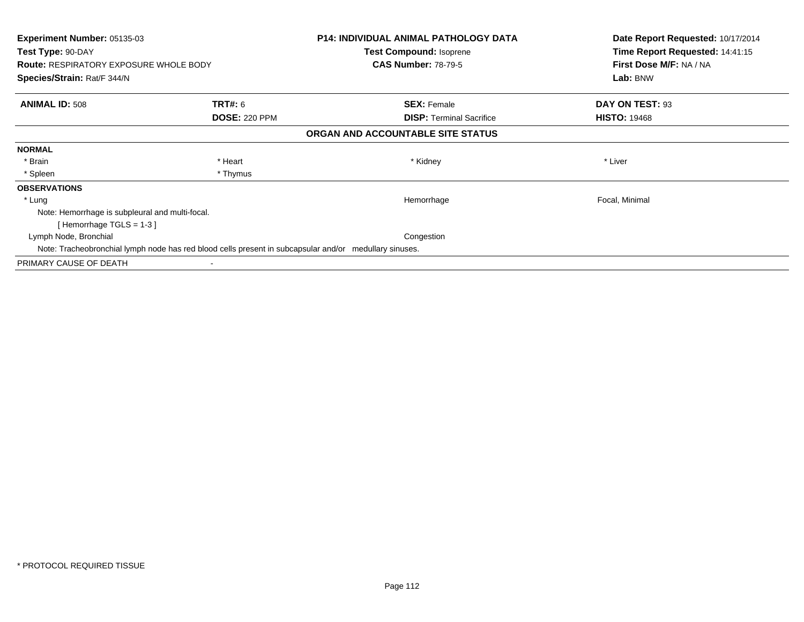| <b>Experiment Number: 05135-03</b><br>Test Type: 90-DAY<br><b>Route: RESPIRATORY EXPOSURE WHOLE BODY</b> |                      | <b>P14: INDIVIDUAL ANIMAL PATHOLOGY DATA</b><br>Test Compound: Isoprene<br><b>CAS Number: 78-79-5</b> | Date Report Requested: 10/17/2014<br>Time Report Requested: 14:41:15<br>First Dose M/F: NA / NA |
|----------------------------------------------------------------------------------------------------------|----------------------|-------------------------------------------------------------------------------------------------------|-------------------------------------------------------------------------------------------------|
| Species/Strain: Rat/F 344/N                                                                              |                      |                                                                                                       | Lab: BNW                                                                                        |
| <b>ANIMAL ID: 508</b>                                                                                    | <b>TRT#:</b> 6       | <b>SEX: Female</b>                                                                                    | DAY ON TEST: 93                                                                                 |
|                                                                                                          | <b>DOSE: 220 PPM</b> | <b>DISP:</b> Terminal Sacrifice                                                                       | <b>HISTO: 19468</b>                                                                             |
|                                                                                                          |                      | ORGAN AND ACCOUNTABLE SITE STATUS                                                                     |                                                                                                 |
| <b>NORMAL</b>                                                                                            |                      |                                                                                                       |                                                                                                 |
| * Brain                                                                                                  | * Heart              | * Kidney                                                                                              | * Liver                                                                                         |
| * Spleen                                                                                                 | * Thymus             |                                                                                                       |                                                                                                 |
| <b>OBSERVATIONS</b>                                                                                      |                      |                                                                                                       |                                                                                                 |
| * Lung                                                                                                   |                      | Hemorrhage                                                                                            | Focal, Minimal                                                                                  |
| Note: Hemorrhage is subpleural and multi-focal.                                                          |                      |                                                                                                       |                                                                                                 |
| [Hemorrhage TGLS = $1-3$ ]                                                                               |                      |                                                                                                       |                                                                                                 |
| Lymph Node, Bronchial                                                                                    |                      | Congestion                                                                                            |                                                                                                 |
| Note: Tracheobronchial lymph node has red blood cells present in subcapsular and/or medullary sinuses.   |                      |                                                                                                       |                                                                                                 |
| PRIMARY CAUSE OF DEATH                                                                                   |                      |                                                                                                       |                                                                                                 |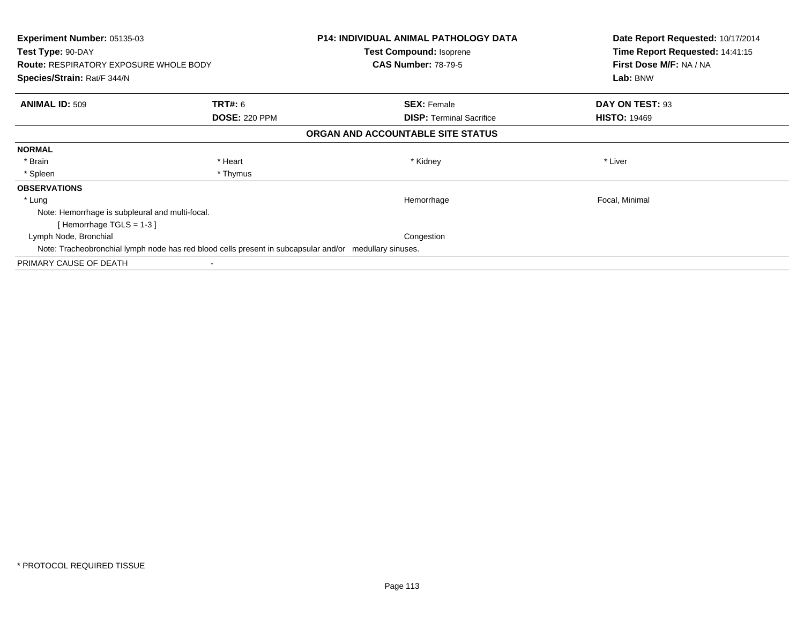| <b>Experiment Number: 05135-03</b><br>Test Type: 90-DAY<br><b>Route: RESPIRATORY EXPOSURE WHOLE BODY</b> |                      | <b>P14: INDIVIDUAL ANIMAL PATHOLOGY DATA</b><br>Test Compound: Isoprene<br><b>CAS Number: 78-79-5</b> | Date Report Requested: 10/17/2014<br>Time Report Requested: 14:41:15<br>First Dose M/F: NA / NA |
|----------------------------------------------------------------------------------------------------------|----------------------|-------------------------------------------------------------------------------------------------------|-------------------------------------------------------------------------------------------------|
| Species/Strain: Rat/F 344/N                                                                              |                      |                                                                                                       | Lab: BNW                                                                                        |
| <b>ANIMAL ID: 509</b>                                                                                    | <b>TRT#:</b> 6       | <b>SEX: Female</b>                                                                                    | DAY ON TEST: 93                                                                                 |
|                                                                                                          | <b>DOSE: 220 PPM</b> | <b>DISP:</b> Terminal Sacrifice                                                                       | <b>HISTO: 19469</b>                                                                             |
|                                                                                                          |                      | ORGAN AND ACCOUNTABLE SITE STATUS                                                                     |                                                                                                 |
| <b>NORMAL</b>                                                                                            |                      |                                                                                                       |                                                                                                 |
| * Brain                                                                                                  | * Heart              | * Kidney                                                                                              | * Liver                                                                                         |
| * Spleen                                                                                                 | * Thymus             |                                                                                                       |                                                                                                 |
| <b>OBSERVATIONS</b>                                                                                      |                      |                                                                                                       |                                                                                                 |
| * Lung                                                                                                   |                      | Hemorrhage                                                                                            | Focal, Minimal                                                                                  |
| Note: Hemorrhage is subpleural and multi-focal.                                                          |                      |                                                                                                       |                                                                                                 |
| [Hemorrhage TGLS = $1-3$ ]                                                                               |                      |                                                                                                       |                                                                                                 |
| Lymph Node, Bronchial                                                                                    |                      | Congestion                                                                                            |                                                                                                 |
| Note: Tracheobronchial lymph node has red blood cells present in subcapsular and/or medullary sinuses.   |                      |                                                                                                       |                                                                                                 |
| PRIMARY CAUSE OF DEATH                                                                                   |                      |                                                                                                       |                                                                                                 |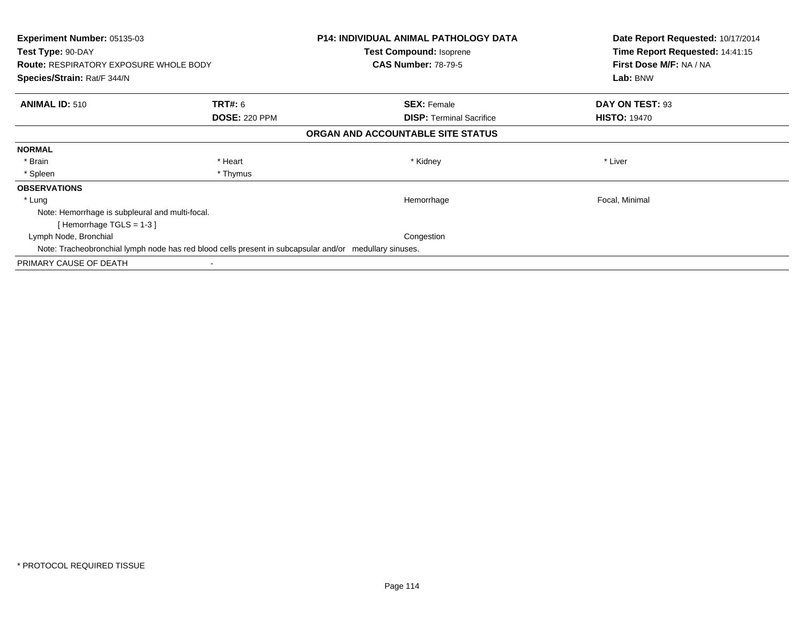| <b>Experiment Number: 05135-03</b><br>Test Type: 90-DAY<br><b>Route: RESPIRATORY EXPOSURE WHOLE BODY</b> |                      | <b>P14: INDIVIDUAL ANIMAL PATHOLOGY DATA</b><br>Test Compound: Isoprene<br><b>CAS Number: 78-79-5</b> | Date Report Requested: 10/17/2014<br>Time Report Requested: 14:41:15<br>First Dose M/F: NA / NA |
|----------------------------------------------------------------------------------------------------------|----------------------|-------------------------------------------------------------------------------------------------------|-------------------------------------------------------------------------------------------------|
| Species/Strain: Rat/F 344/N                                                                              |                      |                                                                                                       | Lab: BNW                                                                                        |
| <b>ANIMAL ID: 510</b>                                                                                    | <b>TRT#:</b> 6       | <b>SEX: Female</b>                                                                                    | DAY ON TEST: 93                                                                                 |
|                                                                                                          | <b>DOSE: 220 PPM</b> | <b>DISP:</b> Terminal Sacrifice                                                                       | <b>HISTO: 19470</b>                                                                             |
|                                                                                                          |                      | ORGAN AND ACCOUNTABLE SITE STATUS                                                                     |                                                                                                 |
| <b>NORMAL</b>                                                                                            |                      |                                                                                                       |                                                                                                 |
| * Brain                                                                                                  | * Heart              | * Kidney                                                                                              | * Liver                                                                                         |
| * Spleen                                                                                                 | * Thymus             |                                                                                                       |                                                                                                 |
| <b>OBSERVATIONS</b>                                                                                      |                      |                                                                                                       |                                                                                                 |
| * Lung                                                                                                   |                      | Hemorrhage                                                                                            | Focal, Minimal                                                                                  |
| Note: Hemorrhage is subpleural and multi-focal.                                                          |                      |                                                                                                       |                                                                                                 |
| [Hemorrhage TGLS = $1-3$ ]                                                                               |                      |                                                                                                       |                                                                                                 |
| Lymph Node, Bronchial                                                                                    |                      | Congestion                                                                                            |                                                                                                 |
| Note: Tracheobronchial lymph node has red blood cells present in subcapsular and/or medullary sinuses.   |                      |                                                                                                       |                                                                                                 |
| PRIMARY CAUSE OF DEATH                                                                                   |                      |                                                                                                       |                                                                                                 |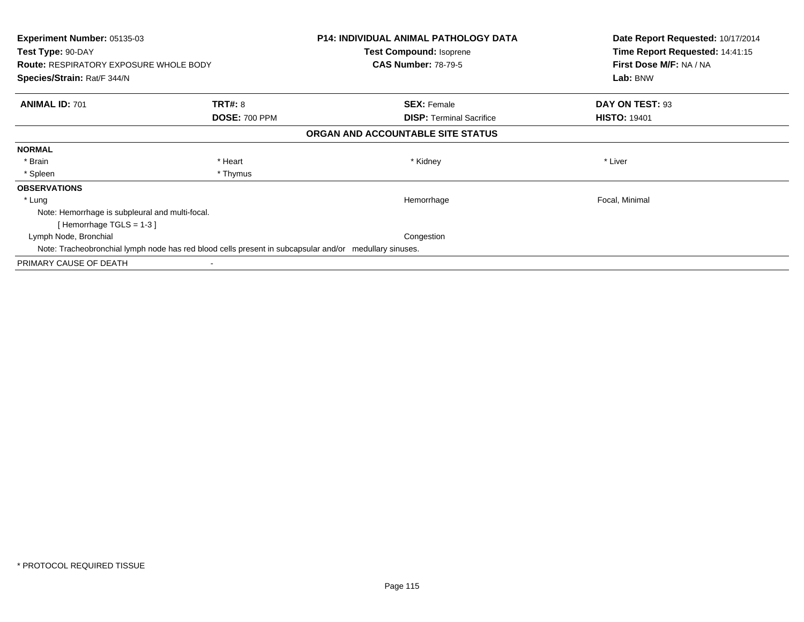| <b>Experiment Number: 05135-03</b><br>Test Type: 90-DAY<br><b>Route: RESPIRATORY EXPOSURE WHOLE BODY</b> |                      | <b>P14: INDIVIDUAL ANIMAL PATHOLOGY DATA</b><br>Test Compound: Isoprene<br><b>CAS Number: 78-79-5</b> | Date Report Requested: 10/17/2014<br>Time Report Requested: 14:41:15<br>First Dose M/F: NA / NA |
|----------------------------------------------------------------------------------------------------------|----------------------|-------------------------------------------------------------------------------------------------------|-------------------------------------------------------------------------------------------------|
| Species/Strain: Rat/F 344/N                                                                              |                      |                                                                                                       | Lab: BNW                                                                                        |
| <b>ANIMAL ID: 701</b>                                                                                    | <b>TRT#: 8</b>       | <b>SEX: Female</b>                                                                                    | DAY ON TEST: 93                                                                                 |
|                                                                                                          | <b>DOSE: 700 PPM</b> | <b>DISP:</b> Terminal Sacrifice                                                                       | <b>HISTO: 19401</b>                                                                             |
|                                                                                                          |                      | ORGAN AND ACCOUNTABLE SITE STATUS                                                                     |                                                                                                 |
| <b>NORMAL</b>                                                                                            |                      |                                                                                                       |                                                                                                 |
| * Brain                                                                                                  | * Heart              | * Kidney                                                                                              | * Liver                                                                                         |
| * Spleen                                                                                                 | * Thymus             |                                                                                                       |                                                                                                 |
| <b>OBSERVATIONS</b>                                                                                      |                      |                                                                                                       |                                                                                                 |
| * Lung                                                                                                   |                      | Hemorrhage                                                                                            | Focal, Minimal                                                                                  |
| Note: Hemorrhage is subpleural and multi-focal.                                                          |                      |                                                                                                       |                                                                                                 |
| [Hemorrhage TGLS = $1-3$ ]                                                                               |                      |                                                                                                       |                                                                                                 |
| Lymph Node, Bronchial                                                                                    |                      | Congestion                                                                                            |                                                                                                 |
| Note: Tracheobronchial lymph node has red blood cells present in subcapsular and/or medullary sinuses.   |                      |                                                                                                       |                                                                                                 |
| PRIMARY CAUSE OF DEATH                                                                                   |                      |                                                                                                       |                                                                                                 |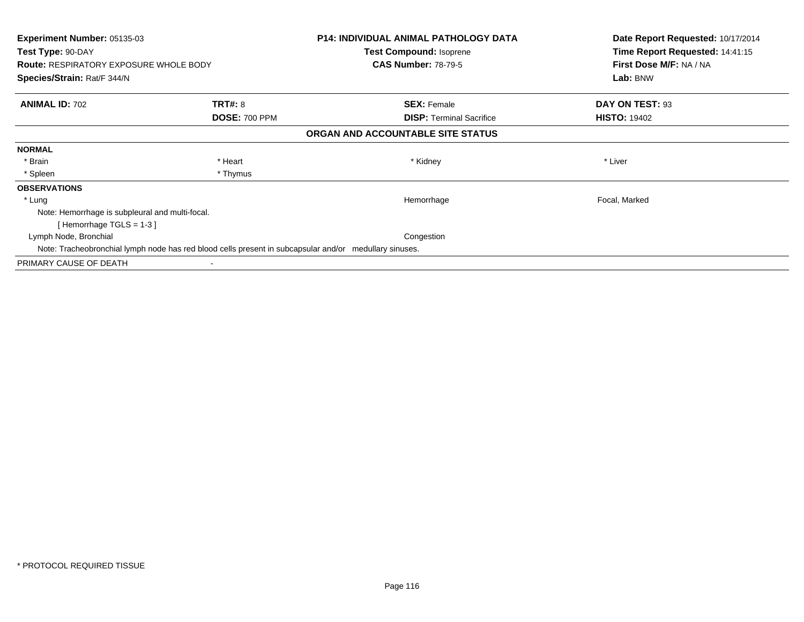| <b>Experiment Number: 05135-03</b><br>Test Type: 90-DAY<br><b>Route: RESPIRATORY EXPOSURE WHOLE BODY</b> |                      | <b>P14: INDIVIDUAL ANIMAL PATHOLOGY DATA</b><br>Test Compound: Isoprene<br><b>CAS Number: 78-79-5</b> | Date Report Requested: 10/17/2014<br>Time Report Requested: 14:41:15<br>First Dose M/F: NA / NA |
|----------------------------------------------------------------------------------------------------------|----------------------|-------------------------------------------------------------------------------------------------------|-------------------------------------------------------------------------------------------------|
| Species/Strain: Rat/F 344/N                                                                              |                      |                                                                                                       | Lab: BNW                                                                                        |
| <b>ANIMAL ID: 702</b>                                                                                    | <b>TRT#: 8</b>       | <b>SEX: Female</b>                                                                                    | DAY ON TEST: 93                                                                                 |
|                                                                                                          | <b>DOSE: 700 PPM</b> | <b>DISP:</b> Terminal Sacrifice                                                                       | <b>HISTO: 19402</b>                                                                             |
|                                                                                                          |                      | ORGAN AND ACCOUNTABLE SITE STATUS                                                                     |                                                                                                 |
| <b>NORMAL</b>                                                                                            |                      |                                                                                                       |                                                                                                 |
| * Brain                                                                                                  | * Heart              | * Kidney                                                                                              | * Liver                                                                                         |
| * Spleen                                                                                                 | * Thymus             |                                                                                                       |                                                                                                 |
| <b>OBSERVATIONS</b>                                                                                      |                      |                                                                                                       |                                                                                                 |
| * Lung                                                                                                   |                      | Hemorrhage                                                                                            | Focal, Marked                                                                                   |
| Note: Hemorrhage is subpleural and multi-focal.                                                          |                      |                                                                                                       |                                                                                                 |
| [Hemorrhage TGLS = $1-3$ ]                                                                               |                      |                                                                                                       |                                                                                                 |
| Lymph Node, Bronchial                                                                                    |                      | Congestion                                                                                            |                                                                                                 |
| Note: Tracheobronchial lymph node has red blood cells present in subcapsular and/or medullary sinuses.   |                      |                                                                                                       |                                                                                                 |
| PRIMARY CAUSE OF DEATH                                                                                   |                      |                                                                                                       |                                                                                                 |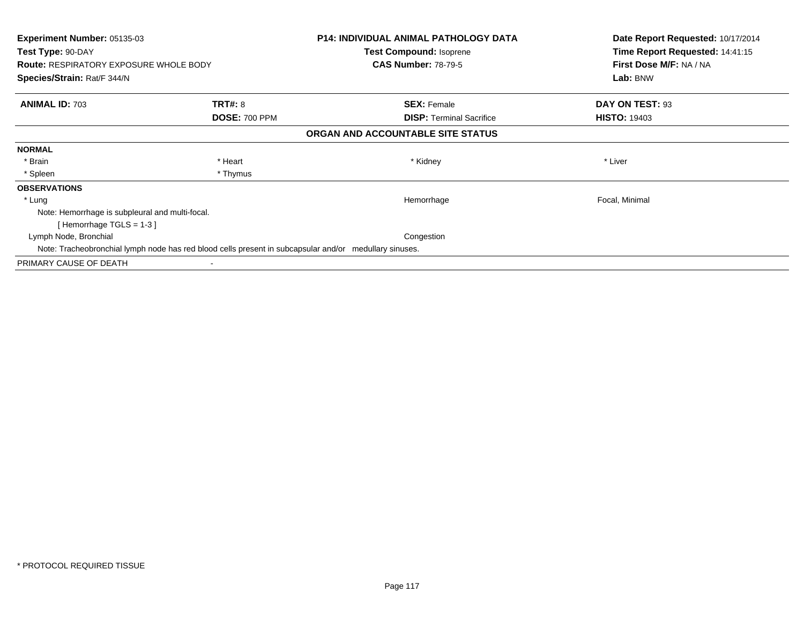| <b>Experiment Number: 05135-03</b><br>Test Type: 90-DAY<br><b>Route: RESPIRATORY EXPOSURE WHOLE BODY</b> |                      | <b>P14: INDIVIDUAL ANIMAL PATHOLOGY DATA</b><br>Test Compound: Isoprene<br><b>CAS Number: 78-79-5</b> | Date Report Requested: 10/17/2014<br>Time Report Requested: 14:41:15<br>First Dose M/F: NA / NA |
|----------------------------------------------------------------------------------------------------------|----------------------|-------------------------------------------------------------------------------------------------------|-------------------------------------------------------------------------------------------------|
| Species/Strain: Rat/F 344/N                                                                              |                      |                                                                                                       | Lab: BNW                                                                                        |
| <b>ANIMAL ID: 703</b>                                                                                    | <b>TRT#: 8</b>       | <b>SEX: Female</b>                                                                                    | DAY ON TEST: 93                                                                                 |
|                                                                                                          | <b>DOSE: 700 PPM</b> | <b>DISP:</b> Terminal Sacrifice                                                                       | <b>HISTO: 19403</b>                                                                             |
|                                                                                                          |                      | ORGAN AND ACCOUNTABLE SITE STATUS                                                                     |                                                                                                 |
| <b>NORMAL</b>                                                                                            |                      |                                                                                                       |                                                                                                 |
| * Brain                                                                                                  | * Heart              | * Kidney                                                                                              | * Liver                                                                                         |
| * Spleen                                                                                                 | * Thymus             |                                                                                                       |                                                                                                 |
| <b>OBSERVATIONS</b>                                                                                      |                      |                                                                                                       |                                                                                                 |
| * Lung                                                                                                   |                      | Hemorrhage                                                                                            | Focal, Minimal                                                                                  |
| Note: Hemorrhage is subpleural and multi-focal.                                                          |                      |                                                                                                       |                                                                                                 |
| [Hemorrhage TGLS = $1-3$ ]                                                                               |                      |                                                                                                       |                                                                                                 |
| Lymph Node, Bronchial                                                                                    |                      | Congestion                                                                                            |                                                                                                 |
| Note: Tracheobronchial lymph node has red blood cells present in subcapsular and/or medullary sinuses.   |                      |                                                                                                       |                                                                                                 |
| PRIMARY CAUSE OF DEATH                                                                                   |                      |                                                                                                       |                                                                                                 |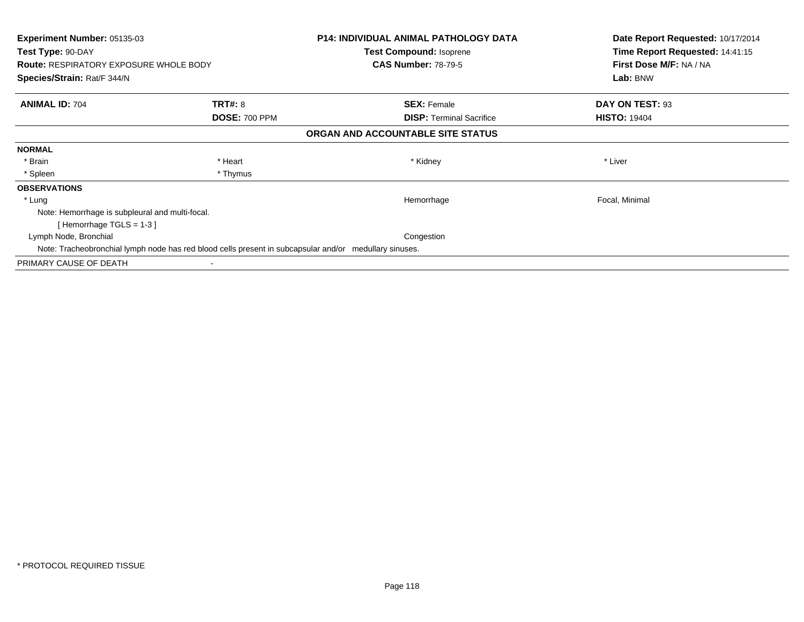| <b>Experiment Number: 05135-03</b><br>Test Type: 90-DAY<br><b>Route: RESPIRATORY EXPOSURE WHOLE BODY</b> |                      | <b>P14: INDIVIDUAL ANIMAL PATHOLOGY DATA</b><br>Test Compound: Isoprene<br><b>CAS Number: 78-79-5</b> | Date Report Requested: 10/17/2014<br>Time Report Requested: 14:41:15<br>First Dose M/F: NA / NA |
|----------------------------------------------------------------------------------------------------------|----------------------|-------------------------------------------------------------------------------------------------------|-------------------------------------------------------------------------------------------------|
| Species/Strain: Rat/F 344/N                                                                              |                      |                                                                                                       | Lab: BNW                                                                                        |
| <b>ANIMAL ID: 704</b>                                                                                    | <b>TRT#: 8</b>       | <b>SEX: Female</b>                                                                                    | DAY ON TEST: 93                                                                                 |
|                                                                                                          | <b>DOSE: 700 PPM</b> | <b>DISP:</b> Terminal Sacrifice                                                                       | <b>HISTO: 19404</b>                                                                             |
|                                                                                                          |                      | ORGAN AND ACCOUNTABLE SITE STATUS                                                                     |                                                                                                 |
| <b>NORMAL</b>                                                                                            |                      |                                                                                                       |                                                                                                 |
| * Brain                                                                                                  | * Heart              | * Kidney                                                                                              | * Liver                                                                                         |
| * Spleen                                                                                                 | * Thymus             |                                                                                                       |                                                                                                 |
| <b>OBSERVATIONS</b>                                                                                      |                      |                                                                                                       |                                                                                                 |
| * Lung                                                                                                   |                      | Hemorrhage                                                                                            | Focal, Minimal                                                                                  |
| Note: Hemorrhage is subpleural and multi-focal.                                                          |                      |                                                                                                       |                                                                                                 |
| [Hemorrhage TGLS = $1-3$ ]                                                                               |                      |                                                                                                       |                                                                                                 |
| Lymph Node, Bronchial                                                                                    |                      | Congestion                                                                                            |                                                                                                 |
| Note: Tracheobronchial lymph node has red blood cells present in subcapsular and/or medullary sinuses.   |                      |                                                                                                       |                                                                                                 |
| PRIMARY CAUSE OF DEATH                                                                                   |                      |                                                                                                       |                                                                                                 |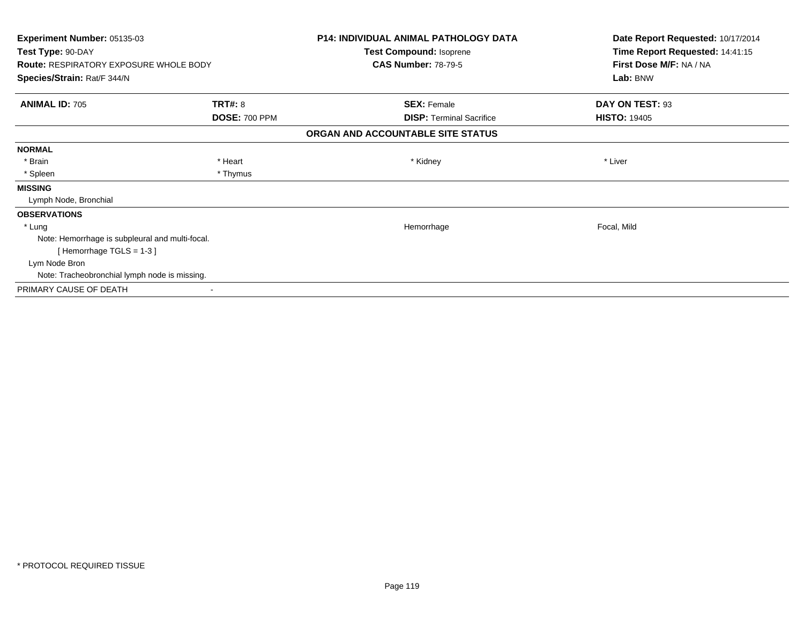| <b>Experiment Number: 05135-03</b>              | <b>P14: INDIVIDUAL ANIMAL PATHOLOGY DATA</b><br>Test Compound: Isoprene |                                   | Date Report Requested: 10/17/2014<br>Time Report Requested: 14:41:15 |
|-------------------------------------------------|-------------------------------------------------------------------------|-----------------------------------|----------------------------------------------------------------------|
| Test Type: 90-DAY                               |                                                                         |                                   |                                                                      |
| <b>Route: RESPIRATORY EXPOSURE WHOLE BODY</b>   |                                                                         | <b>CAS Number: 78-79-5</b>        | First Dose M/F: NA / NA                                              |
| Species/Strain: Rat/F 344/N                     |                                                                         |                                   | Lab: BNW                                                             |
| <b>ANIMAL ID: 705</b>                           | <b>TRT#: 8</b>                                                          | <b>SEX: Female</b>                | DAY ON TEST: 93                                                      |
|                                                 | <b>DOSE: 700 PPM</b>                                                    | <b>DISP: Terminal Sacrifice</b>   | <b>HISTO: 19405</b>                                                  |
|                                                 |                                                                         | ORGAN AND ACCOUNTABLE SITE STATUS |                                                                      |
| <b>NORMAL</b>                                   |                                                                         |                                   |                                                                      |
| * Brain                                         | * Heart                                                                 | * Kidney                          | * Liver                                                              |
| * Spleen                                        | * Thymus                                                                |                                   |                                                                      |
| <b>MISSING</b>                                  |                                                                         |                                   |                                                                      |
| Lymph Node, Bronchial                           |                                                                         |                                   |                                                                      |
| <b>OBSERVATIONS</b>                             |                                                                         |                                   |                                                                      |
| * Lung                                          |                                                                         | Hemorrhage                        | Focal, Mild                                                          |
| Note: Hemorrhage is subpleural and multi-focal. |                                                                         |                                   |                                                                      |
| [Hemorrhage TGLS = $1-3$ ]                      |                                                                         |                                   |                                                                      |
| Lym Node Bron                                   |                                                                         |                                   |                                                                      |
| Note: Tracheobronchial lymph node is missing.   |                                                                         |                                   |                                                                      |
| PRIMARY CAUSE OF DEATH                          |                                                                         |                                   |                                                                      |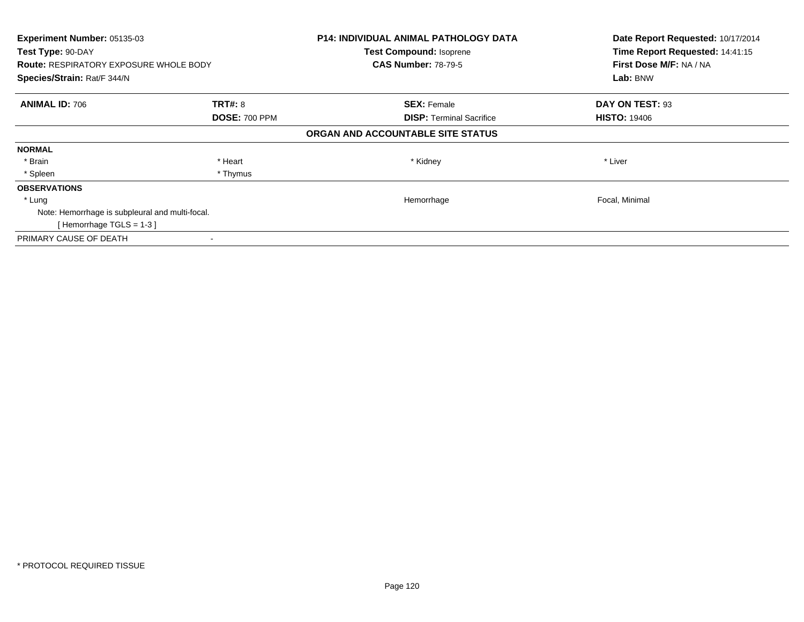| Experiment Number: 05135-03                     |                      | <b>P14: INDIVIDUAL ANIMAL PATHOLOGY DATA</b><br><b>Test Compound: Isoprene</b> | Date Report Requested: 10/17/2014 |
|-------------------------------------------------|----------------------|--------------------------------------------------------------------------------|-----------------------------------|
| Test Type: 90-DAY                               |                      |                                                                                | Time Report Requested: 14:41:15   |
| <b>Route: RESPIRATORY EXPOSURE WHOLE BODY</b>   |                      | <b>CAS Number: 78-79-5</b>                                                     | First Dose M/F: NA / NA           |
| Species/Strain: Rat/F 344/N                     |                      |                                                                                | Lab: BNW                          |
| <b>ANIMAL ID: 706</b>                           | <b>TRT#: 8</b>       | <b>SEX: Female</b>                                                             | DAY ON TEST: 93                   |
|                                                 | <b>DOSE: 700 PPM</b> | <b>DISP: Terminal Sacrifice</b>                                                | <b>HISTO: 19406</b>               |
|                                                 |                      | ORGAN AND ACCOUNTABLE SITE STATUS                                              |                                   |
| <b>NORMAL</b>                                   |                      |                                                                                |                                   |
| * Brain                                         | * Heart              | * Kidney                                                                       | * Liver                           |
| * Spleen                                        | * Thymus             |                                                                                |                                   |
| <b>OBSERVATIONS</b>                             |                      |                                                                                |                                   |
| * Lung                                          |                      | Hemorrhage                                                                     | Focal, Minimal                    |
| Note: Hemorrhage is subpleural and multi-focal. |                      |                                                                                |                                   |
| [Hemorrhage TGLS = $1-3$ ]                      |                      |                                                                                |                                   |
| PRIMARY CAUSE OF DEATH                          |                      |                                                                                |                                   |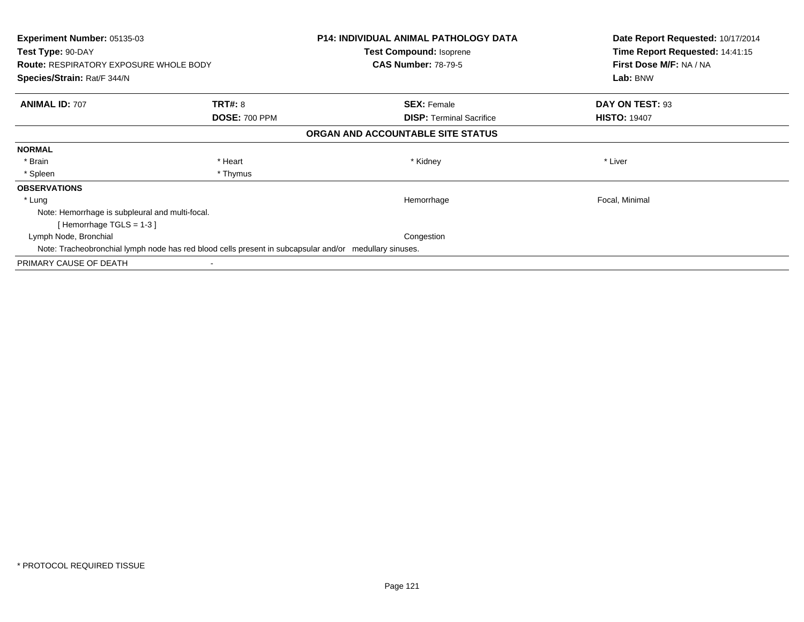| <b>Experiment Number: 05135-03</b><br>Test Type: 90-DAY<br><b>Route: RESPIRATORY EXPOSURE WHOLE BODY</b> |                      | <b>P14: INDIVIDUAL ANIMAL PATHOLOGY DATA</b><br>Test Compound: Isoprene<br><b>CAS Number: 78-79-5</b> | Date Report Requested: 10/17/2014<br>Time Report Requested: 14:41:15<br>First Dose M/F: NA / NA |
|----------------------------------------------------------------------------------------------------------|----------------------|-------------------------------------------------------------------------------------------------------|-------------------------------------------------------------------------------------------------|
| Species/Strain: Rat/F 344/N                                                                              |                      |                                                                                                       | Lab: BNW                                                                                        |
| <b>ANIMAL ID: 707</b>                                                                                    | <b>TRT#: 8</b>       | <b>SEX: Female</b>                                                                                    | DAY ON TEST: 93                                                                                 |
|                                                                                                          | <b>DOSE: 700 PPM</b> | <b>DISP:</b> Terminal Sacrifice                                                                       | <b>HISTO: 19407</b>                                                                             |
|                                                                                                          |                      | ORGAN AND ACCOUNTABLE SITE STATUS                                                                     |                                                                                                 |
| <b>NORMAL</b>                                                                                            |                      |                                                                                                       |                                                                                                 |
| * Brain                                                                                                  | * Heart              | * Kidney                                                                                              | * Liver                                                                                         |
| * Spleen                                                                                                 | * Thymus             |                                                                                                       |                                                                                                 |
| <b>OBSERVATIONS</b>                                                                                      |                      |                                                                                                       |                                                                                                 |
| * Lung                                                                                                   |                      | Hemorrhage                                                                                            | Focal, Minimal                                                                                  |
| Note: Hemorrhage is subpleural and multi-focal.                                                          |                      |                                                                                                       |                                                                                                 |
| [Hemorrhage TGLS = $1-3$ ]                                                                               |                      |                                                                                                       |                                                                                                 |
| Lymph Node, Bronchial                                                                                    |                      | Congestion                                                                                            |                                                                                                 |
| Note: Tracheobronchial lymph node has red blood cells present in subcapsular and/or medullary sinuses.   |                      |                                                                                                       |                                                                                                 |
| PRIMARY CAUSE OF DEATH                                                                                   |                      |                                                                                                       |                                                                                                 |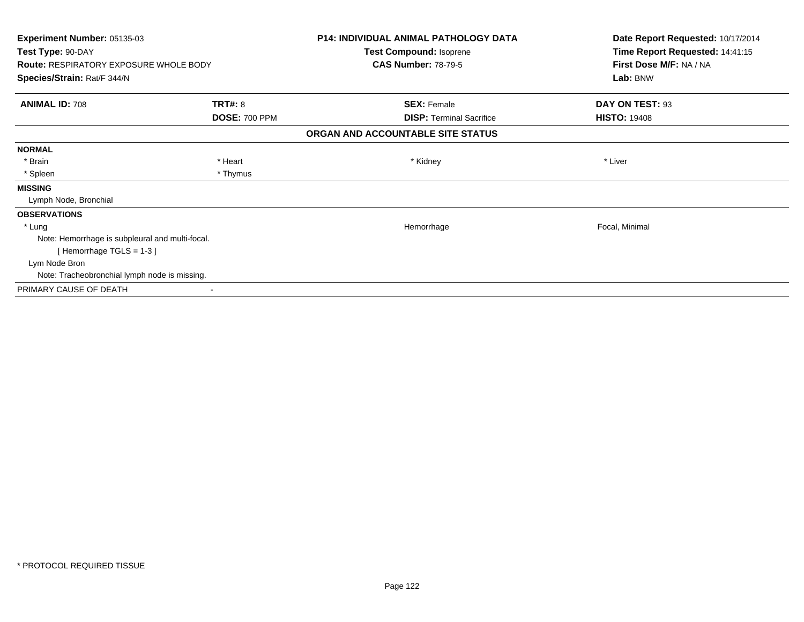| <b>Experiment Number: 05135-03</b>              |                      | <b>P14: INDIVIDUAL ANIMAL PATHOLOGY DATA</b> | Date Report Requested: 10/17/2014 |
|-------------------------------------------------|----------------------|----------------------------------------------|-----------------------------------|
| Test Type: 90-DAY                               |                      | Test Compound: Isoprene                      | Time Report Requested: 14:41:15   |
| <b>Route: RESPIRATORY EXPOSURE WHOLE BODY</b>   |                      | <b>CAS Number: 78-79-5</b>                   | First Dose M/F: NA / NA           |
| Species/Strain: Rat/F 344/N                     |                      |                                              | Lab: BNW                          |
| <b>ANIMAL ID: 708</b>                           | <b>TRT#: 8</b>       | <b>SEX: Female</b>                           | DAY ON TEST: 93                   |
|                                                 | <b>DOSE: 700 PPM</b> | <b>DISP: Terminal Sacrifice</b>              | <b>HISTO: 19408</b>               |
|                                                 |                      | ORGAN AND ACCOUNTABLE SITE STATUS            |                                   |
| <b>NORMAL</b>                                   |                      |                                              |                                   |
| * Brain                                         | * Heart              | * Kidney                                     | * Liver                           |
| * Spleen                                        | * Thymus             |                                              |                                   |
| <b>MISSING</b>                                  |                      |                                              |                                   |
| Lymph Node, Bronchial                           |                      |                                              |                                   |
| <b>OBSERVATIONS</b>                             |                      |                                              |                                   |
| * Lung                                          |                      | Hemorrhage                                   | Focal, Minimal                    |
| Note: Hemorrhage is subpleural and multi-focal. |                      |                                              |                                   |
| [Hemorrhage TGLS = $1-3$ ]                      |                      |                                              |                                   |
| Lym Node Bron                                   |                      |                                              |                                   |
| Note: Tracheobronchial lymph node is missing.   |                      |                                              |                                   |
| PRIMARY CAUSE OF DEATH                          |                      |                                              |                                   |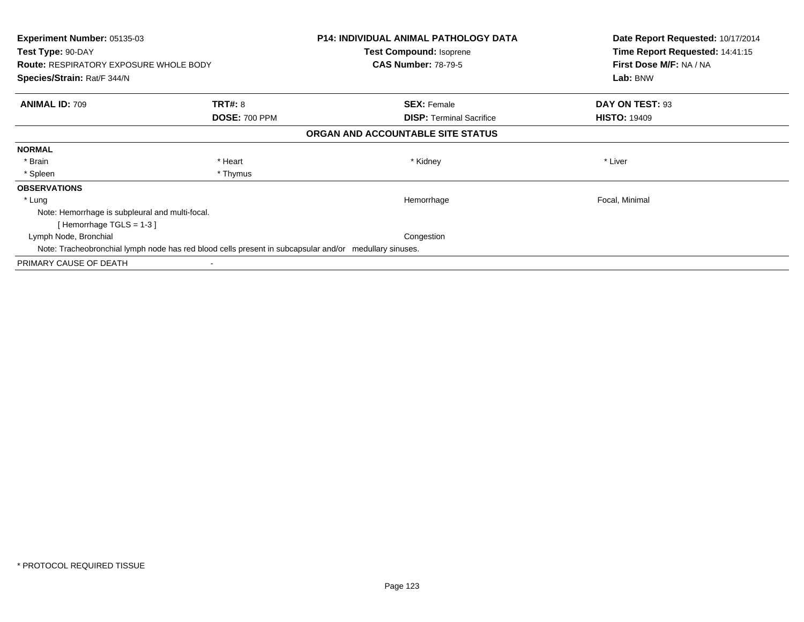| <b>Experiment Number: 05135-03</b><br>Test Type: 90-DAY<br><b>Route: RESPIRATORY EXPOSURE WHOLE BODY</b> |                      | <b>P14: INDIVIDUAL ANIMAL PATHOLOGY DATA</b><br>Test Compound: Isoprene<br><b>CAS Number: 78-79-5</b> | Date Report Requested: 10/17/2014<br>Time Report Requested: 14:41:15<br>First Dose M/F: NA / NA |
|----------------------------------------------------------------------------------------------------------|----------------------|-------------------------------------------------------------------------------------------------------|-------------------------------------------------------------------------------------------------|
| Species/Strain: Rat/F 344/N                                                                              |                      |                                                                                                       | Lab: BNW                                                                                        |
| <b>ANIMAL ID: 709</b>                                                                                    | <b>TRT#: 8</b>       | <b>SEX: Female</b>                                                                                    | DAY ON TEST: 93                                                                                 |
|                                                                                                          | <b>DOSE: 700 PPM</b> | <b>DISP:</b> Terminal Sacrifice                                                                       | <b>HISTO: 19409</b>                                                                             |
|                                                                                                          |                      | ORGAN AND ACCOUNTABLE SITE STATUS                                                                     |                                                                                                 |
| <b>NORMAL</b>                                                                                            |                      |                                                                                                       |                                                                                                 |
| * Brain                                                                                                  | * Heart              | * Kidney                                                                                              | * Liver                                                                                         |
| * Spleen                                                                                                 | * Thymus             |                                                                                                       |                                                                                                 |
| <b>OBSERVATIONS</b>                                                                                      |                      |                                                                                                       |                                                                                                 |
| * Lung                                                                                                   |                      | Hemorrhage                                                                                            | Focal, Minimal                                                                                  |
| Note: Hemorrhage is subpleural and multi-focal.                                                          |                      |                                                                                                       |                                                                                                 |
| [Hemorrhage TGLS = $1-3$ ]                                                                               |                      |                                                                                                       |                                                                                                 |
| Lymph Node, Bronchial                                                                                    |                      | Congestion                                                                                            |                                                                                                 |
| Note: Tracheobronchial lymph node has red blood cells present in subcapsular and/or medullary sinuses.   |                      |                                                                                                       |                                                                                                 |
| PRIMARY CAUSE OF DEATH                                                                                   |                      |                                                                                                       |                                                                                                 |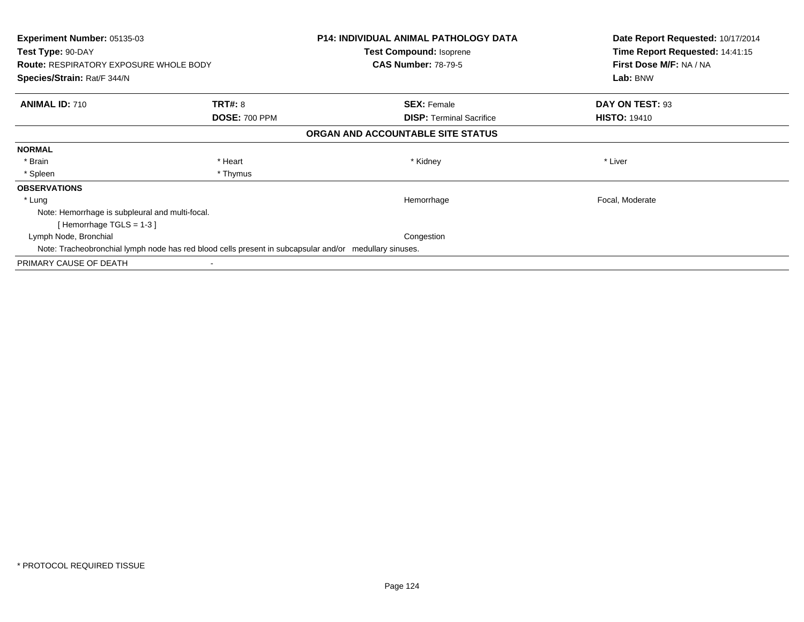| <b>Experiment Number: 05135-03</b><br>Test Type: 90-DAY<br><b>Route: RESPIRATORY EXPOSURE WHOLE BODY</b> |                      | <b>P14: INDIVIDUAL ANIMAL PATHOLOGY DATA</b><br>Test Compound: Isoprene<br><b>CAS Number: 78-79-5</b> | Date Report Requested: 10/17/2014<br>Time Report Requested: 14:41:15<br>First Dose M/F: NA / NA |
|----------------------------------------------------------------------------------------------------------|----------------------|-------------------------------------------------------------------------------------------------------|-------------------------------------------------------------------------------------------------|
| Species/Strain: Rat/F 344/N                                                                              |                      |                                                                                                       | Lab: BNW                                                                                        |
| <b>ANIMAL ID: 710</b>                                                                                    | <b>TRT#: 8</b>       | <b>SEX: Female</b>                                                                                    | DAY ON TEST: 93                                                                                 |
|                                                                                                          | <b>DOSE: 700 PPM</b> | <b>DISP:</b> Terminal Sacrifice                                                                       | <b>HISTO: 19410</b>                                                                             |
|                                                                                                          |                      | ORGAN AND ACCOUNTABLE SITE STATUS                                                                     |                                                                                                 |
| <b>NORMAL</b>                                                                                            |                      |                                                                                                       |                                                                                                 |
| * Brain                                                                                                  | * Heart              | * Kidney                                                                                              | * Liver                                                                                         |
| * Spleen                                                                                                 | * Thymus             |                                                                                                       |                                                                                                 |
| <b>OBSERVATIONS</b>                                                                                      |                      |                                                                                                       |                                                                                                 |
| * Lung                                                                                                   |                      | Hemorrhage                                                                                            | Focal, Moderate                                                                                 |
| Note: Hemorrhage is subpleural and multi-focal.                                                          |                      |                                                                                                       |                                                                                                 |
| [Hemorrhage TGLS = $1-3$ ]                                                                               |                      |                                                                                                       |                                                                                                 |
| Lymph Node, Bronchial                                                                                    |                      | Congestion                                                                                            |                                                                                                 |
| Note: Tracheobronchial lymph node has red blood cells present in subcapsular and/or medullary sinuses.   |                      |                                                                                                       |                                                                                                 |
| PRIMARY CAUSE OF DEATH                                                                                   |                      |                                                                                                       |                                                                                                 |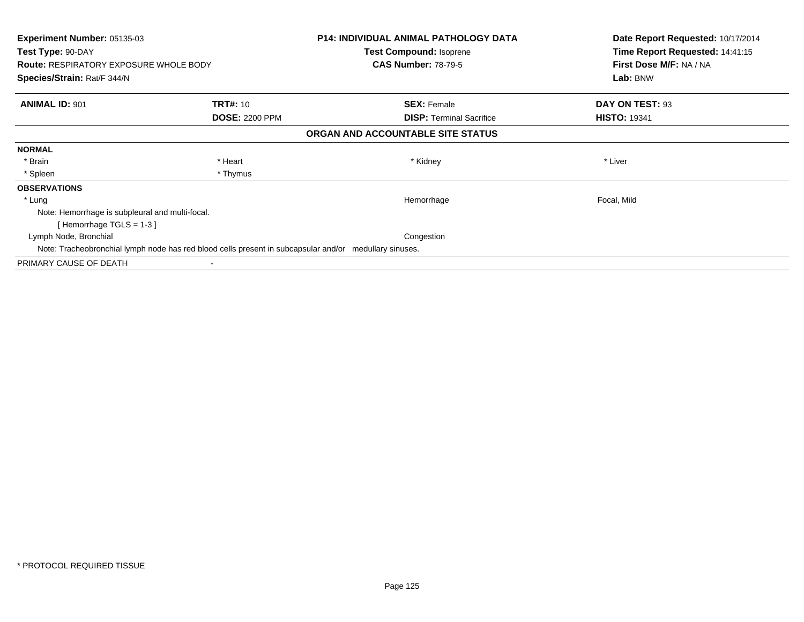| <b>Experiment Number: 05135-03</b><br>Test Type: 90-DAY                                                |                       | <b>P14: INDIVIDUAL ANIMAL PATHOLOGY DATA</b><br>Test Compound: Isoprene | Date Report Requested: 10/17/2014<br>Time Report Requested: 14:41:15 |
|--------------------------------------------------------------------------------------------------------|-----------------------|-------------------------------------------------------------------------|----------------------------------------------------------------------|
| <b>Route: RESPIRATORY EXPOSURE WHOLE BODY</b>                                                          |                       | <b>CAS Number: 78-79-5</b>                                              | First Dose M/F: NA / NA                                              |
| Species/Strain: Rat/F 344/N                                                                            |                       |                                                                         | Lab: BNW                                                             |
| <b>ANIMAL ID: 901</b>                                                                                  | <b>TRT#: 10</b>       | <b>SEX: Female</b>                                                      | DAY ON TEST: 93                                                      |
|                                                                                                        | <b>DOSE: 2200 PPM</b> | <b>DISP:</b> Terminal Sacrifice                                         | <b>HISTO: 19341</b>                                                  |
|                                                                                                        |                       | ORGAN AND ACCOUNTABLE SITE STATUS                                       |                                                                      |
| <b>NORMAL</b>                                                                                          |                       |                                                                         |                                                                      |
| * Brain                                                                                                | * Heart               | * Kidney                                                                | * Liver                                                              |
| * Spleen                                                                                               | * Thymus              |                                                                         |                                                                      |
| <b>OBSERVATIONS</b>                                                                                    |                       |                                                                         |                                                                      |
| * Lung                                                                                                 |                       | Hemorrhage                                                              | Focal, Mild                                                          |
| Note: Hemorrhage is subpleural and multi-focal.                                                        |                       |                                                                         |                                                                      |
| [Hemorrhage TGLS = $1-3$ ]                                                                             |                       |                                                                         |                                                                      |
| Lymph Node, Bronchial                                                                                  |                       | Congestion                                                              |                                                                      |
| Note: Tracheobronchial lymph node has red blood cells present in subcapsular and/or medullary sinuses. |                       |                                                                         |                                                                      |
| PRIMARY CAUSE OF DEATH                                                                                 |                       |                                                                         |                                                                      |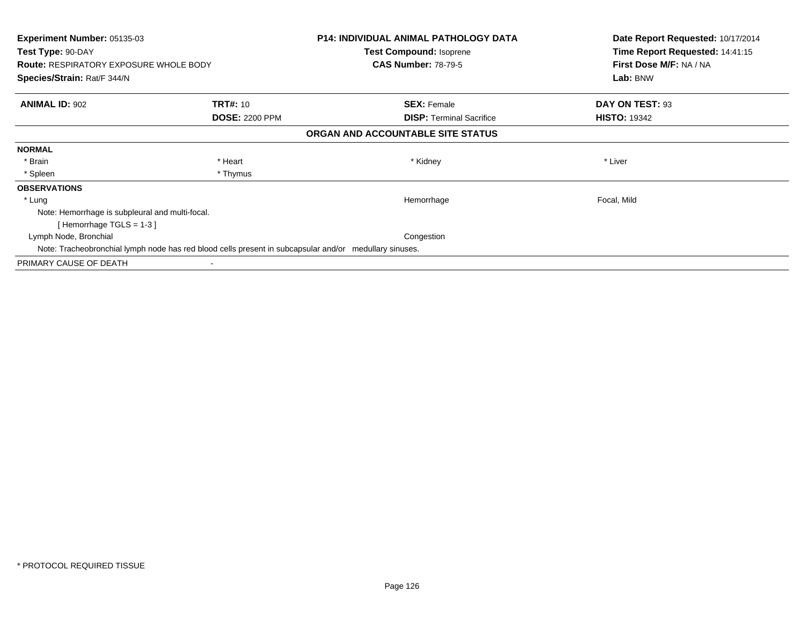| <b>Experiment Number: 05135-03</b><br>Test Type: 90-DAY                                                |                       | <b>P14: INDIVIDUAL ANIMAL PATHOLOGY DATA</b><br>Test Compound: Isoprene | Date Report Requested: 10/17/2014<br>Time Report Requested: 14:41:15 |
|--------------------------------------------------------------------------------------------------------|-----------------------|-------------------------------------------------------------------------|----------------------------------------------------------------------|
| <b>Route: RESPIRATORY EXPOSURE WHOLE BODY</b>                                                          |                       | <b>CAS Number: 78-79-5</b>                                              | First Dose M/F: NA / NA                                              |
| Species/Strain: Rat/F 344/N                                                                            |                       |                                                                         | Lab: BNW                                                             |
| <b>ANIMAL ID: 902</b>                                                                                  | <b>TRT#: 10</b>       | <b>SEX: Female</b>                                                      | DAY ON TEST: 93                                                      |
|                                                                                                        | <b>DOSE: 2200 PPM</b> | <b>DISP:</b> Terminal Sacrifice                                         | <b>HISTO: 19342</b>                                                  |
|                                                                                                        |                       | ORGAN AND ACCOUNTABLE SITE STATUS                                       |                                                                      |
| <b>NORMAL</b>                                                                                          |                       |                                                                         |                                                                      |
| * Brain                                                                                                | * Heart               | * Kidney                                                                | * Liver                                                              |
| * Spleen                                                                                               | * Thymus              |                                                                         |                                                                      |
| <b>OBSERVATIONS</b>                                                                                    |                       |                                                                         |                                                                      |
| * Lung                                                                                                 |                       | Hemorrhage                                                              | Focal, Mild                                                          |
| Note: Hemorrhage is subpleural and multi-focal.                                                        |                       |                                                                         |                                                                      |
| [Hemorrhage TGLS = $1-3$ ]                                                                             |                       |                                                                         |                                                                      |
| Lymph Node, Bronchial                                                                                  |                       | Congestion                                                              |                                                                      |
| Note: Tracheobronchial lymph node has red blood cells present in subcapsular and/or medullary sinuses. |                       |                                                                         |                                                                      |
| PRIMARY CAUSE OF DEATH                                                                                 |                       |                                                                         |                                                                      |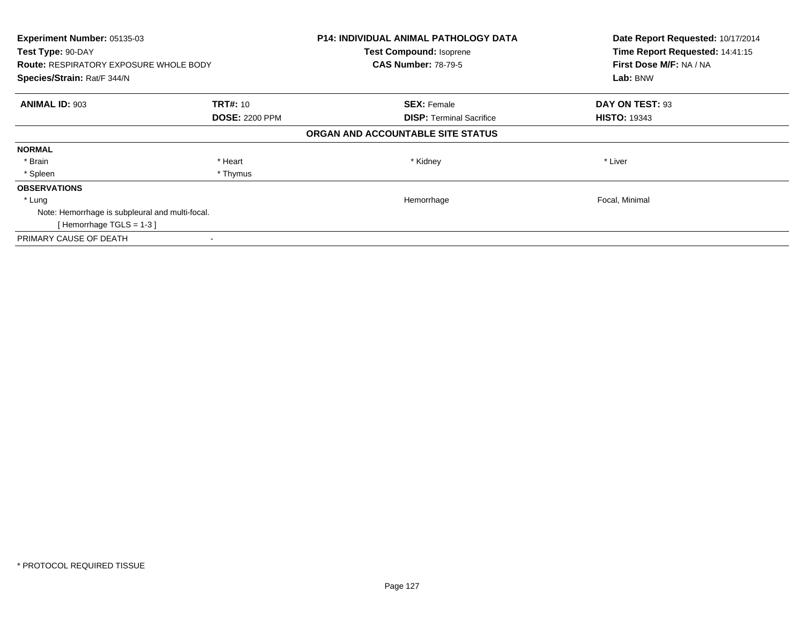| Experiment Number: 05135-03<br>Test Type: 90-DAY |                       | <b>P14: INDIVIDUAL ANIMAL PATHOLOGY DATA</b><br><b>Test Compound: Isoprene</b> | Date Report Requested: 10/17/2014<br>Time Report Requested: 14:41:15 |
|--------------------------------------------------|-----------------------|--------------------------------------------------------------------------------|----------------------------------------------------------------------|
| <b>Route: RESPIRATORY EXPOSURE WHOLE BODY</b>    |                       | <b>CAS Number: 78-79-5</b>                                                     | First Dose M/F: NA / NA                                              |
| Species/Strain: Rat/F 344/N                      |                       |                                                                                | Lab: BNW                                                             |
| <b>ANIMAL ID: 903</b>                            | <b>TRT#: 10</b>       | <b>SEX: Female</b>                                                             | DAY ON TEST: 93                                                      |
|                                                  | <b>DOSE: 2200 PPM</b> | <b>DISP:</b> Terminal Sacrifice                                                | <b>HISTO: 19343</b>                                                  |
|                                                  |                       | ORGAN AND ACCOUNTABLE SITE STATUS                                              |                                                                      |
| <b>NORMAL</b>                                    |                       |                                                                                |                                                                      |
| * Brain                                          | * Heart               | * Kidney                                                                       | * Liver                                                              |
| * Spleen                                         | * Thymus              |                                                                                |                                                                      |
| <b>OBSERVATIONS</b>                              |                       |                                                                                |                                                                      |
| * Lung                                           |                       | Hemorrhage                                                                     | Focal, Minimal                                                       |
| Note: Hemorrhage is subpleural and multi-focal.  |                       |                                                                                |                                                                      |
| [Hemorrhage TGLS = $1-3$ ]                       |                       |                                                                                |                                                                      |
| PRIMARY CAUSE OF DEATH                           |                       |                                                                                |                                                                      |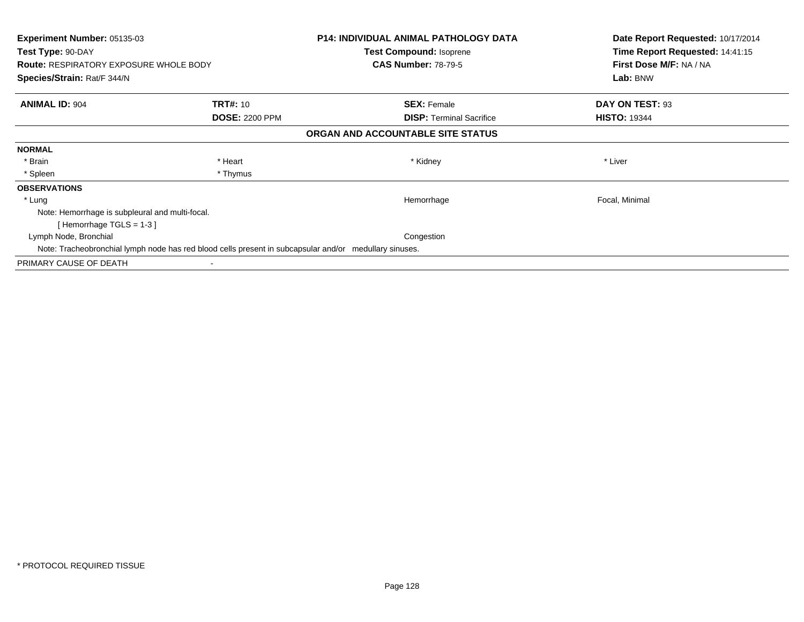| <b>Experiment Number: 05135-03</b><br>Test Type: 90-DAY                                                |                       | <b>P14: INDIVIDUAL ANIMAL PATHOLOGY DATA</b><br>Test Compound: Isoprene | Date Report Requested: 10/17/2014<br>Time Report Requested: 14:41:15 |
|--------------------------------------------------------------------------------------------------------|-----------------------|-------------------------------------------------------------------------|----------------------------------------------------------------------|
| <b>Route: RESPIRATORY EXPOSURE WHOLE BODY</b>                                                          |                       | <b>CAS Number: 78-79-5</b>                                              | First Dose M/F: NA / NA                                              |
| Species/Strain: Rat/F 344/N                                                                            |                       |                                                                         | Lab: BNW                                                             |
| <b>ANIMAL ID: 904</b>                                                                                  | <b>TRT#: 10</b>       | <b>SEX: Female</b>                                                      | DAY ON TEST: 93                                                      |
|                                                                                                        | <b>DOSE: 2200 PPM</b> | <b>DISP:</b> Terminal Sacrifice                                         | <b>HISTO: 19344</b>                                                  |
|                                                                                                        |                       | ORGAN AND ACCOUNTABLE SITE STATUS                                       |                                                                      |
| <b>NORMAL</b>                                                                                          |                       |                                                                         |                                                                      |
| * Brain                                                                                                | * Heart               | * Kidney                                                                | * Liver                                                              |
| * Spleen                                                                                               | * Thymus              |                                                                         |                                                                      |
| <b>OBSERVATIONS</b>                                                                                    |                       |                                                                         |                                                                      |
| * Lung                                                                                                 |                       | Hemorrhage                                                              | Focal, Minimal                                                       |
| Note: Hemorrhage is subpleural and multi-focal.                                                        |                       |                                                                         |                                                                      |
| [Hemorrhage TGLS = $1-3$ ]                                                                             |                       |                                                                         |                                                                      |
| Lymph Node, Bronchial                                                                                  |                       | Congestion                                                              |                                                                      |
| Note: Tracheobronchial lymph node has red blood cells present in subcapsular and/or medullary sinuses. |                       |                                                                         |                                                                      |
| PRIMARY CAUSE OF DEATH                                                                                 |                       |                                                                         |                                                                      |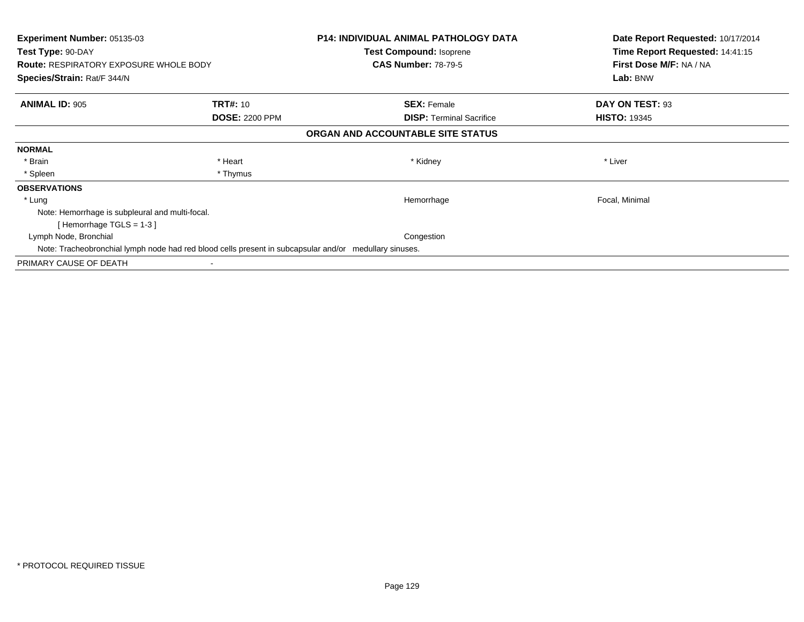| <b>Experiment Number: 05135-03</b>                                                                     |                       | <b>P14: INDIVIDUAL ANIMAL PATHOLOGY DATA</b> | Date Report Requested: 10/17/2014                          |
|--------------------------------------------------------------------------------------------------------|-----------------------|----------------------------------------------|------------------------------------------------------------|
| Test Type: 90-DAY                                                                                      |                       | Test Compound: Isoprene                      | Time Report Requested: 14:41:15<br>First Dose M/F: NA / NA |
| <b>Route: RESPIRATORY EXPOSURE WHOLE BODY</b>                                                          |                       | <b>CAS Number: 78-79-5</b>                   |                                                            |
| Species/Strain: Rat/F 344/N                                                                            |                       |                                              | Lab: BNW                                                   |
| <b>ANIMAL ID: 905</b>                                                                                  | <b>TRT#: 10</b>       | <b>SEX: Female</b>                           | DAY ON TEST: 93                                            |
|                                                                                                        | <b>DOSE: 2200 PPM</b> | <b>DISP:</b> Terminal Sacrifice              | <b>HISTO: 19345</b>                                        |
|                                                                                                        |                       | ORGAN AND ACCOUNTABLE SITE STATUS            |                                                            |
| <b>NORMAL</b>                                                                                          |                       |                                              |                                                            |
| * Brain                                                                                                | * Heart               | * Kidney                                     | * Liver                                                    |
| * Spleen                                                                                               | * Thymus              |                                              |                                                            |
| <b>OBSERVATIONS</b>                                                                                    |                       |                                              |                                                            |
| * Lung                                                                                                 |                       | Hemorrhage                                   | Focal, Minimal                                             |
| Note: Hemorrhage is subpleural and multi-focal.                                                        |                       |                                              |                                                            |
| [Hemorrhage TGLS = $1-3$ ]                                                                             |                       |                                              |                                                            |
| Lymph Node, Bronchial                                                                                  |                       | Congestion                                   |                                                            |
| Note: Tracheobronchial lymph node had red blood cells present in subcapsular and/or medullary sinuses. |                       |                                              |                                                            |
| PRIMARY CAUSE OF DEATH                                                                                 |                       |                                              |                                                            |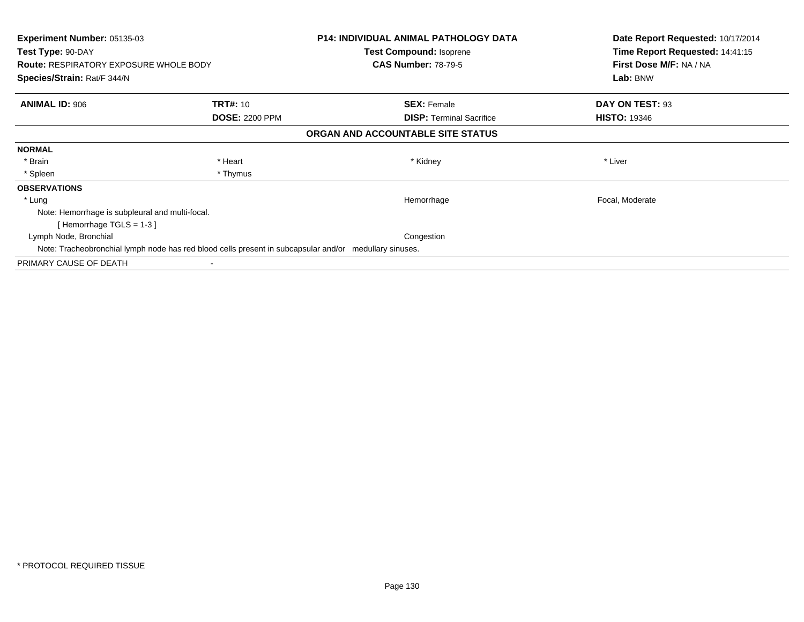| <b>Experiment Number: 05135-03</b><br>Test Type: 90-DAY<br><b>Route: RESPIRATORY EXPOSURE WHOLE BODY</b> |                       | <b>P14: INDIVIDUAL ANIMAL PATHOLOGY DATA</b><br>Test Compound: Isoprene<br><b>CAS Number: 78-79-5</b> | Date Report Requested: 10/17/2014<br>Time Report Requested: 14:41:15<br>First Dose M/F: NA / NA |
|----------------------------------------------------------------------------------------------------------|-----------------------|-------------------------------------------------------------------------------------------------------|-------------------------------------------------------------------------------------------------|
| Species/Strain: Rat/F 344/N                                                                              |                       |                                                                                                       | Lab: BNW                                                                                        |
| <b>ANIMAL ID: 906</b>                                                                                    | <b>TRT#: 10</b>       | <b>SEX: Female</b>                                                                                    | DAY ON TEST: 93                                                                                 |
|                                                                                                          | <b>DOSE: 2200 PPM</b> | <b>DISP:</b> Terminal Sacrifice                                                                       | <b>HISTO: 19346</b>                                                                             |
|                                                                                                          |                       | ORGAN AND ACCOUNTABLE SITE STATUS                                                                     |                                                                                                 |
| <b>NORMAL</b>                                                                                            |                       |                                                                                                       |                                                                                                 |
| * Brain                                                                                                  | * Heart               | * Kidney                                                                                              | * Liver                                                                                         |
| * Spleen                                                                                                 | * Thymus              |                                                                                                       |                                                                                                 |
| <b>OBSERVATIONS</b>                                                                                      |                       |                                                                                                       |                                                                                                 |
| * Lung                                                                                                   |                       | Hemorrhage                                                                                            | Focal, Moderate                                                                                 |
| Note: Hemorrhage is subpleural and multi-focal.                                                          |                       |                                                                                                       |                                                                                                 |
| [Hemorrhage TGLS = $1-3$ ]                                                                               |                       |                                                                                                       |                                                                                                 |
| Lymph Node, Bronchial                                                                                    |                       | Congestion                                                                                            |                                                                                                 |
| Note: Tracheobronchial lymph node has red blood cells present in subcapsular and/or medullary sinuses.   |                       |                                                                                                       |                                                                                                 |
| PRIMARY CAUSE OF DEATH                                                                                   |                       |                                                                                                       |                                                                                                 |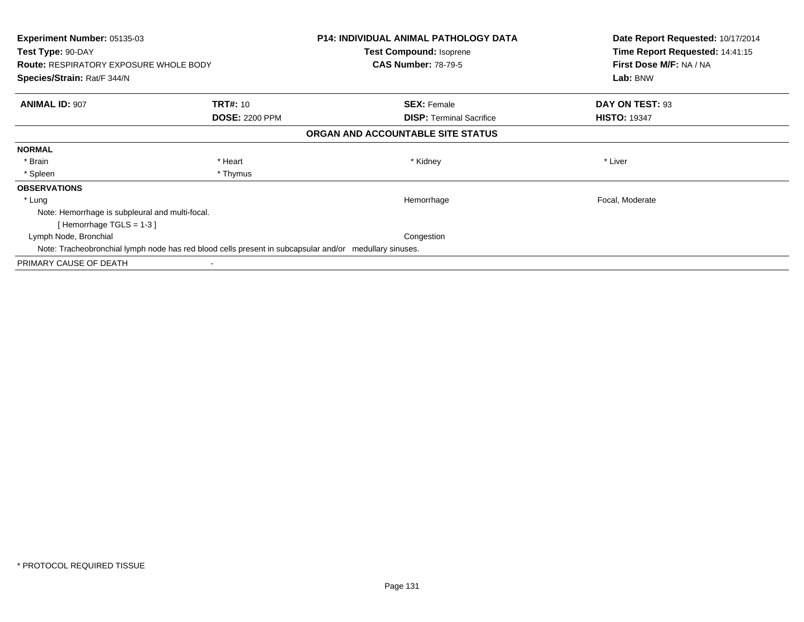| <b>Experiment Number: 05135-03</b><br>Test Type: 90-DAY<br><b>Route: RESPIRATORY EXPOSURE WHOLE BODY</b> |                       | <b>P14: INDIVIDUAL ANIMAL PATHOLOGY DATA</b><br>Test Compound: Isoprene<br><b>CAS Number: 78-79-5</b> | Date Report Requested: 10/17/2014<br>Time Report Requested: 14:41:15<br>First Dose M/F: NA / NA |
|----------------------------------------------------------------------------------------------------------|-----------------------|-------------------------------------------------------------------------------------------------------|-------------------------------------------------------------------------------------------------|
| Species/Strain: Rat/F 344/N                                                                              |                       |                                                                                                       | Lab: BNW                                                                                        |
| <b>ANIMAL ID: 907</b>                                                                                    | <b>TRT#: 10</b>       | <b>SEX: Female</b>                                                                                    | DAY ON TEST: 93                                                                                 |
|                                                                                                          | <b>DOSE: 2200 PPM</b> | <b>DISP:</b> Terminal Sacrifice                                                                       | <b>HISTO: 19347</b>                                                                             |
|                                                                                                          |                       | ORGAN AND ACCOUNTABLE SITE STATUS                                                                     |                                                                                                 |
| <b>NORMAL</b>                                                                                            |                       |                                                                                                       |                                                                                                 |
| * Brain                                                                                                  | * Heart               | * Kidney                                                                                              | * Liver                                                                                         |
| * Spleen                                                                                                 | * Thymus              |                                                                                                       |                                                                                                 |
| <b>OBSERVATIONS</b>                                                                                      |                       |                                                                                                       |                                                                                                 |
| * Lung                                                                                                   |                       | Hemorrhage                                                                                            | Focal, Moderate                                                                                 |
| Note: Hemorrhage is subpleural and multi-focal.                                                          |                       |                                                                                                       |                                                                                                 |
| [Hemorrhage TGLS = $1-3$ ]                                                                               |                       |                                                                                                       |                                                                                                 |
| Lymph Node, Bronchial                                                                                    |                       | Congestion                                                                                            |                                                                                                 |
| Note: Tracheobronchial lymph node has red blood cells present in subcapsular and/or medullary sinuses.   |                       |                                                                                                       |                                                                                                 |
| PRIMARY CAUSE OF DEATH                                                                                   |                       |                                                                                                       |                                                                                                 |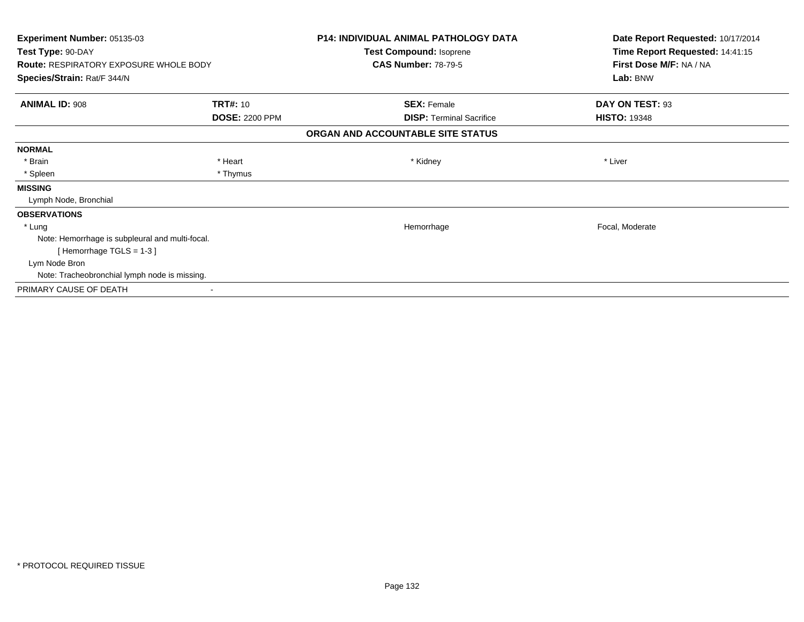| Experiment Number: 05135-03<br>Test Type: 90-DAY<br><b>Route: RESPIRATORY EXPOSURE WHOLE BODY</b> |                                          | <b>P14: INDIVIDUAL ANIMAL PATHOLOGY DATA</b><br>Test Compound: Isoprene<br><b>CAS Number: 78-79-5</b> | Date Report Requested: 10/17/2014<br>Time Report Requested: 14:41:15<br>First Dose M/F: NA / NA |
|---------------------------------------------------------------------------------------------------|------------------------------------------|-------------------------------------------------------------------------------------------------------|-------------------------------------------------------------------------------------------------|
| Species/Strain: Rat/F 344/N                                                                       |                                          |                                                                                                       | Lab: BNW                                                                                        |
| <b>ANIMAL ID: 908</b>                                                                             | <b>TRT#: 10</b><br><b>DOSE: 2200 PPM</b> | <b>SEX: Female</b><br><b>DISP: Terminal Sacrifice</b>                                                 | DAY ON TEST: 93<br><b>HISTO: 19348</b>                                                          |
|                                                                                                   |                                          | ORGAN AND ACCOUNTABLE SITE STATUS                                                                     |                                                                                                 |
| <b>NORMAL</b>                                                                                     |                                          |                                                                                                       |                                                                                                 |
| * Brain                                                                                           | * Heart                                  | * Kidney                                                                                              | * Liver                                                                                         |
| * Spleen                                                                                          | * Thymus                                 |                                                                                                       |                                                                                                 |
| <b>MISSING</b>                                                                                    |                                          |                                                                                                       |                                                                                                 |
| Lymph Node, Bronchial                                                                             |                                          |                                                                                                       |                                                                                                 |
| <b>OBSERVATIONS</b>                                                                               |                                          |                                                                                                       |                                                                                                 |
| * Lung                                                                                            |                                          | Hemorrhage                                                                                            | Focal, Moderate                                                                                 |
| Note: Hemorrhage is subpleural and multi-focal.                                                   |                                          |                                                                                                       |                                                                                                 |
| [Hemorrhage TGLS = 1-3]                                                                           |                                          |                                                                                                       |                                                                                                 |
| Lym Node Bron                                                                                     |                                          |                                                                                                       |                                                                                                 |
| Note: Tracheobronchial lymph node is missing.                                                     |                                          |                                                                                                       |                                                                                                 |
| PRIMARY CAUSE OF DEATH                                                                            |                                          |                                                                                                       |                                                                                                 |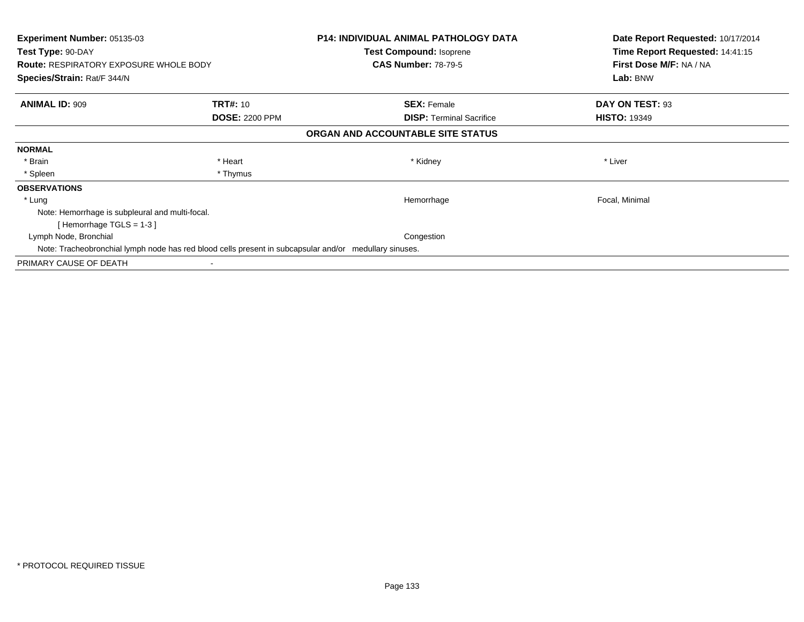| <b>Experiment Number: 05135-03</b><br>Test Type: 90-DAY<br><b>Route: RESPIRATORY EXPOSURE WHOLE BODY</b> |                       | <b>P14: INDIVIDUAL ANIMAL PATHOLOGY DATA</b><br>Test Compound: Isoprene<br><b>CAS Number: 78-79-5</b> | Date Report Requested: 10/17/2014<br>Time Report Requested: 14:41:15<br>First Dose M/F: NA / NA |
|----------------------------------------------------------------------------------------------------------|-----------------------|-------------------------------------------------------------------------------------------------------|-------------------------------------------------------------------------------------------------|
| Species/Strain: Rat/F 344/N                                                                              |                       |                                                                                                       | Lab: BNW                                                                                        |
| <b>ANIMAL ID: 909</b>                                                                                    | <b>TRT#: 10</b>       | <b>SEX: Female</b>                                                                                    | DAY ON TEST: 93                                                                                 |
|                                                                                                          | <b>DOSE: 2200 PPM</b> | <b>DISP:</b> Terminal Sacrifice                                                                       | <b>HISTO: 19349</b>                                                                             |
|                                                                                                          |                       | ORGAN AND ACCOUNTABLE SITE STATUS                                                                     |                                                                                                 |
| <b>NORMAL</b>                                                                                            |                       |                                                                                                       |                                                                                                 |
| * Brain                                                                                                  | * Heart               | * Kidney                                                                                              | * Liver                                                                                         |
| * Spleen                                                                                                 | * Thymus              |                                                                                                       |                                                                                                 |
| <b>OBSERVATIONS</b>                                                                                      |                       |                                                                                                       |                                                                                                 |
| * Lung                                                                                                   |                       | Hemorrhage                                                                                            | Focal, Minimal                                                                                  |
| Note: Hemorrhage is subpleural and multi-focal.                                                          |                       |                                                                                                       |                                                                                                 |
| [Hemorrhage TGLS = $1-3$ ]                                                                               |                       |                                                                                                       |                                                                                                 |
| Lymph Node, Bronchial                                                                                    |                       | Congestion                                                                                            |                                                                                                 |
| Note: Tracheobronchial lymph node has red blood cells present in subcapsular and/or medullary sinuses.   |                       |                                                                                                       |                                                                                                 |
| PRIMARY CAUSE OF DEATH                                                                                   |                       |                                                                                                       |                                                                                                 |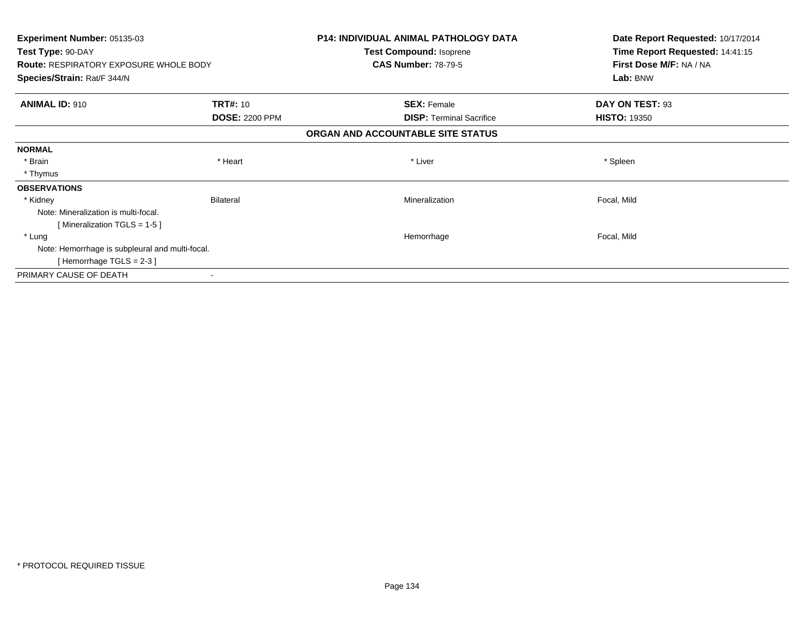| Experiment Number: 05135-03<br>Test Type: 90-DAY |                       | <b>P14: INDIVIDUAL ANIMAL PATHOLOGY DATA</b> | Date Report Requested: 10/17/2014<br>Time Report Requested: 14:41:15 |
|--------------------------------------------------|-----------------------|----------------------------------------------|----------------------------------------------------------------------|
|                                                  |                       | <b>Test Compound: Isoprene</b>               |                                                                      |
| <b>Route: RESPIRATORY EXPOSURE WHOLE BODY</b>    |                       | <b>CAS Number: 78-79-5</b>                   | First Dose M/F: NA / NA                                              |
| Species/Strain: Rat/F 344/N                      |                       |                                              | Lab: BNW                                                             |
| <b>ANIMAL ID: 910</b>                            | <b>TRT#: 10</b>       | <b>SEX: Female</b>                           | DAY ON TEST: 93                                                      |
|                                                  | <b>DOSE: 2200 PPM</b> | <b>DISP:</b> Terminal Sacrifice              | <b>HISTO: 19350</b>                                                  |
|                                                  |                       | ORGAN AND ACCOUNTABLE SITE STATUS            |                                                                      |
| <b>NORMAL</b>                                    |                       |                                              |                                                                      |
| * Brain                                          | * Heart               | * Liver                                      | * Spleen                                                             |
| * Thymus                                         |                       |                                              |                                                                      |
| <b>OBSERVATIONS</b>                              |                       |                                              |                                                                      |
| * Kidney                                         | <b>Bilateral</b>      | Mineralization                               | Focal, Mild                                                          |
| Note: Mineralization is multi-focal.             |                       |                                              |                                                                      |
| [Mineralization TGLS = 1-5]                      |                       |                                              |                                                                      |
| * Lung                                           |                       | Hemorrhage                                   | Focal, Mild                                                          |
| Note: Hemorrhage is subpleural and multi-focal.  |                       |                                              |                                                                      |
| [Hemorrhage TGLS = 2-3 ]                         |                       |                                              |                                                                      |
| PRIMARY CAUSE OF DEATH                           |                       |                                              |                                                                      |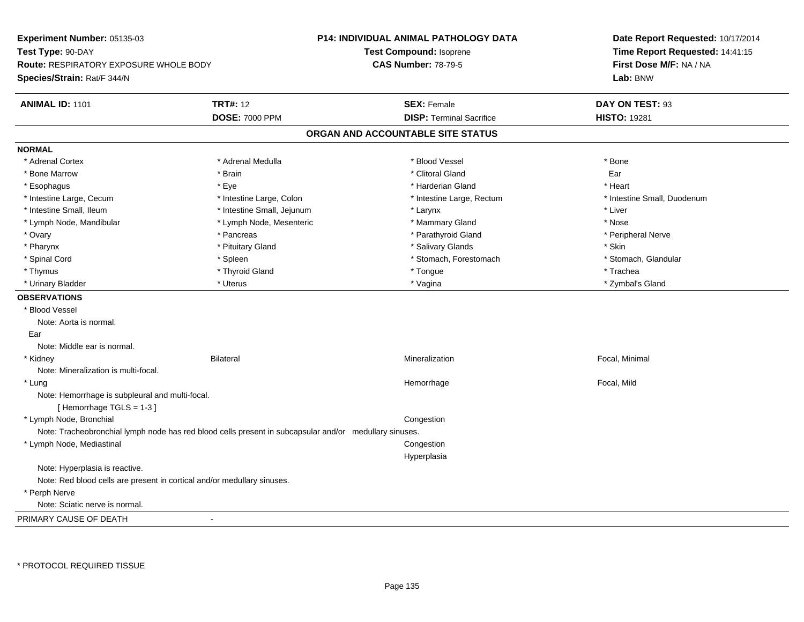| Experiment Number: 05135-03                                                                            |                            | P14: INDIVIDUAL ANIMAL PATHOLOGY DATA | Date Report Requested: 10/17/2014<br>Time Report Requested: 14:41:15 |
|--------------------------------------------------------------------------------------------------------|----------------------------|---------------------------------------|----------------------------------------------------------------------|
| Test Type: 90-DAY                                                                                      |                            | Test Compound: Isoprene               |                                                                      |
| <b>Route: RESPIRATORY EXPOSURE WHOLE BODY</b>                                                          |                            | <b>CAS Number: 78-79-5</b>            | First Dose M/F: NA / NA                                              |
| Species/Strain: Rat/F 344/N                                                                            |                            |                                       | Lab: BNW                                                             |
| <b>ANIMAL ID: 1101</b>                                                                                 | <b>TRT#: 12</b>            | <b>SEX: Female</b>                    | DAY ON TEST: 93                                                      |
|                                                                                                        | <b>DOSE: 7000 PPM</b>      | <b>DISP: Terminal Sacrifice</b>       | <b>HISTO: 19281</b>                                                  |
|                                                                                                        |                            | ORGAN AND ACCOUNTABLE SITE STATUS     |                                                                      |
| <b>NORMAL</b>                                                                                          |                            |                                       |                                                                      |
| * Adrenal Cortex                                                                                       | * Adrenal Medulla          | * Blood Vessel                        | * Bone                                                               |
| * Bone Marrow                                                                                          | * Brain                    | * Clitoral Gland                      | Ear                                                                  |
| * Esophagus                                                                                            | * Eye                      | * Harderian Gland                     | * Heart                                                              |
| * Intestine Large, Cecum                                                                               | * Intestine Large, Colon   | * Intestine Large, Rectum             | * Intestine Small, Duodenum                                          |
| * Intestine Small, Ileum                                                                               | * Intestine Small, Jejunum | * Larynx                              | * Liver                                                              |
| * Lymph Node, Mandibular                                                                               | * Lymph Node, Mesenteric   | * Mammary Gland                       | * Nose                                                               |
| * Ovary                                                                                                | * Pancreas                 | * Parathyroid Gland                   | * Peripheral Nerve                                                   |
| * Pharynx                                                                                              | * Pituitary Gland          | * Salivary Glands                     | * Skin                                                               |
| * Spinal Cord                                                                                          | * Spleen                   | * Stomach, Forestomach                | * Stomach, Glandular                                                 |
| * Thymus                                                                                               | * Thyroid Gland            | * Tongue                              | * Trachea                                                            |
| * Urinary Bladder                                                                                      | * Uterus                   | * Vagina                              | * Zymbal's Gland                                                     |
| <b>OBSERVATIONS</b>                                                                                    |                            |                                       |                                                                      |
| * Blood Vessel                                                                                         |                            |                                       |                                                                      |
| Note: Aorta is normal.                                                                                 |                            |                                       |                                                                      |
| Ear                                                                                                    |                            |                                       |                                                                      |
| Note: Middle ear is normal.                                                                            |                            |                                       |                                                                      |
| * Kidney                                                                                               | <b>Bilateral</b>           | Mineralization                        | Focal, Minimal                                                       |
| Note: Mineralization is multi-focal.                                                                   |                            |                                       |                                                                      |
| * Lung                                                                                                 |                            | Hemorrhage                            | Focal, Mild                                                          |
| Note: Hemorrhage is subpleural and multi-focal.<br>[Hemorrhage TGLS = 1-3]                             |                            |                                       |                                                                      |
| * Lymph Node, Bronchial                                                                                |                            | Congestion                            |                                                                      |
| Note: Tracheobronchial lymph node has red blood cells present in subcapsular and/or medullary sinuses. |                            |                                       |                                                                      |
| * Lymph Node, Mediastinal                                                                              |                            | Congestion                            |                                                                      |
|                                                                                                        |                            | Hyperplasia                           |                                                                      |
| Note: Hyperplasia is reactive.                                                                         |                            |                                       |                                                                      |
| Note: Red blood cells are present in cortical and/or medullary sinuses.                                |                            |                                       |                                                                      |
| * Perph Nerve                                                                                          |                            |                                       |                                                                      |
| Note: Sciatic nerve is normal.                                                                         |                            |                                       |                                                                      |
| PRIMARY CAUSE OF DEATH                                                                                 | $\blacksquare$             |                                       |                                                                      |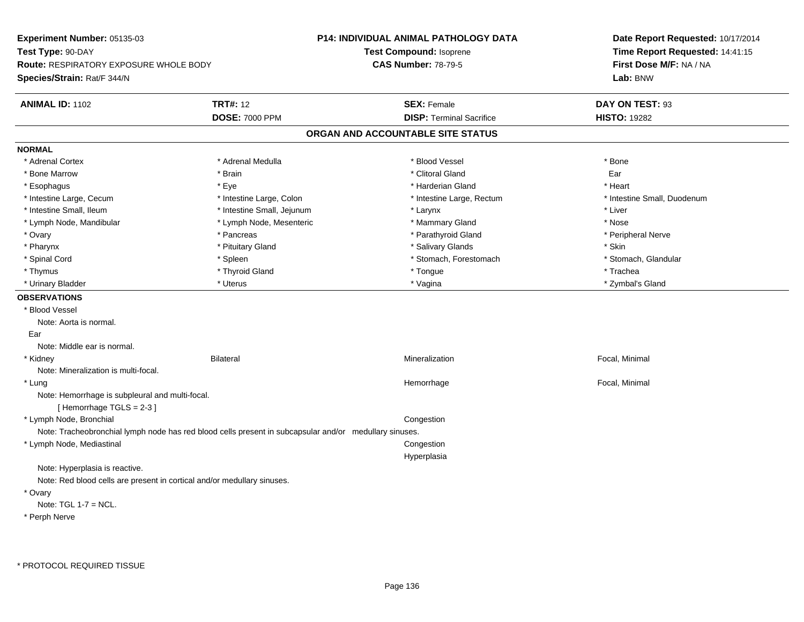| Experiment Number: 05135-03                                                |                                                                                                        | P14: INDIVIDUAL ANIMAL PATHOLOGY DATA | Date Report Requested: 10/17/2014                                      |
|----------------------------------------------------------------------------|--------------------------------------------------------------------------------------------------------|---------------------------------------|------------------------------------------------------------------------|
| Test Type: 90-DAY                                                          |                                                                                                        | <b>Test Compound: Isoprene</b>        | Time Report Requested: 14:41:15<br>First Dose M/F: NA / NA<br>Lab: BNW |
| <b>Route: RESPIRATORY EXPOSURE WHOLE BODY</b>                              |                                                                                                        | <b>CAS Number: 78-79-5</b>            |                                                                        |
| Species/Strain: Rat/F 344/N                                                |                                                                                                        |                                       |                                                                        |
| <b>ANIMAL ID: 1102</b>                                                     | <b>TRT#: 12</b>                                                                                        | <b>SEX: Female</b>                    | DAY ON TEST: 93                                                        |
|                                                                            | <b>DOSE: 7000 PPM</b>                                                                                  | <b>DISP: Terminal Sacrifice</b>       | <b>HISTO: 19282</b>                                                    |
|                                                                            |                                                                                                        | ORGAN AND ACCOUNTABLE SITE STATUS     |                                                                        |
| <b>NORMAL</b>                                                              |                                                                                                        |                                       |                                                                        |
| * Adrenal Cortex                                                           | * Adrenal Medulla                                                                                      | * Blood Vessel                        | * Bone                                                                 |
| * Bone Marrow                                                              | * Brain                                                                                                | * Clitoral Gland                      | Ear                                                                    |
| * Esophagus                                                                | * Eye                                                                                                  | * Harderian Gland                     | * Heart                                                                |
| * Intestine Large, Cecum                                                   | * Intestine Large, Colon                                                                               | * Intestine Large, Rectum             | * Intestine Small, Duodenum                                            |
| * Intestine Small, Ileum                                                   | * Intestine Small, Jejunum                                                                             | * Larynx                              | * Liver                                                                |
| * Lymph Node, Mandibular                                                   | * Lymph Node, Mesenteric                                                                               | * Mammary Gland                       | * Nose                                                                 |
| * Ovary                                                                    | * Pancreas                                                                                             | * Parathyroid Gland                   | * Peripheral Nerve                                                     |
| * Pharynx                                                                  | * Pituitary Gland                                                                                      | * Salivary Glands                     | * Skin                                                                 |
| * Spinal Cord                                                              | * Spleen                                                                                               | * Stomach, Forestomach                | * Stomach, Glandular                                                   |
| * Thymus                                                                   | * Thyroid Gland                                                                                        | * Tongue                              | * Trachea                                                              |
| * Urinary Bladder                                                          | * Uterus                                                                                               | * Vagina                              | * Zymbal's Gland                                                       |
| <b>OBSERVATIONS</b>                                                        |                                                                                                        |                                       |                                                                        |
| * Blood Vessel                                                             |                                                                                                        |                                       |                                                                        |
| Note: Aorta is normal.                                                     |                                                                                                        |                                       |                                                                        |
| Ear                                                                        |                                                                                                        |                                       |                                                                        |
| Note: Middle ear is normal.                                                |                                                                                                        |                                       |                                                                        |
| * Kidney                                                                   | <b>Bilateral</b>                                                                                       | Mineralization                        | Focal, Minimal                                                         |
| Note: Mineralization is multi-focal.                                       |                                                                                                        |                                       |                                                                        |
| * Lung                                                                     |                                                                                                        | Hemorrhage                            | Focal, Minimal                                                         |
| Note: Hemorrhage is subpleural and multi-focal.<br>[Hemorrhage TGLS = 2-3] |                                                                                                        |                                       |                                                                        |
| * Lymph Node, Bronchial                                                    |                                                                                                        | Congestion                            |                                                                        |
|                                                                            | Note: Tracheobronchial lymph node has red blood cells present in subcapsular and/or medullary sinuses. |                                       |                                                                        |
| * Lymph Node, Mediastinal                                                  |                                                                                                        | Congestion                            |                                                                        |
|                                                                            |                                                                                                        | Hyperplasia                           |                                                                        |
| Note: Hyperplasia is reactive.                                             |                                                                                                        |                                       |                                                                        |
| Note: Red blood cells are present in cortical and/or medullary sinuses.    |                                                                                                        |                                       |                                                                        |
| * Ovary                                                                    |                                                                                                        |                                       |                                                                        |
| Note: $TGL 1-7 = NCL$ .                                                    |                                                                                                        |                                       |                                                                        |
| * Perph Nerve                                                              |                                                                                                        |                                       |                                                                        |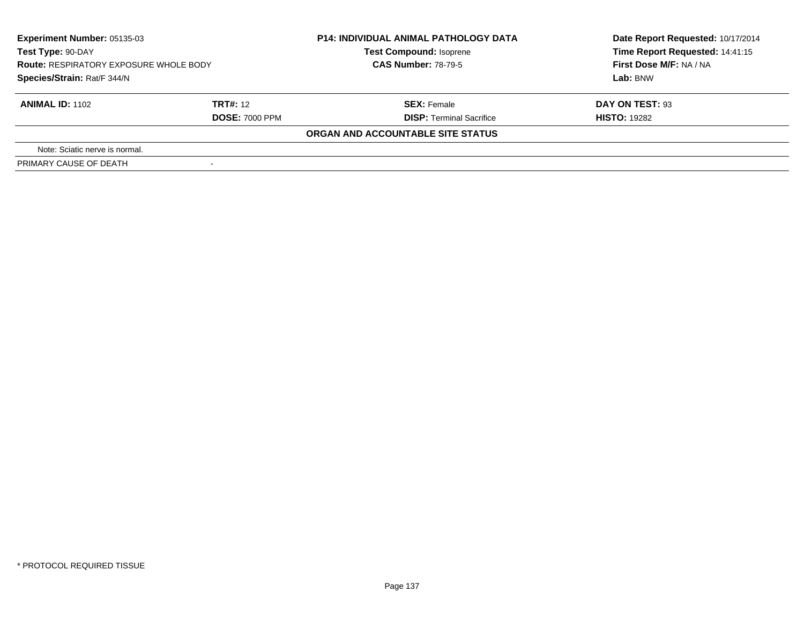| Experiment Number: 05135-03<br>Test Type: 90-DAY<br><b>Route: RESPIRATORY EXPOSURE WHOLE BODY</b><br>Species/Strain: Rat/F 344/N |                                   | <b>P14: INDIVIDUAL ANIMAL PATHOLOGY DATA</b><br><b>Test Compound: Isoprene</b><br><b>CAS Number: 78-79-5</b> | Date Report Requested: 10/17/2014<br>Time Report Requested: 14:41:15<br>First Dose M/F: NA / NA<br>Lab: BNW |
|----------------------------------------------------------------------------------------------------------------------------------|-----------------------------------|--------------------------------------------------------------------------------------------------------------|-------------------------------------------------------------------------------------------------------------|
| <b>ANIMAL ID: 1102</b>                                                                                                           | TRT#: 12<br><b>DOSE: 7000 PPM</b> | <b>SEX:</b> Female<br><b>DISP:</b> Terminal Sacrifice                                                        | DAY ON TEST: 93<br><b>HISTO: 19282</b>                                                                      |
|                                                                                                                                  |                                   | ORGAN AND ACCOUNTABLE SITE STATUS                                                                            |                                                                                                             |
| Note: Sciatic nerve is normal.                                                                                                   |                                   |                                                                                                              |                                                                                                             |
| PRIMARY CAUSE OF DEATH                                                                                                           |                                   |                                                                                                              |                                                                                                             |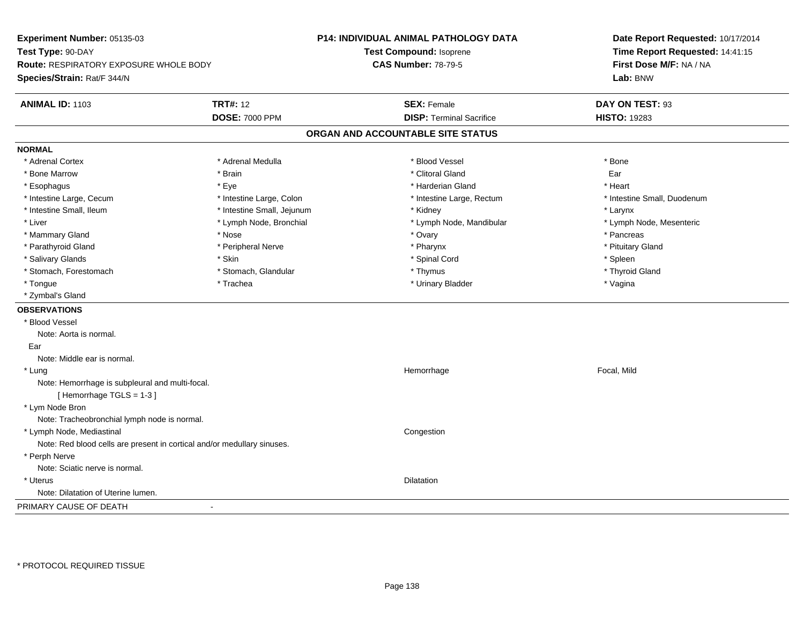**Experiment Number:** 05135-03**Test Type:** 90-DAY **Route:** RESPIRATORY EXPOSURE WHOLE BODY**Species/Strain:** Rat/F 344/N**P14: INDIVIDUAL ANIMAL PATHOLOGY DATATest Compound:** Isoprene**CAS Number:** 78-79-5**Date Report Requested:** 10/17/2014**Time Report Requested:** 14:41:15**First Dose M/F:** NA / NA**Lab:** BNW**ANIMAL ID:** 1103**TRT#:** 12 **SEX:** Female **DAY ON TEST:** 93 **DOSE:** 7000 PPM**DISP:** Terminal Sacrifice **HISTO:** 19283 **ORGAN AND ACCOUNTABLE SITE STATUSNORMAL**\* Adrenal Cortex \* Adrenal Cortex \* \* Adrenal Medulla \* \* Adrenal Medulla \* \* Blood Vessel \* \* Brood Vessel \* \* Bone \* Bone Marrow \* \* Android \* Bone Marrow \* Clitoral Gland \* Clitoral Gland \* Clitoral Gland \* Clitoral Gland \* C \* Esophagus \* \* \* exercises \* \* Eye \* \* \* \* \* \* \* \* \* \* \* \* \* \* \* Harderian Gland \* \* \* \* \* \* \* \* \* Heart \* \* Heart \* Intestine Large, Cecum \* Intestine Large, Colon \* Intestine Large, Thestine Large, Rectum \* Intestine Small, Duodenum \* Intestine Small, Ileum \* Intestine Small, Jejunum \* Kidney \* Larynx\* Lymph Node, Mesenteric \* Liver \* Lymph Node, Bronchial \* Lymph Node, Mandibular \* Lymph Node, Mandibular \* Mammary Gland \* \* Andrew \* Nose \* \* Nose \* \* Ovary \* Ovary \* Ovary \* \* Ovary \* \* Pancreas \* \* Pancreas \* \* Pancreas \* \* Pancreas \* \* Pancreas \* \* Pancreas \* \* Pancreas \* \* Pancreas \* \* Pancreas \* \* Pancreas \* \* Pancreas \* Pituitary Gland \* Parathyroid Gland \* **Example 20** \* Peripheral Nerve \* Pharynx \* Pharynx \* Pharynx \* Salivary Glands \* \* \* Sheen \* Skin \* \* Skin \* \* Spinal Cord \* \* Spinal Cord \* \* Spinal Cord \* \* Spleen \* \* Spleen \* \* Spinal Cord \* \* Spinal Cord \* \* Spinal Cord \* \* Spinal Cord \* \* Spinal Cord \* \* Spinal Cord \* \* Spinal \* Thyroid Gland \* Stomach, Forestomach \* Thymus \* Stomach, Glandular \* Thymus \* Thymus \* Thymus \* Thymus \* Thymus \* Thymus \* Thymus \* Thymus \* Thymus \* Thymus \* Thymus \* Thymus \* Thymus \* Thymus \* Thymus \* Thymus \* Thymus \* Thymus \* Thymu \* Tongue \* Trachea \* Urinary Bladder \* Vagina \* Zymbal's Gland**OBSERVATIONS** \* Blood VesselNote: Aorta is normal. EarNote: Middle ear is normal. \* Lungg is a state of the state of the state of the state of the Hemorrhage is a state of the Focal, Mild state of the state of the state of the state of the state of the state of the state of the state of the state of the state Note: Hemorrhage is subpleural and multi-focal.[ Hemorrhage TGLS = 1-3 ] \* Lym Node Bron Note: Tracheobronchial lymph node is normal. \* Lymph Node, Mediastinal CongestionNote: Red blood cells are present in cortical and/or medullary sinuses. \* Perph Nerve Note: Sciatic nerve is normal. \* Uteruss and the contract of the contract of the contract of the contract of the contract of the contract of the contract of the contract of the contract of the contract of the contract of the contract of the contract of the cont Note: Dilatation of Uterine lumen.PRIMARY CAUSE OF DEATH-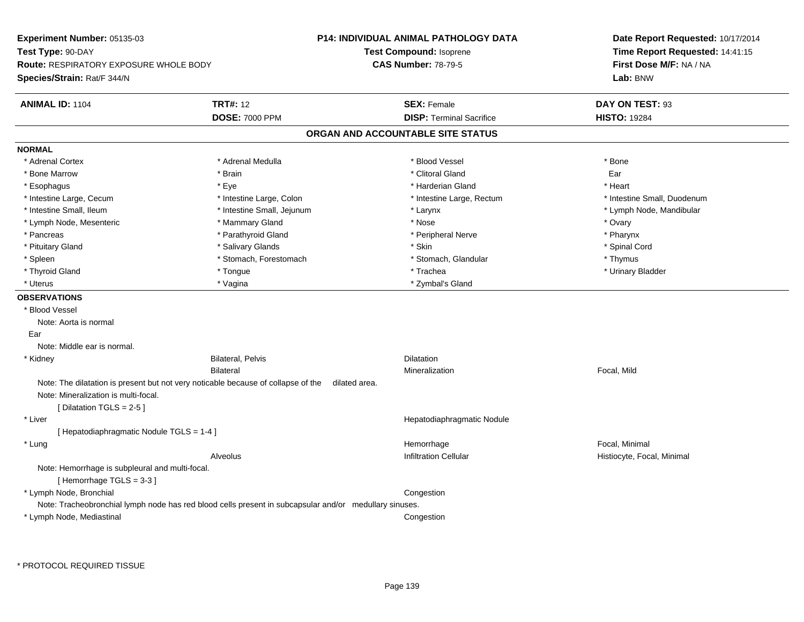| Experiment Number: 05135-03                                                |                                                                                                        | <b>P14: INDIVIDUAL ANIMAL PATHOLOGY DATA</b> | Date Report Requested: 10/17/2014                                      |
|----------------------------------------------------------------------------|--------------------------------------------------------------------------------------------------------|----------------------------------------------|------------------------------------------------------------------------|
| Test Type: 90-DAY                                                          |                                                                                                        | <b>Test Compound: Isoprene</b>               | Time Report Requested: 14:41:15<br>First Dose M/F: NA / NA<br>Lab: BNW |
| Route: RESPIRATORY EXPOSURE WHOLE BODY                                     |                                                                                                        | <b>CAS Number: 78-79-5</b>                   |                                                                        |
| Species/Strain: Rat/F 344/N                                                |                                                                                                        |                                              |                                                                        |
| ANIMAL ID: 1104                                                            | <b>TRT#: 12</b>                                                                                        | <b>SEX: Female</b>                           | DAY ON TEST: 93                                                        |
|                                                                            | <b>DOSE: 7000 PPM</b>                                                                                  | <b>DISP: Terminal Sacrifice</b>              | <b>HISTO: 19284</b>                                                    |
|                                                                            |                                                                                                        | ORGAN AND ACCOUNTABLE SITE STATUS            |                                                                        |
| <b>NORMAL</b>                                                              |                                                                                                        |                                              |                                                                        |
| * Adrenal Cortex                                                           | * Adrenal Medulla                                                                                      | * Blood Vessel                               | * Bone                                                                 |
| * Bone Marrow                                                              | * Brain                                                                                                | * Clitoral Gland                             | Ear                                                                    |
| * Esophagus                                                                | * Eye                                                                                                  | * Harderian Gland                            | * Heart                                                                |
| * Intestine Large, Cecum                                                   | * Intestine Large, Colon                                                                               | * Intestine Large, Rectum                    | * Intestine Small, Duodenum                                            |
| * Intestine Small, Ileum                                                   | * Intestine Small, Jejunum                                                                             | * Larynx                                     | * Lymph Node, Mandibular                                               |
| * Lymph Node, Mesenteric                                                   | * Mammary Gland                                                                                        | * Nose                                       | * Ovary                                                                |
| * Pancreas                                                                 | * Parathyroid Gland                                                                                    | * Peripheral Nerve                           | * Pharynx                                                              |
| * Pituitary Gland                                                          | * Salivary Glands                                                                                      | * Skin                                       | * Spinal Cord                                                          |
| * Spleen                                                                   | * Stomach, Forestomach                                                                                 | * Stomach, Glandular                         | * Thymus                                                               |
| * Thyroid Gland                                                            | * Tongue                                                                                               | * Trachea                                    | * Urinary Bladder                                                      |
| * Uterus                                                                   | * Vagina                                                                                               | * Zymbal's Gland                             |                                                                        |
| <b>OBSERVATIONS</b>                                                        |                                                                                                        |                                              |                                                                        |
| * Blood Vessel                                                             |                                                                                                        |                                              |                                                                        |
| Note: Aorta is normal                                                      |                                                                                                        |                                              |                                                                        |
| Ear                                                                        |                                                                                                        |                                              |                                                                        |
| Note: Middle ear is normal.                                                |                                                                                                        |                                              |                                                                        |
| * Kidney                                                                   | <b>Bilateral, Pelvis</b>                                                                               | Dilatation                                   |                                                                        |
|                                                                            | <b>Bilateral</b>                                                                                       | Mineralization                               | Focal, Mild                                                            |
|                                                                            | Note: The dilatation is present but not very noticable because of collapse of the<br>dilated area.     |                                              |                                                                        |
| Note: Mineralization is multi-focal.                                       |                                                                                                        |                                              |                                                                        |
| [Dilatation TGLS = 2-5]                                                    |                                                                                                        |                                              |                                                                        |
| * Liver                                                                    |                                                                                                        | Hepatodiaphragmatic Nodule                   |                                                                        |
| [ Hepatodiaphragmatic Nodule TGLS = 1-4 ]                                  |                                                                                                        |                                              |                                                                        |
| * Lung                                                                     |                                                                                                        | Hemorrhage                                   | Focal, Minimal                                                         |
|                                                                            | Alveolus                                                                                               | Infiltration Cellular                        | Histiocyte, Focal, Minimal                                             |
| Note: Hemorrhage is subpleural and multi-focal.<br>[Hemorrhage TGLS = 3-3] |                                                                                                        |                                              |                                                                        |
| * Lymph Node, Bronchial                                                    |                                                                                                        | Congestion                                   |                                                                        |
|                                                                            | Note: Tracheobronchial lymph node has red blood cells present in subcapsular and/or medullary sinuses. |                                              |                                                                        |
| * Lymph Node, Mediastinal                                                  |                                                                                                        | Congestion                                   |                                                                        |
|                                                                            |                                                                                                        |                                              |                                                                        |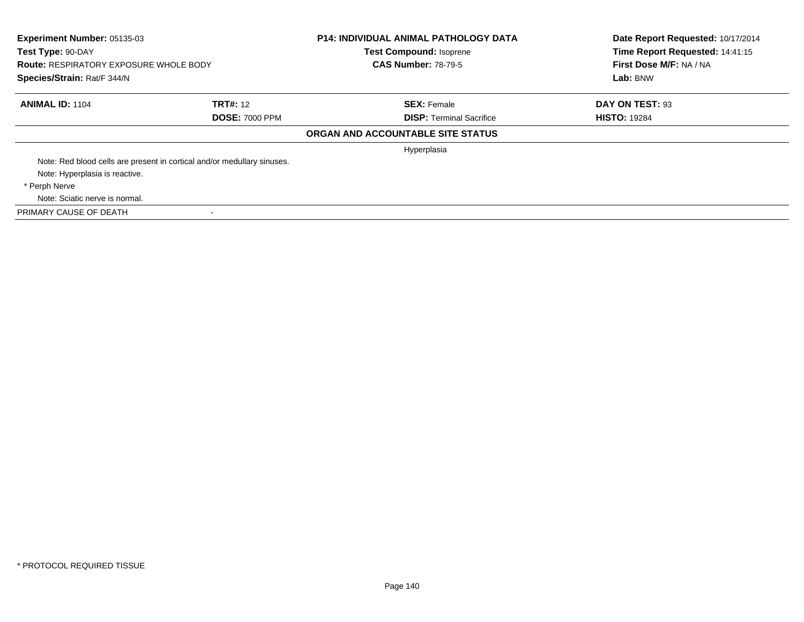| Experiment Number: 05135-03<br>Test Type: 90-DAY<br><b>Route: RESPIRATORY EXPOSURE WHOLE BODY</b><br>Species/Strain: Rat/F 344/N |                                                                         | <b>P14: INDIVIDUAL ANIMAL PATHOLOGY DATA</b><br><b>Test Compound: Isoprene</b><br><b>CAS Number: 78-79-5</b> | Date Report Requested: 10/17/2014<br>Time Report Requested: 14:41:15<br>First Dose M/F: NA / NA<br>Lab: BNW |
|----------------------------------------------------------------------------------------------------------------------------------|-------------------------------------------------------------------------|--------------------------------------------------------------------------------------------------------------|-------------------------------------------------------------------------------------------------------------|
| <b>ANIMAL ID: 1104</b>                                                                                                           | <b>TRT#: 12</b>                                                         | <b>SEX: Female</b>                                                                                           | DAY ON TEST: 93                                                                                             |
|                                                                                                                                  | <b>DOSE: 7000 PPM</b>                                                   | <b>DISP:</b> Terminal Sacrifice                                                                              | <b>HISTO: 19284</b>                                                                                         |
|                                                                                                                                  |                                                                         | ORGAN AND ACCOUNTABLE SITE STATUS                                                                            |                                                                                                             |
|                                                                                                                                  |                                                                         | Hyperplasia                                                                                                  |                                                                                                             |
|                                                                                                                                  | Note: Red blood cells are present in cortical and/or medullary sinuses. |                                                                                                              |                                                                                                             |
| Note: Hyperplasia is reactive.                                                                                                   |                                                                         |                                                                                                              |                                                                                                             |
| * Perph Nerve                                                                                                                    |                                                                         |                                                                                                              |                                                                                                             |
| Note: Sciatic nerve is normal.                                                                                                   |                                                                         |                                                                                                              |                                                                                                             |
| PRIMARY CAUSE OF DEATH                                                                                                           |                                                                         |                                                                                                              |                                                                                                             |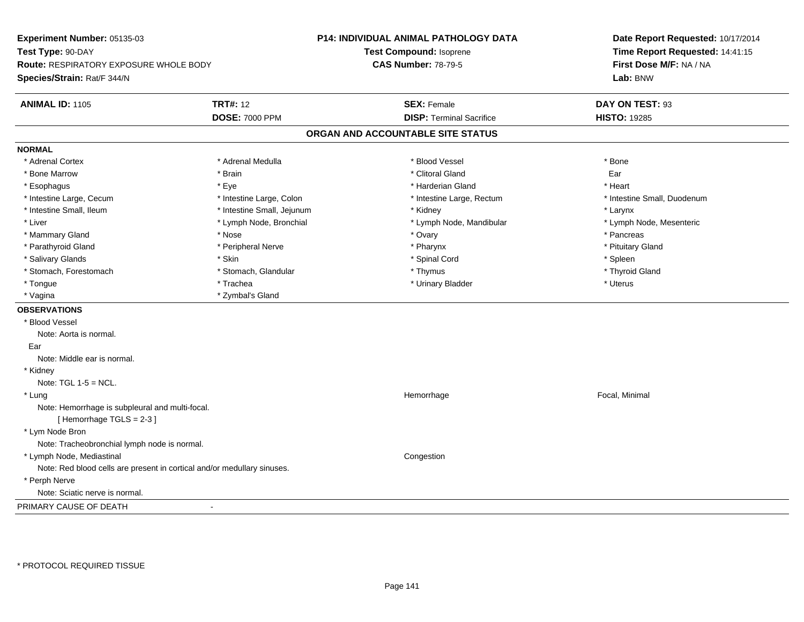| Experiment Number: 05135-03                                                |                            | <b>P14: INDIVIDUAL ANIMAL PATHOLOGY DATA</b> | Date Report Requested: 10/17/2014                          |
|----------------------------------------------------------------------------|----------------------------|----------------------------------------------|------------------------------------------------------------|
| Test Type: 90-DAY<br>Route: RESPIRATORY EXPOSURE WHOLE BODY                |                            | Test Compound: Isoprene                      | Time Report Requested: 14:41:15<br>First Dose M/F: NA / NA |
|                                                                            |                            | <b>CAS Number: 78-79-5</b>                   |                                                            |
| Species/Strain: Rat/F 344/N                                                |                            |                                              | Lab: BNW                                                   |
|                                                                            |                            |                                              |                                                            |
| <b>ANIMAL ID: 1105</b>                                                     | <b>TRT#: 12</b>            | <b>SEX: Female</b>                           | DAY ON TEST: 93                                            |
|                                                                            | <b>DOSE: 7000 PPM</b>      | <b>DISP: Terminal Sacrifice</b>              | <b>HISTO: 19285</b>                                        |
|                                                                            |                            | ORGAN AND ACCOUNTABLE SITE STATUS            |                                                            |
| <b>NORMAL</b>                                                              |                            |                                              |                                                            |
| * Adrenal Cortex                                                           | * Adrenal Medulla          | * Blood Vessel                               | * Bone                                                     |
| * Bone Marrow                                                              | * Brain                    | * Clitoral Gland                             | Ear                                                        |
| * Esophagus                                                                | * Eye                      | * Harderian Gland                            | * Heart                                                    |
| * Intestine Large, Cecum                                                   | * Intestine Large, Colon   | * Intestine Large, Rectum                    | * Intestine Small, Duodenum                                |
| * Intestine Small, Ileum                                                   | * Intestine Small, Jejunum | * Kidney                                     | * Larynx                                                   |
| * Liver                                                                    | * Lymph Node, Bronchial    | * Lymph Node, Mandibular                     | * Lymph Node, Mesenteric                                   |
| * Mammary Gland                                                            | * Nose                     | * Ovary                                      | * Pancreas                                                 |
| * Parathyroid Gland                                                        | * Peripheral Nerve         | * Pharynx                                    | * Pituitary Gland                                          |
| * Salivary Glands                                                          | * Skin                     | * Spinal Cord                                | * Spleen                                                   |
| * Stomach, Forestomach                                                     | * Stomach, Glandular       | * Thymus                                     | * Thyroid Gland                                            |
| * Tongue                                                                   | * Trachea                  | * Urinary Bladder                            | * Uterus                                                   |
| * Vagina                                                                   | * Zymbal's Gland           |                                              |                                                            |
| <b>OBSERVATIONS</b>                                                        |                            |                                              |                                                            |
| * Blood Vessel                                                             |                            |                                              |                                                            |
| Note: Aorta is normal.                                                     |                            |                                              |                                                            |
| Ear                                                                        |                            |                                              |                                                            |
| Note: Middle ear is normal.                                                |                            |                                              |                                                            |
| * Kidney                                                                   |                            |                                              |                                                            |
| Note: $TGL 1-5 = NCL$ .                                                    |                            |                                              |                                                            |
| * Lung                                                                     |                            | Hemorrhage                                   | Focal, Minimal                                             |
| Note: Hemorrhage is subpleural and multi-focal.<br>[Hemorrhage TGLS = 2-3] |                            |                                              |                                                            |
| * Lym Node Bron                                                            |                            |                                              |                                                            |
| Note: Tracheobronchial lymph node is normal.                               |                            |                                              |                                                            |
| * Lymph Node, Mediastinal                                                  |                            | Congestion                                   |                                                            |
| Note: Red blood cells are present in cortical and/or medullary sinuses.    |                            |                                              |                                                            |
| * Perph Nerve                                                              |                            |                                              |                                                            |
| Note: Sciatic nerve is normal.                                             |                            |                                              |                                                            |
| PRIMARY CAUSE OF DEATH                                                     | $\sim$                     |                                              |                                                            |

-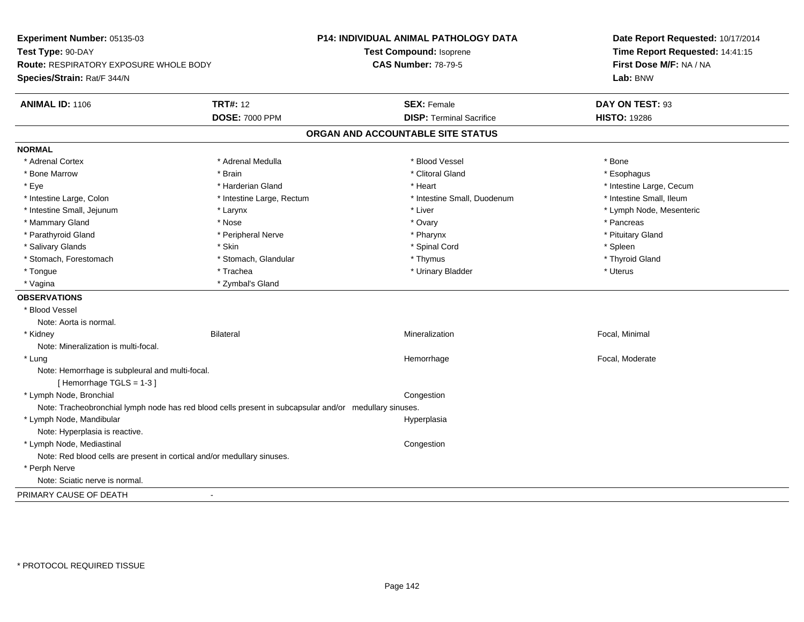| Experiment Number: 05135-03                                                                            |                           | P14: INDIVIDUAL ANIMAL PATHOLOGY DATA | Date Report Requested: 10/17/2014<br>Time Report Requested: 14:41:15 |
|--------------------------------------------------------------------------------------------------------|---------------------------|---------------------------------------|----------------------------------------------------------------------|
| Test Type: 90-DAY                                                                                      |                           | Test Compound: Isoprene               |                                                                      |
| Route: RESPIRATORY EXPOSURE WHOLE BODY                                                                 |                           | <b>CAS Number: 78-79-5</b>            | First Dose M/F: NA / NA                                              |
| Species/Strain: Rat/F 344/N                                                                            |                           |                                       | Lab: BNW                                                             |
| <b>ANIMAL ID: 1106</b>                                                                                 | <b>TRT#: 12</b>           | <b>SEX: Female</b>                    | DAY ON TEST: 93                                                      |
|                                                                                                        | <b>DOSE: 7000 PPM</b>     | <b>DISP: Terminal Sacrifice</b>       | <b>HISTO: 19286</b>                                                  |
|                                                                                                        |                           | ORGAN AND ACCOUNTABLE SITE STATUS     |                                                                      |
| <b>NORMAL</b>                                                                                          |                           |                                       |                                                                      |
| * Adrenal Cortex                                                                                       | * Adrenal Medulla         | * Blood Vessel                        | * Bone                                                               |
| * Bone Marrow                                                                                          | * Brain                   | * Clitoral Gland                      | * Esophagus                                                          |
| * Eye                                                                                                  | * Harderian Gland         | * Heart                               | * Intestine Large, Cecum                                             |
| * Intestine Large, Colon                                                                               | * Intestine Large, Rectum | * Intestine Small, Duodenum           | * Intestine Small, Ileum                                             |
| * Intestine Small, Jejunum                                                                             | * Larynx                  | * Liver                               | * Lymph Node, Mesenteric                                             |
| * Mammary Gland                                                                                        | * Nose                    | * Ovary                               | * Pancreas                                                           |
| * Parathyroid Gland                                                                                    | * Peripheral Nerve        | * Pharynx                             | * Pituitary Gland                                                    |
| * Salivary Glands                                                                                      | * Skin                    | * Spinal Cord                         | * Spleen                                                             |
| * Stomach, Forestomach                                                                                 | * Stomach, Glandular      | * Thymus                              | * Thyroid Gland                                                      |
| * Tongue                                                                                               | * Trachea                 | * Urinary Bladder                     | * Uterus                                                             |
| * Vagina                                                                                               | * Zymbal's Gland          |                                       |                                                                      |
| <b>OBSERVATIONS</b>                                                                                    |                           |                                       |                                                                      |
| * Blood Vessel                                                                                         |                           |                                       |                                                                      |
| Note: Aorta is normal.                                                                                 |                           |                                       |                                                                      |
| * Kidney                                                                                               | <b>Bilateral</b>          | Mineralization                        | Focal, Minimal                                                       |
| Note: Mineralization is multi-focal.                                                                   |                           |                                       |                                                                      |
| * Lung                                                                                                 |                           | Hemorrhage                            | Focal, Moderate                                                      |
| Note: Hemorrhage is subpleural and multi-focal.                                                        |                           |                                       |                                                                      |
| [Hemorrhage TGLS = 1-3]                                                                                |                           |                                       |                                                                      |
| * Lymph Node, Bronchial                                                                                |                           | Congestion                            |                                                                      |
| Note: Tracheobronchial lymph node has red blood cells present in subcapsular and/or medullary sinuses. |                           |                                       |                                                                      |
| * Lymph Node, Mandibular                                                                               |                           | Hyperplasia                           |                                                                      |
| Note: Hyperplasia is reactive.                                                                         |                           |                                       |                                                                      |
| * Lymph Node, Mediastinal                                                                              |                           | Congestion                            |                                                                      |
| Note: Red blood cells are present in cortical and/or medullary sinuses.                                |                           |                                       |                                                                      |
| * Perph Nerve                                                                                          |                           |                                       |                                                                      |
| Note: Sciatic nerve is normal.                                                                         |                           |                                       |                                                                      |
| PRIMARY CAUSE OF DEATH                                                                                 | $\blacksquare$            |                                       |                                                                      |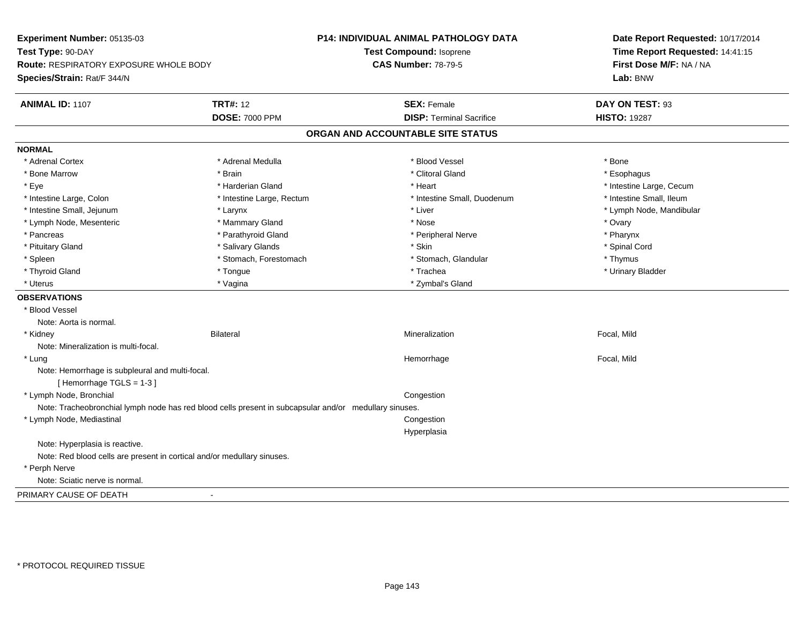| Experiment Number: 05135-03                                                                            |                           | P14: INDIVIDUAL ANIMAL PATHOLOGY DATA | Date Report Requested: 10/17/2014 |
|--------------------------------------------------------------------------------------------------------|---------------------------|---------------------------------------|-----------------------------------|
| Test Type: 90-DAY                                                                                      |                           | Test Compound: Isoprene               | Time Report Requested: 14:41:15   |
| Route: RESPIRATORY EXPOSURE WHOLE BODY                                                                 |                           | <b>CAS Number: 78-79-5</b>            | First Dose M/F: NA / NA           |
| Species/Strain: Rat/F 344/N                                                                            |                           |                                       | Lab: BNW                          |
| <b>ANIMAL ID: 1107</b>                                                                                 | <b>TRT#: 12</b>           | <b>SEX: Female</b>                    | DAY ON TEST: 93                   |
|                                                                                                        | <b>DOSE: 7000 PPM</b>     | <b>DISP: Terminal Sacrifice</b>       | <b>HISTO: 19287</b>               |
|                                                                                                        |                           | ORGAN AND ACCOUNTABLE SITE STATUS     |                                   |
| <b>NORMAL</b>                                                                                          |                           |                                       |                                   |
| * Adrenal Cortex                                                                                       | * Adrenal Medulla         | * Blood Vessel                        | * Bone                            |
| * Bone Marrow                                                                                          | * Brain                   | * Clitoral Gland                      | * Esophagus                       |
| * Eye                                                                                                  | * Harderian Gland         | * Heart                               | * Intestine Large, Cecum          |
| * Intestine Large, Colon                                                                               | * Intestine Large, Rectum | * Intestine Small, Duodenum           | * Intestine Small, Ileum          |
| * Intestine Small, Jejunum                                                                             | * Larynx                  | * Liver                               | * Lymph Node, Mandibular          |
| * Lymph Node, Mesenteric                                                                               | * Mammary Gland           | * Nose                                | * Ovary                           |
| * Pancreas                                                                                             | * Parathyroid Gland       | * Peripheral Nerve                    | * Pharynx                         |
| * Pituitary Gland                                                                                      | * Salivary Glands         | * Skin                                | * Spinal Cord                     |
| * Spleen                                                                                               | * Stomach, Forestomach    | * Stomach, Glandular                  | * Thymus                          |
| * Thyroid Gland                                                                                        | * Tongue                  | * Trachea                             | * Urinary Bladder                 |
| * Uterus                                                                                               | * Vagina                  | * Zymbal's Gland                      |                                   |
| <b>OBSERVATIONS</b>                                                                                    |                           |                                       |                                   |
| * Blood Vessel                                                                                         |                           |                                       |                                   |
| Note: Aorta is normal.                                                                                 |                           |                                       |                                   |
| * Kidney                                                                                               | <b>Bilateral</b>          | Mineralization                        | Focal, Mild                       |
| Note: Mineralization is multi-focal.                                                                   |                           |                                       |                                   |
| * Lung                                                                                                 |                           | Hemorrhage                            | Focal, Mild                       |
| Note: Hemorrhage is subpleural and multi-focal.                                                        |                           |                                       |                                   |
| [Hemorrhage TGLS = 1-3]                                                                                |                           |                                       |                                   |
| * Lymph Node, Bronchial                                                                                |                           | Congestion                            |                                   |
| Note: Tracheobronchial lymph node has red blood cells present in subcapsular and/or medullary sinuses. |                           |                                       |                                   |
| * Lymph Node, Mediastinal                                                                              |                           | Congestion                            |                                   |
|                                                                                                        |                           | Hyperplasia                           |                                   |
| Note: Hyperplasia is reactive.                                                                         |                           |                                       |                                   |
| Note: Red blood cells are present in cortical and/or medullary sinuses.                                |                           |                                       |                                   |
| * Perph Nerve                                                                                          |                           |                                       |                                   |
| Note: Sciatic nerve is normal.                                                                         |                           |                                       |                                   |
| PRIMARY CAUSE OF DEATH                                                                                 | $\blacksquare$            |                                       |                                   |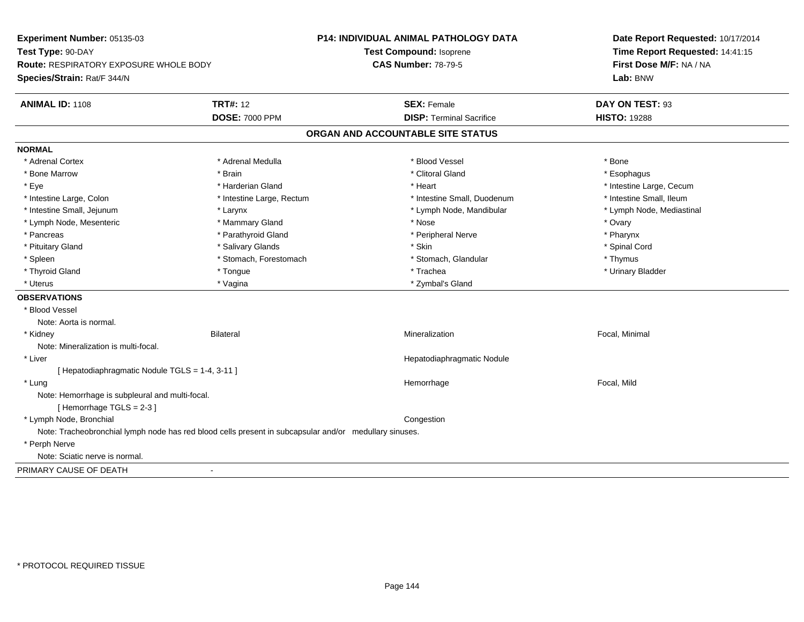| Experiment Number: 05135-03                                                                            |                           | <b>P14: INDIVIDUAL ANIMAL PATHOLOGY DATA</b> | Date Report Requested: 10/17/2014<br>Time Report Requested: 14:41:15 |
|--------------------------------------------------------------------------------------------------------|---------------------------|----------------------------------------------|----------------------------------------------------------------------|
| Test Type: 90-DAY                                                                                      |                           | <b>Test Compound: Isoprene</b>               |                                                                      |
| Route: RESPIRATORY EXPOSURE WHOLE BODY                                                                 |                           | <b>CAS Number: 78-79-5</b>                   | First Dose M/F: NA / NA                                              |
| Species/Strain: Rat/F 344/N                                                                            |                           |                                              | Lab: BNW                                                             |
| ANIMAL ID: 1108                                                                                        | <b>TRT#: 12</b>           | <b>SEX: Female</b>                           | DAY ON TEST: 93                                                      |
|                                                                                                        | <b>DOSE: 7000 PPM</b>     | <b>DISP: Terminal Sacrifice</b>              | <b>HISTO: 19288</b>                                                  |
|                                                                                                        |                           | ORGAN AND ACCOUNTABLE SITE STATUS            |                                                                      |
| <b>NORMAL</b>                                                                                          |                           |                                              |                                                                      |
| * Adrenal Cortex                                                                                       | * Adrenal Medulla         | * Blood Vessel                               | * Bone                                                               |
| * Bone Marrow                                                                                          | * Brain                   | * Clitoral Gland                             | * Esophagus                                                          |
| * Eye                                                                                                  | * Harderian Gland         | * Heart                                      | * Intestine Large, Cecum                                             |
| * Intestine Large, Colon                                                                               | * Intestine Large, Rectum | * Intestine Small, Duodenum                  | * Intestine Small, Ileum                                             |
| * Intestine Small, Jejunum                                                                             | * Larynx                  | * Lymph Node, Mandibular                     | * Lymph Node, Mediastinal                                            |
| * Lymph Node, Mesenteric                                                                               | * Mammary Gland           | * Nose                                       | * Ovary                                                              |
| * Pancreas                                                                                             | * Parathyroid Gland       | * Peripheral Nerve                           | * Pharynx                                                            |
| * Pituitary Gland                                                                                      | * Salivary Glands         | * Skin                                       | * Spinal Cord                                                        |
| * Spleen                                                                                               | * Stomach, Forestomach    | * Stomach, Glandular                         | * Thymus                                                             |
| * Thyroid Gland                                                                                        | * Tongue                  | * Trachea                                    | * Urinary Bladder                                                    |
| * Uterus                                                                                               | * Vagina                  | * Zymbal's Gland                             |                                                                      |
| <b>OBSERVATIONS</b>                                                                                    |                           |                                              |                                                                      |
| * Blood Vessel                                                                                         |                           |                                              |                                                                      |
| Note: Aorta is normal.                                                                                 |                           |                                              |                                                                      |
| * Kidney                                                                                               | <b>Bilateral</b>          | Mineralization                               | Focal, Minimal                                                       |
| Note: Mineralization is multi-focal.                                                                   |                           |                                              |                                                                      |
| * Liver                                                                                                |                           | Hepatodiaphragmatic Nodule                   |                                                                      |
| [ Hepatodiaphragmatic Nodule TGLS = 1-4, 3-11 ]                                                        |                           |                                              |                                                                      |
| * Lung                                                                                                 |                           | Hemorrhage                                   | Focal, Mild                                                          |
| Note: Hemorrhage is subpleural and multi-focal.                                                        |                           |                                              |                                                                      |
| [Hemorrhage TGLS = 2-3]                                                                                |                           |                                              |                                                                      |
| * Lymph Node, Bronchial                                                                                |                           | Congestion                                   |                                                                      |
| Note: Tracheobronchial lymph node has red blood cells present in subcapsular and/or medullary sinuses. |                           |                                              |                                                                      |
| * Perph Nerve                                                                                          |                           |                                              |                                                                      |
| Note: Sciatic nerve is normal.                                                                         |                           |                                              |                                                                      |
| PRIMARY CAUSE OF DEATH                                                                                 | $\sim$                    |                                              |                                                                      |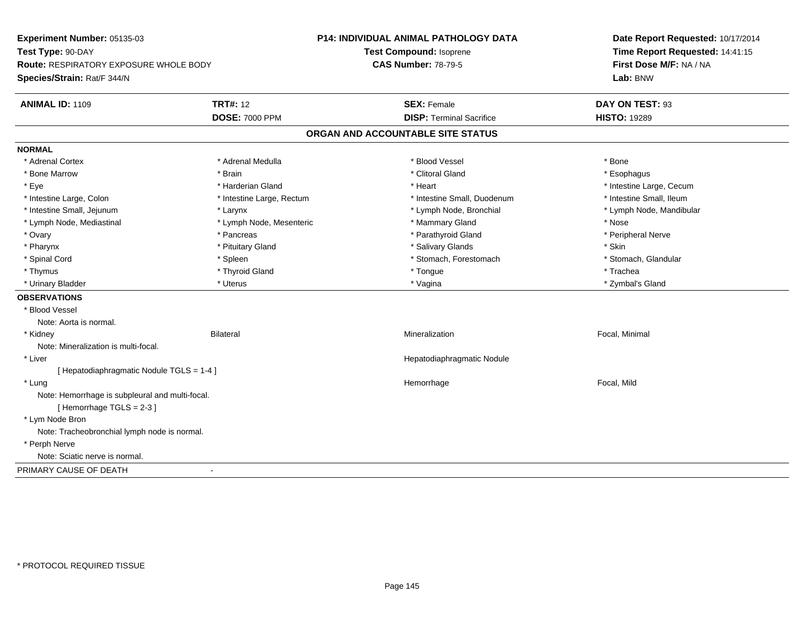| Experiment Number: 05135-03                     | P14: INDIVIDUAL ANIMAL PATHOLOGY DATA<br>Test Compound: Isoprene<br><b>CAS Number: 78-79-5</b> |                                   | Date Report Requested: 10/17/2014<br>Time Report Requested: 14:41:15<br>First Dose M/F: NA / NA |
|-------------------------------------------------|------------------------------------------------------------------------------------------------|-----------------------------------|-------------------------------------------------------------------------------------------------|
| Test Type: 90-DAY                               |                                                                                                |                                   |                                                                                                 |
| Route: RESPIRATORY EXPOSURE WHOLE BODY          |                                                                                                |                                   |                                                                                                 |
| Species/Strain: Rat/F 344/N                     |                                                                                                |                                   | Lab: BNW                                                                                        |
| ANIMAL ID: 1109                                 | <b>TRT#: 12</b>                                                                                | <b>SEX: Female</b>                | DAY ON TEST: 93                                                                                 |
|                                                 | <b>DOSE: 7000 PPM</b>                                                                          | <b>DISP: Terminal Sacrifice</b>   | <b>HISTO: 19289</b>                                                                             |
|                                                 |                                                                                                | ORGAN AND ACCOUNTABLE SITE STATUS |                                                                                                 |
| <b>NORMAL</b>                                   |                                                                                                |                                   |                                                                                                 |
| * Adrenal Cortex                                | * Adrenal Medulla                                                                              | * Blood Vessel                    | * Bone                                                                                          |
| * Bone Marrow                                   | * Brain                                                                                        | * Clitoral Gland                  | * Esophagus                                                                                     |
| * Eye                                           | * Harderian Gland                                                                              | * Heart                           | * Intestine Large, Cecum                                                                        |
| * Intestine Large, Colon                        | * Intestine Large, Rectum                                                                      | * Intestine Small, Duodenum       | * Intestine Small, Ileum                                                                        |
| * Intestine Small, Jejunum                      | * Larynx                                                                                       | * Lymph Node, Bronchial           | * Lymph Node, Mandibular                                                                        |
| * Lymph Node, Mediastinal                       | * Lymph Node, Mesenteric                                                                       | * Mammary Gland                   | * Nose                                                                                          |
| * Ovary                                         | * Pancreas                                                                                     | * Parathyroid Gland               | * Peripheral Nerve                                                                              |
| * Pharynx                                       | * Pituitary Gland                                                                              | * Salivary Glands                 | * Skin                                                                                          |
| * Spinal Cord                                   | * Spleen                                                                                       | * Stomach, Forestomach            | * Stomach, Glandular                                                                            |
| * Thymus                                        | * Thyroid Gland                                                                                | * Tongue                          | * Trachea                                                                                       |
| * Urinary Bladder                               | * Uterus                                                                                       | * Vagina                          | * Zymbal's Gland                                                                                |
| <b>OBSERVATIONS</b>                             |                                                                                                |                                   |                                                                                                 |
| * Blood Vessel                                  |                                                                                                |                                   |                                                                                                 |
| Note: Aorta is normal.                          |                                                                                                |                                   |                                                                                                 |
| * Kidney                                        | Bilateral                                                                                      | Mineralization                    | Focal, Minimal                                                                                  |
| Note: Mineralization is multi-focal.            |                                                                                                |                                   |                                                                                                 |
| * Liver                                         |                                                                                                | Hepatodiaphragmatic Nodule        |                                                                                                 |
| [ Hepatodiaphragmatic Nodule TGLS = 1-4 ]       |                                                                                                |                                   |                                                                                                 |
| * Lung                                          |                                                                                                | Hemorrhage                        | Focal, Mild                                                                                     |
| Note: Hemorrhage is subpleural and multi-focal. |                                                                                                |                                   |                                                                                                 |
| [Hemorrhage TGLS = 2-3]                         |                                                                                                |                                   |                                                                                                 |
| * Lym Node Bron                                 |                                                                                                |                                   |                                                                                                 |
| Note: Tracheobronchial lymph node is normal.    |                                                                                                |                                   |                                                                                                 |
| * Perph Nerve                                   |                                                                                                |                                   |                                                                                                 |
| Note: Sciatic nerve is normal.                  |                                                                                                |                                   |                                                                                                 |
| PRIMARY CAUSE OF DEATH                          | $\sim$                                                                                         |                                   |                                                                                                 |